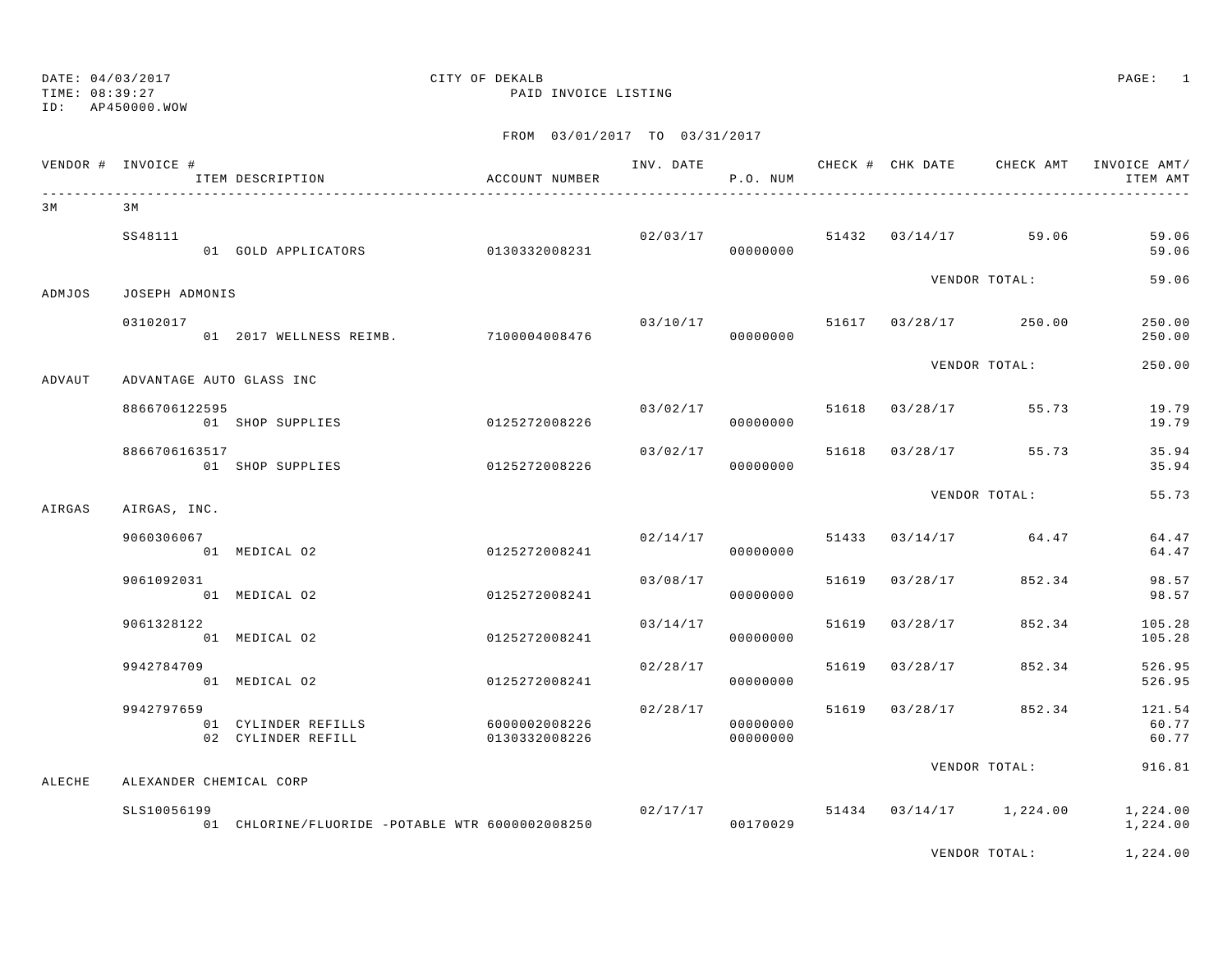### DATE:  $04/03/2017$  PAGE: 1 TIME: 08:39:27 PAID INVOICE LISTING

|        | VENDOR # INVOICE # | ITEM DESCRIPTION                                | ACCOUNT NUMBER                 |          | P.O. NUM             |       |                |                                   | INV. DATE 6 1999 CHECK # CHK DATE 6 CHECK AMT INVOICE AMT<br>ITEM AMT |
|--------|--------------------|-------------------------------------------------|--------------------------------|----------|----------------------|-------|----------------|-----------------------------------|-----------------------------------------------------------------------|
| 3 M    | 3 M                |                                                 |                                |          |                      |       |                |                                   |                                                                       |
|        | SS48111            | 01 GOLD APPLICATORS 0130332008231               |                                |          | 00000000             |       |                | $02/03/17$ 51432 03/14/17 59.06   | 59.06<br>59.06                                                        |
| ADMJOS | JOSEPH ADMONIS     |                                                 |                                |          |                      |       |                | VENDOR TOTAL:                     | 59.06                                                                 |
|        | 03102017           | 01 2017 WELLNESS REIMB. 7100004008476           |                                |          | 03/10/17<br>00000000 |       |                | 51617 03/28/17 250.00             | 250.00<br>250.00                                                      |
| ADVAUT |                    | ADVANTAGE AUTO GLASS INC                        |                                |          |                      |       |                | VENDOR TOTAL:                     | 250.00                                                                |
|        | 8866706122595      | 01 SHOP SUPPLIES                                | 0125272008226                  |          | 00000000             |       |                | $03/02/17$ 51618 $03/28/17$ 55.73 | 19.79<br>19.79                                                        |
|        | 8866706163517      | 01 SHOP SUPPLIES                                | 0125272008226                  |          | 03/02/17<br>00000000 |       |                | 51618 03/28/17 55.73              | 35.94<br>35.94                                                        |
| AIRGAS | AIRGAS, INC.       |                                                 |                                |          |                      |       |                | VENDOR TOTAL:                     | 55.73                                                                 |
|        | 9060306067         | 01 MEDICAL 02                                   | 0125272008241                  |          | 02/14/17<br>00000000 |       |                | 51433 03/14/17 64.47              | 64.47<br>64.47                                                        |
|        | 9061092031         | 01 MEDICAL 02                                   | 0125272008241                  | 03/08/17 | 00000000             | 51619 | 03/28/17       | 852.34                            | 98.57<br>98.57                                                        |
|        | 9061328122         | 01 MEDICAL 02                                   | 0125272008241                  | 03/14/17 | 00000000             | 51619 | 03/28/17       | 852.34                            | 105.28<br>105.28                                                      |
|        | 9942784709         | 01 MEDICAL 02                                   | 0125272008241                  |          | 02/28/17<br>00000000 | 51619 | 03/28/17       | 852.34                            | 526.95<br>526.95                                                      |
|        | 9942797659         | 01 CYLINDER REFILLS<br>02 CYLINDER REFILL       | 6000002008226<br>0130332008226 | 02/28/17 | 00000000<br>00000000 |       | 51619 03/28/17 | 852.34                            | 121.54<br>60.77<br>60.77                                              |
| ALECHE |                    | ALEXANDER CHEMICAL CORP                         |                                |          |                      |       |                | VENDOR TOTAL:                     | 916.81                                                                |
|        | SLS10056199        | 01 CHLORINE/FLUORIDE -POTABLE WTR 6000002008250 |                                |          | 02/17/17<br>00170029 |       |                | 51434 03/14/17 1,224.00           | 1,224.00<br>1,224.00                                                  |
|        |                    |                                                 |                                |          |                      |       |                | VENDOR TOTAL:                     | 1,224.00                                                              |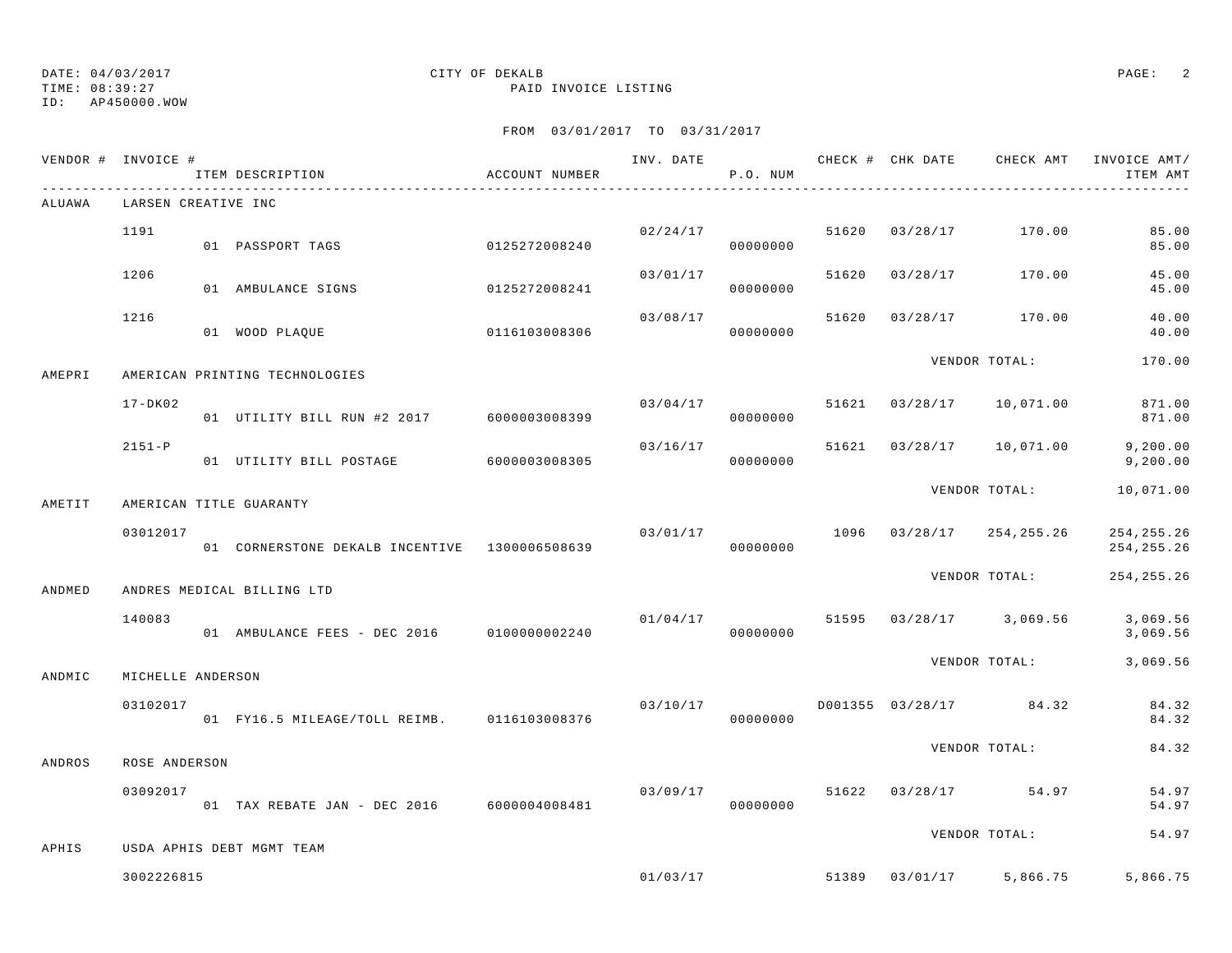TIME: 08:39:27 PAID INVOICE LISTING

ID: AP450000.WOW

|        | VENDOR # INVOICE #<br>_________________________ | ITEM DESCRIPTION                              | ACCOUNT NUMBER | INV. DATE | P.O. NUM             |       | CHECK # CHK DATE | CHECK AMT                             | INVOICE AMT/<br>ITEM AMT   |
|--------|-------------------------------------------------|-----------------------------------------------|----------------|-----------|----------------------|-------|------------------|---------------------------------------|----------------------------|
| ALUAWA | LARSEN CREATIVE INC                             |                                               |                |           |                      |       |                  |                                       |                            |
|        | 1191                                            | 0125272008240<br>01 PASSPORT TAGS             |                | 02/24/17  | 00000000             | 51620 | 03/28/17         | 170.00                                | 85.00<br>85.00             |
|        | 1206                                            | 01 AMBULANCE SIGNS                            | 0125272008241  |           | 03/01/17<br>00000000 | 51620 | 03/28/17         | 170.00                                | 45.00<br>45.00             |
|        | 1216                                            | 01 WOOD PLAQUE                                | 0116103008306  | 03/08/17  | 00000000             | 51620 |                  | 03/28/17 170.00                       | 40.00<br>40.00             |
| AMEPRI |                                                 | AMERICAN PRINTING TECHNOLOGIES                |                |           |                      |       |                  | VENDOR TOTAL:                         | 170.00                     |
|        | $17 - DK02$                                     | 01 UTILITY BILL RUN #2 2017 6000003008399     |                | 03/04/17  | 00000000             |       | 51621 03/28/17   | 10,071.00                             | 871.00<br>871.00           |
|        | $2151-P$                                        | 01 UTILITY BILL POSTAGE 6000003008305         |                | 03/16/17  | 00000000             |       |                  | 51621 03/28/17 10,071.00              | 9, 200.00<br>9,200.00      |
| AMETIT |                                                 | AMERICAN TITLE GUARANTY                       |                |           |                      |       |                  | VENDOR TOTAL:                         | 10,071.00                  |
|        | 03012017                                        | 01 CORNERSTONE DEKALB INCENTIVE 1300006508639 |                |           | 00000000             |       |                  | $03/01/17$ 1096 $03/28/17$ 254,255.26 | 254,255.26<br>254, 255. 26 |
| ANDMED |                                                 | ANDRES MEDICAL BILLING LTD                    |                |           |                      |       |                  | VENDOR TOTAL:                         | 254, 255. 26               |
|        | 140083                                          | 01 AMBULANCE FEES - DEC 2016 0100000002240    |                | 01/04/17  | 00000000             |       |                  | 51595 03/28/17 3,069.56               | 3,069.56<br>3,069.56       |
| ANDMIC | MICHELLE ANDERSON                               |                                               |                |           |                      |       |                  | VENDOR TOTAL:                         | 3,069.56                   |
|        | 03102017                                        | 01 FY16.5 MILEAGE/TOLL REIMB. 0116103008376   |                |           | 03/10/17<br>00000000 |       |                  | D001355 03/28/17 84.32                | 84.32<br>84.32             |
| ANDROS | ROSE ANDERSON                                   |                                               |                |           |                      |       |                  | VENDOR TOTAL:                         | 84.32                      |
|        | 03092017                                        | 01 TAX REBATE JAN - DEC 2016 6000004008481    |                |           | 03/09/17<br>00000000 |       |                  | 51622 03/28/17 54.97                  | 54.97<br>54.97             |
| APHIS  |                                                 | USDA APHIS DEBT MGMT TEAM                     |                |           |                      |       |                  | VENDOR TOTAL:                         | 54.97                      |
|        | 3002226815                                      |                                               |                |           | 01/03/17             |       |                  | 51389 03/01/17 5,866.75               | 5,866.75                   |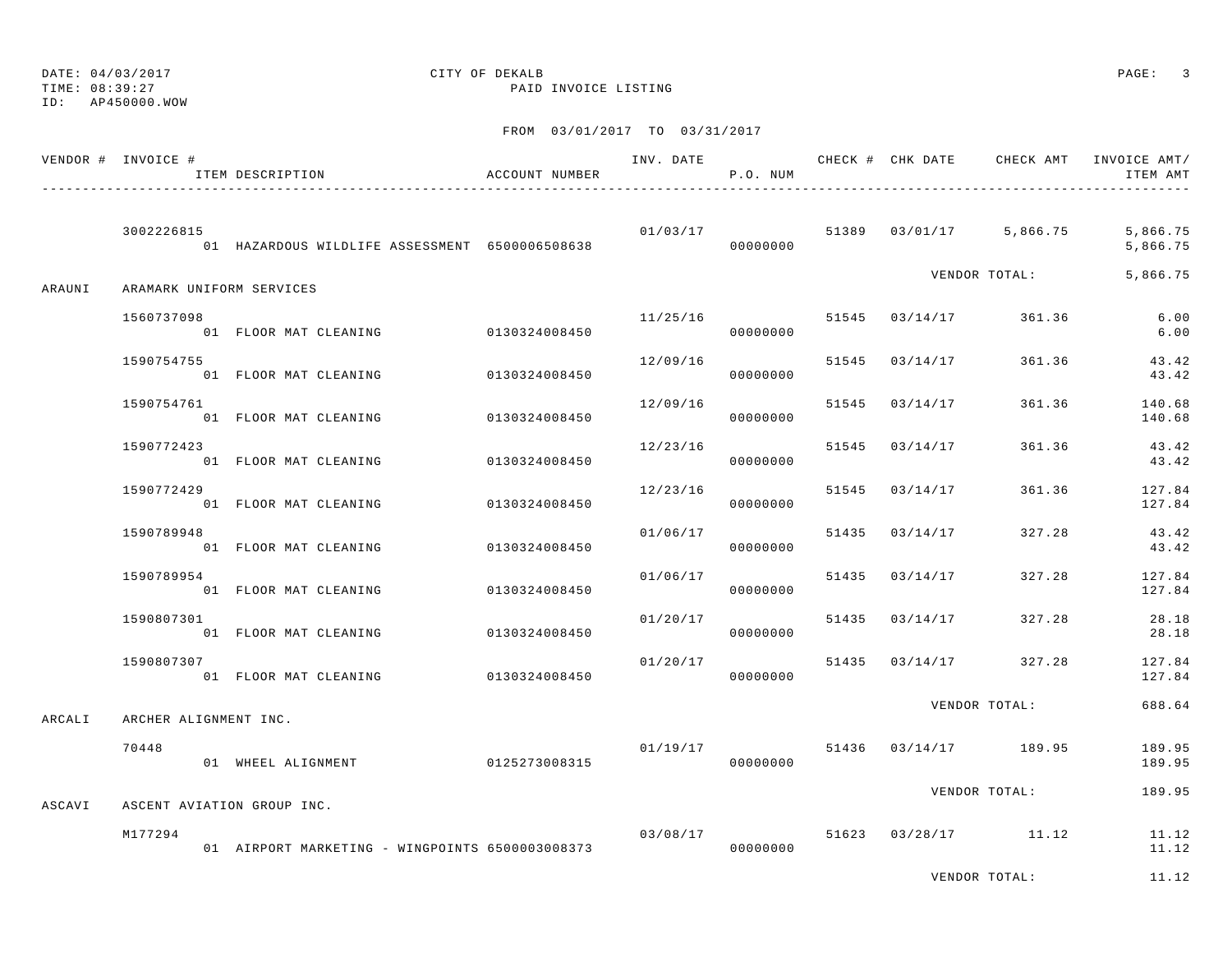TIME: 08:39:27 PAID INVOICE LISTING

ID: AP450000.WOW

|        | VENDOR # INVOICE #       | ITEM DESCRIPTION                                | ACCOUNT NUMBER | INV. DATE | P.O. NUM             |       | CHECK # CHK DATE | CHECK AMT               | INVOICE AMT/<br>ITEM AMT |
|--------|--------------------------|-------------------------------------------------|----------------|-----------|----------------------|-------|------------------|-------------------------|--------------------------|
|        | 3002226815               | 01 HAZARDOUS WILDLIFE ASSESSMENT 6500006508638  |                | 01/03/17  | 00000000             |       |                  | 51389 03/01/17 5,866.75 | 5,866.75<br>5,866.75     |
| ARAUNI | ARAMARK UNIFORM SERVICES |                                                 |                |           |                      |       |                  | VENDOR TOTAL:           | 5,866.75                 |
|        | 1560737098               | 01 FLOOR MAT CLEANING                           | 0130324008450  | 11/25/16  | 00000000             |       |                  | 51545 03/14/17 361.36   | 6.00<br>6.00             |
|        | 1590754755               | 01 FLOOR MAT CLEANING                           | 0130324008450  | 12/09/16  | 00000000             |       | 51545 03/14/17   | 361.36                  | 43.42<br>43.42           |
|        | 1590754761               | 01 FLOOR MAT CLEANING                           | 0130324008450  | 12/09/16  | 00000000             | 51545 | 03/14/17         | 361.36                  | 140.68<br>140.68         |
|        | 1590772423               | 01 FLOOR MAT CLEANING                           | 0130324008450  | 12/23/16  | 00000000             | 51545 | 03/14/17         | 361.36                  | 43.42<br>43.42           |
|        | 1590772429               | 01 FLOOR MAT CLEANING                           | 0130324008450  | 12/23/16  | 00000000             | 51545 | 03/14/17         | 361.36                  | 127.84<br>127.84         |
|        | 1590789948               | 01 FLOOR MAT CLEANING                           | 0130324008450  | 01/06/17  | 00000000             | 51435 | 03/14/17         | 327.28                  | 43.42<br>43.42           |
|        | 1590789954               | 01 FLOOR MAT CLEANING                           | 0130324008450  | 01/06/17  | 00000000             |       | 51435 03/14/17   | 327.28                  | 127.84<br>127.84         |
|        | 1590807301               | 01 FLOOR MAT CLEANING                           | 0130324008450  | 01/20/17  | 00000000             |       | 51435 03/14/17   | 327.28                  | 28.18<br>28.18           |
|        | 1590807307               | 01 FLOOR MAT CLEANING                           | 0130324008450  | 01/20/17  | 00000000             | 51435 | 03/14/17         | 327.28                  | 127.84<br>127.84         |
| ARCALI | ARCHER ALIGNMENT INC.    |                                                 |                |           |                      |       |                  | VENDOR TOTAL:           | 688.64                   |
|        | 70448                    | 01 WHEEL ALIGNMENT                              | 0125273008315  | 01/19/17  | 00000000             |       |                  | 51436 03/14/17 189.95   | 189.95<br>189.95         |
| ASCAVI |                          | ASCENT AVIATION GROUP INC.                      |                |           |                      |       |                  | VENDOR TOTAL:           | 189.95                   |
|        | M177294                  | 01 AIRPORT MARKETING - WINGPOINTS 6500003008373 |                |           | 03/08/17<br>00000000 |       |                  | 51623 03/28/17 11.12    | 11.12<br>11.12           |
|        |                          |                                                 |                |           |                      |       |                  | VENDOR TOTAL:           | 11.12                    |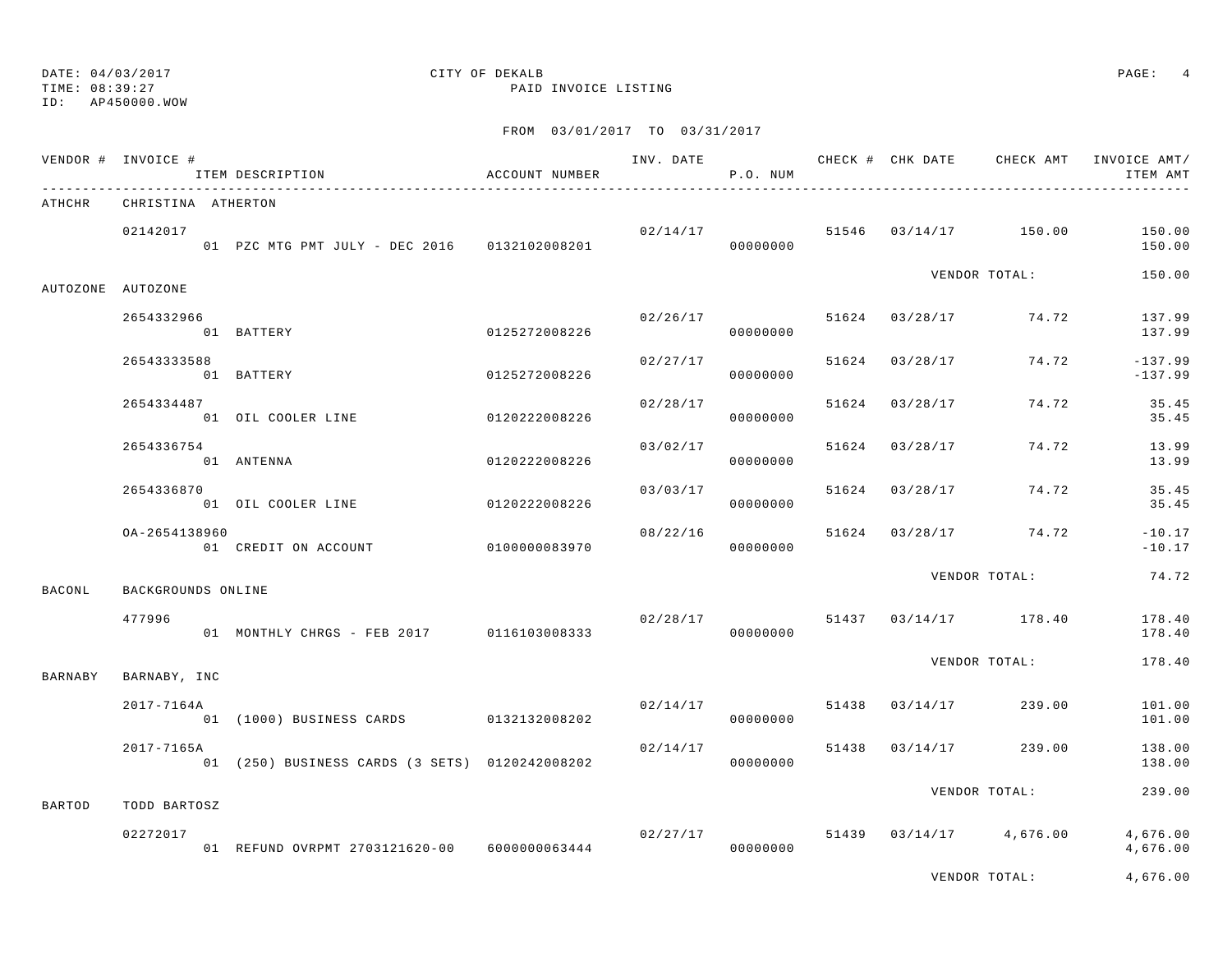ID: AP450000.WOW

TIME: 08:39:27 PAID INVOICE LISTING

|               | VENDOR # INVOICE # | ITEM DESCRIPTION                               | ACCOUNT NUMBER |          | P.O. NUM |       |                |                                  | INV. DATE 6 CHECK # CHK DATE CHECK AMT INVOICE AMT/<br>ITEM AMT |
|---------------|--------------------|------------------------------------------------|----------------|----------|----------|-------|----------------|----------------------------------|-----------------------------------------------------------------|
| ATHCHR        | CHRISTINA ATHERTON |                                                |                |          |          |       |                |                                  |                                                                 |
|               | 02142017           | 01 PZC MTG PMT JULY - DEC 2016 0132102008201   |                | 00000000 |          |       |                | $02/14/17$ 51546 03/14/17 150.00 | 150.00<br>150.00                                                |
|               | AUTOZONE AUTOZONE  |                                                |                |          |          |       |                | VENDOR TOTAL:                    | 150.00                                                          |
|               | 2654332966         | 01 BATTERY                                     | 0125272008226  | 02/26/17 | 00000000 |       |                | 51624 03/28/17 74.72             | 137.99<br>137.99                                                |
|               | 26543333588        | 01 BATTERY                                     | 0125272008226  | 02/27/17 | 00000000 |       | 51624 03/28/17 | 74.72                            | $-137.99$<br>$-137.99$                                          |
|               | 2654334487         | 01 OIL COOLER LINE                             | 0120222008226  | 02/28/17 | 00000000 |       | 51624 03/28/17 | 74.72                            | 35.45<br>35.45                                                  |
|               | 2654336754         | 01 ANTENNA                                     | 0120222008226  | 03/02/17 | 00000000 | 51624 | 03/28/17       | 74.72                            | 13.99<br>13.99                                                  |
|               | 2654336870         | 01 OIL COOLER LINE                             | 0120222008226  | 03/03/17 | 00000000 | 51624 | 03/28/17       | 74.72                            | 35.45<br>35.45                                                  |
|               | OA-2654138960      | 01 CREDIT ON ACCOUNT 0100000083970             |                | 08/22/16 | 00000000 |       |                | 51624 03/28/17 74.72             | $-10.17$<br>$-10.17$                                            |
| <b>BACONL</b> | BACKGROUNDS ONLINE |                                                |                |          |          |       |                | VENDOR TOTAL:                    | 74.72                                                           |
|               | 477996             | 01 MONTHLY CHRGS - FEB 2017 0116103008333      |                | 02/28/17 | 00000000 |       |                | 51437 03/14/17 178.40            | 178.40<br>178.40                                                |
| BARNABY       | BARNABY, INC       |                                                |                |          |          |       |                | VENDOR TOTAL:                    | 178.40                                                          |
|               | 2017-7164A         | 01 (1000) BUSINESS CARDS 0132132008202         |                | 02/14/17 | 00000000 | 51438 | 03/14/17       | 239.00                           | 101.00<br>101.00                                                |
|               | 2017-7165A         | 01 (250) BUSINESS CARDS (3 SETS) 0120242008202 |                | 02/14/17 | 00000000 |       | 51438 03/14/17 | 239.00                           | 138.00<br>138.00                                                |
| <b>BARTOD</b> | TODD BARTOSZ       |                                                |                |          |          |       |                | VENDOR TOTAL:                    | 239.00                                                          |
|               | 02272017           | 01 REFUND OVRPMT 2703121620-00 6000000063444   |                | 02/27/17 | 00000000 |       |                | 51439 03/14/17 4,676.00          | 4,676.00<br>4,676.00                                            |
|               |                    |                                                |                |          |          |       |                | VENDOR TOTAL:                    | 4,676.00                                                        |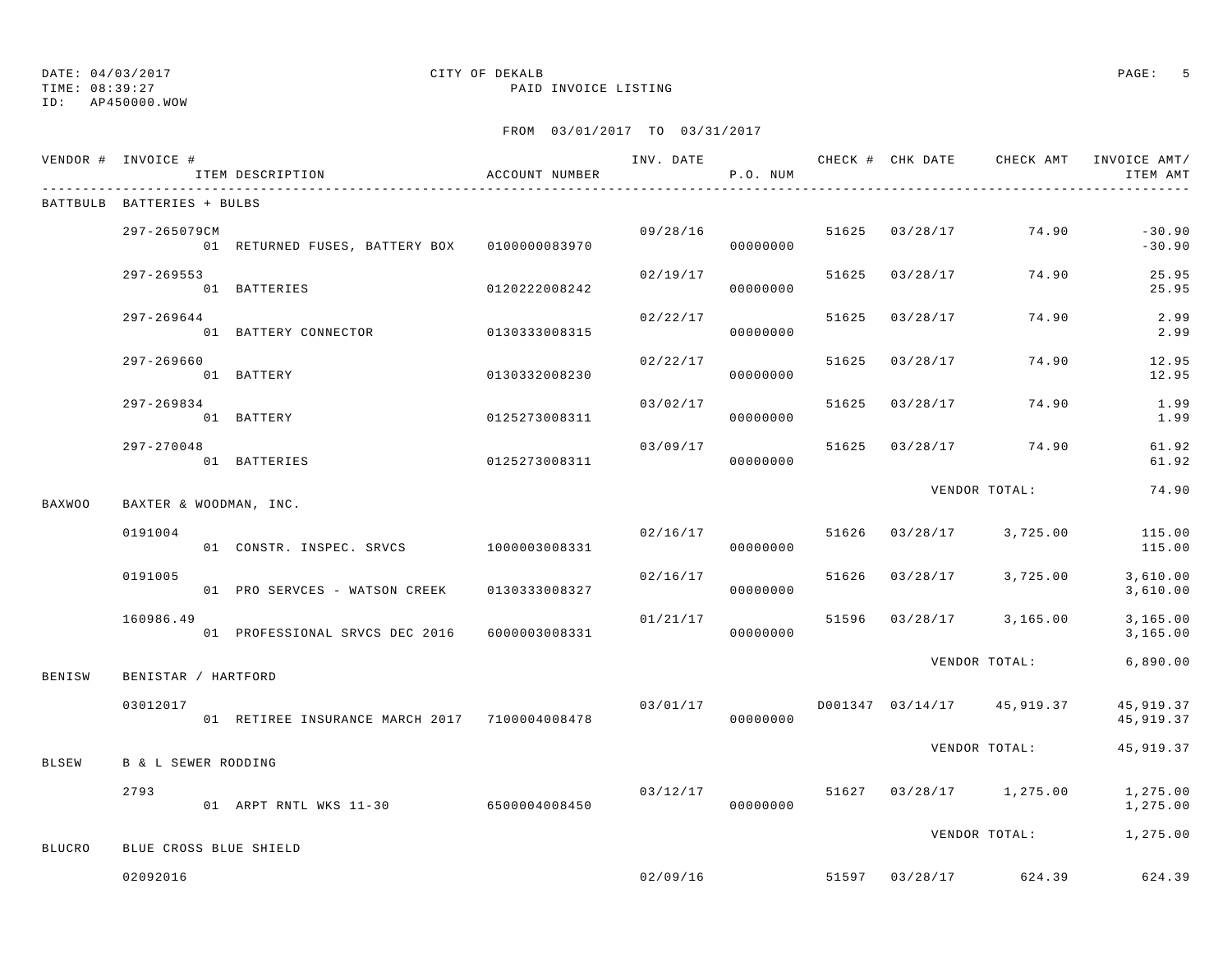TIME: 08:39:27 PAID INVOICE LISTING

ID: AP450000.WOW

|               | VENDOR # INVOICE #             | ITEM DESCRIPTION                              | ACCOUNT NUMBER |          | P.O. NUM             |       |                |                            | INV. DATE 6 1999 CHECK # CHK DATE 6 CHECK AMT INVOICE AMT<br>ITEM AMT |
|---------------|--------------------------------|-----------------------------------------------|----------------|----------|----------------------|-------|----------------|----------------------------|-----------------------------------------------------------------------|
|               | BATTBULB BATTERIES + BULBS     |                                               |                |          |                      |       |                |                            |                                                                       |
|               | 297-265079CM                   | 01 RETURNED FUSES, BATTERY BOX 0100000083970  |                |          | 09/28/16<br>00000000 | 51625 | 03/28/17       | 74.90                      | $-30.90$<br>$-30.90$                                                  |
|               | $297 - 269553$                 | 01 BATTERIES                                  | 0120222008242  | 02/19/17 | 00000000             | 51625 | 03/28/17       | 74.90                      | 25.95<br>25.95                                                        |
|               | 297-269644                     | 01 BATTERY CONNECTOR                          | 0130333008315  | 02/22/17 | 00000000             | 51625 | 03/28/17       | 74.90                      | 2.99<br>2.99                                                          |
|               | 297-269660                     | 01 BATTERY                                    | 0130332008230  | 02/22/17 | 00000000             | 51625 | 03/28/17       | 74.90                      | 12.95<br>12.95                                                        |
|               | 297-269834                     | 01 BATTERY                                    | 0125273008311  | 03/02/17 | 00000000             | 51625 | 03/28/17       | 74.90                      | 1.99<br>1.99                                                          |
|               | $297 - 270048$                 | 01 BATTERIES                                  | 0125273008311  | 03/09/17 | 00000000             | 51625 |                | $03/28/17$ 74.90           | 61.92<br>61.92                                                        |
| <b>BAXWOO</b> | BAXTER & WOODMAN, INC.         |                                               |                |          |                      |       |                | VENDOR TOTAL:              | 74.90                                                                 |
|               | 0191004                        |                                               |                | 02/16/17 | 00000000             |       | 51626 03/28/17 | 3,725.00                   | 115.00<br>115.00                                                      |
|               | 0191005                        | 01 PRO SERVCES - WATSON CREEK                 | 0130333008327  | 02/16/17 | 00000000             |       | 51626 03/28/17 | 3,725.00                   | 3,610.00<br>3,610.00                                                  |
|               | 160986.49                      | 01 PROFESSIONAL SRVCS DEC 2016 6000003008331  |                | 01/21/17 | 00000000             | 51596 |                | $03/28/17$ 3,165.00        | 3,165.00<br>3,165.00                                                  |
| BENISW        | BENISTAR / HARTFORD            |                                               |                |          |                      |       |                | VENDOR TOTAL:              | 6,890.00                                                              |
|               | 03012017                       | 01 RETIREE INSURANCE MARCH 2017 7100004008478 |                | 03/01/17 | 00000000             |       |                | D001347 03/14/17 45,919.37 | 45,919.37<br>45,919.37                                                |
| <b>BLSEW</b>  | <b>B &amp; L SEWER RODDING</b> |                                               |                |          |                      |       |                | VENDOR TOTAL:              | 45,919.37                                                             |
|               | 2793                           | 01 ARPT RNTL WKS 11-30 6500004008450          |                |          | 03/12/17<br>00000000 |       |                | 51627 03/28/17 1,275.00    | 1,275.00<br>1,275.00                                                  |
| <b>BLUCRO</b> | BLUE CROSS BLUE SHIELD         |                                               |                |          |                      |       |                | VENDOR TOTAL:              | 1,275.00                                                              |
|               | 02092016                       |                                               |                | 02/09/16 |                      |       | 51597 03/28/17 | 624.39                     | 624.39                                                                |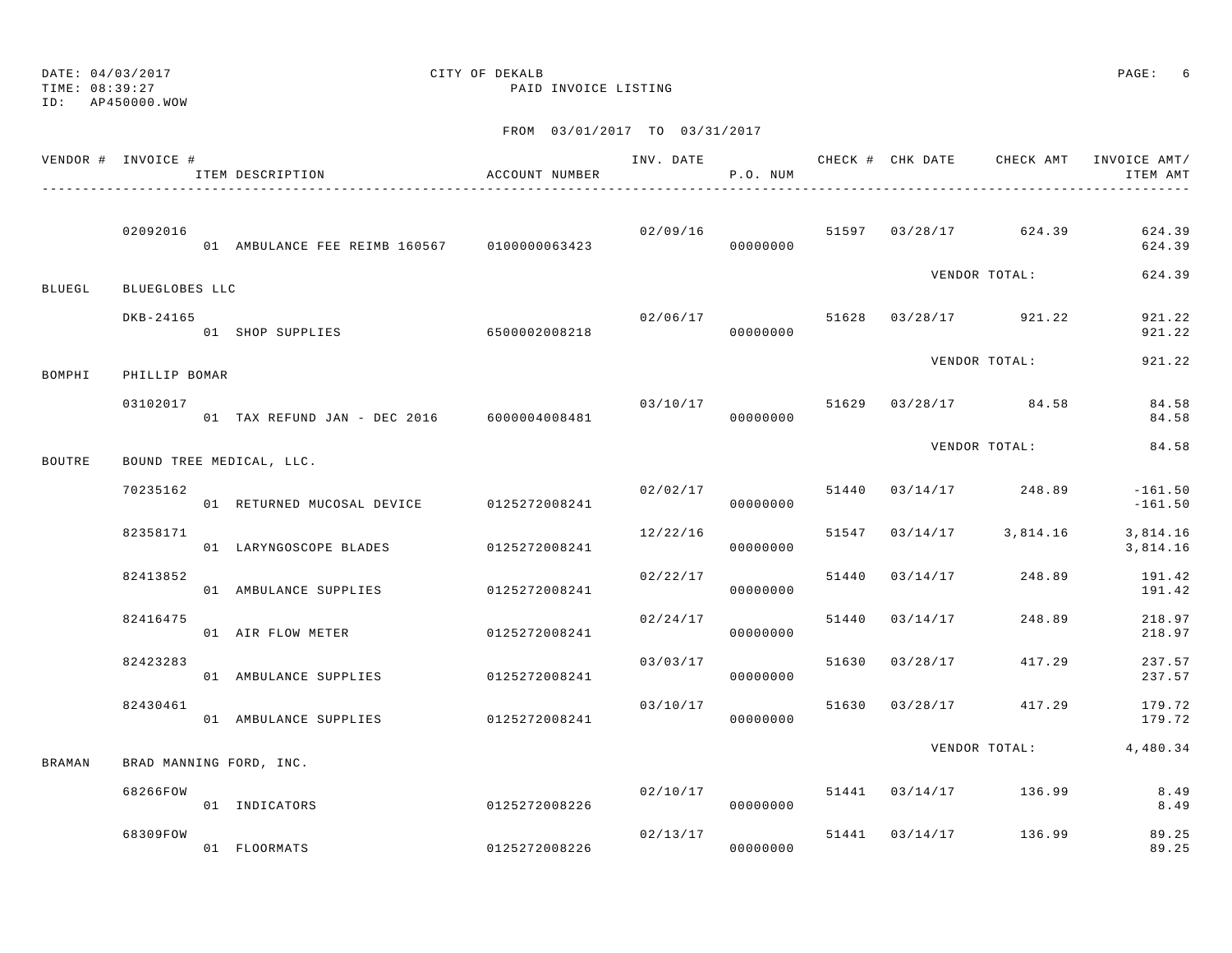ID: AP450000.WOW

# DATE: 04/03/2017 CITY OF DEKALB PAGE: 6

TIME: 08:39:27 PAID INVOICE LISTING

|               | VENDOR # INVOICE # | ITEM DESCRIPTION                                              | ACCOUNT NUMBER           |          | P.O. NUM             |       |                |                                  | ITEM AMT               |
|---------------|--------------------|---------------------------------------------------------------|--------------------------|----------|----------------------|-------|----------------|----------------------------------|------------------------|
|               | 02092016           | 01 AMBULANCE FEE REIMB 160567 0100000063423 02709710 00000000 |                          | 02/09/16 |                      |       |                | 51597 03/28/17 624.39            | 624.39<br>624.39       |
| BLUEGL        | BLUEGLOBES LLC     |                                                               |                          |          |                      |       |                | VENDOR TOTAL:                    | 624.39                 |
|               | DKB-24165          | 01 SHOP SUPPLIES 6500002008218                                |                          |          | 00000000             |       |                | $02/06/17$ 51628 03/28/17 921.22 | 921.22<br>921.22       |
| BOMPHI        | PHILLIP BOMAR      |                                                               |                          |          |                      |       |                | VENDOR TOTAL:                    | 921.22                 |
|               | 03102017           | 01 TAX REFUND JAN - DEC 2016 6000004008481                    |                          | 03/10/17 | 00000000             |       |                | 51629 03/28/17 84.58             | 84.58<br>84.58         |
| <b>BOUTRE</b> |                    | BOUND TREE MEDICAL, LLC.                                      |                          |          |                      |       |                | VENDOR TOTAL:                    | 84.58                  |
|               | 70235162           | 01 RETURNED MUCOSAL DEVICE 0125272008241                      |                          | 02/02/17 | 00000000             |       |                | 51440 03/14/17 248.89            | $-161.50$<br>$-161.50$ |
|               | 82358171           | 01 LARYNGOSCOPE BLADES 0125272008241                          |                          | 12/22/16 | 00000000             | 51547 |                | $03/14/17$ 3,814.16              | 3,814.16<br>3,814.16   |
|               | 82413852           | 01 AMBULANCE SUPPLIES                                         | 0125272008241            | 02/22/17 | 00000000             |       | 51440 03/14/17 | 248.89                           | 191.42<br>191.42       |
|               | 82416475           | 01 AIR FLOW METER                                             | 0125272008241            |          | 02/24/17<br>00000000 |       | 51440 03/14/17 | 248.89                           | 218.97<br>218.97       |
|               | 82423283           | 01 AMBULANCE SUPPLIES                                         | 0125272008241            | 03/03/17 | 00000000             | 51630 |                | 03/28/17 417.29                  | 237.57<br>237.57       |
|               | 82430461           | 01 AMBULANCE SUPPLIES 0125272008241                           |                          | 03/10/17 | 00000000             |       |                | 51630 03/28/17 417.29            | 179.72<br>179.72       |
| BRAMAN        |                    | BRAD MANNING FORD, INC.                                       |                          |          |                      |       |                | VENDOR TOTAL:                    | 4,480.34               |
|               | 68266FOW           | 01 INDICATORS                                                 | $0125272008226$ 00000000 | 02/10/17 |                      |       |                | 51441 03/14/17 136.99            | 8.49<br>8.49           |
|               | 68309FOW           | 01 FLOORMATS                                                  | 0125272008226            | 00000000 | 02/13/17             |       |                | 51441 03/14/17 136.99            | 89.25<br>89.25         |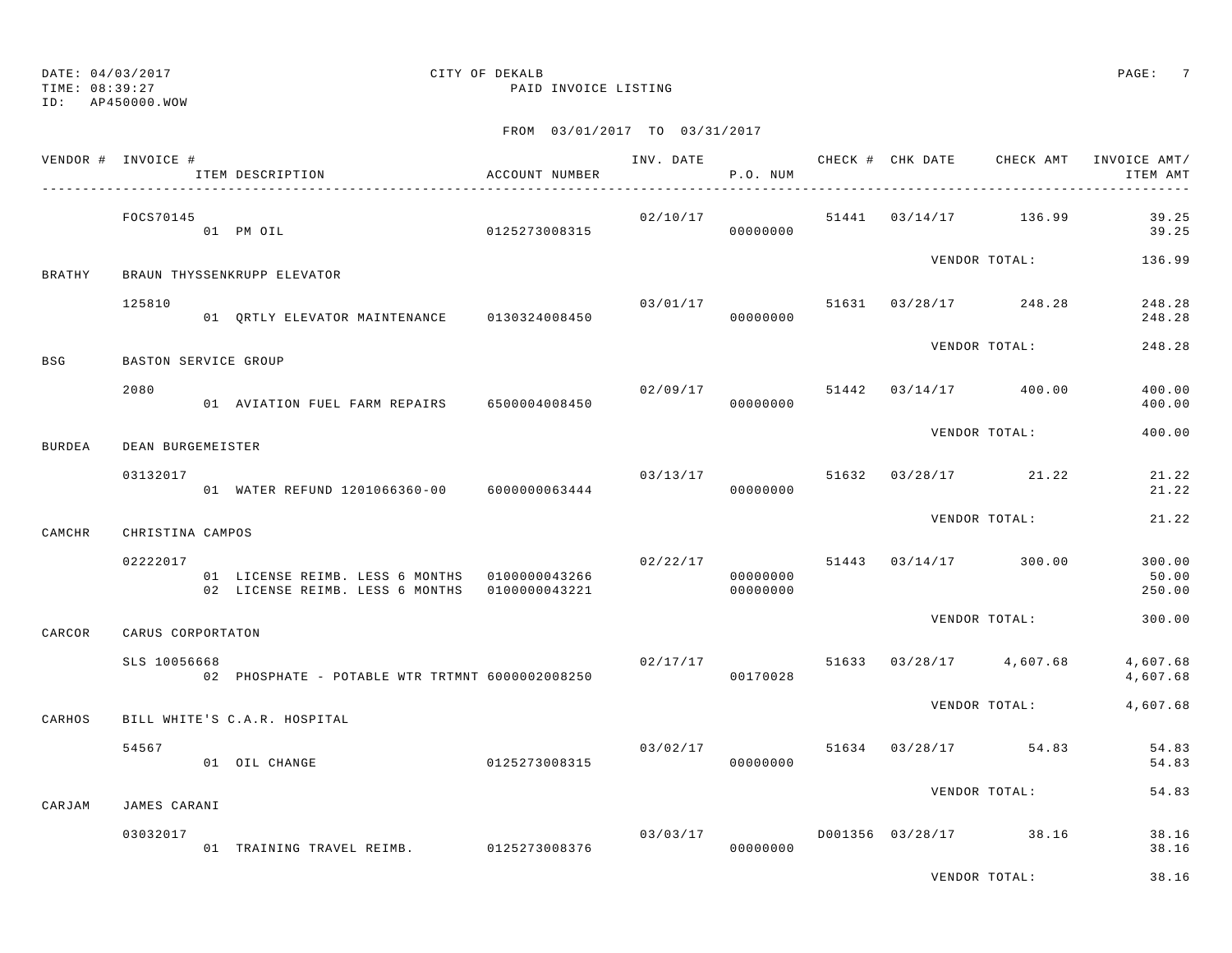TIME: 08:39:27 PAID INVOICE LISTING

ID: AP450000.WOW

|               | VENDOR # INVOICE #   | ITEM DESCRIPTION                                                                 | ACCOUNT NUMBER | INV. DATE | P.O. NUM             |       | CHECK # CHK DATE       | CHECK AMT     | INVOICE AMT/<br>ITEM AMT  |
|---------------|----------------------|----------------------------------------------------------------------------------|----------------|-----------|----------------------|-------|------------------------|---------------|---------------------------|
|               | FOCS70145            | 01 PM OIL                                                                        | 0125273008315  | 02/10/17  | 00000000             | 51441 | 03/14/17 136.99        |               | 39.25<br>39.25            |
| <b>BRATHY</b> |                      | BRAUN THYSSENKRUPP ELEVATOR                                                      |                |           |                      |       |                        | VENDOR TOTAL: | 136.99                    |
|               | 125810               | 01 ORTLY ELEVATOR MAINTENANCE 0130324008450                                      |                | 03/01/17  | 00000000             |       | 51631 03/28/17 248.28  |               | 248.28<br>248.28          |
| BSG           | BASTON SERVICE GROUP |                                                                                  |                |           |                      |       |                        | VENDOR TOTAL: | 248.28                    |
|               | 2080                 | 01 AVIATION FUEL FARM REPAIRS 6500004008450                                      |                |           | 02/09/17<br>00000000 | 51442 | $03/14/17$ 400.00      |               | 400.00<br>400.00          |
| <b>BURDEA</b> | DEAN BURGEMEISTER    |                                                                                  |                |           |                      |       |                        | VENDOR TOTAL: | 400.00                    |
|               | 03132017             | 01 WATER REFUND 1201066360-00 6000000063444                                      |                | 03/13/17  | 00000000             |       | 51632 03/28/17 21.22   |               | 21.22<br>21.22            |
| CAMCHR        | CHRISTINA CAMPOS     |                                                                                  |                |           |                      |       |                        | VENDOR TOTAL: | 21.22                     |
|               | 02222017             | 01 LICENSE REIMB. LESS 6 MONTHS 0100000043266<br>02 LICENSE REIMB. LESS 6 MONTHS | 0100000043221  | 02/22/17  | 00000000<br>00000000 |       | 51443 03/14/17 300.00  |               | 300.00<br>50.00<br>250.00 |
| CARCOR        | CARUS CORPORTATON    |                                                                                  |                |           |                      |       |                        | VENDOR TOTAL: | 300.00                    |
|               | SLS 10056668         | 02 PHOSPHATE - POTABLE WTR TRTMNT 6000002008250                                  |                |           | 02/17/17<br>00170028 | 51633 | $03/28/17$ 4,607.68    |               | 4,607.68<br>4,607.68      |
| CARHOS        |                      | BILL WHITE'S C.A.R. HOSPITAL                                                     |                |           |                      |       |                        | VENDOR TOTAL: | 4,607.68                  |
|               | 54567                | 01 OIL CHANGE                                                                    | 0125273008315  | 03/02/17  | 00000000             |       | 51634 03/28/17 54.83   |               | 54.83<br>54.83            |
| CARJAM        | JAMES CARANI         |                                                                                  |                |           |                      |       |                        | VENDOR TOTAL: | 54.83                     |
|               | 03032017             | 01 TRAINING TRAVEL REIMB. 0125273008376                                          |                | 03/03/17  | 00000000             |       | D001356 03/28/17 38.16 |               | 38.16<br>38.16            |
|               |                      |                                                                                  |                |           |                      |       |                        | VENDOR TOTAL: | 38.16                     |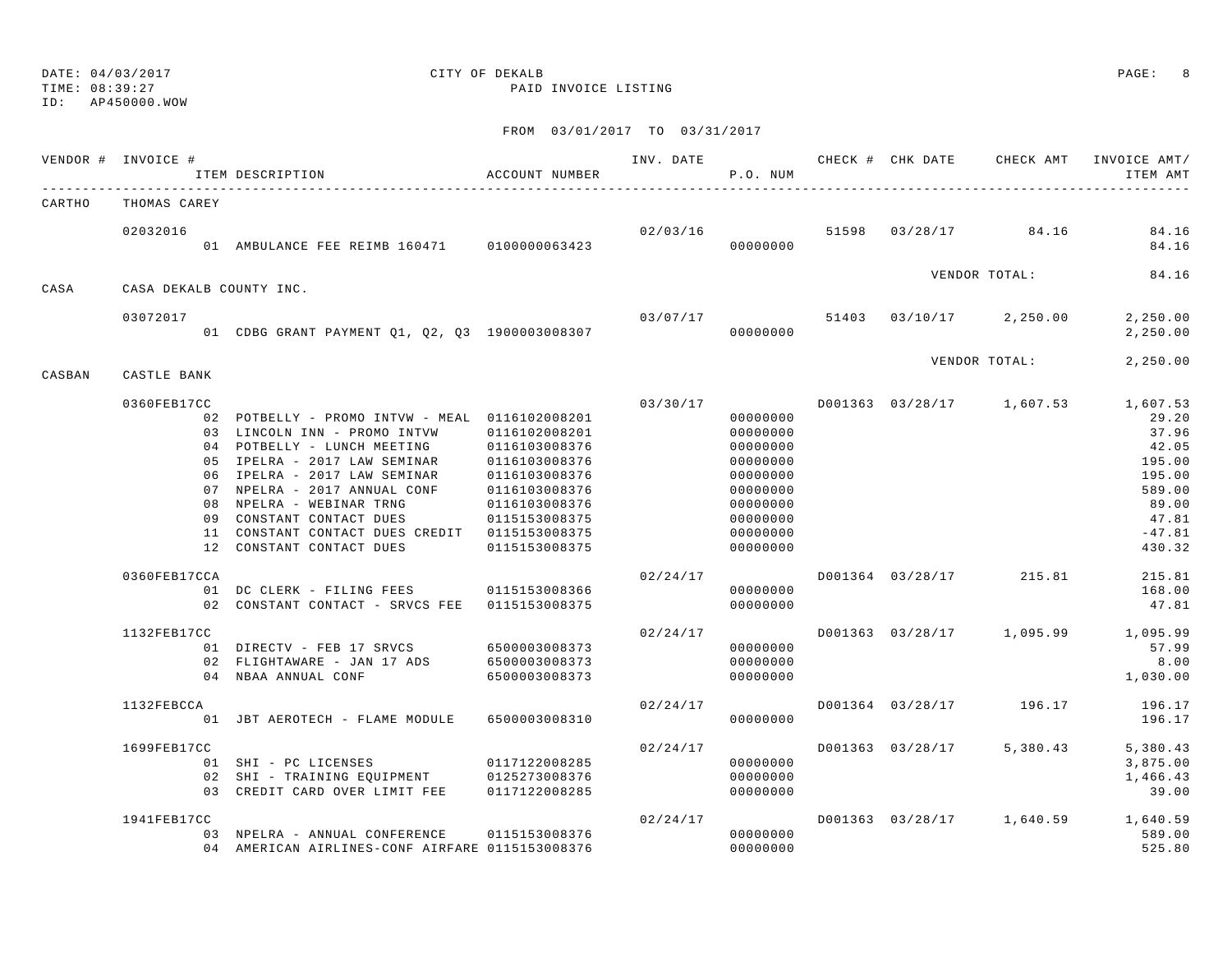TIME: 08:39:27 PAID INVOICE LISTING

ID: AP450000.WOW

|        | VENDOR # INVOICE #          | ITEM DESCRIPTION                                                                                                                                                                                                                                                                                                                                                                                                                               | ACCOUNT NUMBER                                                                                                                       |                      | P.O. NUM                                                                                                                                     |                  | INV. DATE 6 1999 CHECK # CHK DATE 6 CHECK AMT INVOICE AMT/ | ITEM AMT                                                                                                                               |
|--------|-----------------------------|------------------------------------------------------------------------------------------------------------------------------------------------------------------------------------------------------------------------------------------------------------------------------------------------------------------------------------------------------------------------------------------------------------------------------------------------|--------------------------------------------------------------------------------------------------------------------------------------|----------------------|----------------------------------------------------------------------------------------------------------------------------------------------|------------------|------------------------------------------------------------|----------------------------------------------------------------------------------------------------------------------------------------|
| CARTHO | THOMAS CAREY                |                                                                                                                                                                                                                                                                                                                                                                                                                                                |                                                                                                                                      |                      |                                                                                                                                              |                  |                                                            |                                                                                                                                        |
|        | 02032016                    | 01 AMBULANCE FEE REIMB 160471 0100000063423                                                                                                                                                                                                                                                                                                                                                                                                    |                                                                                                                                      |                      | 000000000                                                                                                                                    |                  | 02/03/16 51598 03/28/17 84.16                              | 84.16<br>84.16                                                                                                                         |
| CASA   | CASA DEKALB COUNTY INC.     |                                                                                                                                                                                                                                                                                                                                                                                                                                                |                                                                                                                                      |                      |                                                                                                                                              |                  | VENDOR TOTAL:                                              | 84.16                                                                                                                                  |
|        | 03072017                    | 01 CDBG GRANT PAYMENT Q1, Q2, Q3 1900003008307                                                                                                                                                                                                                                                                                                                                                                                                 |                                                                                                                                      |                      | 00000000                                                                                                                                     |                  | $03/07/17$ 51403 03/10/17 2,250.00                         | 2,250.00<br>2,250.00                                                                                                                   |
| CASBAN | CASTLE BANK                 |                                                                                                                                                                                                                                                                                                                                                                                                                                                |                                                                                                                                      |                      |                                                                                                                                              |                  | VENDOR TOTAL:                                              | 2,250.00                                                                                                                               |
|        | 0360FEB17CC<br>0360FEB17CCA | 02 POTBELLY - PROMO INTVW - MEAL 0116102008201<br>03 LINCOLN INN - PROMO INTVW<br>04 POTBELLY - LUNCH MEETING<br>05 IPELRA - 2017 LAW SEMINAR<br>06 IPELRA - 2017 LAW SEMINAR<br>07 NPELRA - 2017 ANNUAL CONF<br>08 NPELRA - WEBINAR TRNG<br>09 CONSTANT CONTACT DUES<br>11 CONSTANT CONTACT DUES CREDIT 0115153008375<br>12 CONSTANT CONTACT DUES<br>01 DC CLERK - FILING FEES 0115153008366<br>02 CONSTANT CONTACT - SRVCS FEE 0115153008375 | 0116102008201<br>0116103008376<br>0116103008376<br>0116103008376<br>0116103008376<br>0116103008376<br>0115153008375<br>0115153008375 | 03/30/17<br>02/24/17 | 00000000<br>00000000<br>00000000<br>00000000<br>00000000<br>00000000<br>00000000<br>00000000<br>00000000<br>00000000<br>00000000<br>00000000 |                  | D001363 03/28/17 1,607.53<br>D001364 03/28/17 215.81       | 1,607.53<br>29.20<br>37.96<br>42.05<br>195.00<br>195.00<br>589.00<br>89.00<br>47.81<br>$-47.81$<br>430.32<br>215.81<br>168.00<br>47.81 |
|        | 1132FEB17CC                 | 01 DIRECTV - FEB 17 SRVCS 6500003008373<br>02 FLIGHTAWARE - JAN 17 ADS 6500003008373<br>04 NBAA ANNUAL CONF                                                                                                                                                                                                                                                                                                                                    | 6500003008373                                                                                                                        | 02/24/17             | 00000000<br>00000000<br>00000000                                                                                                             |                  | D001363 03/28/17 1,095.99                                  | 1,095.99<br>57.99<br>8.00<br>1,030.00                                                                                                  |
|        | 1132FEBCCA                  | 01 JBT AEROTECH - FLAME MODULE                                                                                                                                                                                                                                                                                                                                                                                                                 | 6500003008310                                                                                                                        | 02/24/17             | 00000000                                                                                                                                     |                  | D001364 03/28/17 196.17                                    | 196.17<br>196.17                                                                                                                       |
|        | 1699FEB17CC                 | 01 SHI - PC LICENSES<br>02 SHI - TRAINING EQUIPMENT 0125273008376<br>03 CREDIT CARD OVER LIMIT FEE                                                                                                                                                                                                                                                                                                                                             | 0117122008285<br>0117122008285                                                                                                       | 02/24/17             | 00000000<br>00000000<br>00000000                                                                                                             | D001363 03/28/17 | 5,380.43                                                   | 5,380.43<br>3,875.00<br>1,466.43<br>39.00                                                                                              |
|        | 1941FEB17CC                 | 03 NPELRA - ANNUAL CONFERENCE<br>04 AMERICAN AIRLINES-CONF AIRFARE 0115153008376                                                                                                                                                                                                                                                                                                                                                               | 0115153008376                                                                                                                        | 02/24/17             | 00000000<br>00000000                                                                                                                         |                  | D001363 03/28/17 1,640.59                                  | 1,640.59<br>589.00<br>525.80                                                                                                           |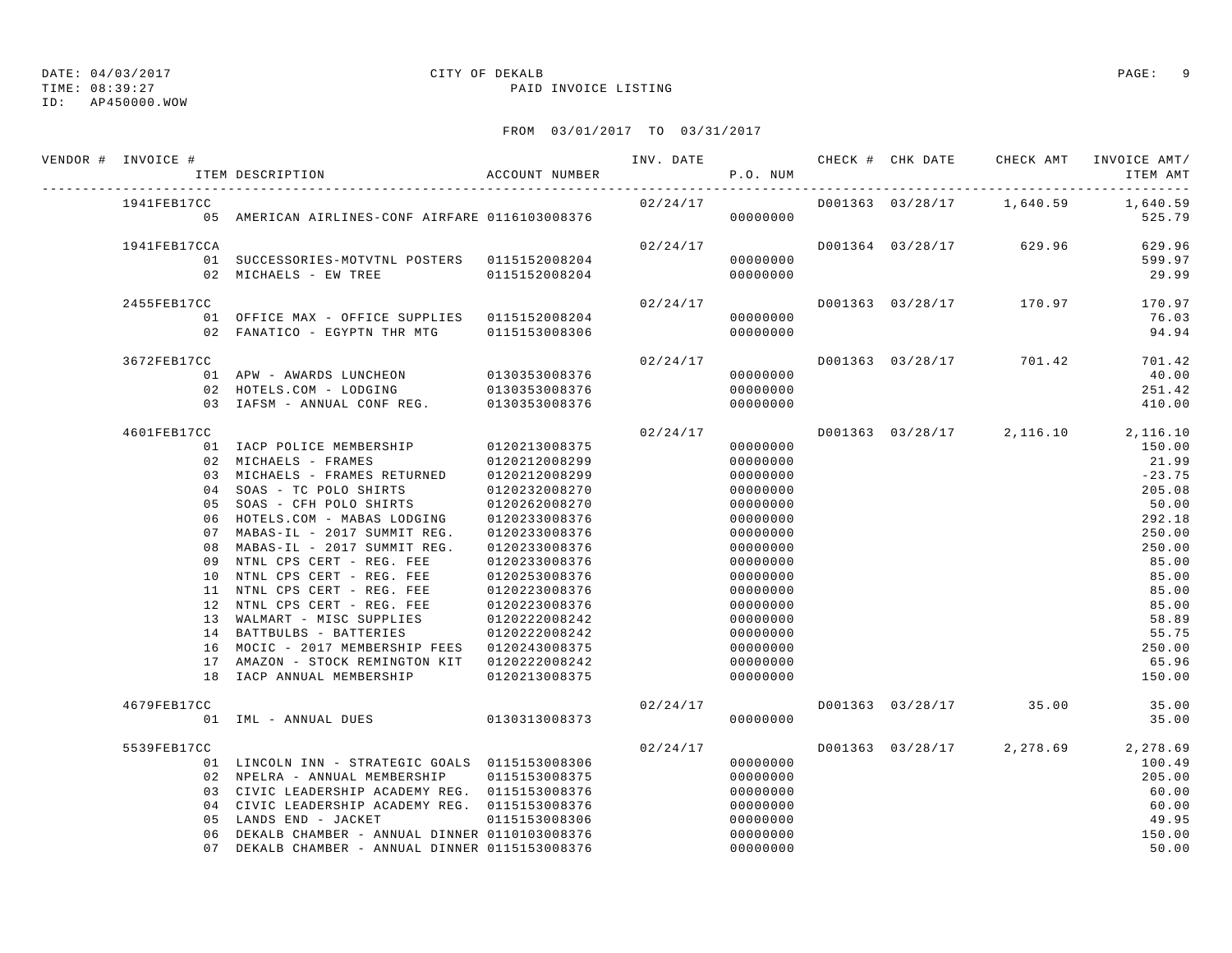TIME: 08:39:27 PAID INVOICE LISTING

ID: AP450000.WOW

| VENDOR # INVOICE # | ITEM DESCRIPTION                                | ACCOUNT NUMBER |          | P.O. NUM |  | INV. DATE 6 CHECK # CHK DATE CHECK AMT | INVOICE AMT/<br>ITEM AMT                     |
|--------------------|-------------------------------------------------|----------------|----------|----------|--|----------------------------------------|----------------------------------------------|
| 1941FEB17CC        | 05 AMERICAN AIRLINES-CONF AIRFARE 0116103008376 |                | 02/24/17 | 00000000 |  |                                        | D001363 03/28/17 1,640.59 1,640.59<br>525.79 |
|                    |                                                 |                |          |          |  |                                        |                                              |
| 1941FEB17CCA       |                                                 |                | 02/24/17 |          |  | D001364 03/28/17 629.96                | 629.96                                       |
|                    | 01 SUCCESSORIES-MOTVTNL POSTERS 0115152008204   |                |          | 00000000 |  |                                        | 599.97                                       |
|                    | 02 MICHAELS - EW TREE 6115152008204             |                |          | 00000000 |  |                                        | 29.99                                        |
| 2455FEB17CC        |                                                 |                | 02/24/17 |          |  | D001363 03/28/17 170.97                | 170.97                                       |
|                    | 01 OFFICE MAX - OFFICE SUPPLIES 0115152008204   |                |          | 00000000 |  |                                        | 76.03                                        |
|                    | 02 FANATICO - EGYPTN THR MTG 0115153008306      |                |          | 00000000 |  |                                        | 94.94                                        |
| 3672FEB17CC        |                                                 |                | 02/24/17 |          |  | D001363 03/28/17 701.42                | 701.42                                       |
|                    | 01 APW - AWARDS LUNCHEON 0130353008376          |                |          | 00000000 |  |                                        | 40.00                                        |
|                    | 02 HOTELS.COM - LODGING                         | 0130353008376  |          | 00000000 |  |                                        | 251.42                                       |
|                    | 03 IAFSM - ANNUAL CONF REG.                     | 0130353008376  |          | 00000000 |  |                                        | 410.00                                       |
| 4601FEB17CC        |                                                 |                | 02/24/17 |          |  |                                        | D001363 03/28/17 2,116.10 2,116.10           |
|                    | 01 IACP POLICE MEMBERSHIP 0120213008375         |                |          | 00000000 |  |                                        | 150.00                                       |
|                    | 02 MICHAELS - FRAMES                            | 0120212008299  |          | 00000000 |  |                                        | 21.99                                        |
|                    | 03 MICHAELS - FRAMES RETURNED 0120212008299     |                |          | 00000000 |  |                                        | $-23.75$                                     |
|                    | 04 SOAS - TC POLO SHIRTS                        | 0120232008270  |          | 00000000 |  |                                        | 205.08                                       |
|                    | 05 SOAS - CFH POLO SHIRTS                       | 0120262008270  |          | 00000000 |  |                                        | 50.00                                        |
|                    | 06 HOTELS.COM - MABAS LODGING                   | 0120233008376  |          | 00000000 |  |                                        | 292.18                                       |
|                    | 07 MABAS-IL - 2017 SUMMIT REG.                  | 0120233008376  |          | 00000000 |  |                                        | 250.00                                       |
|                    | 08 MABAS-IL - 2017 SUMMIT REG.                  | 0120233008376  |          | 00000000 |  |                                        | 250.00                                       |
|                    | 09 NTNL CPS CERT - REG. FEE                     | 0120233008376  |          | 00000000 |  |                                        | 85.00                                        |
|                    | 10 NTNL CPS CERT - REG. FEE                     | 0120253008376  |          | 00000000 |  |                                        | 85.00                                        |
|                    | 11 NTNL CPS CERT - REG. FEE                     | 0120223008376  |          | 00000000 |  |                                        | 85.00                                        |
|                    | 12 NTNL CPS CERT - REG. FEE                     | 0120223008376  |          | 00000000 |  |                                        | 85.00                                        |
|                    | 13 WALMART - MISC SUPPLIES                      | 0120222008242  |          | 00000000 |  |                                        | 58.89                                        |
|                    | 14 BATTBULBS - BATTERIES                        | 0120222008242  |          | 00000000 |  |                                        | 55.75                                        |
|                    | 16 MOCIC - 2017 MEMBERSHIP FEES 0120243008375   |                |          | 00000000 |  |                                        | 250.00                                       |
|                    | 17 AMAZON - STOCK REMINGTON KIT 0120222008242   |                |          | 00000000 |  |                                        | 65.96                                        |
|                    | 18 IACP ANNUAL MEMBERSHIP                       | 0120213008375  |          | 00000000 |  |                                        | 150.00                                       |
| 4679FEB17CC        |                                                 |                | 02/24/17 |          |  | D001363 03/28/17 35.00                 | 35.00                                        |
|                    | 01 IML - ANNUAL DUES 0130313008373              |                |          | 00000000 |  |                                        | 35.00                                        |
| 5539FEB17CC        |                                                 |                | 02/24/17 |          |  |                                        | D001363 03/28/17 2,278.69 2,278.69           |
|                    | 01 LINCOLN INN - STRATEGIC GOALS 0115153008306  |                |          | 00000000 |  |                                        | 100.49                                       |
|                    | 02 NPELRA - ANNUAL MEMBERSHIP 0115153008375     |                |          | 00000000 |  |                                        | 205.00                                       |
|                    | 03 CIVIC LEADERSHIP ACADEMY REG. 0115153008376  |                |          | 00000000 |  |                                        | 60.00                                        |
|                    | 04 CIVIC LEADERSHIP ACADEMY REG. 0115153008376  |                |          | 00000000 |  |                                        | 60.00                                        |
|                    | 05 LANDS END - JACKET                           | 0115153008306  |          | 00000000 |  |                                        | 49.95                                        |
|                    | 06 DEKALB CHAMBER - ANNUAL DINNER 0110103008376 |                |          | 00000000 |  |                                        | 150.00                                       |
|                    | 07 DEKALB CHAMBER - ANNUAL DINNER 0115153008376 |                |          | 00000000 |  |                                        | 50.00                                        |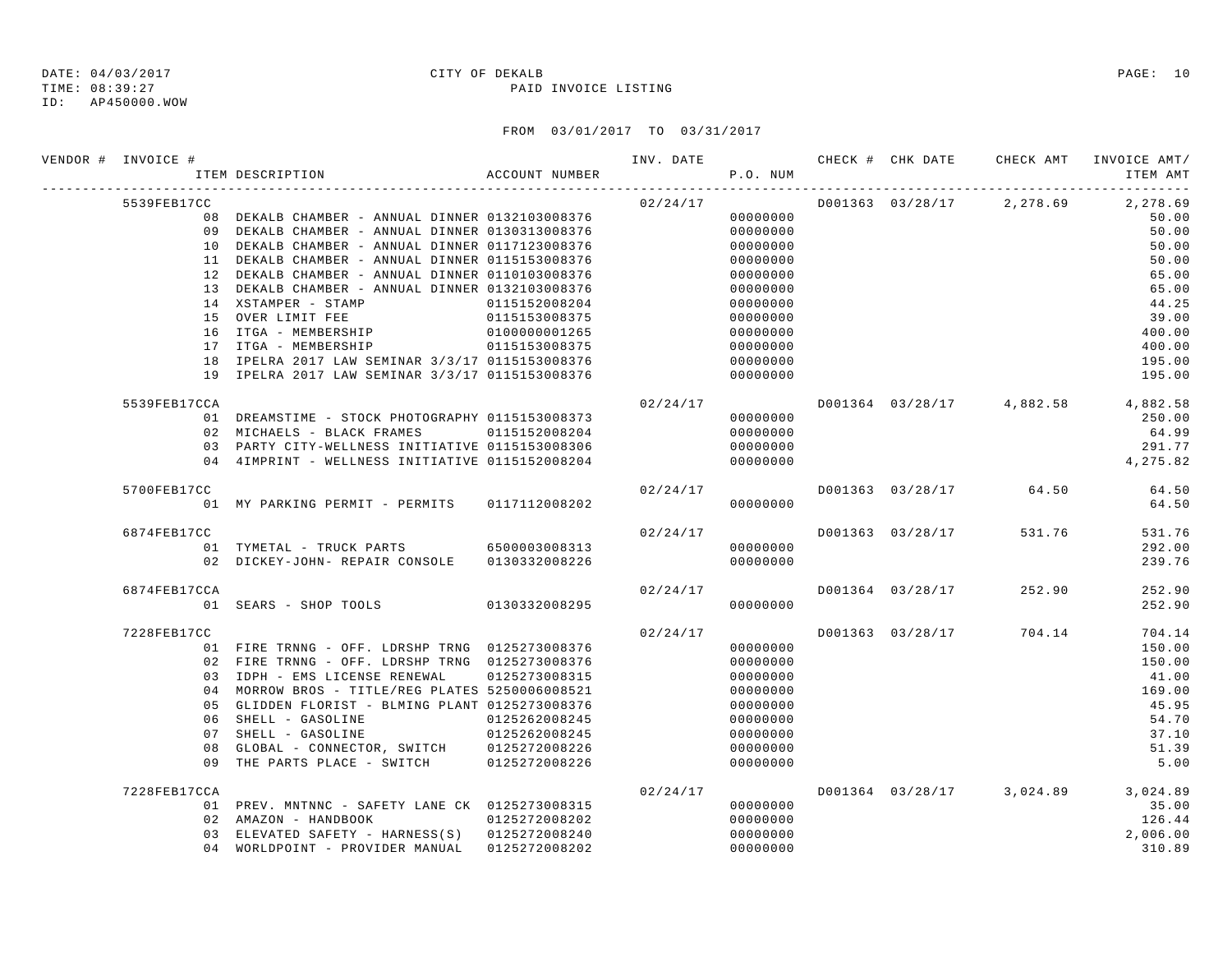TIME: 08:39:27 PAID INVOICE LISTING

ID: AP450000.WOW

| VENDOR # INVOICE # | ACCOUNT NUMBER<br>ITEM DESCRIPTION                                 |               |                             | P.O. NUM             |  |                                                       | ITEM AMT       |
|--------------------|--------------------------------------------------------------------|---------------|-----------------------------|----------------------|--|-------------------------------------------------------|----------------|
| 5539FEB17CC        |                                                                    |               |                             |                      |  | $02/24/17$ $D001363$ $03/28/17$ $2,278.69$ $2,278.69$ |                |
|                    | 08 DEKALB CHAMBER - ANNUAL DINNER 0132103008376                    |               |                             | 00000000             |  |                                                       | 50.00          |
|                    | 09 DEKALB CHAMBER - ANNUAL DINNER 0130313008376                    |               |                             | 00000000             |  |                                                       | 50.00          |
|                    | 10 DEKALB CHAMBER - ANNUAL DINNER 0117123008376                    |               |                             | 00000000             |  |                                                       | 50.00          |
|                    | 11 DEKALB CHAMBER - ANNUAL DINNER 0115153008376                    |               |                             | 00000000             |  |                                                       | 50.00          |
|                    | 12 DEKALB CHAMBER - ANNUAL DINNER 0110103008376                    |               |                             | 00000000             |  |                                                       | 65.00          |
|                    | 13 DEKALB CHAMBER - ANNUAL DINNER 0132103008376                    |               |                             | 00000000             |  |                                                       | 65.00          |
|                    | 14 XSTAMPER - STAMP<br>15 OVER LIMIT FEE 0115153008375             | 0115152008204 |                             | 00000000             |  |                                                       | 44.25<br>39.00 |
|                    | 16 ITGA - MEMBERSHIP                                               | 0100000001265 |                             | 00000000<br>00000000 |  |                                                       | 400.00         |
|                    | 17 ITGA - MEMBERSHIP 0115153008375                                 |               |                             | 00000000             |  |                                                       | 400.00         |
|                    | 18 IPELRA 2017 LAW SEMINAR 3/3/17 0115153008376                    |               |                             | 00000000             |  |                                                       | 195.00         |
|                    | 19 IPELRA 2017 LAW SEMINAR 3/3/17 0115153008376                    |               |                             | 00000000             |  |                                                       | 195.00         |
| 5539FEB17CCA       |                                                                    |               |                             |                      |  | $02/24/17$ $D001364$ $03/28/17$ $4,882.58$ $4,882.58$ |                |
|                    | 01 DREAMSTIME - STOCK PHOTOGRAPHY 0115153008373                    |               |                             | 00000000             |  |                                                       | 250.00         |
|                    | 02 MICHAELS - BLACK FRAMES 0115152008204                           |               |                             | 00000000             |  |                                                       | 64.99          |
|                    | 03 PARTY CITY-WELLNESS INITIATIVE 0115153008306                    |               |                             | 00000000             |  |                                                       | 291.77         |
|                    | 04 4IMPRINT - WELLNESS INITIATIVE 0115152008204                    |               |                             | 00000000             |  |                                                       | 4,275.82       |
| 5700FEB17CC        |                                                                    |               | 02/24/17                    |                      |  | D001363 03/28/17 64.50                                | 64.50          |
|                    | 01 MY PARKING PERMIT - PERMITS 0117112008202                       |               |                             | 00000000             |  |                                                       | 64.50          |
| 6874FEB17CC        |                                                                    |               | 02/24/17                    |                      |  | D001363 03/28/17 531.76                               | 531.76         |
|                    | 01 TYMETAL - TRUCK PARTS 6500003008313                             |               |                             | 00000000             |  |                                                       | 292.00         |
|                    | 02 DICKEY-JOHN- REPAIR CONSOLE 0130332008226                       |               |                             | 00000000             |  |                                                       | 239.76         |
| 6874FEB17CCA       |                                                                    |               | $02/24/17$ D001364 03/28/17 |                      |  | 252.90                                                | 252.90         |
|                    | 01 SEARS - SHOP TOOLS 0130332008295                                |               |                             | 00000000             |  |                                                       | 252.90         |
| 7228FEB17CC        |                                                                    |               | 02/24/17                    |                      |  | D001363 03/28/17 704.14                               | 704.14         |
|                    | 01 FIRE TRNNG - OFF. LDRSHP TRNG 0125273008376                     |               |                             | 00000000             |  |                                                       | 150.00         |
|                    | 02 FIRE TRNNG - OFF. LDRSHP TRNG 0125273008376                     |               |                             | 00000000             |  |                                                       | 150.00         |
|                    | 03 IDPH - EMS LICENSE RENEWAL 0125273008315                        |               |                             | 00000000             |  |                                                       | 41.00          |
|                    | 04 MORROW BROS - TITLE/REG PLATES 5250006008521                    |               |                             | 00000000             |  |                                                       | 169.00         |
|                    | 05 GLIDDEN FLORIST - BLMING PLANT 0125273008376                    |               |                             | 00000000             |  |                                                       | 45.95          |
|                    | 06 SHELL - GASOLINE                                                | 0125262008245 |                             | 00000000             |  |                                                       | 54.70          |
|                    | 07 SHELL - GASOLINE<br>08 GLOBAL - CONNECTOR, SWITCH 0125272008226 | 0125262008245 |                             | 00000000             |  |                                                       | 37.10<br>51.39 |
|                    | 09 THE PARTS PLACE - SWITCH 0125272008226                          |               |                             | 00000000<br>00000000 |  |                                                       | 5.00           |
| 7228FEB17CCA       |                                                                    |               | 02/24/17                    |                      |  | D001364 03/28/17 3,024.89 3,024.89                    |                |
|                    | 01 PREV. MNTNNC - SAFETY LANE CK 0125273008315                     |               |                             | 00000000             |  |                                                       | 35.00          |
|                    | 02 AMAZON - HANDBOOK                                               | 0125272008202 |                             | 00000000             |  |                                                       | 126.44         |
|                    | 03 ELEVATED SAFETY - HARNESS(S) 0125272008240                      |               |                             | 00000000             |  |                                                       | 2,006.00       |
|                    | 04 WORLDPOINT - PROVIDER MANUAL 0125272008202                      |               |                             | 00000000             |  |                                                       | 310.89         |
|                    |                                                                    |               |                             |                      |  |                                                       |                |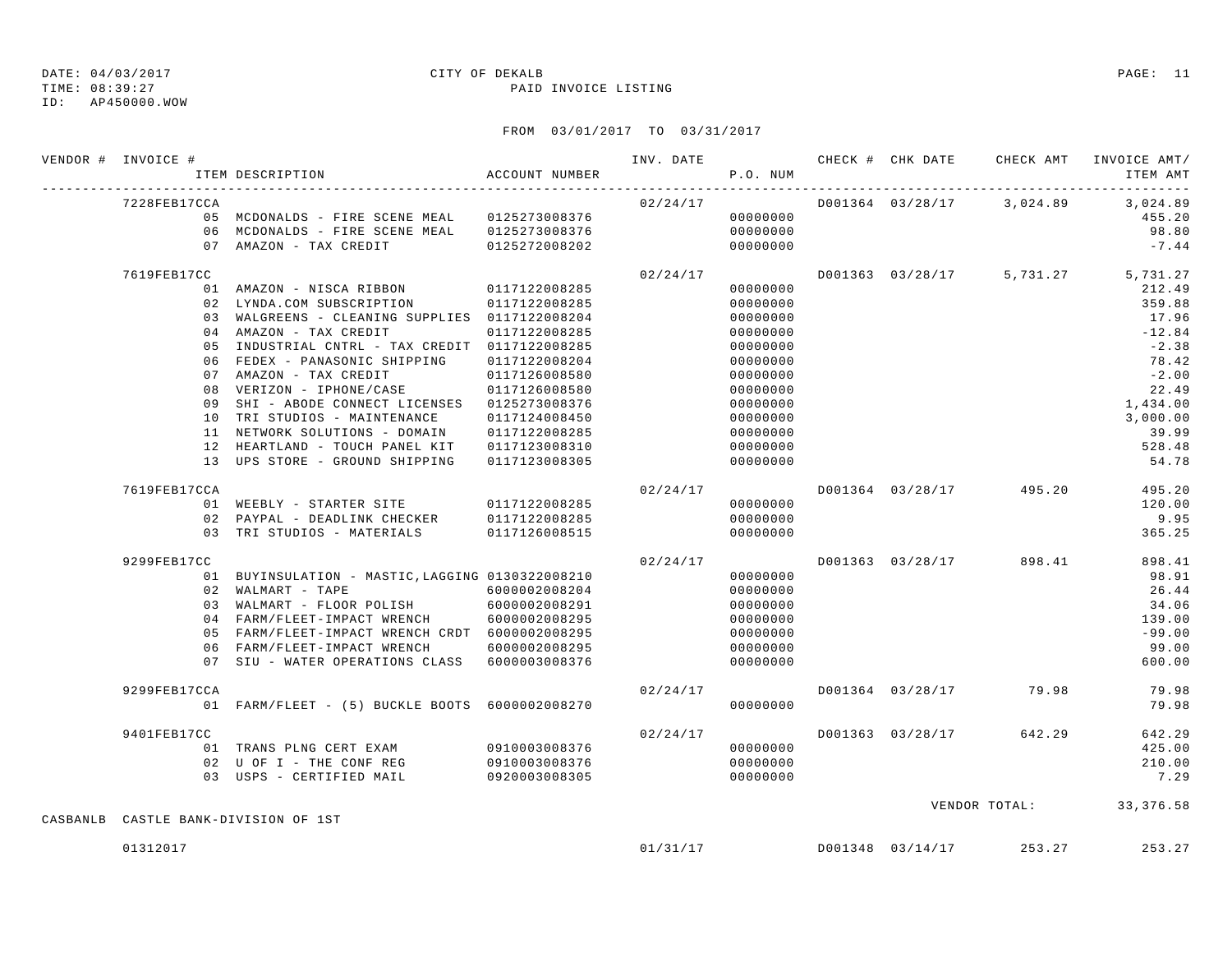TIME: 08:39:27 PAID INVOICE LISTING

ID: AP450000.WOW

| VENDOR # INVOICE # | ITEM DESCRIPTION                                 | ACCOUNT NUMBER |          | P.O. NUM |                  |                                        | ITEM AMT |
|--------------------|--------------------------------------------------|----------------|----------|----------|------------------|----------------------------------------|----------|
| 7228FEB17CCA       |                                                  |                | 02/24/17 |          |                  | D001364 03/28/17 3,024.89 3,024.89     |          |
|                    | 05 MCDONALDS - FIRE SCENE MEAL 0125273008376     |                |          | 00000000 |                  |                                        | 455.20   |
|                    | 06 MCDONALDS - FIRE SCENE MEAL 0125273008376     |                |          | 00000000 |                  |                                        | 98.80    |
|                    | 07 AMAZON - TAX CREDIT 0125272008202             |                |          | 00000000 |                  |                                        | $-7.44$  |
| 7619FEB17CC        |                                                  |                | 02/24/17 |          |                  | D001363 03/28/17 5,731.27 5,731.27     |          |
|                    | 01 AMAZON - NISCA RIBBON 0117122008285           |                |          | 00000000 |                  |                                        | 212.49   |
|                    | 02 LYNDA.COM SUBSCRIPTION                        | 0117122008285  |          | 00000000 |                  |                                        | 359.88   |
|                    | 03 WALGREENS - CLEANING SUPPLIES 0117122008204   |                |          | 00000000 |                  |                                        | 17.96    |
|                    | 04 AMAZON - TAX CREDIT                           | 0117122008285  |          | 00000000 |                  |                                        | $-12.84$ |
|                    | 05 INDUSTRIAL CNTRL - TAX CREDIT 0117122008285   |                |          | 00000000 |                  |                                        | $-2.38$  |
|                    | 06 FEDEX - PANASONIC SHIPPING 0117122008204      |                |          | 00000000 |                  |                                        | 78.42    |
|                    | 07 AMAZON - TAX CREDIT                           | 0117126008580  |          | 00000000 |                  |                                        | $-2.00$  |
|                    | 08 VERIZON - IPHONE/CASE 0117126008580           |                |          | 00000000 |                  |                                        | 22.49    |
|                    | 09 SHI - ABODE CONNECT LICENSES 0125273008376    |                |          | 00000000 |                  |                                        | 1,434.00 |
|                    | 10 TRI STUDIOS - MAINTENANCE                     | 0117124008450  |          | 00000000 |                  |                                        | 3,000.00 |
|                    | 11 NETWORK SOLUTIONS - DOMAIN                    | 0117122008285  |          | 00000000 |                  |                                        | 39.99    |
|                    | 12 HEARTLAND - TOUCH PANEL KIT                   | 0117123008310  |          | 00000000 |                  |                                        | 528.48   |
|                    | 13 UPS STORE - GROUND SHIPPING 0117123008305     |                |          | 00000000 |                  |                                        | 54.78    |
| 7619FEB17CCA       |                                                  |                | 02/24/17 |          |                  | D001364 03/28/17 495.20                | 495.20   |
|                    | 01 WEEBLY - STARTER SITE 0117122008285           |                |          | 00000000 |                  |                                        | 120.00   |
|                    | 02 PAYPAL - DEADLINK CHECKER                     | 0117122008285  |          | 00000000 |                  |                                        | 9.95     |
|                    | 03 TRI STUDIOS - MATERIALS 0117126008515         |                |          | 00000000 |                  |                                        | 365.25   |
| 9299FEB17CC        |                                                  |                | 02/24/17 |          |                  | D001363 03/28/17 898.41                | 898.41   |
|                    | 01 BUYINSULATION - MASTIC, LAGGING 0130322008210 |                |          | 00000000 |                  |                                        | 98.91    |
|                    | 02 WALMART - TAPE                                | 6000002008204  |          | 00000000 |                  |                                        | 26.44    |
|                    | 03 WALMART - FLOOR POLISH 6000002008291          |                |          | 00000000 |                  |                                        | 34.06    |
|                    | 04 FARM/FLEET-IMPACT WRENCH                      | 6000002008295  |          | 00000000 |                  |                                        | 139.00   |
|                    | 05 FARM/FLEET-IMPACT WRENCH CRDT 6000002008295   |                |          | 00000000 |                  |                                        | $-99.00$ |
|                    | 06 FARM/FLEET-IMPACT WRENCH                      | 6000002008295  |          | 00000000 |                  |                                        | 99.00    |
|                    | 07 SIU - WATER OPERATIONS CLASS 6000003008376    |                |          | 00000000 |                  |                                        | 600.00   |
| 9299FEB17CCA       |                                                  |                | 02/24/17 |          |                  | D001364 03/28/17 79.98                 | 79.98    |
|                    | 01 FARM/FLEET - (5) BUCKLE BOOTS 6000002008270   |                |          | 00000000 |                  |                                        | 79.98    |
| 9401FEB17CC        |                                                  |                |          |          |                  | $02/24/17$ $0001363$ $03/28/17$ 642.29 | 642.29   |
|                    | 01 TRANS PLNG CERT EXAM 0910003008376            |                |          | 00000000 |                  |                                        | 425.00   |
|                    | 02 U OF I - THE CONF REG                         | 0910003008376  |          | 00000000 |                  |                                        | 210.00   |
|                    | 03 USPS - CERTIFIED MAIL                         | 0920003008305  |          | 00000000 |                  |                                        | 7.29     |
|                    | CASBANLB CASTLE BANK-DIVISION OF 1ST             |                |          |          |                  | VENDOR TOTAL: 33,376.58                |          |
|                    |                                                  |                |          |          |                  |                                        |          |
| 01312017           |                                                  |                | 01/31/17 |          | D001348 03/14/17 | 253.27                                 | 253.27   |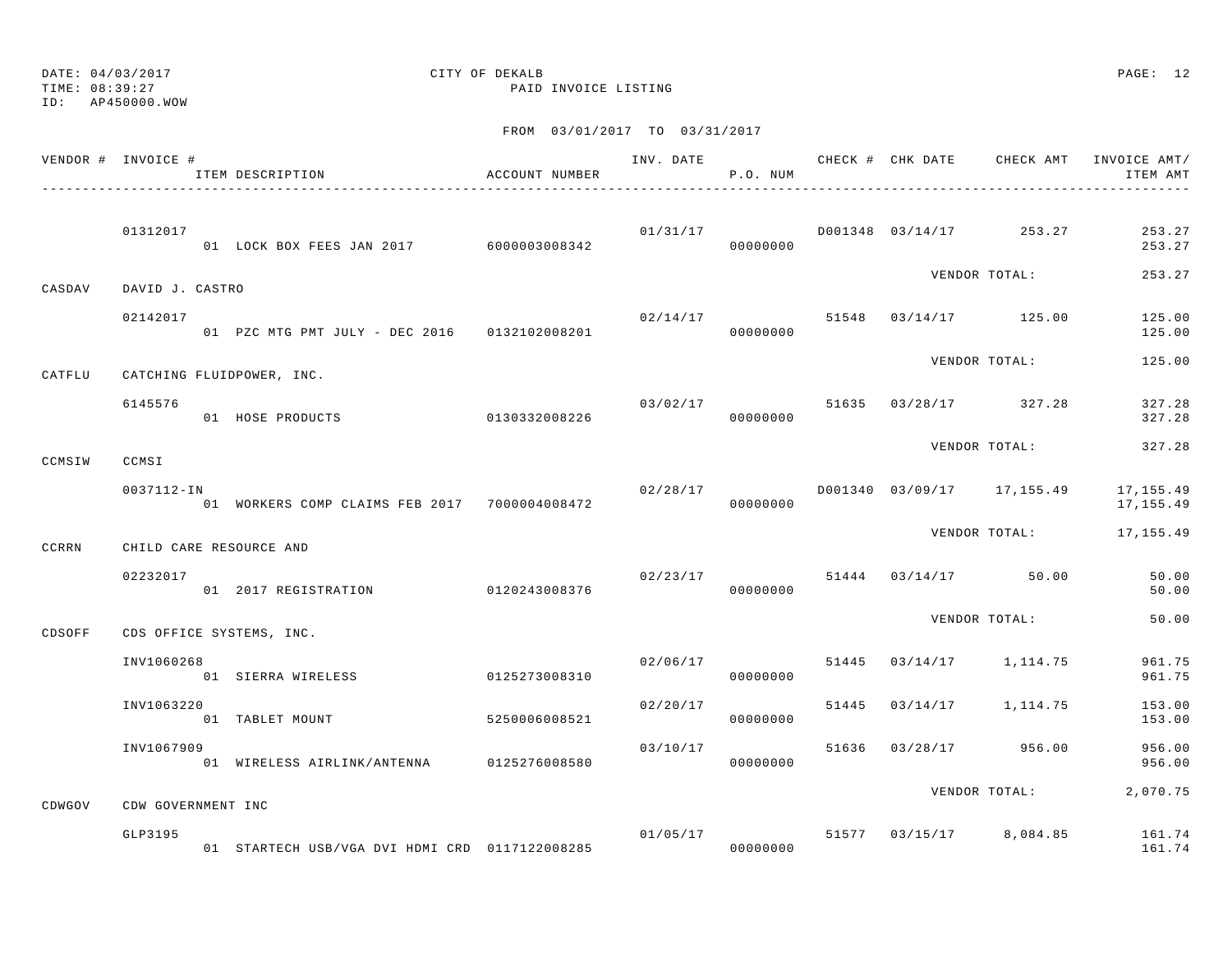TIME: 08:39:27 PAID INVOICE LISTING

ID: AP450000.WOW

|        | VENDOR # INVOICE #        | ITEM DESCRIPTION                              | ACCOUNT NUMBER |                | P.O. NUM |       |                                    | ITEM AMT                                            |
|--------|---------------------------|-----------------------------------------------|----------------|----------------|----------|-------|------------------------------------|-----------------------------------------------------|
|        | 01312017                  | 01 LOCK BOX FEES JAN 2017 6000003008342       |                | 00000000       |          |       | $01/31/17$ D001348 03/14/17 253.27 | 253.27<br>253.27                                    |
| CASDAV | DAVID J. CASTRO           |                                               |                |                |          |       | VENDOR TOTAL:                      | 253.27                                              |
|        | 02142017                  | 01 PZC MTG PMT JULY - DEC 2016 0132102008201  |                | 02/14/17       | 00000000 |       | 51548 03/14/17 125.00              | 125.00<br>125.00                                    |
| CATFLU | CATCHING FLUIDPOWER, INC. |                                               |                |                |          |       | VENDOR TOTAL:                      | 125.00                                              |
|        | 6145576                   | 01 HOSE PRODUCTS 0130332008226                |                | 03/02/17 51635 | 00000000 |       | $03/28/17$ 327.28                  | 327.28<br>327.28                                    |
| CCMSIW | CCMSI                     |                                               |                |                |          |       | VENDOR TOTAL:                      | 327.28                                              |
|        | 0037112-IN                | 01 WORKERS COMP CLAIMS FEB 2017 7000004008472 |                | 02/28/17       | 00000000 |       | D001340 03/09/17 17,155.49         | 17,155.49<br>17,155.49                              |
| CCRRN  | CHILD CARE RESOURCE AND   |                                               |                |                |          |       | VENDOR TOTAL:                      | 17,155.49                                           |
|        | 02232017                  | 01  2017 REGISTRATION  0120243008376          |                |                | 00000000 |       | $02/23/17$ 51444 03/14/17 50.00    | 50.00<br>50.00                                      |
| CDSOFF | CDS OFFICE SYSTEMS, INC.  |                                               |                |                |          |       | VENDOR TOTAL:                      | 50.00                                               |
|        | INV1060268                | 01 SIERRA WIRELESS                            | 0125273008310  | 02/06/17       | 00000000 | 51445 | 03/14/17 1,114.75                  | 961.75<br>961.75                                    |
|        | INV1063220                | 01 TABLET MOUNT                               | 5250006008521  | 02/20/17       | 00000000 | 51445 | $03/14/17$ 1, 114.75               | 153.00<br>153.00                                    |
|        | INV1067909                | 01 WIRELESS AIRLINK/ANTENNA                   | 0125276008580  | 03/10/17       | 00000000 |       | 51636 03/28/17 956.00              | 956.00<br>956.00                                    |
| CDWGOV | CDW GOVERNMENT INC        |                                               |                |                |          |       | VENDOR TOTAL:                      | 2,070.75                                            |
|        | GLP3195                   |                                               |                |                |          |       |                                    | $01/05/17$ 51577 03/15/17 8,084.85 161.74<br>161.74 |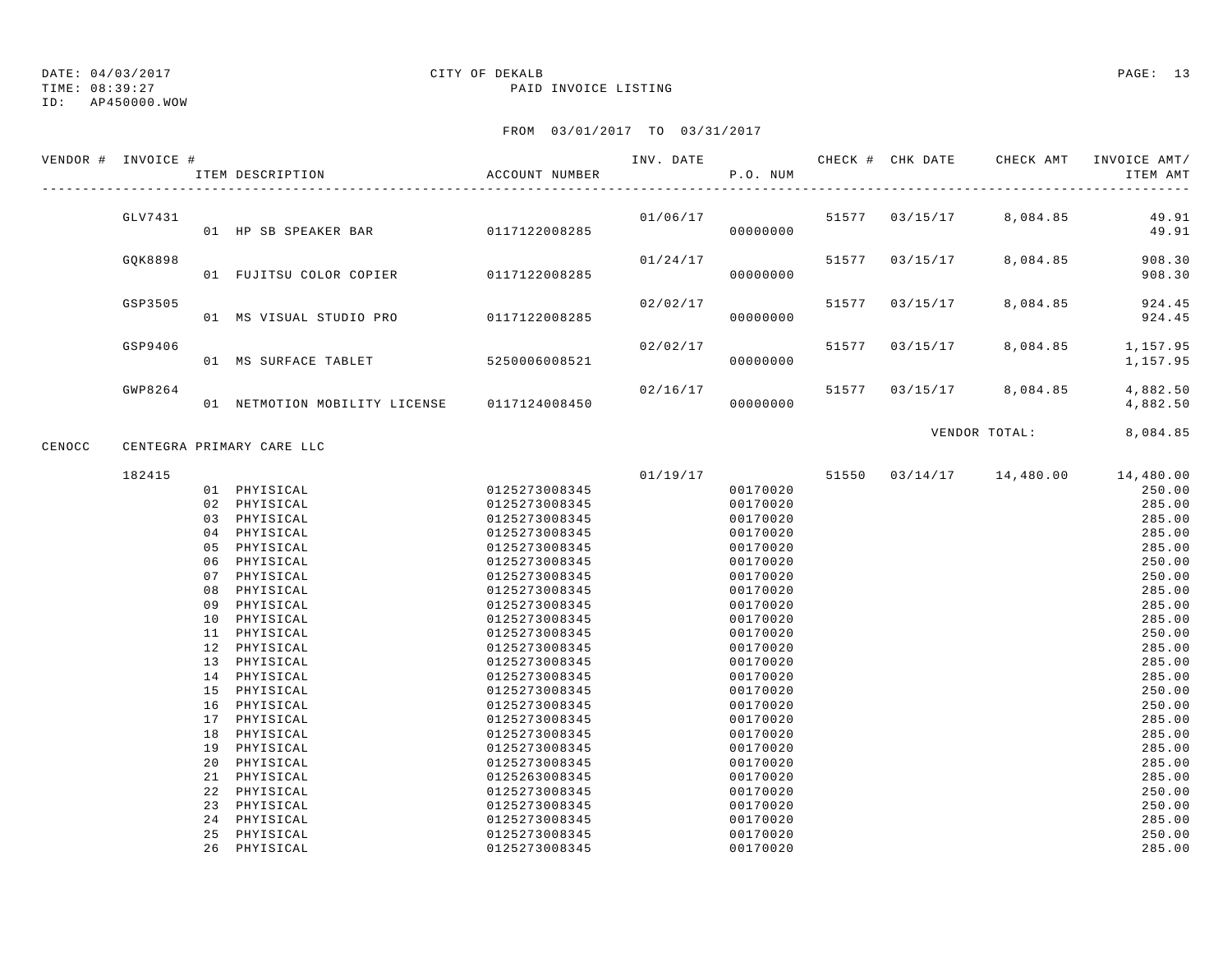TIME: 08:39:27 PAID INVOICE LISTING

ID: AP450000.WOW

|        | VENDOR # INVOICE # | ITEM DESCRIPTION                            | ACCOUNT NUMBER | INV. DATE | P.O. NUM |       |                           | CHECK # CHK DATE CHECK AMT INVOICE AMT/ | ITEM AMT             |
|--------|--------------------|---------------------------------------------|----------------|-----------|----------|-------|---------------------------|-----------------------------------------|----------------------|
|        | GLV7431            |                                             |                |           | 00000000 |       | $01/06/17$ 51577 03/15/17 | 8,084.85                                | 49.91<br>49.91       |
|        |                    |                                             |                |           |          |       |                           |                                         |                      |
|        | GOK8898            | 01 FUJITSU COLOR COPIER 0117122008285       |                | 01/24/17  | 00000000 |       |                           | 51577 03/15/17 8,084.85                 | 908.30<br>908.30     |
|        | GSP3505            | 01 MS VISUAL STUDIO PRO 0117122008285       |                | 02/02/17  | 00000000 | 51577 | 03/15/17                  | 8,084.85                                | 924.45<br>924.45     |
|        |                    |                                             |                |           |          |       |                           |                                         |                      |
|        | GSP9406            | 01 MS SURFACE TABLET                        | 5250006008521  | 02/02/17  | 00000000 | 51577 | 03/15/17                  | 8,084.85                                | 1,157.95<br>1,157.95 |
|        | GWP8264            |                                             |                | 02/16/17  |          |       |                           | 51577 03/15/17 8,084.85                 | 4,882.50             |
|        |                    | 01 NETMOTION MOBILITY LICENSE 0117124008450 |                |           | 00000000 |       |                           |                                         | 4,882.50             |
|        |                    |                                             |                |           |          |       |                           | VENDOR TOTAL:                           | 8,084.85             |
| CENOCC |                    | CENTEGRA PRIMARY CARE LLC                   |                |           |          |       |                           |                                         |                      |
|        | 182415             |                                             |                |           | 01/19/17 |       |                           | 51550 03/14/17 14,480.00                | 14,480.00            |
|        |                    | 01 PHYISICAL                                | 0125273008345  |           | 00170020 |       |                           |                                         | 250.00               |
|        |                    | 02 PHYISICAL                                | 0125273008345  |           | 00170020 |       |                           |                                         | 285.00               |
|        |                    | 03 PHYISICAL                                | 0125273008345  |           | 00170020 |       |                           |                                         | 285.00               |
|        |                    | 04 PHYISICAL                                | 0125273008345  |           | 00170020 |       |                           |                                         | 285.00               |
|        |                    | 05 PHYISICAL                                | 0125273008345  |           | 00170020 |       |                           |                                         | 285.00               |
|        |                    | 06 PHYISICAL                                | 0125273008345  |           | 00170020 |       |                           |                                         | 250.00               |
|        |                    | 07 PHYISICAL                                | 0125273008345  |           | 00170020 |       |                           |                                         | 250.00               |
|        |                    | 08 PHYISICAL                                | 0125273008345  |           | 00170020 |       |                           |                                         | 285.00               |
|        |                    | 09 PHYISICAL                                | 0125273008345  |           | 00170020 |       |                           |                                         | 285.00               |
|        |                    | 10 PHYISICAL                                | 0125273008345  |           | 00170020 |       |                           |                                         | 285.00               |
|        |                    | 11 PHYISICAL                                | 0125273008345  |           | 00170020 |       |                           |                                         | 250.00               |
|        |                    | 12 PHYISICAL                                | 0125273008345  |           | 00170020 |       |                           |                                         | 285.00               |
|        |                    | 13 PHYISICAL                                | 0125273008345  |           | 00170020 |       |                           |                                         | 285.00               |
|        |                    | 14 PHYISICAL                                | 0125273008345  |           | 00170020 |       |                           |                                         | 285.00               |
|        |                    | 15 PHYISICAL                                | 0125273008345  |           | 00170020 |       |                           |                                         | 250.00               |
|        |                    | 16 PHYISICAL                                | 0125273008345  |           | 00170020 |       |                           |                                         | 250.00               |
|        |                    | 17 PHYISICAL                                | 0125273008345  |           | 00170020 |       |                           |                                         | 285.00               |
|        |                    | 18 PHYISICAL                                | 0125273008345  |           | 00170020 |       |                           |                                         | 285.00               |
|        |                    | 19 PHYISICAL                                | 0125273008345  |           | 00170020 |       |                           |                                         | 285.00               |
|        |                    | 20 PHYISICAL                                | 0125273008345  |           | 00170020 |       |                           |                                         | 285.00               |
|        |                    | 21 PHYISICAL                                | 0125263008345  |           | 00170020 |       |                           |                                         | 285.00               |
|        |                    | 22 PHYISICAL                                | 0125273008345  |           | 00170020 |       |                           |                                         | 250.00               |
|        |                    | 23 PHYISICAL                                | 0125273008345  |           | 00170020 |       |                           |                                         | 250.00               |
|        |                    | 24 PHYISICAL                                | 0125273008345  |           | 00170020 |       |                           |                                         | 285.00               |
|        |                    | 25 PHYISICAL                                | 0125273008345  |           | 00170020 |       |                           |                                         | 250.00               |
|        |                    | 26 PHYISICAL                                | 0125273008345  |           | 00170020 |       |                           |                                         | 285.00               |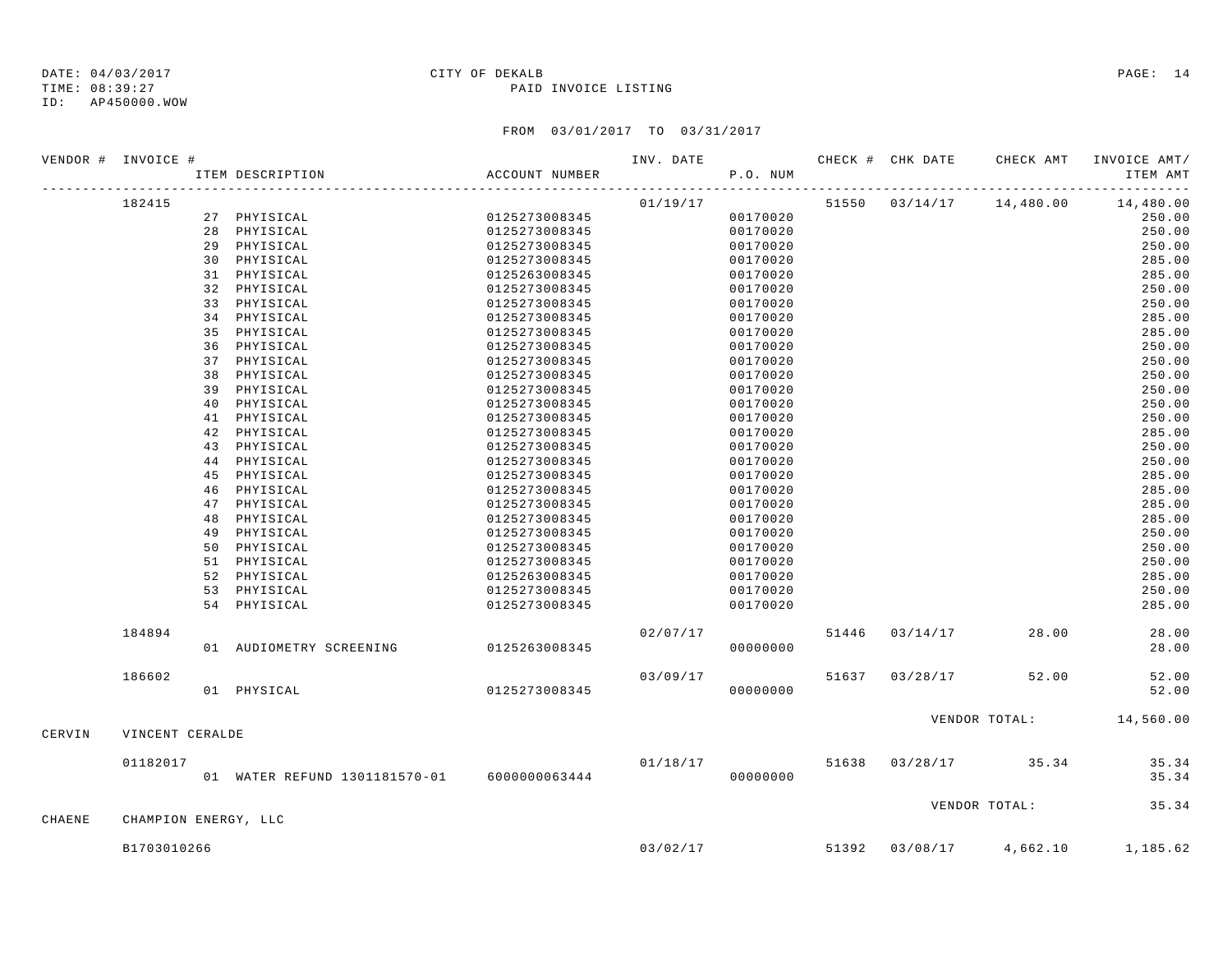TIME: 08:39:27 PAID INVOICE LISTING ID: AP450000.WOW

# DATE: 04/03/2017 CITY OF DEKALB PAGE: 14

|        | VENDOR # INVOICE #   |                                             |                | INV. DATE |          |  |                                    | CHECK # CHK DATE CHECK AMT INVOICE AMT/ |
|--------|----------------------|---------------------------------------------|----------------|-----------|----------|--|------------------------------------|-----------------------------------------|
|        |                      | ITEM DESCRIPTION                            | ACCOUNT NUMBER |           | P.O. NUM |  |                                    | ITEM AMT                                |
|        | 182415               |                                             |                | 01/19/17  |          |  | 51550 03/14/17 14,480.00           | 14,480.00                               |
|        |                      | 27 PHYISICAL                                | 0125273008345  |           | 00170020 |  |                                    | 250.00                                  |
|        |                      | 28 PHYISICAL                                | 0125273008345  |           | 00170020 |  |                                    | 250.00                                  |
|        |                      | 29 PHYISICAL                                | 0125273008345  |           | 00170020 |  |                                    | 250.00                                  |
|        |                      | 30 PHYISICAL                                | 0125273008345  |           | 00170020 |  |                                    | 285.00                                  |
|        |                      | 31 PHYISICAL                                | 0125263008345  |           | 00170020 |  |                                    | 285.00                                  |
|        |                      | 32 PHYISICAL                                | 0125273008345  |           | 00170020 |  |                                    | 250.00                                  |
|        |                      | 33 PHYISICAL                                | 0125273008345  |           | 00170020 |  |                                    | 250.00                                  |
|        |                      | 34 PHYISICAL                                | 0125273008345  |           | 00170020 |  |                                    | 285.00                                  |
|        |                      | 35 PHYISICAL                                | 0125273008345  |           | 00170020 |  |                                    | 285.00                                  |
|        |                      | 36 PHYISICAL                                | 0125273008345  |           | 00170020 |  |                                    | 250.00                                  |
|        |                      | 37 PHYISICAL                                | 0125273008345  |           | 00170020 |  |                                    | 250.00                                  |
|        |                      | 38 PHYISICAL                                | 0125273008345  |           | 00170020 |  |                                    | 250.00                                  |
|        |                      | 39 PHYISICAL                                | 0125273008345  |           | 00170020 |  |                                    | 250.00                                  |
|        |                      | 40 PHYISICAL                                | 0125273008345  |           | 00170020 |  |                                    | 250.00                                  |
|        |                      | 41 PHYISICAL                                | 0125273008345  |           | 00170020 |  |                                    | 250.00                                  |
|        |                      | 42 PHYISICAL                                | 0125273008345  |           | 00170020 |  |                                    | 285.00                                  |
|        |                      | 43 PHYISICAL                                | 0125273008345  |           | 00170020 |  |                                    | 250.00                                  |
|        |                      | 44 PHYISICAL                                | 0125273008345  |           | 00170020 |  |                                    | 250.00                                  |
|        |                      | 45 PHYISICAL                                | 0125273008345  |           | 00170020 |  |                                    | 285.00                                  |
|        |                      | 46 PHYISICAL                                | 0125273008345  |           | 00170020 |  |                                    | 285.00                                  |
|        |                      | 47 PHYISICAL                                | 0125273008345  |           | 00170020 |  |                                    | 285.00                                  |
|        |                      | 48 PHYISICAL                                | 0125273008345  |           | 00170020 |  |                                    | 285.00                                  |
|        |                      | 49 PHYISICAL                                | 0125273008345  |           | 00170020 |  |                                    | 250.00                                  |
|        |                      | 50 PHYISICAL                                | 0125273008345  |           | 00170020 |  |                                    | 250.00                                  |
|        |                      | 51 PHYISICAL                                | 0125273008345  |           | 00170020 |  |                                    | 250.00                                  |
|        |                      | 52 PHYISICAL                                | 0125263008345  |           | 00170020 |  |                                    | 285.00                                  |
|        |                      | 53 PHYISICAL                                | 0125273008345  |           | 00170020 |  |                                    | 250.00                                  |
|        |                      | 54 PHYISICAL                                | 0125273008345  |           | 00170020 |  |                                    | 285.00                                  |
|        | 184894               |                                             |                | 02/07/17  |          |  | 51446 03/14/17 28.00               | 28.00                                   |
|        |                      | 01 AUDIOMETRY SCREENING                     | 0125263008345  |           | 00000000 |  |                                    | 28.00                                   |
|        | 186602               |                                             |                | 03/09/17  |          |  | 51637 03/28/17 52.00               | 52.00                                   |
|        |                      | 01 PHYSICAL                                 | 0125273008345  |           | 00000000 |  |                                    | 52.00                                   |
|        |                      |                                             |                |           |          |  |                                    | VENDOR TOTAL: 14,560.00                 |
| CERVIN | VINCENT CERALDE      |                                             |                |           |          |  |                                    |                                         |
|        | 01182017             |                                             |                |           |          |  | $01/18/17$ 51638 03/28/17 35.34    | 35.34                                   |
|        |                      | 01 WATER REFUND 1301181570-01 6000000063444 |                |           | 00000000 |  |                                    | 35.34                                   |
|        |                      |                                             |                |           |          |  | VENDOR TOTAL:                      | 35.34                                   |
| CHAENE | CHAMPION ENERGY, LLC |                                             |                |           |          |  |                                    |                                         |
|        | B1703010266          |                                             |                |           |          |  | $03/02/17$ 51392 03/08/17 4,662.10 | 1,185.62                                |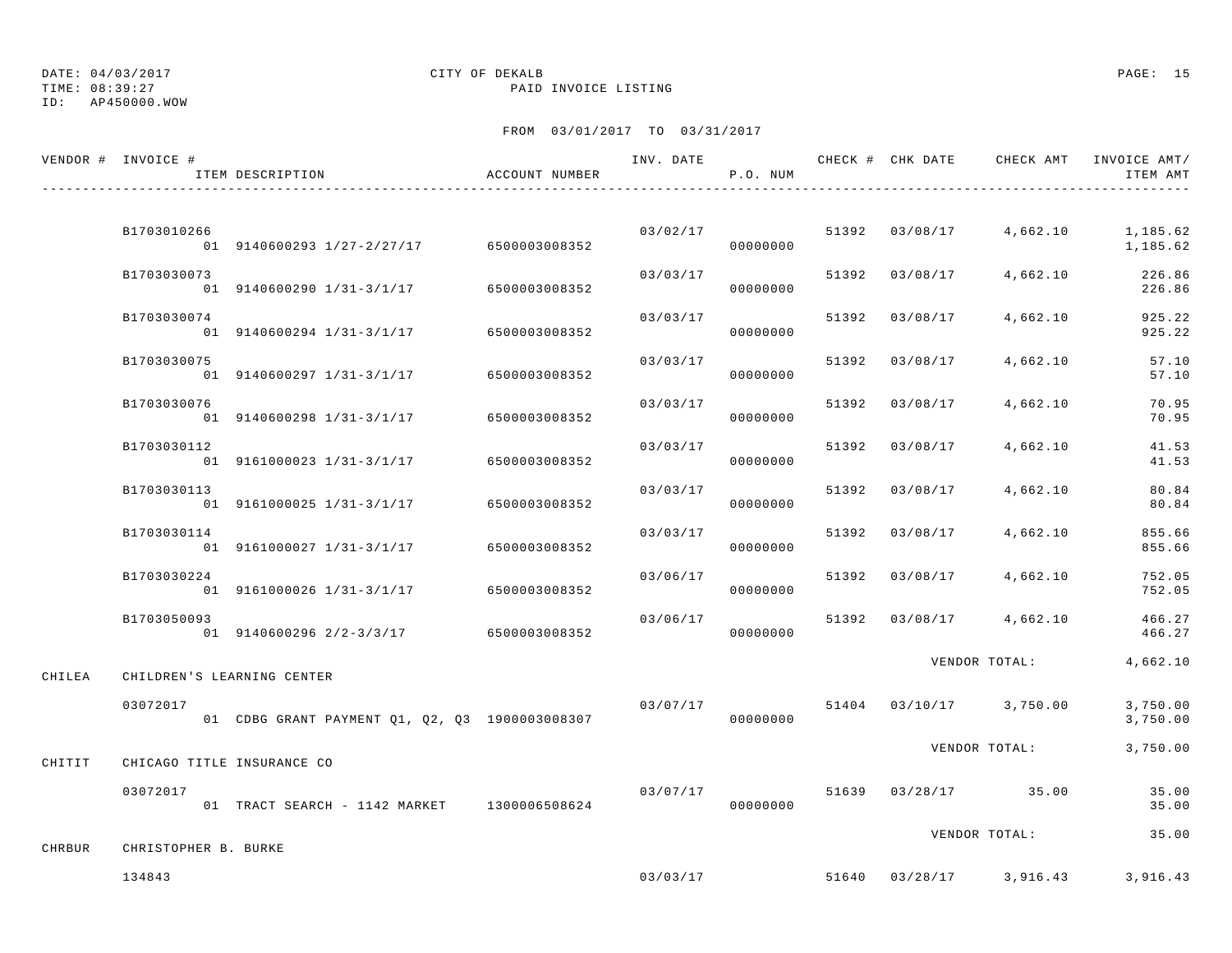ID: AP450000.WOW

# DATE: 04/03/2017 CITY OF DEKALB PAGE: 15

TIME: 08:39:27 PAID INVOICE LISTING

|        | VENDOR # INVOICE #   | ITEM DESCRIPTION                               | ACCOUNT NUMBER | INV. DATE | P.O. NUM |       | CHECK # CHK DATE | CHECK AMT               | INVOICE AMT/<br>ITEM AMT |
|--------|----------------------|------------------------------------------------|----------------|-----------|----------|-------|------------------|-------------------------|--------------------------|
|        |                      |                                                |                |           |          |       |                  |                         |                          |
|        | B1703010266          | 01 9140600293 1/27-2/27/17                     | 6500003008352  | 03/02/17  | 00000000 |       | 51392 03/08/17   | 4,662.10                | 1,185.62<br>1,185.62     |
|        | B1703030073          | 01 9140600290 1/31-3/1/17                      | 6500003008352  | 03/03/17  | 00000000 | 51392 | 03/08/17         | 4,662.10                | 226.86<br>226.86         |
|        | B1703030074          | 01 9140600294 1/31-3/1/17                      | 6500003008352  | 03/03/17  | 00000000 | 51392 | 03/08/17         | 4,662.10                | 925.22<br>925.22         |
|        | B1703030075          | 01 9140600297 1/31-3/1/17                      | 6500003008352  | 03/03/17  | 00000000 | 51392 | 03/08/17         | 4,662.10                | 57.10<br>57.10           |
|        | B1703030076          | 01 9140600298 1/31-3/1/17                      | 6500003008352  | 03/03/17  | 00000000 | 51392 | 03/08/17         | 4,662.10                | 70.95<br>70.95           |
|        | B1703030112          | 01 9161000023 1/31-3/1/17                      | 6500003008352  | 03/03/17  | 00000000 | 51392 | 03/08/17         | 4,662.10                | 41.53<br>41.53           |
|        | B1703030113          | 01 9161000025 1/31-3/1/17                      | 6500003008352  | 03/03/17  | 00000000 | 51392 | 03/08/17         | 4,662.10                | 80.84<br>80.84           |
|        | B1703030114          | 01 9161000027 1/31-3/1/17                      | 6500003008352  | 03/03/17  | 00000000 | 51392 | 03/08/17         | 4,662.10                | 855.66<br>855.66         |
|        | B1703030224          | 01 9161000026 1/31-3/1/17                      | 6500003008352  | 03/06/17  | 00000000 | 51392 | 03/08/17         | 4,662.10                | 752.05<br>752.05         |
|        | B1703050093          | 01 9140600296 2/2-3/3/17                       | 6500003008352  | 03/06/17  | 00000000 | 51392 | 03/08/17         | 4,662.10                | 466.27<br>466.27         |
| CHILEA |                      | CHILDREN'S LEARNING CENTER                     |                |           |          |       |                  | VENDOR TOTAL:           | 4,662.10                 |
|        | 03072017             | 01 CDBG GRANT PAYMENT Q1, Q2, Q3 1900003008307 |                | 03/07/17  | 00000000 | 51404 |                  | $03/10/17$ 3,750.00     | 3,750.00<br>3,750.00     |
| CHITIT |                      | CHICAGO TITLE INSURANCE CO                     |                |           |          |       |                  | VENDOR TOTAL:           | 3,750.00                 |
|        | 03072017             | 01 TRACT SEARCH - 1142 MARKET 1300006508624    |                | 03/07/17  | 00000000 |       |                  | 51639 03/28/17 35.00    | 35.00<br>35.00           |
| CHRBUR | CHRISTOPHER B. BURKE |                                                |                |           |          |       |                  | VENDOR TOTAL:           | 35.00                    |
|        | 134843               |                                                |                | 03/03/17  |          |       |                  | 51640 03/28/17 3,916.43 | 3,916.43                 |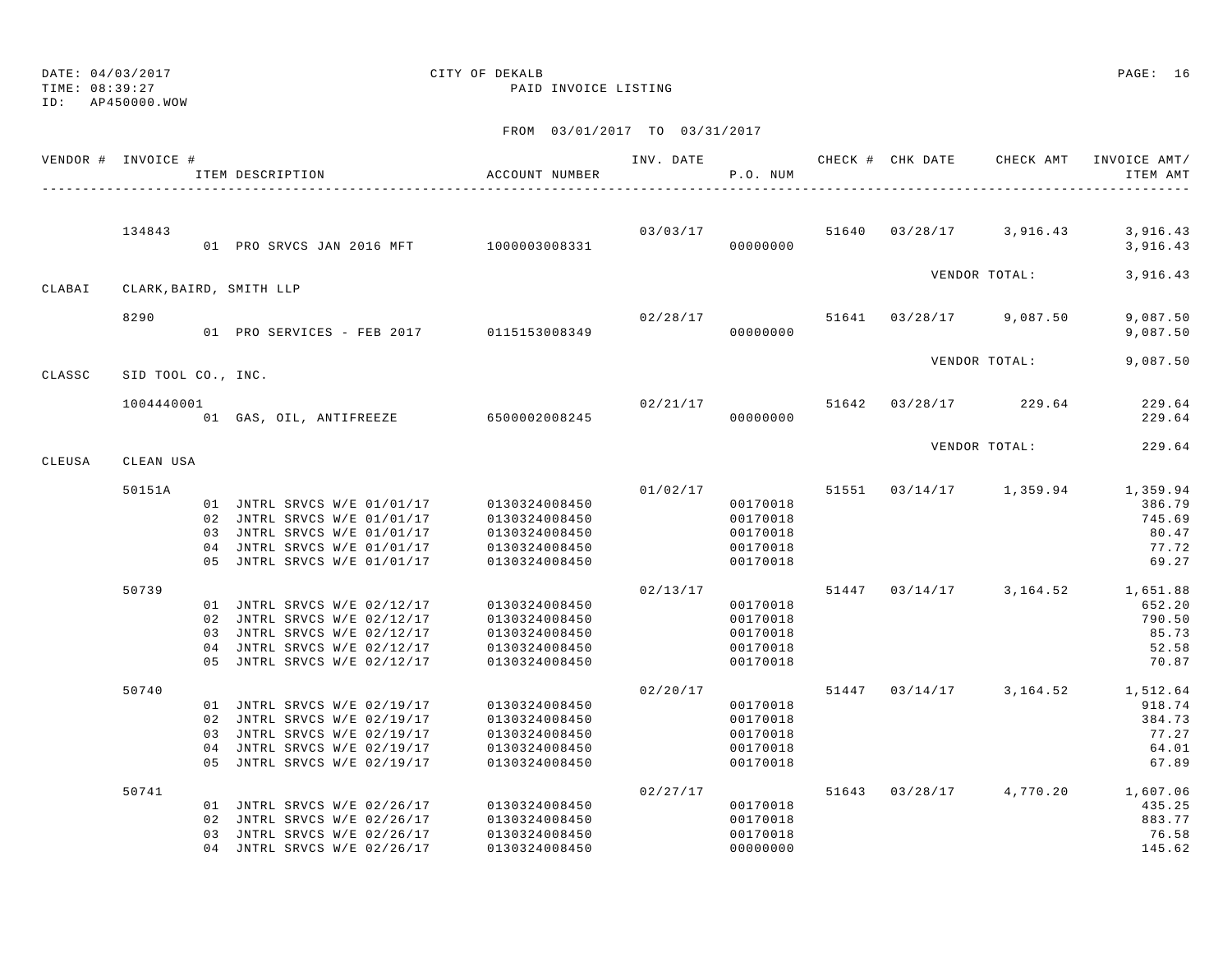## ID: AP450000.WOW

### DATE: 04/03/2017 CITY OF DEKALB PAGE: 16 TIME: 08:39:27 PAID INVOICE LISTING

|        | VENDOR # INVOICE # | ITEM DESCRIPTION                         | ACCOUNT NUMBER | INV. DATE | P.O. NUM |       | CHECK # CHK DATE | CHECK AMT                          | INVOICE AMT/<br>ITEM AMT       |
|--------|--------------------|------------------------------------------|----------------|-----------|----------|-------|------------------|------------------------------------|--------------------------------|
|        |                    |                                          |                |           |          |       |                  |                                    |                                |
|        | 134843             | 01 PRO SRVCS JAN 2016 MFT 1000003008331  |                |           | 00000000 |       |                  | $03/03/17$ 51640 03/28/17 3,916.43 | 3,916.43<br>3,916.43           |
| CLABAI |                    | CLARK, BAIRD, SMITH LLP                  |                |           |          |       |                  | VENDOR TOTAL:                      | 3,916.43                       |
|        |                    |                                          |                |           |          |       |                  |                                    |                                |
|        | 8290               | 01 PRO SERVICES - FEB 2017 0115153008349 |                | 02/28/17  | 00000000 |       |                  | 51641 03/28/17 9,087.50            | 9,087.50<br>9,087.50           |
|        |                    |                                          |                |           |          |       |                  | VENDOR TOTAL:                      | 9,087.50                       |
| CLASSC | SID TOOL CO., INC. |                                          |                |           |          |       |                  |                                    |                                |
|        | 1004440001         | 01 GAS, OIL, ANTIFREEZE 6500002008245    |                | 02/21/17  | 00000000 |       | 51642 03/28/17   | 229.64                             | 229.64<br>229.64               |
|        |                    |                                          |                |           |          |       |                  | VENDOR TOTAL:                      | 229.64                         |
| CLEUSA | CLEAN USA          |                                          |                |           |          |       |                  |                                    |                                |
|        | 50151A             |                                          |                |           | 01/02/17 | 51551 |                  | $03/14/17$ 1,359.94                | 1,359.94                       |
|        |                    | 01 JNTRL SRVCS W/E 01/01/17              | 0130324008450  |           | 00170018 |       |                  |                                    | 386.79                         |
|        |                    | 02 JNTRL SRVCS W/E 01/01/17              | 0130324008450  |           | 00170018 |       |                  |                                    | 745.69                         |
|        |                    | 03 JNTRL SRVCS W/E 01/01/17              | 0130324008450  |           | 00170018 |       |                  |                                    | 80.47                          |
|        |                    | 04 JNTRL SRVCS W/E 01/01/17              | 0130324008450  |           | 00170018 |       |                  |                                    | 77.72                          |
|        |                    | 05 JNTRL SRVCS W/E 01/01/17              | 0130324008450  |           | 00170018 |       |                  |                                    | 69.27                          |
|        | 50739              |                                          |                | 02/13/17  |          | 51447 |                  |                                    | $03/14/17$ 3, 164.52 1, 651.88 |
|        |                    | 01 JNTRL SRVCS W/E 02/12/17              | 0130324008450  |           | 00170018 |       |                  |                                    | 652.20                         |
|        |                    | 02 JNTRL SRVCS W/E 02/12/17              | 0130324008450  |           | 00170018 |       |                  |                                    | 790.50                         |
|        |                    | 03 JNTRL SRVCS W/E 02/12/17              | 0130324008450  |           | 00170018 |       |                  |                                    | 85.73                          |
|        |                    | 04 JNTRL SRVCS W/E 02/12/17              | 0130324008450  |           | 00170018 |       |                  |                                    | 52.58                          |
|        |                    | 05 JNTRL SRVCS W/E 02/12/17              | 0130324008450  |           | 00170018 |       |                  |                                    | 70.87                          |
|        | 50740              |                                          |                | 02/20/17  |          | 51447 |                  |                                    | $03/14/17$ 3, 164.52 1, 512.64 |
|        |                    | 01 JNTRL SRVCS W/E 02/19/17              | 0130324008450  |           | 00170018 |       |                  |                                    | 918.74                         |
|        |                    | 02 JNTRL SRVCS W/E 02/19/17              | 0130324008450  |           | 00170018 |       |                  |                                    | 384.73                         |
|        |                    | 03 JNTRL SRVCS W/E 02/19/17              | 0130324008450  |           | 00170018 |       |                  |                                    | 77.27                          |
|        |                    | 04 JNTRL SRVCS W/E 02/19/17              | 0130324008450  |           | 00170018 |       |                  |                                    | 64.01                          |
|        |                    | 05 JNTRL SRVCS W/E 02/19/17              | 0130324008450  |           | 00170018 |       |                  |                                    | 67.89                          |
|        | 50741              |                                          |                | 02/27/17  |          | 51643 |                  | $03/28/17$ 4,770.20                | 1,607.06                       |
|        |                    | 01 JNTRL SRVCS W/E 02/26/17              | 0130324008450  |           | 00170018 |       |                  |                                    | 435.25                         |
|        |                    | 02 JNTRL SRVCS W/E 02/26/17              | 0130324008450  |           | 00170018 |       |                  |                                    | 883.77                         |
|        |                    | 03 JNTRL SRVCS W/E 02/26/17              | 0130324008450  |           | 00170018 |       |                  |                                    | 76.58                          |
|        |                    | 04 JNTRL SRVCS W/E 02/26/17              | 0130324008450  |           | 00000000 |       |                  |                                    | 145.62                         |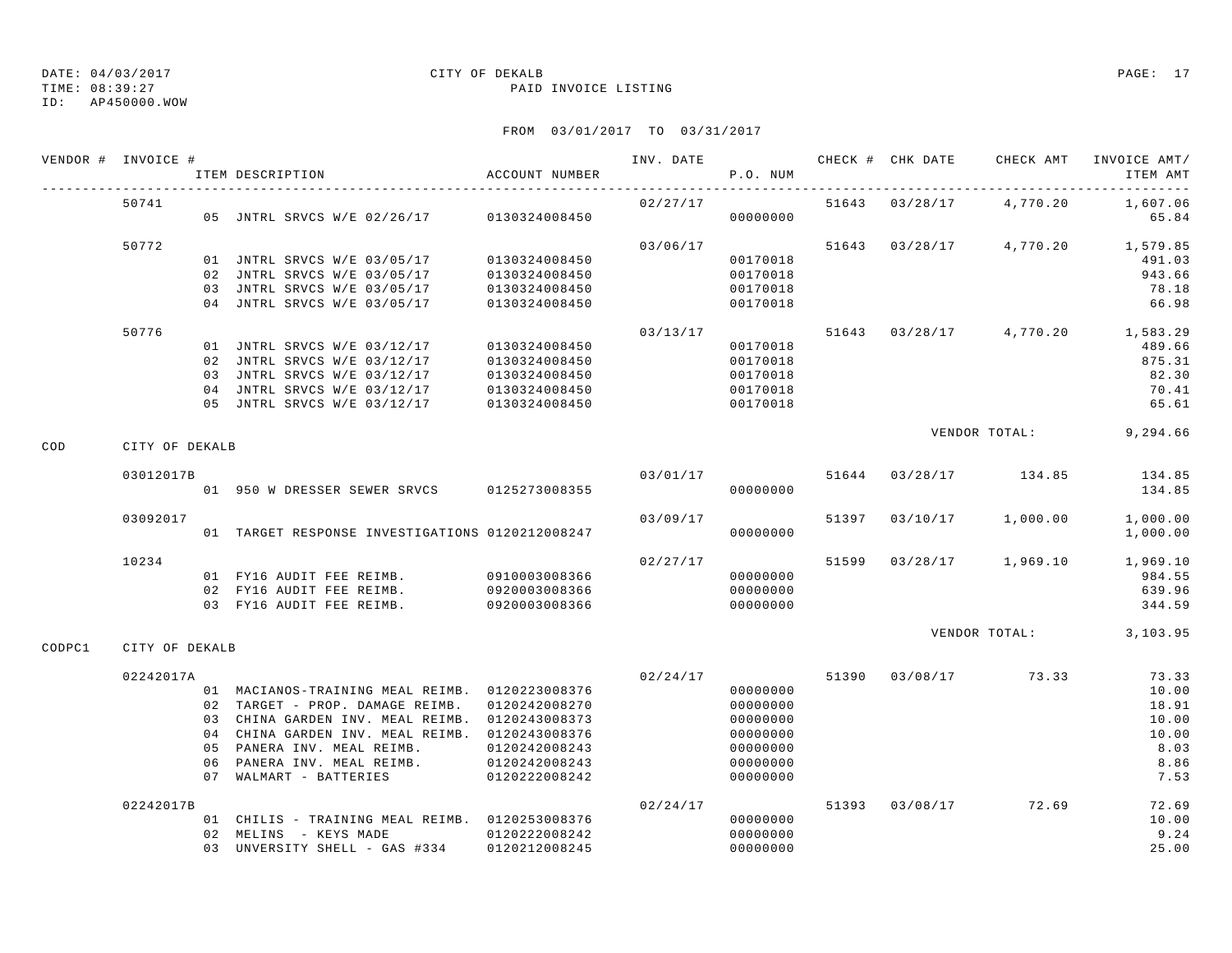ID: AP450000.WOW

### TIME: 08:39:27 PAID INVOICE LISTING

|        | VENDOR # INVOICE # | ITEM DESCRIPTION                                                                                | ACCOUNT NUMBER                 |          | P.O. NUM             |  |                                  | ITEM AMT             |
|--------|--------------------|-------------------------------------------------------------------------------------------------|--------------------------------|----------|----------------------|--|----------------------------------|----------------------|
|        | 50741              | 05 JNTRL SRVCS W/E 02/26/17 0130324008450                                                       |                                | 02/27/17 | 00000000             |  | 51643 03/28/17 4,770.20          | 1,607.06<br>65.84    |
|        | 50772              |                                                                                                 |                                | 03/06/17 |                      |  | 51643 03/28/17 4,770.20 1,579.85 |                      |
|        |                    | 01 JNTRL SRVCS W/E 03/05/17                                                                     | 0130324008450                  |          | 00170018             |  |                                  | 491.03               |
|        |                    | 02 JNTRL SRVCS W/E 03/05/17                                                                     | 0130324008450                  |          | 00170018             |  |                                  | 943.66               |
|        |                    | 03 JNTRL SRVCS W/E 03/05/17                                                                     | 0130324008450                  |          | 00170018             |  |                                  | 78.18                |
|        |                    | 04 JNTRL SRVCS W/E 03/05/17                                                                     | 0130324008450                  |          | 00170018             |  |                                  | 66.98                |
|        | 50776              |                                                                                                 |                                | 03/13/17 |                      |  | 51643 03/28/17 4,770.20 1,583.29 |                      |
|        |                    | 01 JNTRL SRVCS W/E 03/12/17                                                                     | 0130324008450                  |          | 00170018             |  |                                  | 489.66               |
|        |                    | 02 JNTRL SRVCS W/E 03/12/17                                                                     | 0130324008450                  |          | 00170018             |  |                                  | 875.31               |
|        |                    | 03 JNTRL SRVCS W/E 03/12/17                                                                     | 0130324008450                  |          | 00170018             |  |                                  | 82.30                |
|        |                    | 04 JNTRL SRVCS W/E 03/12/17                                                                     | 0130324008450                  |          | 00170018             |  |                                  | 70.41                |
|        |                    | 05 JNTRL SRVCS W/E 03/12/17                                                                     | 0130324008450                  |          | 00170018             |  |                                  | 65.61                |
| COD    | CITY OF DEKALB     |                                                                                                 |                                |          |                      |  | VENDOR TOTAL: 9,294.66           |                      |
|        | 03012017B          |                                                                                                 |                                |          |                      |  | $03/01/17$ 51644 03/28/17 134.85 |                      |
|        |                    | 01 950 W DRESSER SEWER SRVCS 0125273008355                                                      |                                |          | 00000000             |  |                                  | 134.85<br>134.85     |
|        |                    |                                                                                                 |                                |          |                      |  |                                  |                      |
|        | 03092017           | 01 TARGET RESPONSE INVESTIGATIONS 0120212008247                                                 |                                | 03/09/17 | 00000000             |  | 51397 03/10/17 1,000.00          | 1,000.00<br>1,000.00 |
|        |                    |                                                                                                 |                                |          |                      |  |                                  |                      |
|        | 10234              |                                                                                                 |                                | 02/27/17 |                      |  | 51599 03/28/17 1,969.10 1,969.10 |                      |
|        |                    |                                                                                                 |                                |          | 00000000             |  |                                  | 984.55               |
|        |                    |                                                                                                 |                                |          | 00000000             |  |                                  | 639.96               |
|        |                    | 03 FY16 AUDIT FEE REIMB. 0920003008366                                                          |                                |          | 00000000             |  |                                  | 344.59               |
| CODPC1 | CITY OF DEKALB     |                                                                                                 |                                |          |                      |  | VENDOR TOTAL: 3,103.95           |                      |
|        |                    |                                                                                                 |                                |          |                      |  |                                  |                      |
|        | 02242017A          |                                                                                                 |                                |          |                      |  | $02/24/17$ 51390 03/08/17 73.33  | 73.33                |
|        |                    | 01 MACIANOS-TRAINING MEAL REIMB. 0120223008376                                                  |                                |          | 00000000             |  |                                  | 10.00                |
|        |                    | 02 TARGET - PROP. DAMAGE REIMB. 0120242008270<br>03 CHINA GARDEN INV. MEAL REIMB. 0120243008373 |                                |          | 00000000             |  |                                  | 18.91<br>10.00       |
|        |                    | 04 CHINA GARDEN INV. MEAL REIMB. 0120243008376                                                  |                                |          | 00000000<br>00000000 |  |                                  | 10.00                |
|        |                    | 05 PANERA INV. MEAL REIMB.                                                                      | 0120242008243                  |          | 00000000             |  |                                  | 8.03                 |
|        |                    | 06 PANERA INV. MEAL REIMB.                                                                      |                                |          | 00000000             |  |                                  | 8.86                 |
|        |                    | 07 WALMART - BATTERIES                                                                          | 0120242008243<br>0120222008242 |          | 00000000             |  |                                  | 7.53                 |
|        | 02242017B          |                                                                                                 |                                | 02/24/17 |                      |  | 51393 03/08/17 72.69             | 72.69                |
|        |                    | 01 CHILIS - TRAINING MEAL REIMB. 0120253008376                                                  |                                |          | 00000000             |  |                                  | 10.00                |
|        |                    | 02 MELINS - KEYS MADE                                                                           | 0120222008242                  |          | 00000000             |  |                                  | 9.24                 |
|        |                    | 03 UNVERSITY SHELL - GAS #334 0120212008245                                                     |                                |          | 00000000             |  |                                  | 25.00                |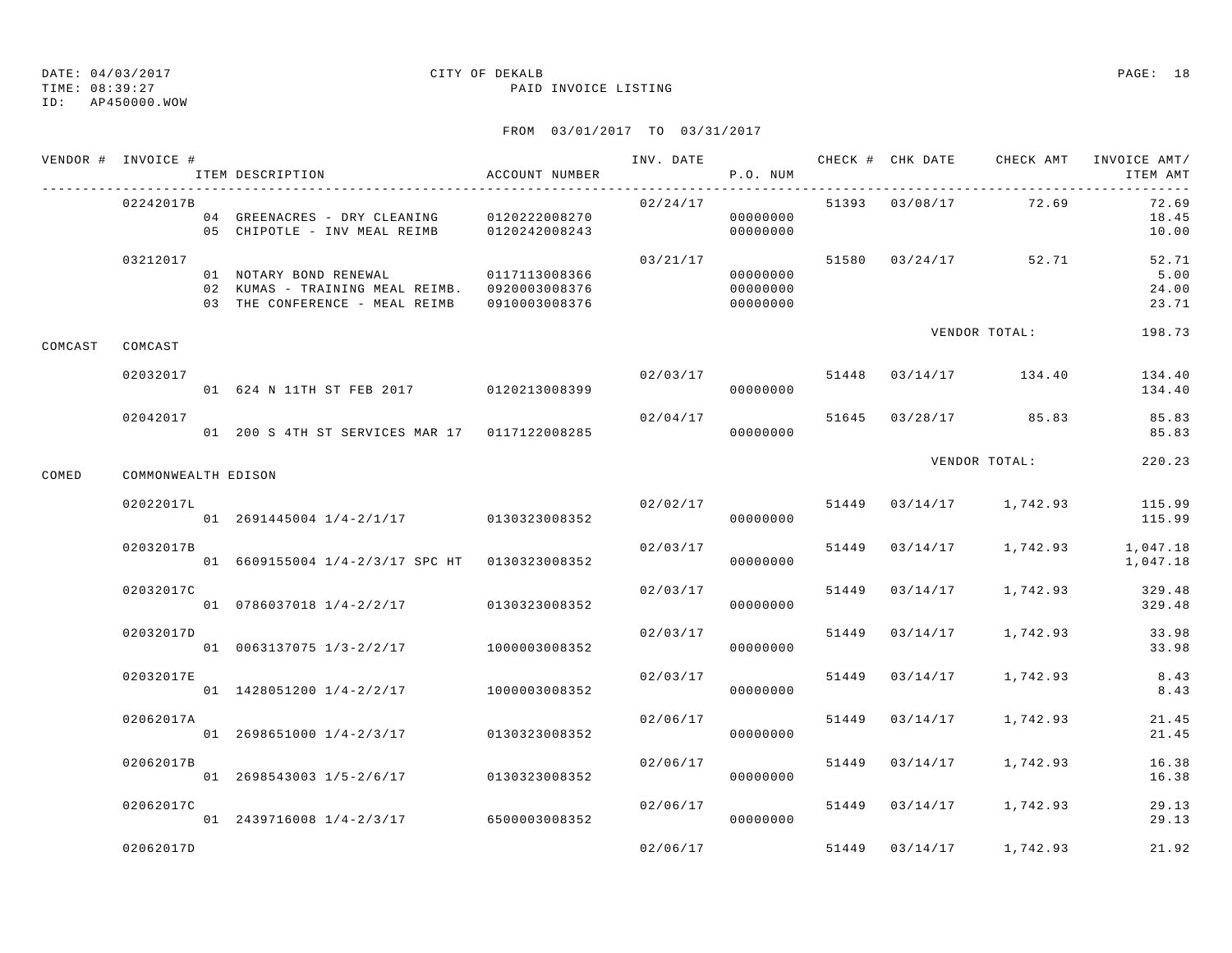### TIME: 08:39:27 PAID INVOICE LISTING

ID: AP450000.WOW

|         | VENDOR # INVOICE #  | ITEM DESCRIPTION                                                                                                        | ACCOUNT NUMBER | INV. DATE | P.O. NUM                         |       |                | CHECK # CHK DATE CHECK AMT INVOICE AMT/ | ITEM AMT                        |
|---------|---------------------|-------------------------------------------------------------------------------------------------------------------------|----------------|-----------|----------------------------------|-------|----------------|-----------------------------------------|---------------------------------|
|         | 02242017B           | 04 GREENACRES - DRY CLEANING 0120222008270<br>05 CHIPOTLE - INV MEAL REIMB                                              | 0120242008243  | 02/24/17  | 00000000<br>00000000             |       |                | 51393 03/08/17 72.69                    | 72.69<br>18.45<br>10.00         |
|         | 03212017            | 01 NOTARY BOND RENEWAL<br>02 KUMAS - TRAINING MEAL REIMB. 0920003008376<br>03 THE CONFERENCE - MEAL REIMB 0910003008376 | 0117113008366  | 03/21/17  | 00000000<br>00000000<br>00000000 |       |                | 51580 03/24/17 52.71                    | 52.71<br>5.00<br>24.00<br>23.71 |
| COMCAST | COMCAST             |                                                                                                                         |                |           |                                  |       |                | VENDOR TOTAL:                           | 198.73                          |
|         | 02032017            | 01 624 N 11TH ST FEB 2017 0120213008399                                                                                 |                | 02/03/17  | 00000000                         |       |                | 51448 03/14/17 134.40                   | 134.40<br>134.40                |
|         | 02042017            | 01 200 S 4TH ST SERVICES MAR 17 0117122008285                                                                           |                | 02/04/17  | 00000000                         |       |                | 51645 03/28/17 85.83                    | 85.83<br>85.83                  |
| COMED   | COMMONWEALTH EDISON |                                                                                                                         |                |           |                                  |       |                | VENDOR TOTAL:                           | 220.23                          |
|         | 02022017L           | 01 2691445004 1/4-2/1/17 0130323008352                                                                                  |                |           | 02/02/17<br>00000000             |       |                | 51449 03/14/17 1,742.93                 | 115.99<br>115.99                |
|         | 02032017B           | 01 6609155004 1/4-2/3/17 SPC HT 0130323008352                                                                           |                | 02/03/17  | 00000000                         |       | 51449 03/14/17 | 1,742.93                                | 1,047.18<br>1,047.18            |
|         | 02032017C           | 01 0786037018 1/4-2/2/17 0130323008352                                                                                  |                | 02/03/17  | 00000000                         |       | 51449 03/14/17 | 1,742.93                                | 329.48<br>329.48                |
|         | 02032017D           | 01 0063137075 1/3-2/2/17 1000003008352                                                                                  |                | 02/03/17  | 00000000                         |       |                | 51449 03/14/17 1,742.93                 | 33.98<br>33.98                  |
|         | 02032017E           | 01 1428051200 1/4-2/2/17                                                                                                | 1000003008352  | 02/03/17  | 00000000                         |       | 51449 03/14/17 | 1,742.93                                | 8.43<br>8.43                    |
|         | 02062017A           | $01 \quad 2698651000 \quad 1/4-2/3/17$ $0130323008352$                                                                  |                | 02/06/17  | 00000000                         |       | 51449 03/14/17 | 1,742.93                                | 21.45<br>21.45                  |
|         | 02062017B           | 01 2698543003 1/5-2/6/17 0130323008352                                                                                  |                | 02/06/17  | 00000000                         |       |                | 51449 03/14/17 1,742.93                 | 16.38<br>16.38                  |
|         | 02062017C           | 01 2439716008 1/4-2/3/17 6500003008352                                                                                  |                | 02/06/17  | 00000000                         |       |                | 51449 03/14/17 1,742.93                 | 29.13<br>29.13                  |
|         | 02062017D           |                                                                                                                         |                | 02/06/17  |                                  | 51449 | 03/14/17       | 1,742.93                                | 21.92                           |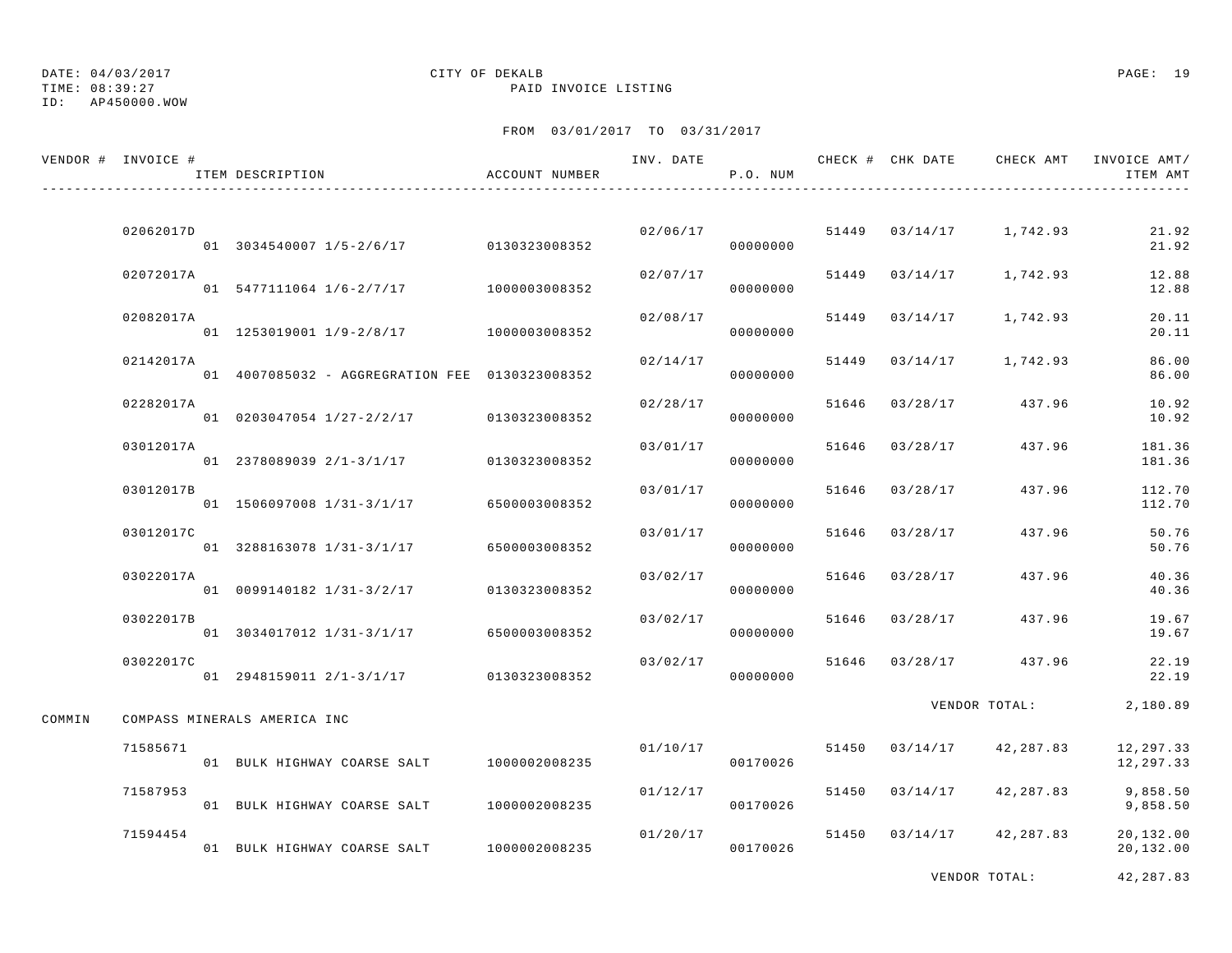ID: AP450000.WOW

# DATE: 04/03/2017 CITY OF DEKALB PAGE: 19

TIME: 08:39:27 PAID INVOICE LISTING

|        | VENDOR # INVOICE # | ITEM DESCRIPTION                                       | ACCOUNT NUMBER | INV. DATE | P.O. NUM |       |                | CHECK # CHK DATE 6 CHECK AMT INVOICE AMT | ITEM AMT                |
|--------|--------------------|--------------------------------------------------------|----------------|-----------|----------|-------|----------------|------------------------------------------|-------------------------|
|        |                    |                                                        |                |           |          |       |                |                                          |                         |
|        | 02062017D          | 01 3034540007 1/5-2/6/17 0130323008352                 |                | 02/06/17  | 00000000 |       |                | 51449 03/14/17 1,742.93                  | 21.92<br>21.92          |
|        | 02072017A          | 01 5477111064 1/6-2/7/17 1000003008352                 |                | 02/07/17  | 00000000 |       | 51449 03/14/17 | 1,742.93                                 | 12.88<br>12.88          |
|        | 02082017A          | 01 1253019001 1/9-2/8/17 1000003008352                 |                | 02/08/17  | 00000000 |       | 51449 03/14/17 | 1,742.93                                 | 20.11<br>20.11          |
|        | 02142017A          | 01  4007085032 - AGGREGRATION FEE  0130323008352       |                | 02/14/17  | 00000000 |       | 51449 03/14/17 | 1,742.93                                 | 86.00<br>86.00          |
|        | 02282017A          | 01 0203047054 1/27-2/2/17 0130323008352                |                | 02/28/17  | 00000000 |       | 51646 03/28/17 | 437.96                                   | 10.92<br>10.92          |
|        | 03012017A          | $01 \quad 2378089039 \quad 2/1-3/1/17$ $0130323008352$ |                | 03/01/17  | 00000000 | 51646 | 03/28/17       | 437.96                                   | 181.36<br>181.36        |
|        | 03012017B          | 01 1506097008 1/31-3/1/17 6500003008352                |                | 03/01/17  | 00000000 | 51646 | 03/28/17       | 437.96                                   | 112.70<br>112.70        |
|        | 03012017C          | 01 3288163078 1/31-3/1/17                              | 6500003008352  | 03/01/17  | 00000000 |       | 51646 03/28/17 | 437.96                                   | 50.76<br>50.76          |
|        | 03022017A          | 01 0099140182 1/31-3/2/17 0130323008352                |                | 03/02/17  | 00000000 |       | 51646 03/28/17 | 437.96                                   | 40.36<br>40.36          |
|        | 03022017B          | 01 3034017012 1/31-3/1/17                              | 6500003008352  | 03/02/17  | 00000000 |       | 51646 03/28/17 | 437.96                                   | 19.67<br>19.67          |
|        | 03022017C          | 01 2948159011 2/1-3/1/17 0130323008352                 |                | 03/02/17  | 00000000 |       | 51646 03/28/17 | 437.96                                   | 22.19<br>22.19          |
| COMMIN |                    | COMPASS MINERALS AMERICA INC                           |                |           |          |       |                | VENDOR TOTAL:                            | 2,180.89                |
|        | 71585671           | 01 BULK HIGHWAY COARSE SALT 1000002008235              |                | 01/10/17  | 00170026 |       | 51450 03/14/17 | 42,287.83                                | 12, 297.33<br>12,297.33 |
|        | 71587953           | 01 BULK HIGHWAY COARSE SALT 1000002008235              |                | 01/12/17  | 00170026 |       | 51450 03/14/17 | 42,287.83                                | 9,858.50<br>9,858.50    |
|        | 71594454           | 01 BULK HIGHWAY COARSE SALT 1000002008235              |                | 01/20/17  | 00170026 |       | 51450 03/14/17 | 42,287.83                                | 20,132.00<br>20,132.00  |
|        |                    |                                                        |                |           |          |       |                | VENDOR TOTAL:                            | 42,287.83               |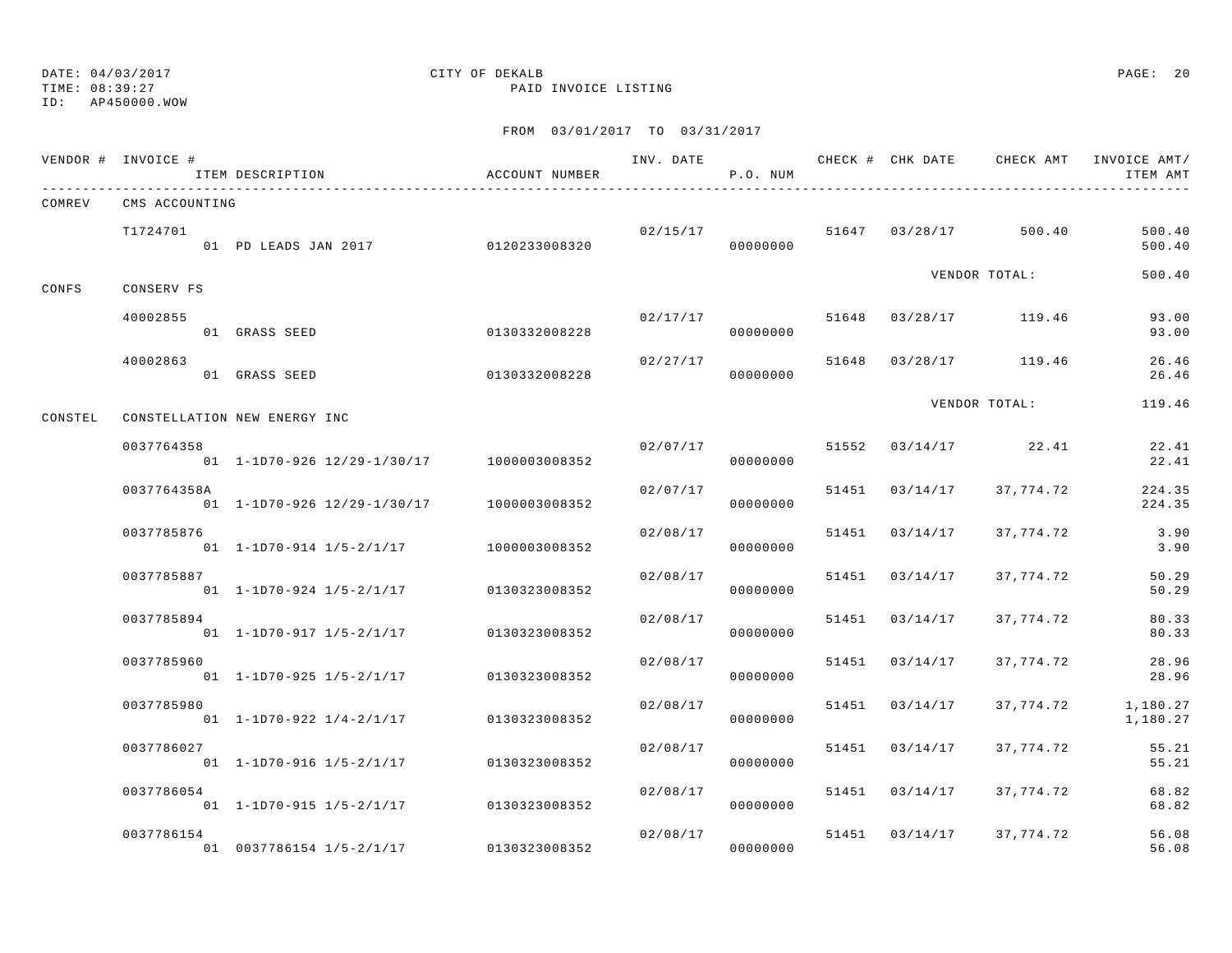### TIME: 08:39:27 PAID INVOICE LISTING ID: AP450000.WOW

# DATE: 04/03/2017 CITY OF DEKALB PAGE: 20

|         | VENDOR # INVOICE # | ITEM DESCRIPTION                          | ACCOUNT NUMBER | INV. DATE | P.O. NUM             |       |                | CHECK # CHK DATE CHECK AMT       | INVOICE AMT/<br>ITEM AMT |
|---------|--------------------|-------------------------------------------|----------------|-----------|----------------------|-------|----------------|----------------------------------|--------------------------|
| COMREV  | CMS ACCOUNTING     |                                           |                |           |                      |       |                |                                  |                          |
|         | T1724701           | 01 PD LEADS JAN 2017 0120233008320        |                |           | 00000000             |       |                | $02/15/17$ 51647 03/28/17 500.40 | 500.40<br>500.40         |
| CONFS   | CONSERV FS         |                                           |                |           |                      |       |                | VENDOR TOTAL:                    | 500.40                   |
|         | 40002855           | 01 GRASS SEED                             | 0130332008228  | 02/17/17  | 00000000             |       |                | 51648 03/28/17 119.46            | 93.00<br>93.00           |
|         | 40002863           | 01 GRASS SEED                             | 0130332008228  | 02/27/17  | 00000000             | 51648 |                | 03/28/17 119.46                  | 26.46<br>26.46           |
| CONSTEL |                    | CONSTELLATION NEW ENERGY INC              |                |           |                      |       |                | VENDOR TOTAL:                    | 119.46                   |
|         | 0037764358         | 01 1-1D70-926 12/29-1/30/17 1000003008352 |                | 02/07/17  | 00000000             |       |                | 51552 03/14/17 22.41             | 22.41<br>22.41           |
|         | 0037764358A        | 01 1-1D70-926 12/29-1/30/17 1000003008352 |                | 02/07/17  | 00000000             |       | 51451 03/14/17 | 37,774.72                        | 224.35<br>224.35         |
|         | 0037785876         | 01 1-1D70-914 1/5-2/1/17                  | 1000003008352  | 02/08/17  | 00000000             |       | 51451 03/14/17 | 37,774.72                        | 3.90<br>3.90             |
|         | 0037785887         | 01 1-1D70-924 1/5-2/1/17                  | 0130323008352  | 02/08/17  | 00000000             |       | 51451 03/14/17 | 37,774.72                        | 50.29<br>50.29           |
|         | 0037785894         | 01 1-1D70-917 1/5-2/1/17                  | 0130323008352  | 02/08/17  | 00000000             |       | 51451 03/14/17 | 37,774.72                        | 80.33<br>80.33           |
|         | 0037785960         | 01 1-1D70-925 1/5-2/1/17                  | 0130323008352  | 02/08/17  | 00000000             |       | 51451 03/14/17 | 37,774.72                        | 28.96<br>28.96           |
|         | 0037785980         | $01$ 1-1D70-922 1/4-2/1/17                | 0130323008352  | 02/08/17  | 00000000             |       | 51451 03/14/17 | 37,774.72                        | 1,180.27<br>1,180.27     |
|         | 0037786027         | $01$ 1-1D70-916 1/5-2/1/17                | 0130323008352  | 02/08/17  | 00000000             |       | 51451 03/14/17 | 37,774.72                        | 55.21<br>55.21           |
|         | 0037786054         | 01 1-1D70-915 1/5-2/1/17                  | 0130323008352  | 02/08/17  | 00000000             |       | 51451 03/14/17 | 37,774.72                        | 68.82<br>68.82           |
|         | 0037786154         | 01 0037786154 1/5-2/1/17                  | 0130323008352  |           | 02/08/17<br>00000000 |       | 51451 03/14/17 | 37,774.72                        | 56.08<br>56.08           |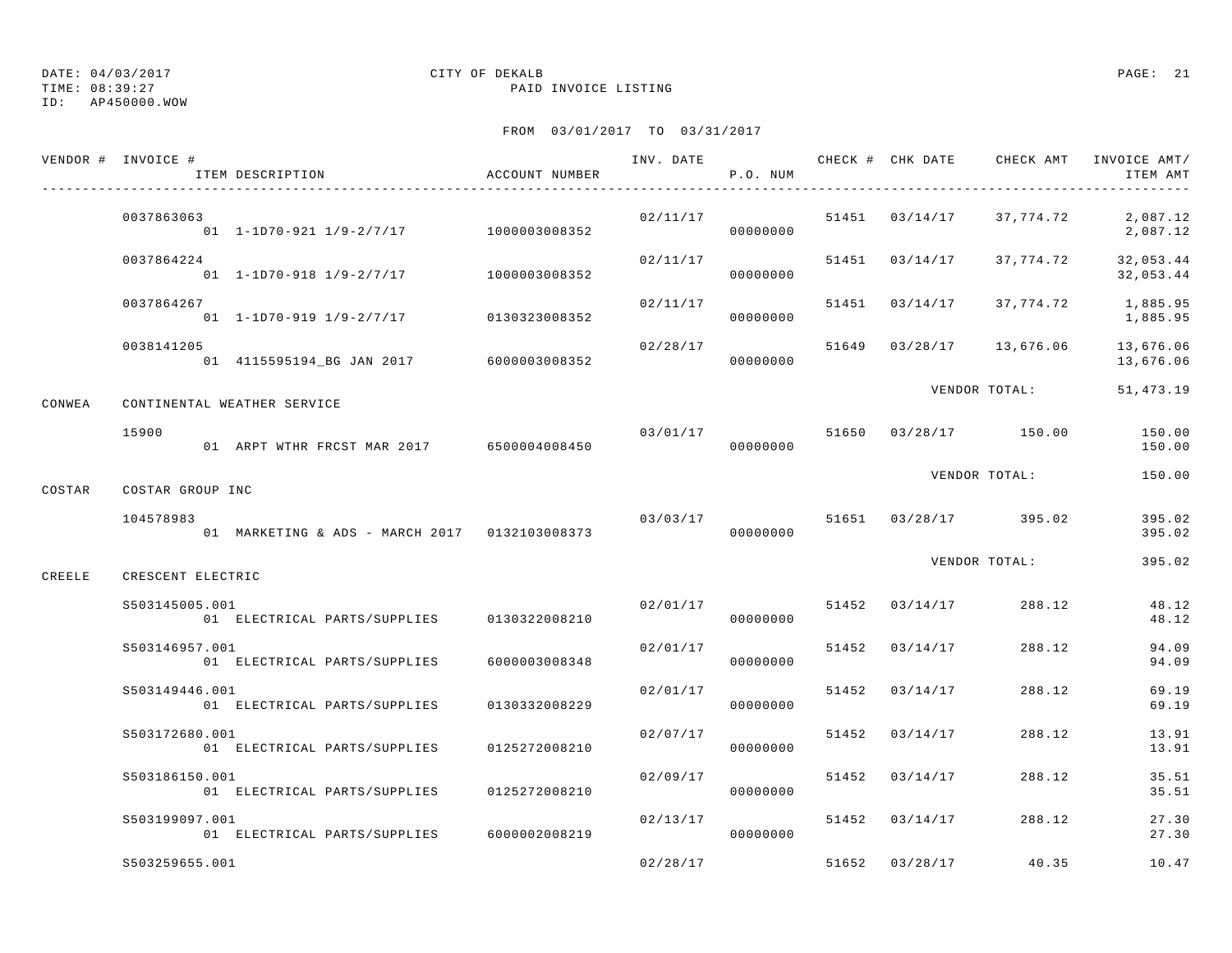TIME: 08:39:27 PAID INVOICE LISTING

ID: AP450000.WOW

|        | VENDOR # INVOICE #          | ITEM DESCRIPTION                              | ACCOUNT NUMBER |          | P.O. NUM             |       |                       |               | INVOICE AMT/<br>ITEM AMT |
|--------|-----------------------------|-----------------------------------------------|----------------|----------|----------------------|-------|-----------------------|---------------|--------------------------|
|        | 0037863063                  | 01 1-1D70-921 1/9-2/7/17 1000003008352        |                | 02/11/17 | 00000000             |       | 51451 03/14/17        | 37,774.72     | 2,087.12<br>2,087.12     |
|        | 0037864224                  | 01 1-1D70-918 1/9-2/7/17                      | 1000003008352  | 02/11/17 | 00000000             |       | 51451 03/14/17        | 37,774.72     | 32,053.44<br>32,053.44   |
|        | 0037864267                  | $01$ 1-1D70-919 1/9-2/7/17                    | 0130323008352  | 02/11/17 | 00000000             |       | 51451 03/14/17        | 37,774.72     | 1,885.95<br>1,885.95     |
|        | 0038141205                  | 01  4115595194_BG  JAN  2017  6000003008352   |                | 02/28/17 | 00000000             | 51649 | 03/28/17              | 13,676.06     | 13,676.06<br>13,676.06   |
| CONWEA | CONTINENTAL WEATHER SERVICE |                                               |                |          |                      |       |                       | VENDOR TOTAL: | 51, 473.19               |
|        | 15900                       | 01 ARPT WTHR FRCST MAR 2017 6500004008450     |                |          | 03/01/17<br>00000000 |       | 51650 03/28/17 150.00 |               | 150.00<br>150.00         |
| COSTAR | COSTAR GROUP INC            |                                               |                |          |                      |       |                       | VENDOR TOTAL: | 150.00                   |
|        | 104578983                   | 01 MARKETING & ADS - MARCH 2017 0132103008373 |                | 03/03/17 | 00000000             |       | 51651 03/28/17 395.02 |               | 395.02<br>395.02         |
| CREELE | CRESCENT ELECTRIC           |                                               |                |          |                      |       |                       | VENDOR TOTAL: | 395.02                   |
|        | S503145005.001              | 01 ELECTRICAL PARTS/SUPPLIES                  | 0130322008210  |          | 02/01/17<br>00000000 |       | 51452 03/14/17        | 288.12        | 48.12<br>48.12           |
|        | S503146957.001              | 01 ELECTRICAL PARTS/SUPPLIES                  | 6000003008348  | 02/01/17 | 00000000             |       | 51452 03/14/17        | 288.12        | 94.09<br>94.09           |
|        | S503149446.001              | 01 ELECTRICAL PARTS/SUPPLIES                  | 0130332008229  | 02/01/17 | 00000000             | 51452 | 03/14/17              | 288.12        | 69.19<br>69.19           |
|        | S503172680.001              | 01 ELECTRICAL PARTS/SUPPLIES                  | 0125272008210  | 02/07/17 | 00000000             | 51452 | 03/14/17              | 288.12        | 13.91<br>13.91           |
|        | S503186150.001              | 01 ELECTRICAL PARTS/SUPPLIES                  | 0125272008210  | 02/09/17 | 00000000             |       | 51452 03/14/17        | 288.12        | 35.51<br>35.51           |
|        | S503199097.001              | 01 ELECTRICAL PARTS/SUPPLIES                  | 6000002008219  | 02/13/17 | 00000000             |       | 51452 03/14/17        | 288.12        | 27.30<br>27.30           |
|        | S503259655.001              |                                               |                | 02/28/17 |                      | 51652 | 03/28/17              | 40.35         | 10.47                    |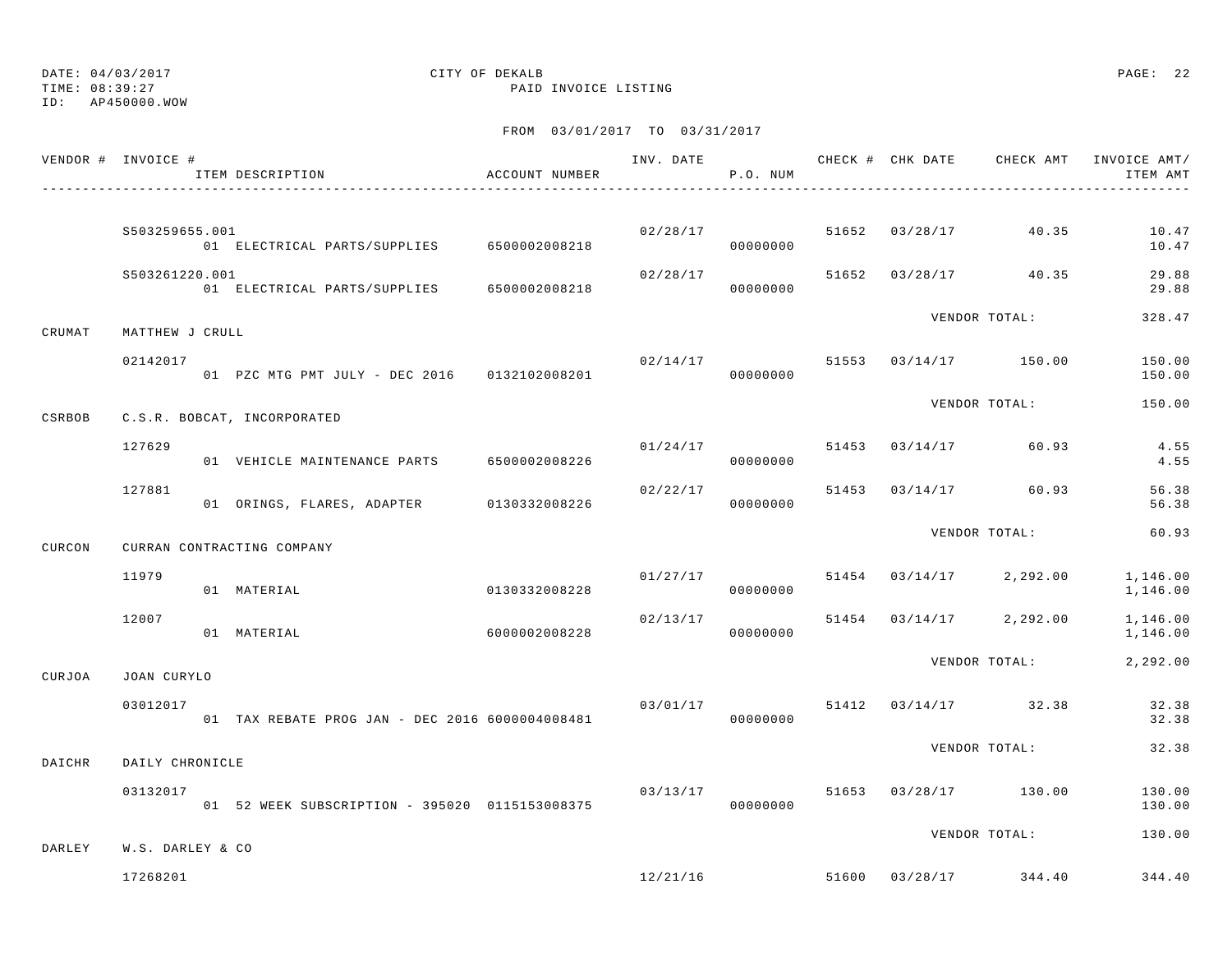ID: AP450000.WOW

### TIME: 08:39:27 PAID INVOICE LISTING

|        | VENDOR # INVOICE # | ITEM DESCRIPTION                                | ACCOUNT NUMBER |          | P.O. NUM             |  |                                   | INV. DATE 6 7 200 CHECK # CHK DATE CHECK AMT INVOICE AMT/<br>ITEM AMT |
|--------|--------------------|-------------------------------------------------|----------------|----------|----------------------|--|-----------------------------------|-----------------------------------------------------------------------|
|        | \$503259655.001    | 01 ELECTRICAL PARTS/SUPPLIES 6500002008218      |                | 02/28/17 | 00000000             |  | 51652 03/28/17 40.35              | 10.47<br>10.47                                                        |
|        | S503261220.001     | 01 ELECTRICAL PARTS/SUPPLIES 6500002008218      |                | 02/28/17 | 00000000             |  | 51652 03/28/17 40.35              | 29.88<br>29.88                                                        |
| CRUMAT | MATTHEW J CRULL    |                                                 |                |          |                      |  | VENDOR TOTAL:                     | 328.47                                                                |
|        | 02142017           | 01 PZC MTG PMT JULY - DEC 2016 0132102008201    |                |          | 00000000             |  | $02/14/17$ 51553 03/14/17 150.00  | 150.00<br>150.00                                                      |
| CSRBOB |                    | C.S.R. BOBCAT, INCORPORATED                     |                |          |                      |  | VENDOR TOTAL:                     | 150.00                                                                |
|        | 127629             | 01 VEHICLE MAINTENANCE PARTS 6500002008226      |                | 01/24/17 | 00000000             |  | 51453 03/14/17 60.93              | 4.55<br>4.55                                                          |
|        | 127881             | 01 ORINGS, FLARES, ADAPTER 0130332008226        |                | 02/22/17 | 00000000             |  | 51453 03/14/17 60.93              | 56.38<br>56.38                                                        |
| CURCON |                    | CURRAN CONTRACTING COMPANY                      |                |          |                      |  | VENDOR TOTAL:                     | 60.93                                                                 |
|        | 11979              | 01 MATERIAL                                     | 0130332008228  |          | 01/27/17<br>00000000 |  | 51454 03/14/17 2,292.00           | 1,146.00<br>1,146.00                                                  |
|        | 12007              | 01 MATERIAL                                     | 6000002008228  | 02/13/17 | 00000000             |  | 51454 03/14/17 2,292.00           | 1,146.00<br>1,146.00                                                  |
| CURJOA | JOAN CURYLO        |                                                 |                |          |                      |  | VENDOR TOTAL:                     | 2,292.00                                                              |
|        | 03012017           | 01 TAX REBATE PROG JAN - DEC 2016 6000004008481 |                |          | 00000000             |  | $03/01/17$ 51412 $03/14/17$ 32.38 | 32.38<br>32.38                                                        |
| DAICHR | DAILY CHRONICLE    |                                                 |                |          |                      |  | VENDOR TOTAL:                     | 32.38                                                                 |
|        | 03132017           | 01 52 WEEK SUBSCRIPTION - 395020 0115153008375  |                | 03/13/17 | 00000000             |  | 51653 03/28/17 130.00             | 130.00<br>130.00                                                      |
| DARLEY | W.S. DARLEY & CO   |                                                 |                |          |                      |  | VENDOR TOTAL:                     | 130.00                                                                |
|        | 17268201           |                                                 |                |          |                      |  | $12/21/16$ 51600 03/28/17 344.40  | 344.40                                                                |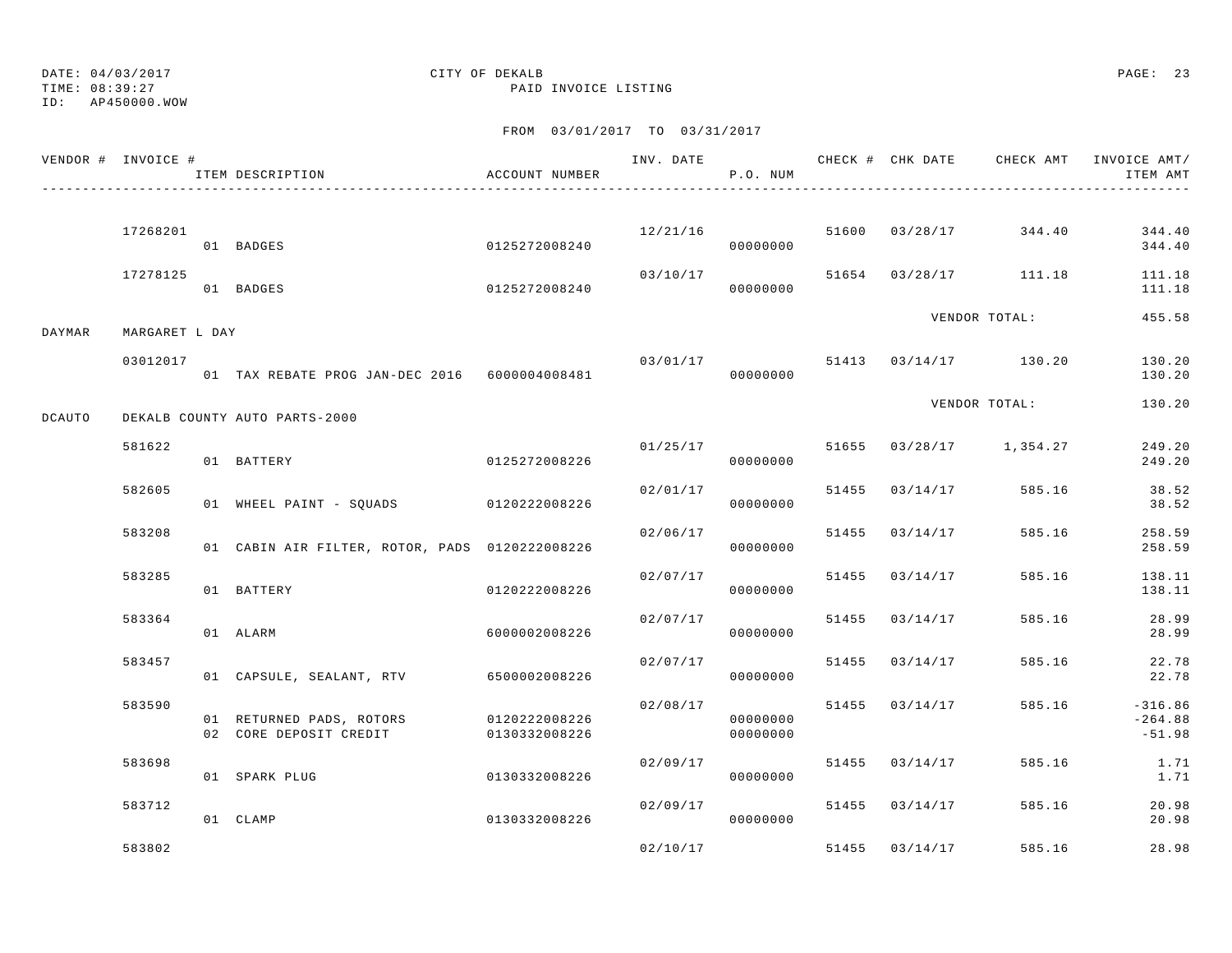ID: AP450000.WOW

# DATE: 04/03/2017 CITY OF DEKALB PAGE: 23

TIME: 08:39:27 PAID INVOICE LISTING

|        | VENDOR # INVOICE # | ITEM DESCRIPTION                                                 | ACCOUNT NUMBER | INV. DATE | P.O. NUM             |                |                         | CHECK # CHK DATE CHECK AMT INVOICE AMT/<br>ITEM AMT |
|--------|--------------------|------------------------------------------------------------------|----------------|-----------|----------------------|----------------|-------------------------|-----------------------------------------------------|
|        |                    |                                                                  |                |           |                      |                |                         |                                                     |
|        | 17268201           | 01 BADGES                                                        | 0125272008240  | 12/21/16  | 000000000            |                | 51600 03/28/17 344.40   | 344.40<br>344.40                                    |
|        | 17278125           | 01 BADGES                                                        | 0125272008240  | 03/10/17  | 00000000             |                | 51654 03/28/17 111.18   | 111.18<br>111.18                                    |
| DAYMAR | MARGARET L DAY     |                                                                  |                |           |                      |                | VENDOR TOTAL:           | 455.58                                              |
|        | 03012017           | 01 TAX REBATE PROG JAN-DEC 2016 6000004008481                    |                | 03/01/17  | 00000000             |                | 51413 03/14/17 130.20   | 130.20<br>130.20                                    |
| DCAUTO |                    | DEKALB COUNTY AUTO PARTS-2000                                    |                |           |                      |                | VENDOR TOTAL:           | 130.20                                              |
|        | 581622             | 01 BATTERY                                                       | 0125272008226  |           | 01/25/17<br>00000000 |                | 51655 03/28/17 1,354.27 | 249.20<br>249.20                                    |
|        | 582605             | 01 WHEEL PAINT - SQUADS 0120222008226                            |                | 02/01/17  | 00000000             |                | 51455 03/14/17 585.16   | 38.52<br>38.52                                      |
|        | 583208             | 01 CABIN AIR FILTER, ROTOR, PADS 0120222008226                   |                | 02/06/17  | 00000000             | 51455 03/14/17 | 585.16                  | 258.59<br>258.59                                    |
|        | 583285             | 01 BATTERY                                                       | 0120222008226  | 02/07/17  | 00000000             | 51455 03/14/17 | 585.16                  | 138.11<br>138.11                                    |
|        | 583364             | 01 ALARM                                                         | 6000002008226  | 02/07/17  | 00000000             | 51455 03/14/17 | 585.16                  | 28.99<br>28.99                                      |
|        | 583457             | 01 CAPSULE, SEALANT, RTV 6500002008226                           |                | 02/07/17  | 00000000             | 51455 03/14/17 | 585.16                  | 22.78<br>22.78                                      |
|        | 583590             | 01 RETURNED PADS, ROTORS 0120222008226<br>02 CORE DEPOSIT CREDIT | 0130332008226  | 02/08/17  | 00000000<br>00000000 | 51455 03/14/17 | 585.16                  | $-316.86$<br>$-264.88$<br>$-51.98$                  |
|        | 583698             | 01 SPARK PLUG                                                    | 0130332008226  | 02/09/17  | 00000000             | 51455 03/14/17 | 585.16                  | 1.71<br>1.71                                        |
|        | 583712             | 01 CLAMP                                                         | 0130332008226  | 02/09/17  | 00000000             | 51455 03/14/17 | 585.16                  | 20.98<br>20.98                                      |
|        | 583802             |                                                                  |                | 02/10/17  |                      | 51455 03/14/17 | 585.16                  | 28.98                                               |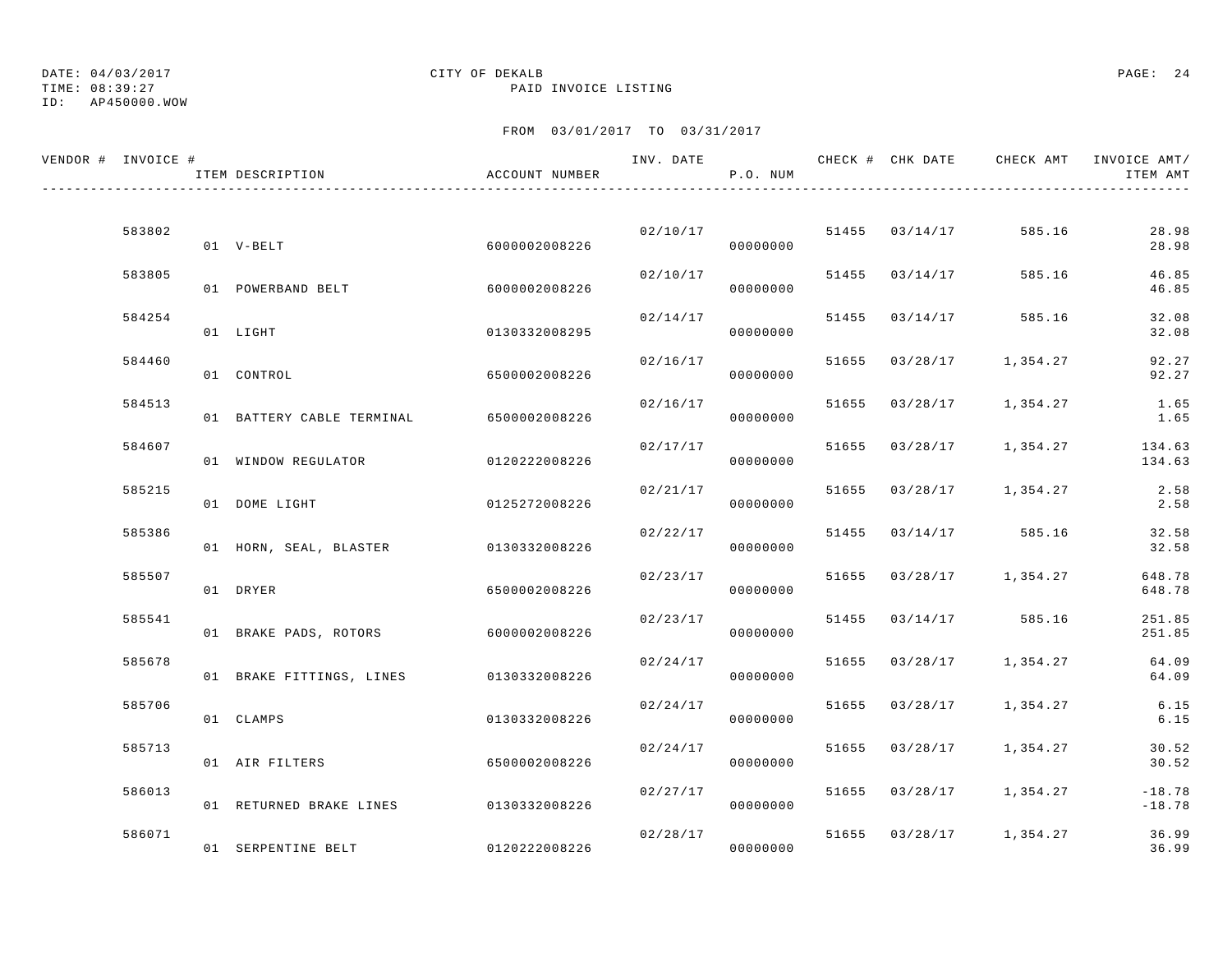ID: AP450000.WOW

TIME: 08:39:27 PAID INVOICE LISTING

| VENDOR # INVOICE # | ITEM DESCRIPTION                        | ACCOUNT NUMBER | INV. DATE | P.O. NUM             |                | CHECK # CHK DATE CHECK AMT INVOICE AMT/ | ITEM AMT             |
|--------------------|-----------------------------------------|----------------|-----------|----------------------|----------------|-----------------------------------------|----------------------|
|                    |                                         |                |           |                      |                |                                         |                      |
| 583802             | 01 V-BELT                               | 6000002008226  |           | 02/10/17<br>00000000 | 51455 03/14/17 | 585.16                                  | 28.98<br>28.98       |
| 583805             | 01 POWERBAND BELT                       | 6000002008226  | 02/10/17  | 00000000             | 51455 03/14/17 | 585.16                                  | 46.85<br>46.85       |
| 584254             | 01 LIGHT                                | 0130332008295  |           | 02/14/17<br>00000000 | 51455 03/14/17 | 585.16                                  | 32.08<br>32.08       |
| 584460             | 01 CONTROL                              | 6500002008226  | 02/16/17  | 00000000             |                | 51655 03/28/17 1,354.27                 | 92.27<br>92.27       |
| 584513             | 01 BATTERY CABLE TERMINAL 6500002008226 |                | 02/16/17  | 00000000             | 51655 03/28/17 | 1,354.27                                | 1.65<br>1.65         |
| 584607             | 01 WINDOW REGULATOR                     | 0120222008226  | 02/17/17  | 00000000             |                | 51655 03/28/17 1,354.27                 | 134.63<br>134.63     |
| 585215             | 01 DOME LIGHT                           | 0125272008226  | 02/21/17  | 00000000             |                | 51655 03/28/17 1,354.27                 | 2.58<br>2.58         |
| 585386             | 01 HORN, SEAL, BLASTER 0130332008226    |                | 02/22/17  | 00000000             |                | 51455 03/14/17 585.16                   | 32.58<br>32.58       |
| 585507             |                                         |                | 02/23/17  |                      |                | 51655 03/28/17 1,354.27                 | 648.78               |
| 585541             | 01 DRYER                                | 6500002008226  | 02/23/17  | 00000000             |                | 51455 03/14/17 585.16                   | 648.78<br>251.85     |
|                    | 01 BRAKE PADS, ROTORS 6000002008226     |                |           | 00000000             |                |                                         | 251.85               |
| 585678             | 01 BRAKE FITTINGS, LINES 0130332008226  |                | 02/24/17  | 00000000             |                | 51655 03/28/17 1,354.27                 | 64.09<br>64.09       |
| 585706             | 01 CLAMPS                               | 0130332008226  | 02/24/17  | 00000000             | 51655 03/28/17 | 1,354.27                                | 6.15<br>6.15         |
| 585713             | 01 AIR FILTERS                          | 6500002008226  | 02/24/17  | 00000000             |                | 51655 03/28/17 1,354.27                 | 30.52<br>30.52       |
| 586013             | 01 RETURNED BRAKE LINES 0130332008226   |                | 02/27/17  | 00000000             |                | 51655 03/28/17 1,354.27                 | $-18.78$<br>$-18.78$ |
| 586071             | 01 SERPENTINE BELT                      | 0120222008226  | 02/28/17  | 00000000             |                | 51655 03/28/17 1,354.27                 | 36.99<br>36.99       |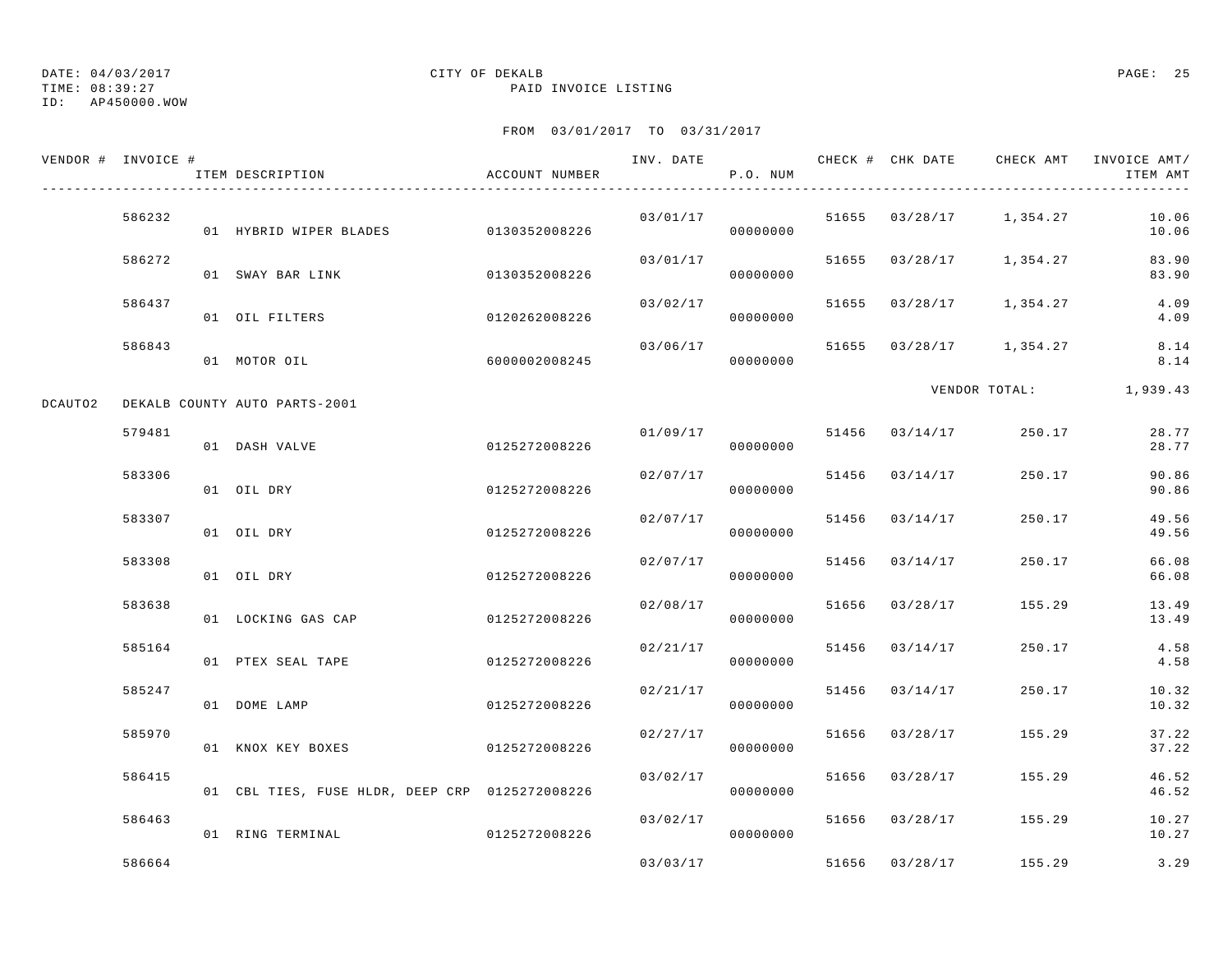TIME: 08:39:27 PAID INVOICE LISTING

ID: AP450000.WOW

|         | VENDOR # INVOICE # | ITEM DESCRIPTION                               | ACCOUNT NUMBER | INV. DATE | P.O. NUM |       | CHECK # CHK DATE | CHECK AMT               | INVOICE AMT/<br>ITEM AMT |
|---------|--------------------|------------------------------------------------|----------------|-----------|----------|-------|------------------|-------------------------|--------------------------|
|         | 586232             | 01 HYBRID WIPER BLADES 0130352008226           |                | 03/01/17  | 00000000 |       |                  | 51655 03/28/17 1,354.27 | 10.06<br>10.06           |
|         | 586272             | 01 SWAY BAR LINK                               | 0130352008226  | 03/01/17  | 00000000 |       |                  | 51655 03/28/17 1,354.27 | 83.90<br>83.90           |
|         | 586437             | 01 OIL FILTERS                                 | 0120262008226  | 03/02/17  | 00000000 |       |                  | 51655 03/28/17 1,354.27 | 4.09<br>4.09             |
|         | 586843             | 01 MOTOR OIL                                   | 6000002008245  | 03/06/17  | 00000000 |       |                  | 51655 03/28/17 1,354.27 | 8.14<br>8.14             |
| DCAUTO2 |                    | DEKALB COUNTY AUTO PARTS-2001                  |                |           |          |       |                  |                         | VENDOR TOTAL: 1,939.43   |
|         | 579481             | 01 DASH VALVE                                  | 0125272008226  | 01/09/17  | 00000000 |       | 51456 03/14/17   | 250.17                  | 28.77<br>28.77           |
|         | 583306             | 01 OIL DRY                                     | 0125272008226  | 02/07/17  | 00000000 |       | 51456 03/14/17   | 250.17                  | 90.86<br>90.86           |
|         | 583307             | 01 OIL DRY                                     | 0125272008226  | 02/07/17  | 00000000 | 51456 | 03/14/17         | 250.17                  | 49.56<br>49.56           |
|         | 583308             | 01 OIL DRY                                     | 0125272008226  | 02/07/17  | 00000000 |       | 51456 03/14/17   | 250.17                  | 66.08<br>66.08           |
|         | 583638             | 01 LOCKING GAS CAP                             | 0125272008226  | 02/08/17  | 00000000 |       | 51656 03/28/17   | 155.29                  | 13.49<br>13.49           |
|         | 585164             | 01 PTEX SEAL TAPE                              | 0125272008226  | 02/21/17  | 00000000 |       | 51456 03/14/17   | 250.17                  | 4.58<br>4.58             |
|         | 585247             | 01 DOME LAMP                                   | 0125272008226  | 02/21/17  | 00000000 | 51456 | 03/14/17         | 250.17                  | 10.32<br>10.32           |
|         | 585970             | 01 KNOX KEY BOXES                              | 0125272008226  | 02/27/17  | 00000000 |       | 51656 03/28/17   | 155.29                  | 37.22<br>37.22           |
|         | 586415             | 01 CBL TIES, FUSE HLDR, DEEP CRP 0125272008226 |                | 03/02/17  | 00000000 |       | 51656 03/28/17   | 155.29                  | 46.52<br>46.52           |
|         | 586463             | 01 RING TERMINAL                               | 0125272008226  | 03/02/17  | 00000000 |       |                  | 51656 03/28/17 155.29   | 10.27<br>10.27           |
|         | 586664             |                                                |                | 03/03/17  |          |       | 51656 03/28/17   | 155.29                  | 3.29                     |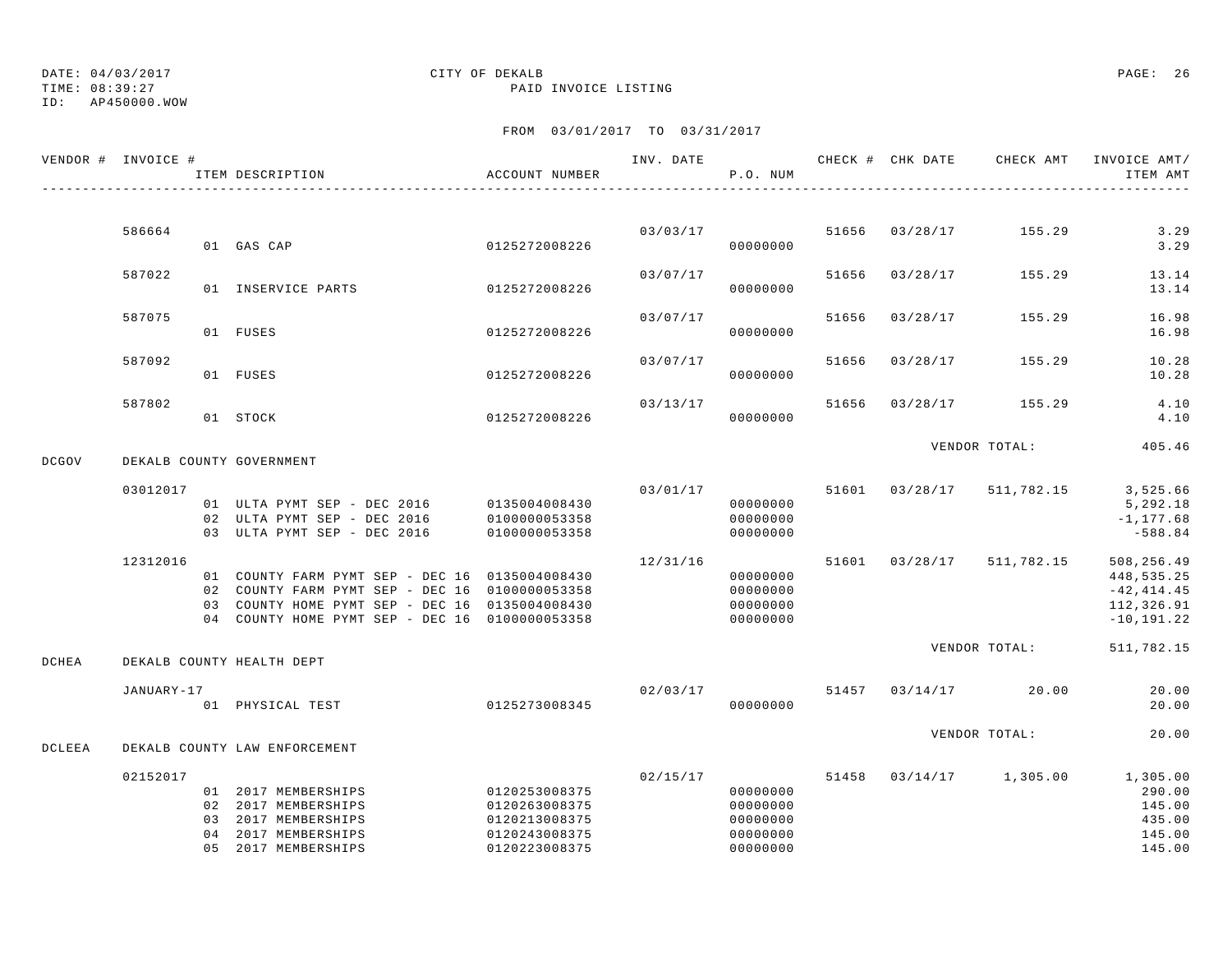ID: AP450000.WOW

### TIME: 08:39:27 PAID INVOICE LISTING

|              | VENDOR # INVOICE # | ITEM DESCRIPTION                                                                                                                                                                                     | ACCOUNT NUMBER                                                                    | INV. DATE | P.O. NUM                                                 |       | CHECK # CHK DATE | CHECK AMT            | INVOICE AMT/<br>ITEM AMT                                                 |
|--------------|--------------------|------------------------------------------------------------------------------------------------------------------------------------------------------------------------------------------------------|-----------------------------------------------------------------------------------|-----------|----------------------------------------------------------|-------|------------------|----------------------|--------------------------------------------------------------------------|
|              |                    |                                                                                                                                                                                                      |                                                                                   |           |                                                          |       |                  |                      |                                                                          |
|              | 586664             | 01 GAS CAP                                                                                                                                                                                           | 0125272008226                                                                     | 03/03/17  | 00000000                                                 |       | 51656 03/28/17   | 155.29               | 3.29<br>3.29                                                             |
|              | 587022             | 01 INSERVICE PARTS                                                                                                                                                                                   | 0125272008226                                                                     | 03/07/17  | 00000000                                                 | 51656 | 03/28/17         | 155.29               | 13.14<br>13.14                                                           |
|              | 587075             | 01 FUSES                                                                                                                                                                                             | 0125272008226                                                                     | 03/07/17  | 00000000                                                 | 51656 | 03/28/17         | 155.29               | 16.98<br>16.98                                                           |
|              | 587092             |                                                                                                                                                                                                      |                                                                                   | 03/07/17  |                                                          | 51656 | 03/28/17         | 155.29               | 10.28                                                                    |
|              |                    | 01 FUSES                                                                                                                                                                                             | 0125272008226                                                                     |           | 00000000                                                 |       |                  |                      | 10.28                                                                    |
|              | 587802             | 01 STOCK                                                                                                                                                                                             | 0125272008226                                                                     | 03/13/17  | 00000000                                                 | 51656 | 03/28/17         | 155.29               | 4.10<br>4.10                                                             |
| <b>DCGOV</b> |                    | DEKALB COUNTY GOVERNMENT                                                                                                                                                                             |                                                                                   |           |                                                          |       |                  | VENDOR TOTAL:        | 405.46                                                                   |
|              | 03012017           | 01 ULTA PYMT SEP - DEC 2016<br>02 ULTA PYMT SEP - DEC 2016<br>03 ULTA PYMT SEP - DEC 2016                                                                                                            | 0135004008430<br>0100000053358<br>0100000053358                                   | 03/01/17  | 00000000<br>00000000<br>00000000                         |       | 51601 03/28/17   | 511,782.15           | 3,525.66<br>5,292.18<br>$-1, 177.68$<br>$-588.84$                        |
|              | 12312016           | 01 COUNTY FARM PYMT SEP - DEC 16 0135004008430<br>02 COUNTY FARM PYMT SEP - DEC 16 0100000053358<br>03 COUNTY HOME PYMT SEP - DEC 16 0135004008430<br>04 COUNTY HOME PYMT SEP - DEC 16 0100000053358 |                                                                                   | 12/31/16  | 00000000<br>00000000<br>00000000<br>00000000             |       | 51601 03/28/17   | 511,782.15           | 508,256.49<br>448,535.25<br>$-42, 414.45$<br>112,326.91<br>$-10, 191.22$ |
| DCHEA        |                    | DEKALB COUNTY HEALTH DEPT                                                                                                                                                                            |                                                                                   |           |                                                          |       |                  | VENDOR TOTAL:        | 511,782.15                                                               |
|              | JANUARY-17         | 01 PHYSICAL TEST                                                                                                                                                                                     | 0125273008345                                                                     | 02/03/17  | 00000000                                                 |       |                  | 51457 03/14/17 20.00 | 20.00<br>20.00                                                           |
| DCLEEA       |                    | DEKALB COUNTY LAW ENFORCEMENT                                                                                                                                                                        |                                                                                   |           |                                                          |       |                  | VENDOR TOTAL:        | 20.00                                                                    |
|              | 02152017           |                                                                                                                                                                                                      |                                                                                   | 02/15/17  |                                                          | 51458 | 03/14/17         | 1,305.00             | 1,305.00                                                                 |
|              |                    | 01 2017 MEMBERSHIPS<br>02 2017 MEMBERSHIPS<br>03 2017 MEMBERSHIPS<br>04 2017 MEMBERSHIPS<br>05 2017 MEMBERSHIPS                                                                                      | 0120253008375<br>0120263008375<br>0120213008375<br>0120243008375<br>0120223008375 |           | 00000000<br>00000000<br>00000000<br>00000000<br>00000000 |       |                  |                      | 290.00<br>145.00<br>435.00<br>145.00<br>145.00                           |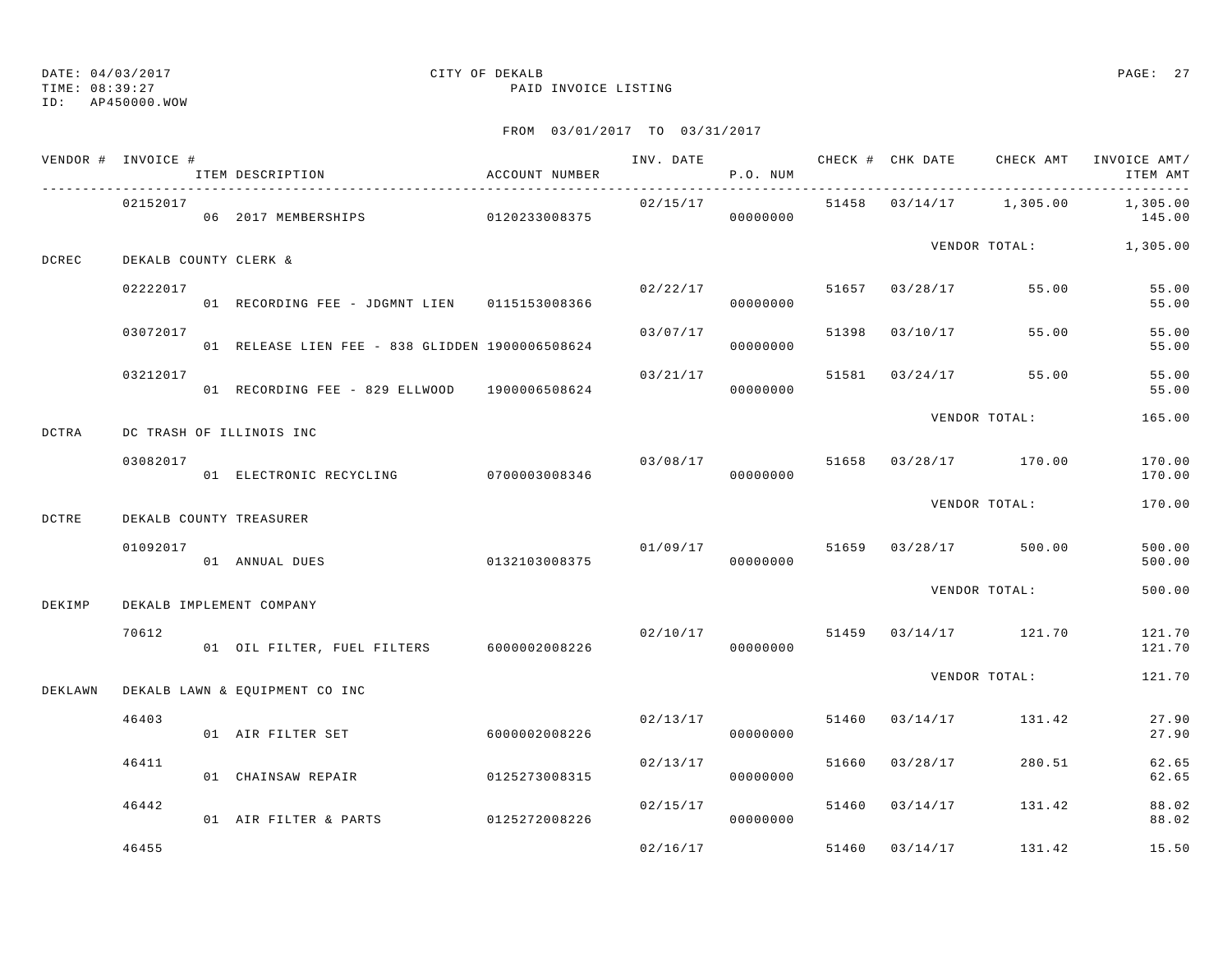TIME: 08:39:27 PAID INVOICE LISTING

ID: AP450000.WOW

|         | VENDOR # INVOICE #    | ITEM DESCRIPTION                                | ACCOUNT NUMBER |          | P.O. NUM             |       |                |                                  | INV. DATE 6 7 200 CHECK # CHK DATE 6 CHECK AMT INVOICE AMT/<br>ITEM AMT |
|---------|-----------------------|-------------------------------------------------|----------------|----------|----------------------|-------|----------------|----------------------------------|-------------------------------------------------------------------------|
|         | 02152017              | 06 2017 MEMBERSHIPS 0120233008375               |                | 02/15/17 | 00000000             |       |                | 51458 03/14/17 1,305.00          | 1,305.00<br>145.00                                                      |
| DCREC   | DEKALB COUNTY CLERK & |                                                 |                |          |                      |       |                |                                  | VENDOR TOTAL: 1,305.00                                                  |
|         | 02222017              | 01 RECORDING FEE - JDGMNT LIEN 0115153008366    |                |          | 00000000             |       |                | $02/22/17$ 51657 03/28/17 55.00  | 55.00<br>55.00                                                          |
|         | 03072017              | 01 RELEASE LIEN FEE - 838 GLIDDEN 1900006508624 |                | 03/07/17 | 00000000             |       | 51398 03/10/17 | 55.00                            | 55.00<br>55.00                                                          |
|         | 03212017              | 01 RECORDING FEE - 829 ELLWOOD 1900006508624    |                | 03/21/17 | 00000000             |       |                | 51581 03/24/17 55.00             | 55.00<br>55.00                                                          |
| DCTRA   |                       | DC TRASH OF ILLINOIS INC                        |                |          |                      |       |                | VENDOR TOTAL:                    | 165.00                                                                  |
|         | 03082017              | 01 ELECTRONIC RECYCLING 0700003008346           |                |          | 00000000             |       |                | $03/08/17$ 51658 03/28/17 170.00 | 170.00<br>170.00                                                        |
| DCTRE   |                       | DEKALB COUNTY TREASURER                         |                |          |                      |       |                | VENDOR TOTAL:                    | 170.00                                                                  |
|         | 01092017              | 01 ANNUAL DUES                                  | 0132103008375  |          | 00000000             |       |                | $01/09/17$ 51659 03/28/17 500.00 | 500.00<br>500.00                                                        |
| DEKIMP  |                       | DEKALB IMPLEMENT COMPANY                        |                |          |                      |       |                | VENDOR TOTAL:                    | 500.00                                                                  |
|         | 70612                 | 01 OIL FILTER, FUEL FILTERS 6000002008226       |                | 02/10/17 | 00000000             |       |                | 51459 03/14/17 121.70            | 121.70<br>121.70                                                        |
| DEKLAWN |                       | DEKALB LAWN & EQUIPMENT CO INC                  |                |          |                      |       |                | VENDOR TOTAL:                    | 121.70                                                                  |
|         | 46403                 | 01 AIR FILTER SET                               | 6000002008226  |          | 02/13/17<br>00000000 | 51460 |                | 03/14/17 131.42                  | 27.90<br>27.90                                                          |
|         | 46411                 | 01 CHAINSAW REPAIR                              | 0125273008315  | 02/13/17 | 00000000             |       | 51660 03/28/17 | 280.51                           | 62.65<br>62.65                                                          |
|         | 46442                 | 01 AIR FILTER & PARTS                           | 0125272008226  |          | 02/15/17<br>00000000 |       |                | 51460 03/14/17 131.42            | 88.02<br>88.02                                                          |
|         | 46455                 |                                                 |                | 02/16/17 |                      |       | 51460 03/14/17 | 131.42                           | 15.50                                                                   |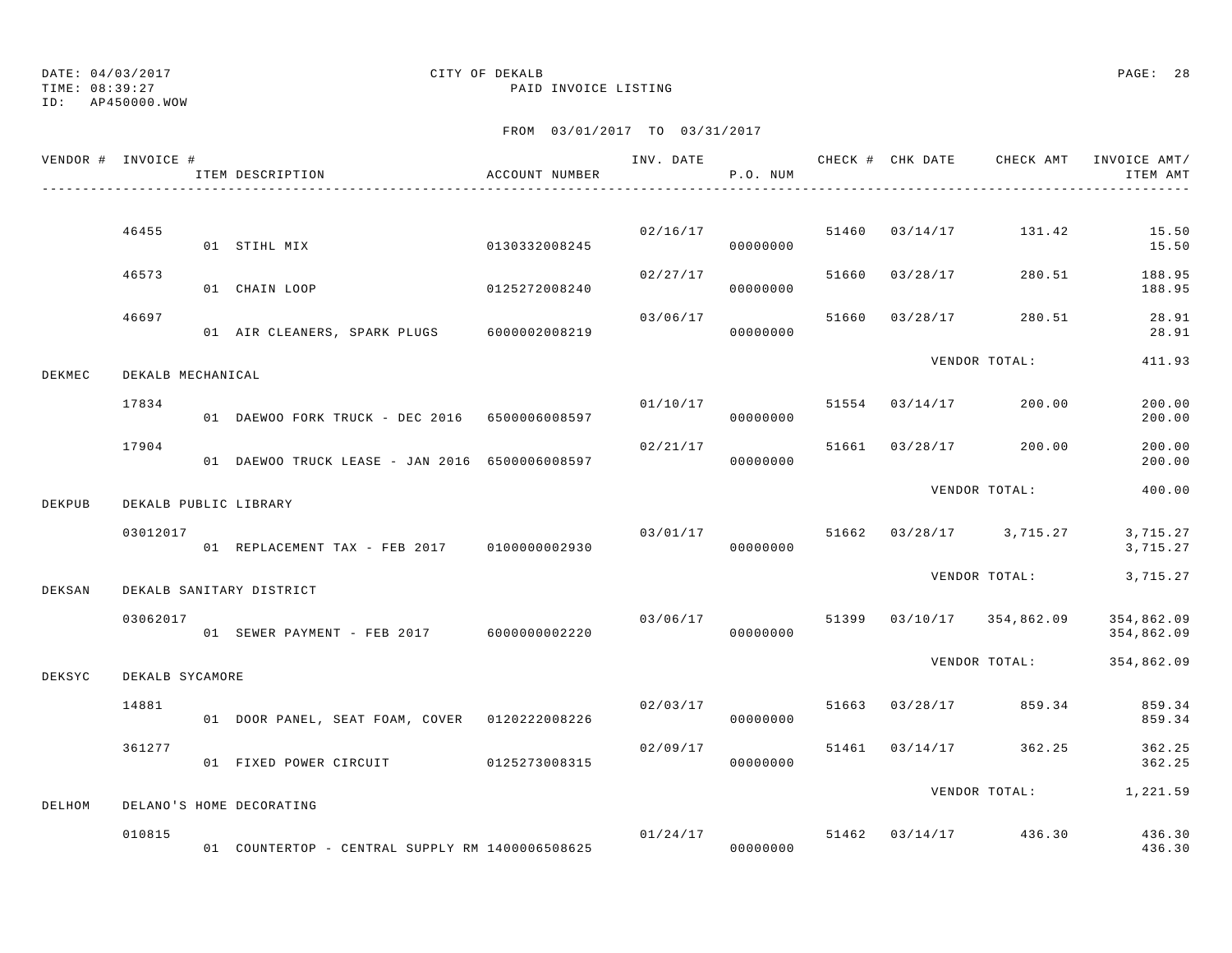TIME: 08:39:27 PAID INVOICE LISTING

ID: AP450000.WOW

|        | VENDOR # INVOICE # | ITEM DESCRIPTION                                | ACCOUNT NUMBER |          | P.O. NUM             |       |                                    | ITEM AMT                 |
|--------|--------------------|-------------------------------------------------|----------------|----------|----------------------|-------|------------------------------------|--------------------------|
|        |                    |                                                 |                |          |                      |       |                                    |                          |
|        | 46455              | 0130332008245<br>01 STIHL MIX                   |                |          | 02/16/17<br>00000000 | 51460 | 03/14/17 131.42                    | 15.50<br>15.50           |
|        | 46573              | 01 CHAIN LOOP                                   | 0125272008240  | 02/27/17 | 00000000             |       | 51660 03/28/17 280.51              | 188.95<br>188.95         |
|        | 46697              | 01 AIR CLEANERS, SPARK PLUGS 6000002008219      |                | 03/06/17 | 00000000             |       | 51660 03/28/17 280.51              | 28.91<br>28.91           |
| DEKMEC | DEKALB MECHANICAL  |                                                 |                |          |                      |       | VENDOR TOTAL:                      | 411.93                   |
|        | 17834              | 01 DAEWOO FORK TRUCK - DEC 2016 6500006008597   |                | 01/10/17 | 00000000             |       | 51554 03/14/17 200.00              | 200.00<br>200.00         |
|        | 17904              | 01 DAEWOO TRUCK LEASE - JAN 2016 6500006008597  |                | 02/21/17 | 00000000             |       | 51661 03/28/17 200.00              | 200.00<br>200.00         |
| DEKPUB |                    | DEKALB PUBLIC LIBRARY                           |                |          |                      |       | VENDOR TOTAL:                      | 400.00                   |
|        | 03012017           | 01 REPLACEMENT TAX - FEB 2017 0100000002930     |                |          | 00000000             |       | $03/01/17$ 51662 03/28/17 3,715.27 | 3,715.27<br>3,715.27     |
| DEKSAN |                    | DEKALB SANITARY DISTRICT                        |                |          |                      |       | VENDOR TOTAL:                      | 3,715.27                 |
|        | 03062017           | 01 SEWER PAYMENT - FEB 2017 6000000002220       |                | 03/06/17 | 00000000             |       | 51399 03/10/17 354,862.09          | 354,862.09<br>354,862.09 |
| DEKSYC | DEKALB SYCAMORE    |                                                 |                |          |                      |       | VENDOR TOTAL:                      | 354,862.09               |
|        | 14881              | 01 DOOR PANEL, SEAT FOAM, COVER 0120222008226   |                | 02/03/17 | 00000000             |       | 51663 03/28/17 859.34              | 859.34<br>859.34         |
|        | 361277             | 01 FIXED POWER CIRCUIT 0125273008315            |                | 02/09/17 | 00000000             |       | 51461 03/14/17 362.25              | 362.25<br>362.25         |
| DELHOM |                    | DELANO'S HOME DECORATING                        |                |          |                      |       | VENDOR TOTAL: 1,221.59             |                          |
|        | 010815             | 01 COUNTERTOP - CENTRAL SUPPLY RM 1400006508625 |                | 01/24/17 | 00000000             |       | 51462 03/14/17 436.30              | 436.30<br>436.30         |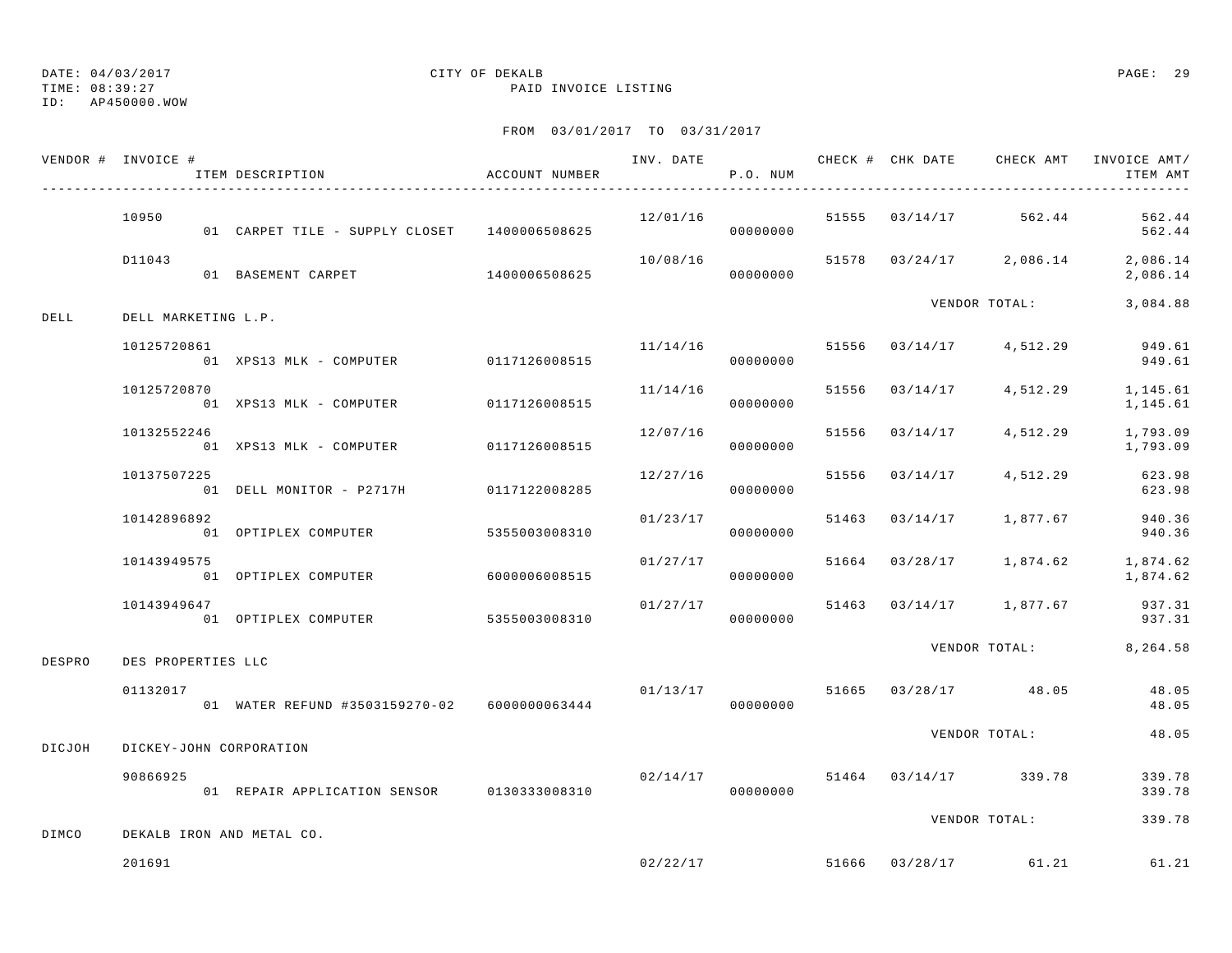TIME: 08:39:27 PAID INVOICE LISTING

ID: AP450000.WOW

|        | VENDOR # INVOICE #  | ITEM DESCRIPTION                             | ACCOUNT NUMBER |               |          | P.O. NUM  |                | INV. DATE 6 . CHECK # CHK DATE CHECK AMT INVOICE AMT/ | ITEM AMT                  |
|--------|---------------------|----------------------------------------------|----------------|---------------|----------|-----------|----------------|-------------------------------------------------------|---------------------------|
|        | 10950               | 01 CARPET TILE - SUPPLY CLOSET 1400006508625 |                |               |          | 00000000  |                | 12/01/16 51555 03/14/17 562.44                        | 562.44<br>562.44          |
|        | D11043              | 01 BASEMENT CARPET 1400006508625             |                |               | 10/08/16 | 00000000  |                | $51578$ $03/24/17$ $2,086.14$ $2,086.14$              | 2,086.14                  |
| DELL   | DELL MARKETING L.P. |                                              |                |               |          |           |                | VENDOR TOTAL: 3,084.88                                |                           |
|        | 10125720861         | 01 XPS13 MLK - COMPUTER 0117126008515        |                |               | 11/14/16 | 00000000  |                | 51556 03/14/17 4,512.29                               | 949.61<br>949.61          |
|        | 10125720870         | 01 XPS13 MLK - COMPUTER 0117126008515        |                |               | 11/14/16 | 00000000  |                | 51556 03/14/17 4,512.29                               | 1,145.61<br>1,145.61      |
|        | 10132552246         | 01 XPS13 MLK - COMPUTER 0117126008515        |                |               | 12/07/16 | 00000000  |                | 51556 03/14/17 4,512.29                               | 1,793.09<br>1,793.09      |
|        | 10137507225         | 01 DELL MONITOR - P2717H 0117122008285       |                |               | 12/27/16 | 00000000  | 51556 03/14/17 |                                                       | 4,512.29 623.98<br>623.98 |
|        | 10142896892         | 01 OPTIPLEX COMPUTER                         | 5355003008310  |               | 01/23/17 | 00000000  |                | 51463 03/14/17 1,877.67                               | 940.36<br>940.36          |
|        | 10143949575         | 01 OPTIPLEX COMPUTER                         |                | 6000006008515 | 01/27/17 | 00000000  |                | 51664 03/28/17 1,874.62 1,874.62                      | 1,874.62                  |
|        | 10143949647         | 01 OPTIPLEX COMPUTER 5355003008310           |                |               | 01/27/17 | 00000000  |                | 51463 03/14/17 1,877.67                               | 937.31<br>937.31          |
| DESPRO | DES PROPERTIES LLC  |                                              |                |               |          |           |                | VENDOR TOTAL: 8,264.58                                |                           |
|        | 01132017            | 01 WATER REFUND #3503159270-02 6000000063444 |                |               | 00000000 |           |                | $01/13/17$ 51665 03/28/17 48.05                       | 48.05<br>48.05            |
| DICJOH |                     | DICKEY-JOHN CORPORATION                      |                |               |          |           |                | VENDOR TOTAL:                                         | 48.05                     |
|        | 90866925            | 01 REPAIR APPLICATION SENSOR 0130333008310   |                |               | 02/14/17 | 000000000 |                | 51464 03/14/17 339.78                                 | 339.78<br>339.78          |
| DIMCO  |                     | DEKALB IRON AND METAL CO.                    |                |               |          |           |                | VENDOR TOTAL:                                         | 339.78                    |
|        | 201691              |                                              |                |               |          |           |                | $02/22/17$ 51666 03/28/17 61.21                       | 61.21                     |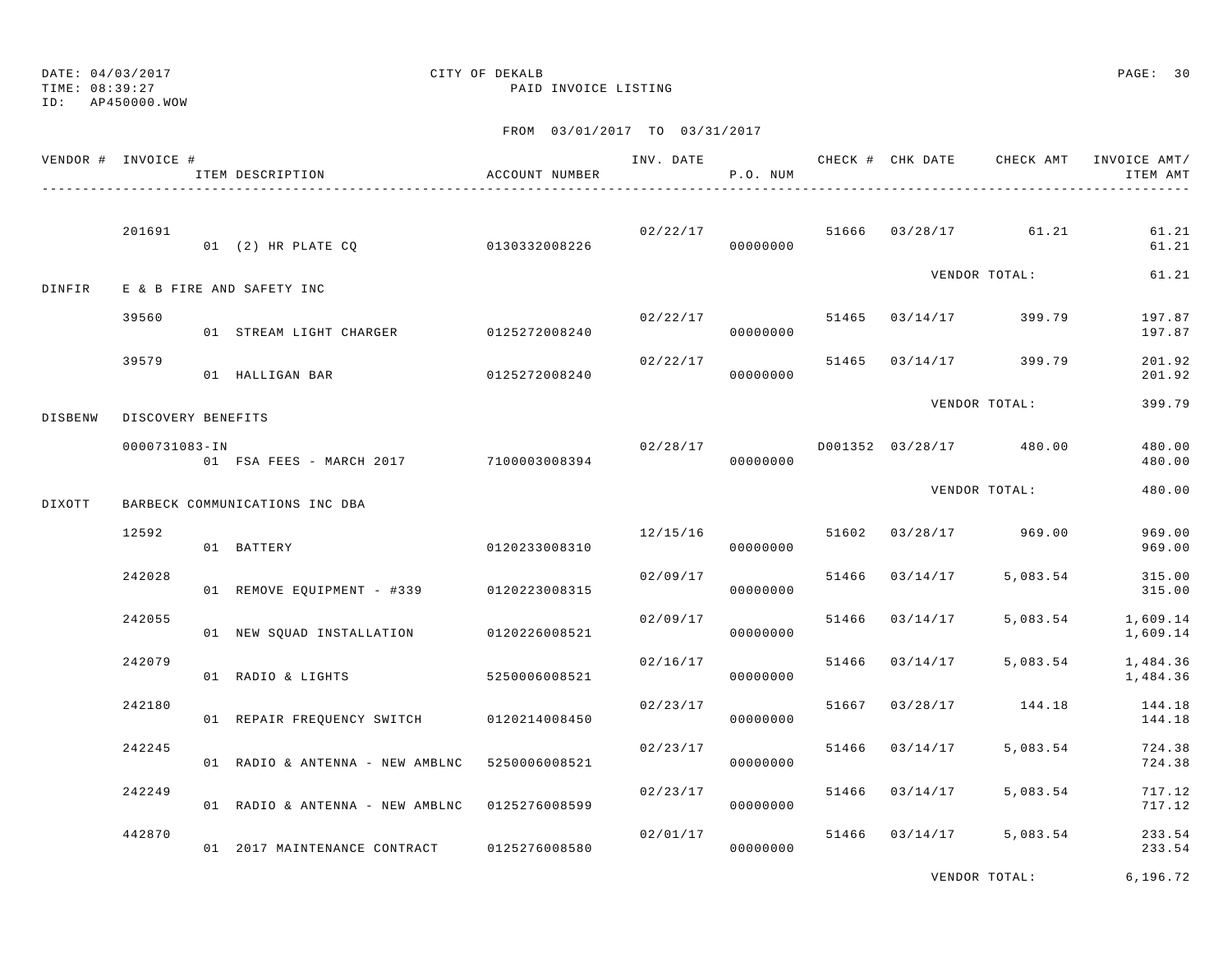TIME: 08:39:27 PAID INVOICE LISTING

ID: AP450000.WOW

### FROM 03/01/2017 TO 03/31/2017

| VENDOR # INVOICE # |                    | ITEM DESCRIPTION                              | ACCOUNT NUMBER |          | P.O. NUM             |       |                |                                  | INV. DATE 6 CHECK # CHK DATE CHECK AMT INVOICE AMT/<br>ITEM AMT |
|--------------------|--------------------|-----------------------------------------------|----------------|----------|----------------------|-------|----------------|----------------------------------|-----------------------------------------------------------------|
|                    | 201691             | 01 (2) HR PLATE CO                            | 0130332008226  |          | 00000000             |       |                | $02/22/17$ 51666 03/28/17 61.21  | 61.21<br>61.21                                                  |
| DINFIR             |                    | E & B FIRE AND SAFETY INC                     |                |          |                      |       |                | VENDOR TOTAL:                    | 61.21                                                           |
|                    | 39560              | 01 STREAM LIGHT CHARGER 0125272008240         |                |          | 00000000             |       |                | $02/22/17$ 51465 03/14/17 399.79 | 197.87<br>197.87                                                |
|                    | 39579              | 01 HALLIGAN BAR                               | 0125272008240  | 02/22/17 | 00000000             |       |                | 51465 03/14/17 399.79            | 201.92<br>201.92                                                |
| DISBENW            | DISCOVERY BENEFITS |                                               |                |          |                      |       |                | VENDOR TOTAL:                    | 399.79                                                          |
|                    | 0000731083-IN      | 01 FSA FEES - MARCH 2017 100003008394         |                | 02/28/17 | 00000000             |       |                | D001352 03/28/17 480.00          | 480.00<br>480.00                                                |
| DIXOTT             |                    | BARBECK COMMUNICATIONS INC DBA                |                |          |                      |       |                | VENDOR TOTAL:                    | 480.00                                                          |
|                    | 12592              | 01 BATTERY                                    | 0120233008310  | 12/15/16 | 00000000             |       |                | 51602 03/28/17 969.00            | 969.00<br>969.00                                                |
|                    | 242028             | 01 REMOVE EQUIPMENT - #339 0120223008315      |                | 02/09/17 | 00000000             |       | 51466 03/14/17 | 5,083.54                         | 315.00<br>315.00                                                |
|                    | 242055             | 01 NEW SQUAD INSTALLATION 0120226008521       |                | 02/09/17 | 00000000             |       | 51466 03/14/17 | 5,083.54                         | 1,609.14<br>1,609.14                                            |
|                    | 242079             | 01 RADIO & LIGHTS                             | 5250006008521  | 02/16/17 | 00000000             | 51466 | 03/14/17       | 5,083.54                         | 1,484.36<br>1,484.36                                            |
|                    | 242180             | 01 REPAIR FREQUENCY SWITCH 0120214008450      |                | 02/23/17 | 00000000             | 51667 |                | 03/28/17 144.18                  | 144.18<br>144.18                                                |
|                    | 242245             | 01 RADIO & ANTENNA - NEW AMBLNC               | 5250006008521  | 02/23/17 | 00000000             | 51466 | 03/14/17       | 5,083.54                         | 724.38<br>724.38                                                |
|                    | 242249             | 01 RADIO & ANTENNA - NEW AMBLNC 0125276008599 |                | 02/23/17 | 00000000             |       | 51466 03/14/17 | 5,083.54                         | 717.12<br>717.12                                                |
|                    | 442870             | 01 2017 MAINTENANCE CONTRACT                  | 0125276008580  |          | 02/01/17<br>00000000 |       | 51466 03/14/17 | 5,083.54                         | 233.54<br>233.54                                                |

VENDOR TOTAL: 6,196.72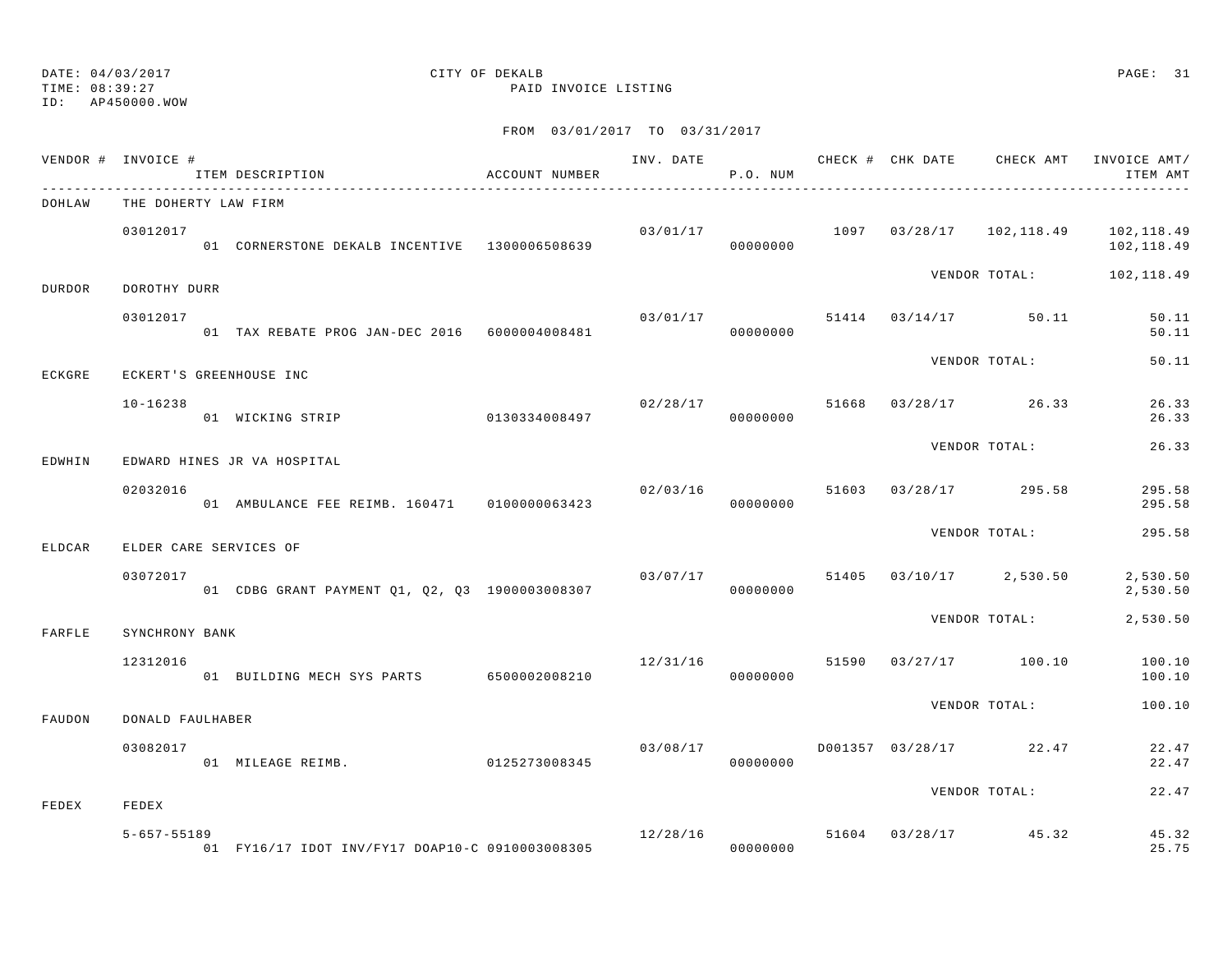TIME: 08:39:27 PAID INVOICE LISTING

ID: AP450000.WOW

| VENDOR # INVOICE # |                   | ITEM DESCRIPTION                                | ACCOUNT NUMBER |          | P.O. NUM |  |                                  | INV. DATE 6 CHECK # CHK DATE CHECK AMT INVOICE AMT/<br>ITEM AMT |
|--------------------|-------------------|-------------------------------------------------|----------------|----------|----------|--|----------------------------------|-----------------------------------------------------------------|
| DOHLAW             |                   | THE DOHERTY LAW FIRM                            |                |          |          |  |                                  |                                                                 |
|                    | 03012017          | 01 CORNERSTONE DEKALB INCENTIVE 1300006508639   |                | 03/01/17 |          |  |                                  | 1097 03/28/17 102,118.49 102,118.49<br>102,118.49               |
| <b>DURDOR</b>      | DOROTHY DURR      |                                                 |                |          |          |  |                                  | VENDOR TOTAL: 102,118.49                                        |
|                    | 03012017          | 01 TAX REBATE PROG JAN-DEC 2016 6000004008481   |                | 03/01/17 | 00000000 |  | 51414 03/14/17 50.11             | 50.11<br>50.11                                                  |
| ECKGRE             |                   | ECKERT'S GREENHOUSE INC                         |                |          |          |  | VENDOR TOTAL:                    | 50.11                                                           |
|                    | $10 - 16238$      | 01 WICKING STRIP 0130334008497                  |                |          | 00000000 |  | $02/28/17$ 51668 03/28/17 26.33  | 26.33<br>26.33                                                  |
| EDWHIN             |                   | EDWARD HINES JR VA HOSPITAL                     |                |          |          |  | VENDOR TOTAL:                    | 26.33                                                           |
|                    | 02032016          | 01 AMBULANCE FEE REIMB. 160471   0100000063423  |                | 02/03/16 | 00000000 |  | 51603 03/28/17 295.58            | 295.58<br>295.58                                                |
| ELDCAR             |                   | ELDER CARE SERVICES OF                          |                |          |          |  | VENDOR TOTAL:                    | 295.58                                                          |
|                    | 03072017          | 01 CDBG GRANT PAYMENT Q1, Q2, Q3 1900003008307  |                | 03/07/17 | 00000000 |  | 51405 03/10/17 2,530.50          | 2,530.50<br>2,530.50                                            |
| FARFLE             | SYNCHRONY BANK    |                                                 |                |          |          |  | VENDOR TOTAL:                    | 2,530.50                                                        |
|                    | 12312016          | 01 BUILDING MECH SYS PARTS 6500002008210        |                |          | 00000000 |  | $12/31/16$ 51590 03/27/17 100.10 | 100.10<br>100.10                                                |
| FAUDON             | DONALD FAULHABER  |                                                 |                |          |          |  | VENDOR TOTAL:                    | 100.10                                                          |
|                    | 03082017          | 01 MILEAGE REIMB. 0125273008345                 |                | 03/08/17 | 00000000 |  | D001357 03/28/17 22.47           | 22.47<br>22.47                                                  |
| FEDEX              | FEDEX             |                                                 |                |          |          |  | VENDOR TOTAL:                    | 22.47                                                           |
|                    | $5 - 657 - 55189$ | 01 FY16/17 IDOT INV/FY17 DOAP10-C 0910003008305 |                |          | 00000000 |  | 12/28/16 51604 03/28/17 45.32    | 45.32<br>25.75                                                  |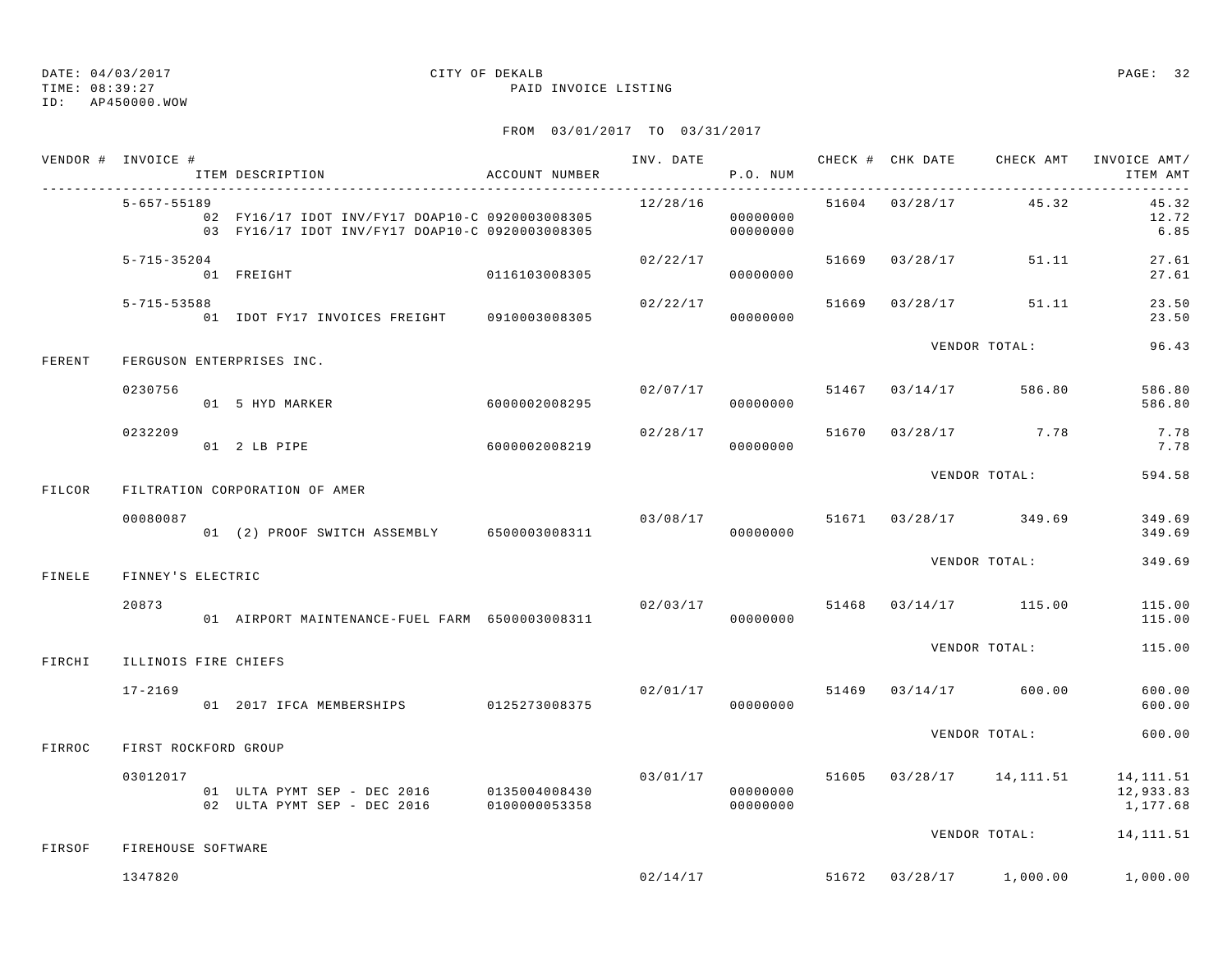TIME: 08:39:27 PAID INVOICE LISTING

ID: AP450000.WOW

|        | VENDOR # INVOICE #   | ITEM DESCRIPTION                                                                                   | ACCOUNT NUMBER            |                                | P.O. NUM             |  |                       | INV. DATE 6 CHECK # CHK DATE CHECK AMT INVOICE AMT/<br>ITEM AMT          |
|--------|----------------------|----------------------------------------------------------------------------------------------------|---------------------------|--------------------------------|----------------------|--|-----------------------|--------------------------------------------------------------------------|
|        | 5-657-55189          | 02 FY16/17 IDOT INV/FY17 DOAP10-C 0920003008305<br>03 FY16/17 IDOT INV/FY17 DOAP10-C 0920003008305 |                           | 12/28/16                       | 00000000<br>00000000 |  | 51604 03/28/17 45.32  | 45.32<br>12.72<br>6.85                                                   |
|        | $5 - 715 - 35204$    | 0116103008305<br>01 FREIGHT                                                                        |                           | 02/22/17                       | 00000000             |  | 51669 03/28/17 51.11  | 27.61<br>27.61                                                           |
|        | 5-715-53588          | 01 IDOT FY17 INVOICES FREIGHT 0910003008305                                                        |                           | 02/22/17                       | 00000000             |  | 51669 03/28/17 51.11  | 23.50<br>23.50                                                           |
| FERENT |                      | FERGUSON ENTERPRISES INC.                                                                          |                           |                                |                      |  | VENDOR TOTAL:         | 96.43                                                                    |
|        | 0230756              | 01 5 HYD MARKER                                                                                    | 6000002008295             | 02/07/17                       | 00000000             |  | 51467 03/14/17 586.80 | 586.80<br>586.80                                                         |
|        | 0232209              | $01$ 2 LB PIPE                                                                                     | $6000002008219$ 000000000 | 02/28/17                       |                      |  | 51670 03/28/17 7.78   | 7.78<br>7.78                                                             |
| FILCOR |                      | FILTRATION CORPORATION OF AMER                                                                     |                           |                                |                      |  | VENDOR TOTAL:         | 594.58                                                                   |
|        | 00080087             | 01 (2) PROOF SWITCH ASSEMBLY 6500003008311                                                         |                           | 03/08/17                       | 00000000             |  | 51671 03/28/17 349.69 | 349.69<br>349.69                                                         |
| FINELE | FINNEY'S ELECTRIC    |                                                                                                    |                           |                                |                      |  | VENDOR TOTAL:         | 349.69                                                                   |
|        | 20873                | 01 AIRPORT MAINTENANCE-FUEL FARM 6500003008311                                                     |                           | 02/03/17                       | 00000000             |  | 51468 03/14/17 115.00 | 115.00<br>115.00                                                         |
| FIRCHI | ILLINOIS FIRE CHIEFS |                                                                                                    |                           |                                |                      |  | VENDOR TOTAL:         | 115.00                                                                   |
|        | $17 - 2169$          | 01 2017 IFCA MEMBERSHIPS 0125273008375                                                             |                           | 02/01/17 51469 03/14/17 600.00 | 00000000             |  |                       | 600.00<br>600.00                                                         |
| FIRROC | FIRST ROCKFORD GROUP |                                                                                                    |                           |                                |                      |  | VENDOR TOTAL:         | 600.00                                                                   |
|        | 03012017             | 01 ULTA PYMT SEP - DEC 2016 0135004008430<br>02 ULTA PYMT SEP - DEC 2016 0100000053358             |                           |                                | 00000000<br>00000000 |  |                       | $03/01/17$ 51605 $03/28/17$ 14,111.51 14,111.51<br>12,933.83<br>1,177.68 |
| FIRSOF | FIREHOUSE SOFTWARE   |                                                                                                    |                           |                                |                      |  | VENDOR TOTAL:         | 14,111.51                                                                |
|        | 1347820              |                                                                                                    |                           |                                |                      |  |                       | $02/14/17$ $51672$ $03/28/17$ $1,000.00$ $1,000.00$                      |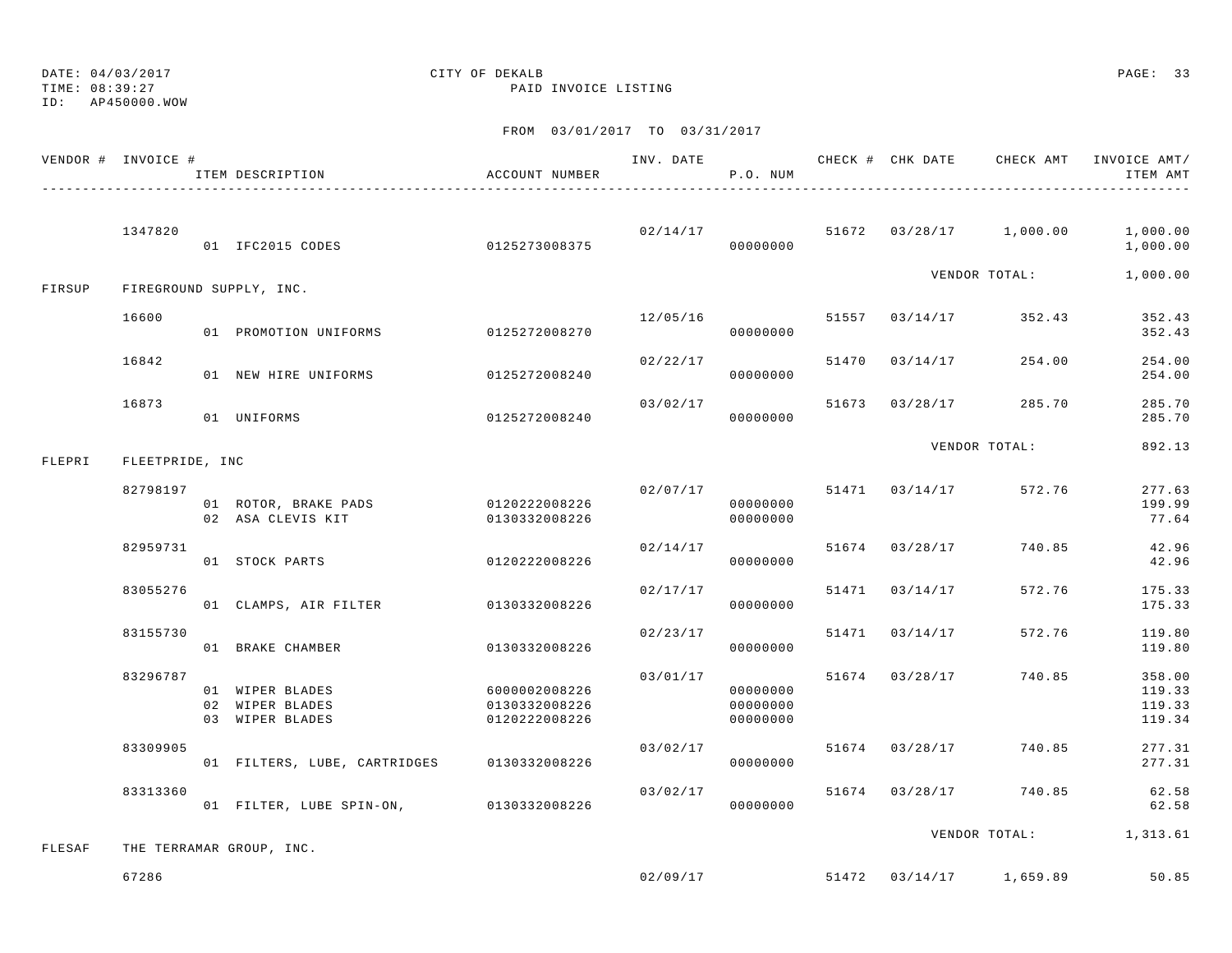TIME: 08:39:27 PAID INVOICE LISTING

ID: AP450000.WOW

|        | VENDOR # INVOICE # | ITEM DESCRIPTION                                      | ACCOUNT NUMBER                                  |                      | P.O. NUM                         |                |                           | INV. DATE 6 CHECK # CHK DATE CHECK AMT INVOICE AMT/<br>ITEM AMT |
|--------|--------------------|-------------------------------------------------------|-------------------------------------------------|----------------------|----------------------------------|----------------|---------------------------|-----------------------------------------------------------------|
|        | 1347820            | 01 IFC2015 CODES 0125273008375                        |                                                 | 02/14/17<br>00000000 |                                  |                | 51672 03/28/17 1,000.00   | 1,000.00<br>1,000.00                                            |
| FIRSUP |                    | FIREGROUND SUPPLY, INC.                               |                                                 |                      |                                  |                | VENDOR TOTAL:             | 1,000.00                                                        |
|        | 16600              | 01 PROMOTION UNIFORMS                                 | 0125272008270                                   | 12/05/16             | 00000000                         |                | 51557 03/14/17 352.43     | 352.43<br>352.43                                                |
|        | 16842              | 01 NEW HIRE UNIFORMS                                  | 0125272008240                                   | 02/22/17             | 00000000                         | 51470 03/14/17 | 254.00                    | 254.00<br>254.00                                                |
|        | 16873              | 01 UNIFORMS                                           | 0125272008240                                   | 03/02/17             | 00000000                         |                | 51673 03/28/17 285.70     | 285.70<br>285.70                                                |
| FLEPRI | FLEETPRIDE, INC    |                                                       |                                                 |                      |                                  |                | VENDOR TOTAL:             | 892.13                                                          |
|        | 82798197           | 01 ROTOR, BRAKE PADS<br>02 ASA CLEVIS KIT             | 0120222008226<br>0130332008226                  | 02/07/17             | 00000000<br>00000000             | 51471 03/14/17 | 572.76                    | 277.63<br>199.99<br>77.64                                       |
|        | 82959731           | 01 STOCK PARTS                                        | 0120222008226                                   | 02/14/17             | 00000000                         | 51674 03/28/17 | 740.85                    | 42.96<br>42.96                                                  |
|        | 83055276           | 01 CLAMPS, AIR FILTER                                 | 0130332008226                                   | 02/17/17             | 00000000                         | 51471 03/14/17 | 572.76                    | 175.33<br>175.33                                                |
|        | 83155730           | 01 BRAKE CHAMBER                                      | 0130332008226                                   | 02/23/17             | 00000000                         | 51471 03/14/17 | 572.76                    | 119.80<br>119.80                                                |
|        | 83296787           | 01 WIPER BLADES<br>02 WIPER BLADES<br>03 WIPER BLADES | 6000002008226<br>0130332008226<br>0120222008226 | 03/01/17             | 00000000<br>00000000<br>00000000 | 51674 03/28/17 | 740.85                    | 358.00<br>119.33<br>119.33<br>119.34                            |
|        | 83309905           | 01 FILTERS, LUBE, CARTRIDGES 0130332008226            |                                                 | 03/02/17             | 00000000                         | 51674 03/28/17 | 740.85                    | 277.31<br>277.31                                                |
|        | 83313360           | 01 FILTER, LUBE SPIN-ON, 0130332008226                |                                                 | 03/02/17             | 00000000                         |                | 51674 03/28/17 740.85     | 62.58<br>62.58                                                  |
| FLESAF |                    | THE TERRAMAR GROUP, INC.                              |                                                 |                      |                                  |                |                           | VENDOR TOTAL: 1,313.61                                          |
|        | 67286              |                                                       |                                                 | 02/09/17             |                                  |                | $51472$ 03/14/17 1,659.89 | 50.85                                                           |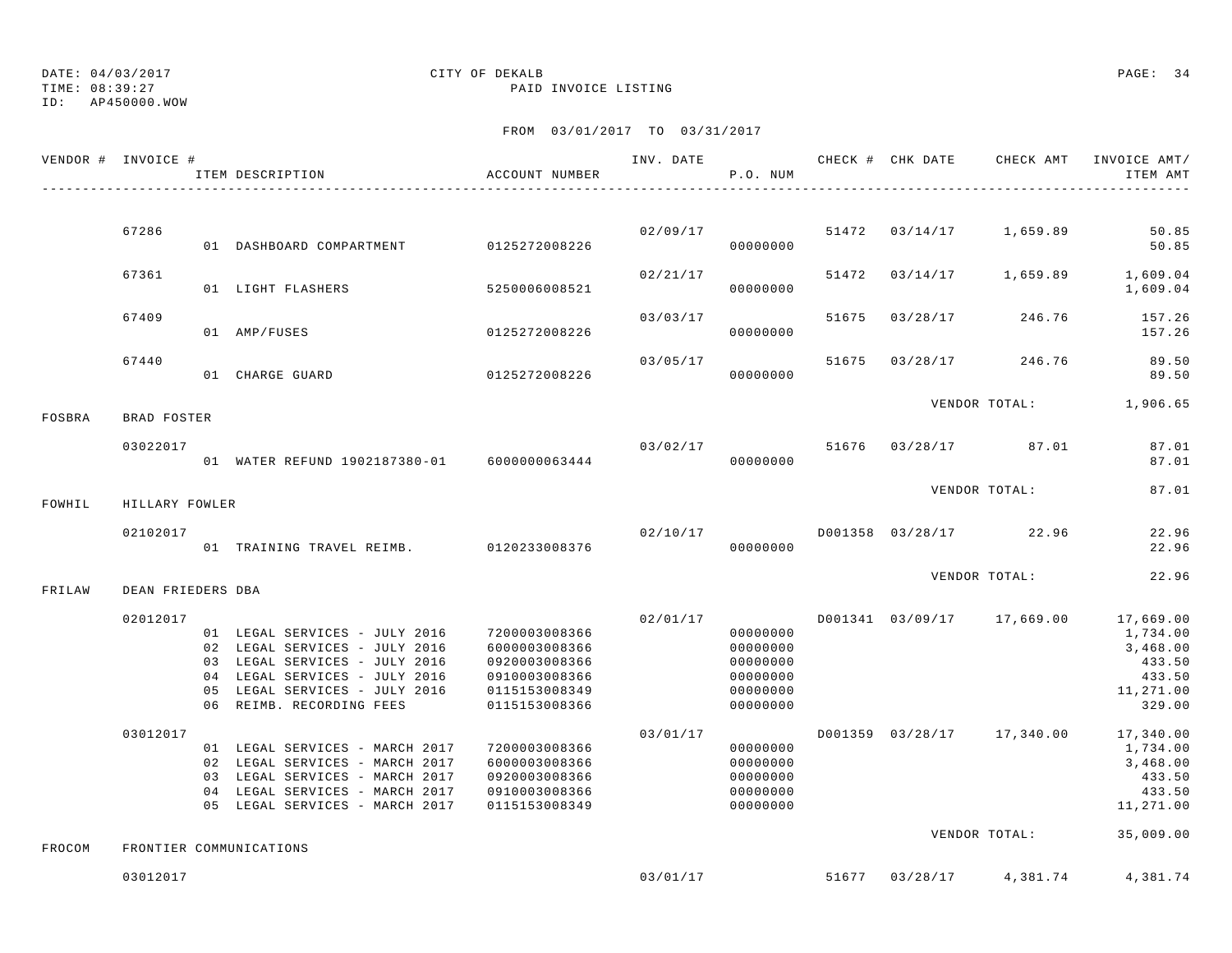ID: AP450000.WOW

### TIME: 08:39:27 PAID INVOICE LISTING

|        | VENDOR # INVOICE # | ITEM DESCRIPTION                                                                                                                                                                              | ACCOUNT NUMBER                                                                                     | INV. DATE | P.O. NUM                                                             |       |                | CHECK # CHK DATE CHECK AMT | INVOICE AMT/<br>ITEM AMT                                                                      |
|--------|--------------------|-----------------------------------------------------------------------------------------------------------------------------------------------------------------------------------------------|----------------------------------------------------------------------------------------------------|-----------|----------------------------------------------------------------------|-------|----------------|----------------------------|-----------------------------------------------------------------------------------------------|
|        |                    |                                                                                                                                                                                               |                                                                                                    |           |                                                                      |       |                |                            |                                                                                               |
|        | 67286              | 01 DASHBOARD COMPARTMENT 0125272008226                                                                                                                                                        |                                                                                                    | 02/09/17  | 00000000                                                             |       | 51472 03/14/17 | 1,659.89                   | 50.85<br>50.85                                                                                |
|        | 67361              | 01 LIGHT FLASHERS                                                                                                                                                                             | 5250006008521                                                                                      | 02/21/17  | 00000000                                                             |       |                |                            | 51472 03/14/17 1,659.89 1,609.04<br>1,609.04                                                  |
|        | 67409              | 01 AMP/FUSES                                                                                                                                                                                  | 0125272008226                                                                                      | 03/03/17  | 00000000                                                             |       |                | 51675 03/28/17 246.76      | 157.26<br>157.26                                                                              |
|        | 67440              | 01 CHARGE GUARD                                                                                                                                                                               | 0125272008226                                                                                      | 03/05/17  | 00000000                                                             | 51675 | 03/28/17       | 246.76                     | 89.50<br>89.50                                                                                |
| FOSBRA | BRAD FOSTER        |                                                                                                                                                                                               |                                                                                                    |           |                                                                      |       |                |                            | VENDOR TOTAL: 1,906.65                                                                        |
|        |                    |                                                                                                                                                                                               |                                                                                                    |           |                                                                      |       |                |                            |                                                                                               |
|        | 03022017           | 01 WATER REFUND 1902187380-01 6000000063444                                                                                                                                                   |                                                                                                    |           | 03/02/17<br>00000000                                                 |       |                | 51676 03/28/17 87.01       | 87.01<br>87.01                                                                                |
| FOWHIL | HILLARY FOWLER     |                                                                                                                                                                                               |                                                                                                    |           |                                                                      |       |                | VENDOR TOTAL:              | 87.01                                                                                         |
|        |                    |                                                                                                                                                                                               |                                                                                                    |           |                                                                      |       |                |                            |                                                                                               |
|        | 02102017           | 01 TRAINING TRAVEL REIMB. 0120233008376                                                                                                                                                       |                                                                                                    | 02/10/17  | 00000000                                                             |       |                | D001358 03/28/17 22.96     | 22.96<br>22.96                                                                                |
|        |                    |                                                                                                                                                                                               |                                                                                                    |           |                                                                      |       |                | VENDOR TOTAL:              | 22.96                                                                                         |
| FRILAW | DEAN FRIEDERS DBA  |                                                                                                                                                                                               |                                                                                                    |           |                                                                      |       |                |                            |                                                                                               |
|        | 02012017           | 01 LEGAL SERVICES - JULY 2016<br>02 LEGAL SERVICES - JULY 2016<br>03 LEGAL SERVICES - JULY 2016<br>04 LEGAL SERVICES - JULY 2016<br>05 LEGAL SERVICES - JULY 2016<br>06 REIMB. RECORDING FEES | 7200003008366<br>6000003008366<br>0920003008366<br>0910003008366<br>0115153008349<br>0115153008366 | 02/01/17  | 00000000<br>00000000<br>00000000<br>00000000<br>00000000<br>00000000 |       |                | D001341 03/09/17 17,669.00 | 17,669.00<br>1,734.00<br>3,468.00<br>433.50<br>433.50<br>11,271.00<br>329.00                  |
|        | 03012017           | 01 LEGAL SERVICES - MARCH 2017<br>02 LEGAL SERVICES - MARCH 2017<br>03 LEGAL SERVICES - MARCH 2017<br>04 LEGAL SERVICES - MARCH 2017<br>05 LEGAL SERVICES - MARCH 2017                        | 7200003008366<br>6000003008366<br>0920003008366<br>0910003008366<br>0115153008349                  | 03/01/17  | 00000000<br>00000000<br>00000000<br>00000000<br>00000000             |       |                |                            | D001359 03/28/17 17,340.00 17,340.00<br>1,734.00<br>3,468.00<br>433.50<br>433.50<br>11,271.00 |
| FROCOM |                    | FRONTIER COMMUNICATIONS                                                                                                                                                                       |                                                                                                    |           |                                                                      |       |                | VENDOR TOTAL:              | 35,009.00                                                                                     |
|        | 03012017           |                                                                                                                                                                                               |                                                                                                    | 03/01/17  |                                                                      |       | 51677 03/28/17 | 4,381.74                   | 4,381.74                                                                                      |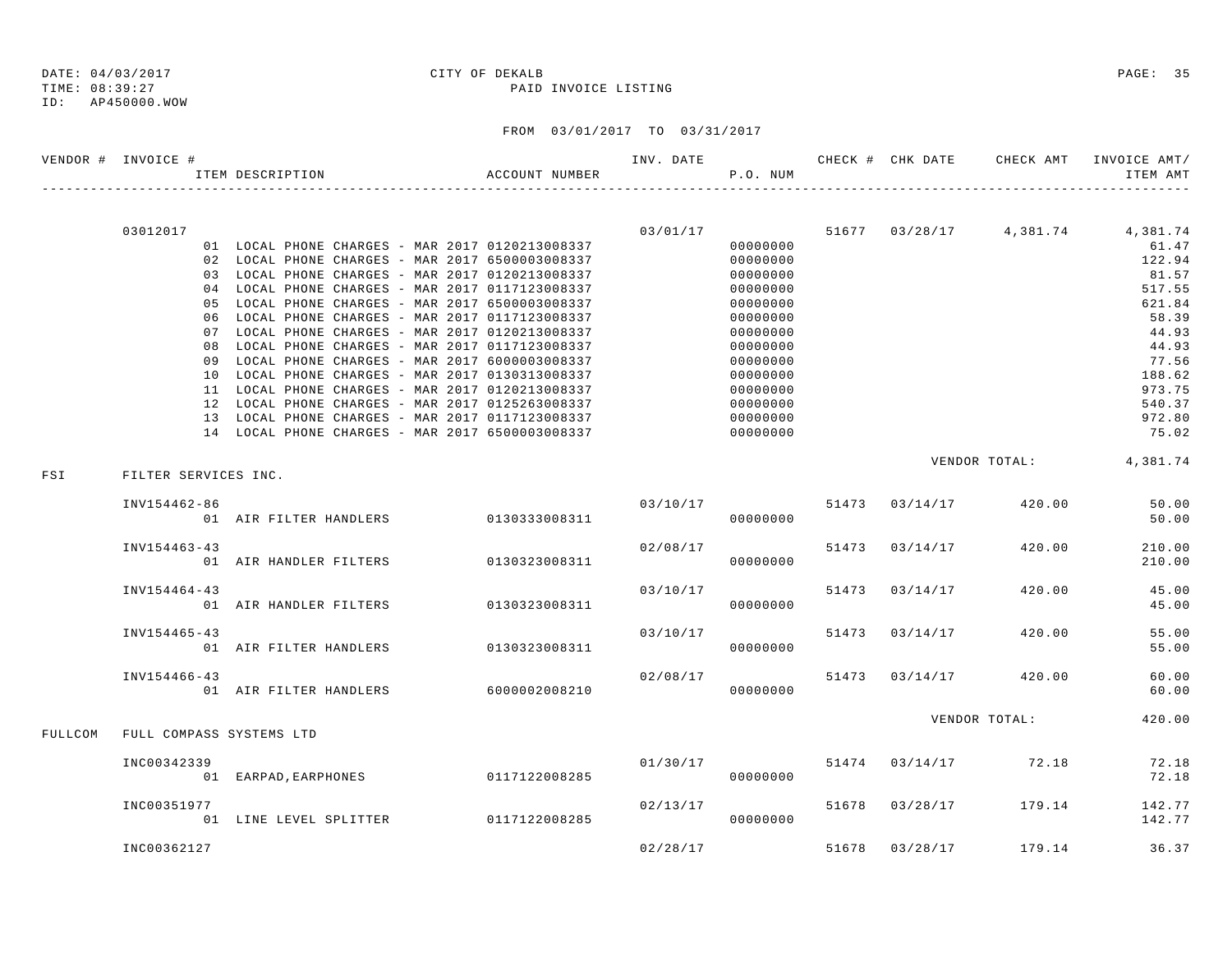### TIME: 08:39:27 PAID INVOICE LISTING

|         | VENDOR # INVOICE #       | ITEM DESCRIPTION                                 | ACCOUNT NUMBER |             | P.O. NUM |       |                       | ITEM AMT                                  |
|---------|--------------------------|--------------------------------------------------|----------------|-------------|----------|-------|-----------------------|-------------------------------------------|
|         |                          |                                                  |                |             |          |       |                       |                                           |
|         | 03012017                 | 01 LOCAL PHONE CHARGES - MAR 2017 0120213008337  |                | 03/01/17    | 00000000 |       |                       | 51677 03/28/17 4,381.74 4,381.74<br>61.47 |
|         |                          | 02 LOCAL PHONE CHARGES - MAR 2017 6500003008337  |                |             | 00000000 |       |                       | 122.94                                    |
|         |                          | 03 LOCAL PHONE CHARGES - MAR 2017 0120213008337  |                |             | 00000000 |       |                       | 81.57                                     |
|         |                          | 04 LOCAL PHONE CHARGES - MAR 2017 0117123008337  |                |             | 00000000 |       |                       | 517.55                                    |
|         |                          | 05 LOCAL PHONE CHARGES - MAR 2017 6500003008337  |                |             | 00000000 |       |                       | 621.84                                    |
|         |                          | 06 LOCAL PHONE CHARGES - MAR 2017 0117123008337  |                |             | 00000000 |       |                       | 58.39                                     |
|         |                          | 07 LOCAL PHONE CHARGES - MAR 2017 0120213008337  |                |             | 00000000 |       |                       | 44.93                                     |
|         |                          | 08 LOCAL PHONE CHARGES - MAR 2017 0117123008337  |                |             | 00000000 |       |                       | 44.93                                     |
|         |                          | 09 LOCAL PHONE CHARGES - MAR 2017 6000003008337  |                |             | 00000000 |       |                       | 77.56                                     |
|         |                          | 10 LOCAL PHONE CHARGES - MAR 2017 0130313008337  |                |             | 00000000 |       |                       | 188.62                                    |
|         |                          | 11 LOCAL PHONE CHARGES - MAR 2017 0120213008337  |                |             | 00000000 |       |                       | 973.75                                    |
|         |                          | 12 LOCAL PHONE CHARGES - MAR 2017 0125263008337  |                |             | 00000000 |       |                       | 540.37                                    |
|         |                          | 13 LOCAL PHONE CHARGES - MAR 2017 0117123008337  |                | $000000000$ | 00000000 |       |                       | 972.80                                    |
|         |                          | 14 LOCAL PHONE CHARGES - MAR 2017 6500003008337  |                |             |          |       |                       | 75.02                                     |
| FSI     | FILTER SERVICES INC.     |                                                  |                |             |          |       |                       | VENDOR TOTAL: 4,381.74                    |
|         |                          |                                                  |                |             |          |       |                       |                                           |
|         | INV154462-86             |                                                  |                |             | 03/10/17 |       | 51473 03/14/17 420.00 | 50.00                                     |
|         |                          | 01 AIR FILTER HANDLERS 0130333008311             |                |             | 00000000 |       |                       | 50.00                                     |
|         |                          |                                                  |                |             |          |       |                       |                                           |
|         | INV154463-43             |                                                  |                | 02/08/17    |          | 51473 | 03/14/17 420.00       | 210.00                                    |
|         |                          | 01 AIR HANDLER FILTERS 0130323008311             |                |             | 00000000 |       |                       | 210.00                                    |
|         | INV154464-43             |                                                  |                | 03/10/17    |          | 51473 | $03/14/17$ 420.00     | 45.00                                     |
|         |                          | 01 AIR HANDLER FILTERS 0130323008311             |                |             | 00000000 |       |                       | 45.00                                     |
|         |                          |                                                  |                |             |          |       |                       |                                           |
|         | INV154465-43             |                                                  |                | 03/10/17    |          |       | 51473 03/14/17 420.00 | 55.00                                     |
|         |                          | 01 AIR FILTER HANDLERS 0130323008311             |                |             | 00000000 |       |                       | 55.00                                     |
|         |                          |                                                  |                |             |          |       |                       |                                           |
|         | INV154466-43             | 02/08/17<br>01 AIR FILTER HANDLERS 6000002008210 |                | 02/08/17    |          |       | 51473 03/14/17 420.00 | 60.00                                     |
|         |                          |                                                  |                |             | 00000000 |       |                       | 60.00                                     |
|         |                          |                                                  |                |             |          |       | VENDOR TOTAL:         | 420.00                                    |
| FULLCOM | FULL COMPASS SYSTEMS LTD |                                                  |                |             |          |       |                       |                                           |
|         | INC00342339              |                                                  |                | 01/30/17    |          |       | 51474 03/14/17 72.18  | 72.18                                     |
|         |                          | 01 EARPAD, EARPHONES 0117122008285               |                |             | 00000000 |       |                       | 72.18                                     |
|         |                          |                                                  |                |             |          |       |                       |                                           |
|         | INC00351977              |                                                  |                | 02/13/17    |          |       | 51678 03/28/17 179.14 | 142.77                                    |
|         |                          | <br>01 LINE LEVEL SPLITTER 0117122008285         |                |             | 00000000 |       |                       | 142.77                                    |
|         |                          |                                                  |                |             |          |       |                       |                                           |
|         | INC00362127              |                                                  |                | 02/28/17    |          | 51678 | 03/28/17 179.14       | 36.37                                     |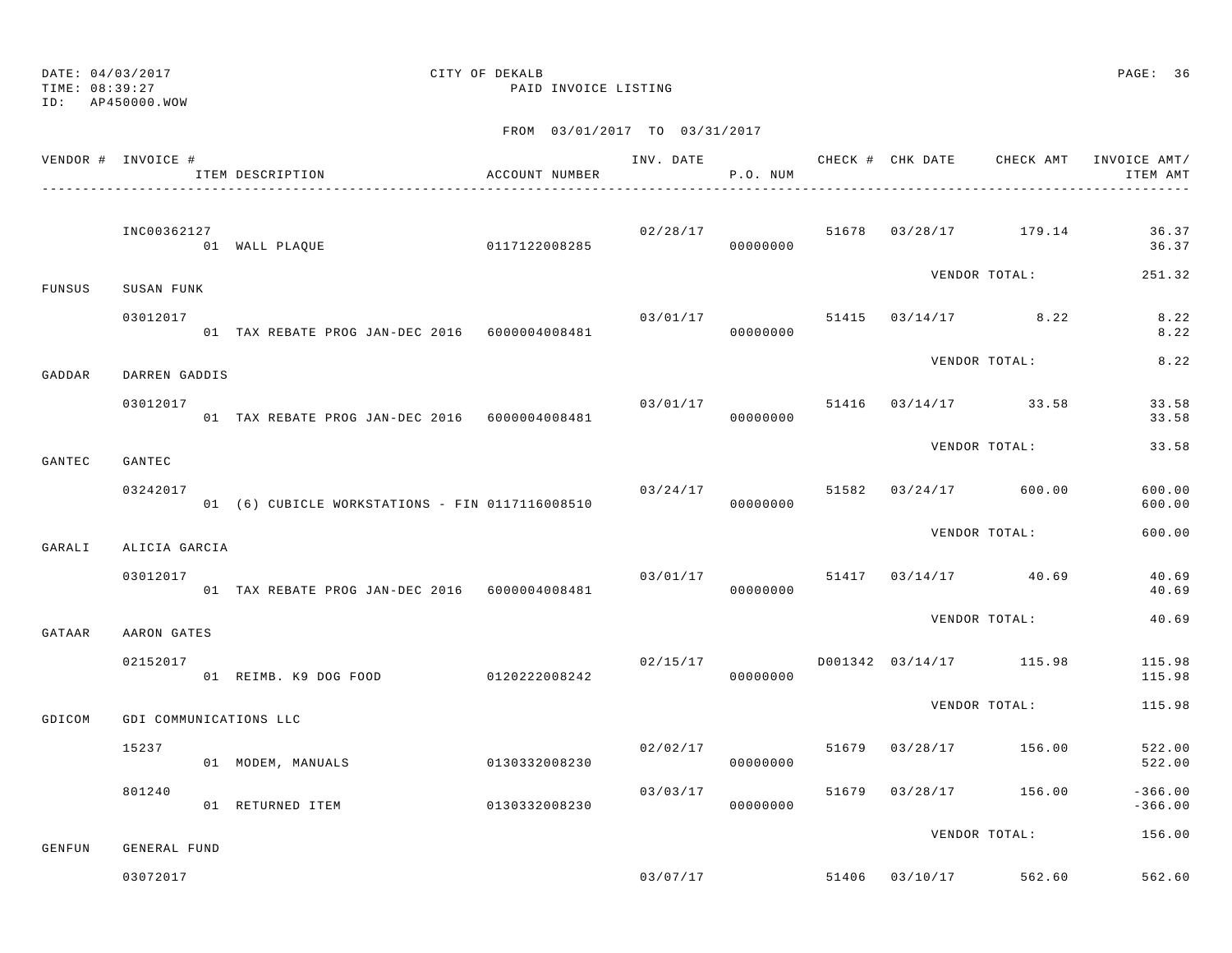DATE: 04/03/2017 CITY OF DEKALB PAGE: 36 TIME: 08:39:27 PAID INVOICE LISTING

ID: AP450000.WOW

|        | VENDOR # INVOICE #     | ITEM DESCRIPTION<br>---------------------------------              | ACCOUNT NUMBER |                                          | P.O. NUM |  |                                         | INV. DATE 6 CHECK # CHK DATE CHECK AMT INVOICE AMT/<br>ITEM AMT |
|--------|------------------------|--------------------------------------------------------------------|----------------|------------------------------------------|----------|--|-----------------------------------------|-----------------------------------------------------------------|
|        | INC00362127            | 0117122008285<br>01 WALL PLAQUE                                    |                |                                          | 00000000 |  | $02/28/17$ 51678 03/28/17 179.14        | 36.37<br>36.37                                                  |
| FUNSUS | SUSAN FUNK             |                                                                    |                |                                          |          |  | VENDOR TOTAL:                           | 251.32                                                          |
|        | 03012017               | 01 TAX REBATE PROG JAN-DEC 2016 6000004008481                      |                |                                          | 00000000 |  | $03/01/17$ 51415 $03/14/17$ 8.22        | 8.22<br>8.22                                                    |
| GADDAR | DARREN GADDIS          |                                                                    |                |                                          |          |  | VENDOR TOTAL:                           | 8.22                                                            |
|        | 03012017               |                                                                    |                |                                          |          |  | $03/01/17$ 51416 $03/14/17$ 33.58       | 33.58<br>33.58                                                  |
| GANTEC | GANTEC                 |                                                                    |                |                                          |          |  | VENDOR TOTAL:                           | 33.58                                                           |
|        | 03242017               | 01 (6) CUBICLE WORKSTATIONS - FIN 0117116008510 000000000 00000000 |                | $03/24/17$ 51582 03/24/17 600.00         |          |  |                                         | 600.00<br>600.00                                                |
| GARALI | ALICIA GARCIA          |                                                                    |                |                                          |          |  | VENDOR TOTAL:                           | 600.00                                                          |
|        | 03012017               | 01 TAX REBATE PROG JAN-DEC 2016 6000004008481                      |                |                                          | 00000000 |  | $03/01/17$ 51417 03/14/17 40.69         | 40.69<br>40.69                                                  |
| GATAAR | AARON GATES            |                                                                    |                |                                          |          |  | VENDOR TOTAL:                           | 40.69                                                           |
|        | 02152017               | 01 REIMB. K9 DOG FOOD 0120222008242                                |                | $02/15/17$ $D001342$ $03/14/17$ $115.98$ | 00000000 |  |                                         | 115.98<br>115.98                                                |
| GDICOM | GDI COMMUNICATIONS LLC |                                                                    |                |                                          |          |  | VENDOR TOTAL:                           | 115.98                                                          |
|        | 15237                  | 01 MODEM, MANUALS                                                  | 0130332008230  |                                          | 00000000 |  | $02/02/17$ 51679 03/28/17 156.00        | 522.00<br>522.00                                                |
|        | 801240                 | 01 RETURNED ITEM 0130332008230                                     |                | 03/03/17                                 | 00000000 |  | 51679 03/28/17 156.00                   | $-366.00$<br>$-366.00$                                          |
| GENFUN | GENERAL FUND           |                                                                    |                |                                          |          |  | VENDOR TOTAL:                           | 156.00                                                          |
|        | 03072017               |                                                                    |                |                                          |          |  | $0.3/0.7/1.7$ 51406 $0.3/10/1.7$ 562.60 | 562.60                                                          |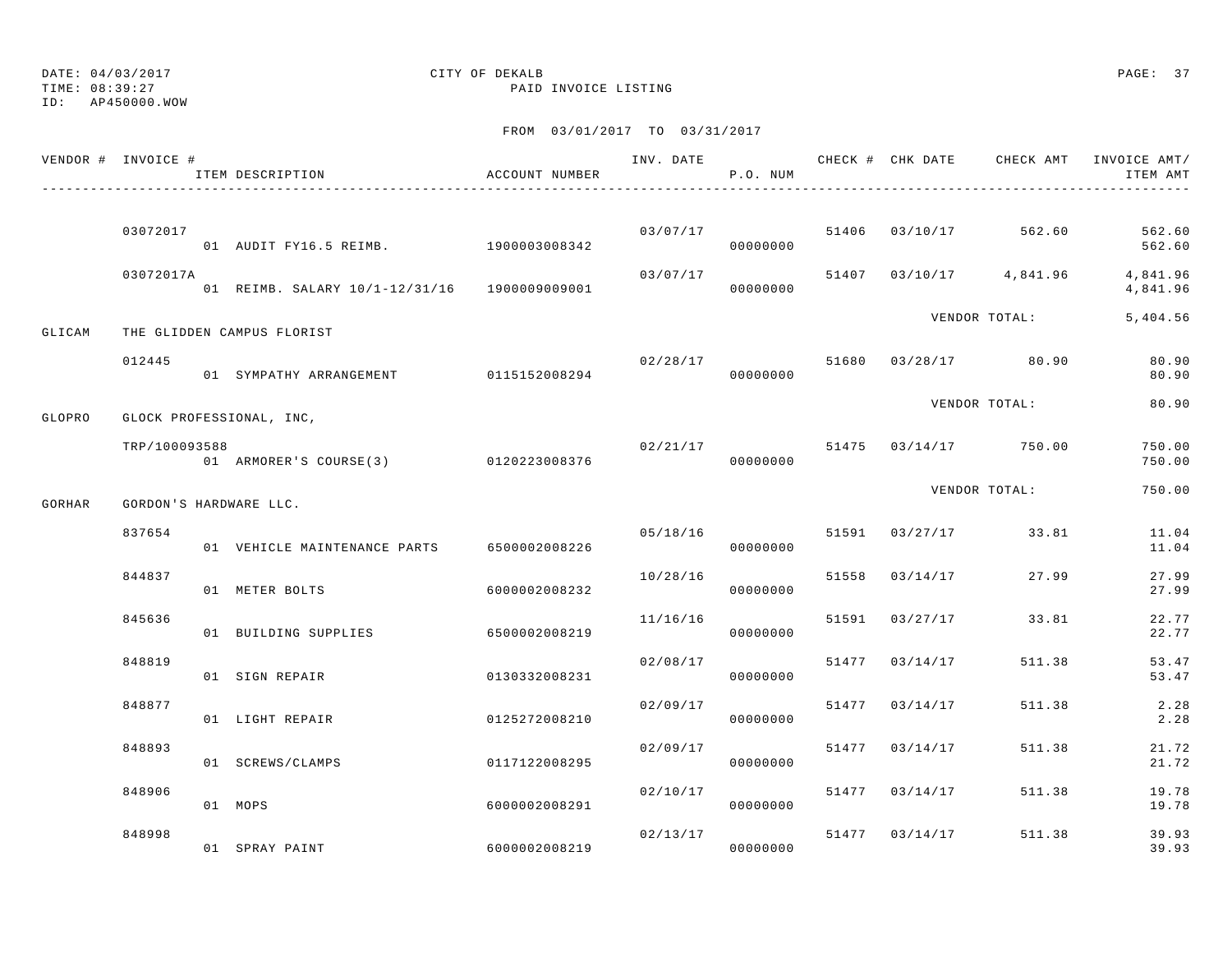TIME: 08:39:27 PAID INVOICE LISTING

ID: AP450000.WOW

|        | VENDOR # INVOICE #     | ITEM DESCRIPTION                             | ACCOUNT NUMBER |                                    | P.O. NUM |                | INV. DATE 6 . CHECK # CHK DATE 6 . CHECK AMT INVOICE AMT | ITEM AMT             |
|--------|------------------------|----------------------------------------------|----------------|------------------------------------|----------|----------------|----------------------------------------------------------|----------------------|
|        |                        |                                              |                |                                    |          |                |                                                          |                      |
|        | 03072017               | 01 AUDIT FY16.5 REIMB. 1900003008342         |                | 03/07/17                           | 00000000 |                | 51406 03/10/17 562.60                                    | 562.60<br>562.60     |
|        | 03072017A              | 01 REIMB. SALARY 10/1-12/31/16 1900009009001 |                | 03/07/17                           | 00000000 |                | 51407 03/10/17 4,841.96                                  | 4,841.96<br>4,841.96 |
| GLICAM |                        | THE GLIDDEN CAMPUS FLORIST                   |                |                                    |          |                | VENDOR TOTAL:                                            | 5,404.56             |
|        | 012445                 | 01 SYMPATHY ARRANGEMENT 0115152008294        |                |                                    | 00000000 |                | $02/28/17$ 51680 03/28/17 80.90                          | 80.90<br>80.90       |
| GLOPRO |                        | GLOCK PROFESSIONAL, INC,                     |                |                                    |          |                | VENDOR TOTAL:                                            | 80.90                |
|        | TRP/100093588          | 01 ARMORER'S COURSE(3) 0120223008376         |                | $02/21/17$ 51475 $03/14/17$ 750.00 | 00000000 |                |                                                          | 750.00<br>750.00     |
| GORHAR | GORDON'S HARDWARE LLC. |                                              |                |                                    |          |                | VENDOR TOTAL:                                            | 750.00               |
|        | 837654                 | 01 VEHICLE MAINTENANCE PARTS 6500002008226   |                | 05/18/16                           | 00000000 |                | 51591 03/27/17 33.81                                     | 11.04<br>11.04       |
|        | 844837                 | 01 METER BOLTS                               | 6000002008232  | 10/28/16                           | 00000000 | 51558 03/14/17 | 27.99                                                    | 27.99<br>27.99       |
|        | 845636                 | 01 BUILDING SUPPLIES                         | 6500002008219  | 11/16/16                           | 00000000 |                | 51591 03/27/17 33.81                                     | 22.77<br>22.77       |
|        | 848819                 | 01 SIGN REPAIR                               | 0130332008231  | 02/08/17                           | 00000000 | 51477 03/14/17 | 511.38                                                   | 53.47<br>53.47       |
|        | 848877                 | 01 LIGHT REPAIR                              | 0125272008210  | 02/09/17                           | 00000000 | 51477 03/14/17 | 511.38                                                   | 2.28<br>2.28         |
|        | 848893                 | 01 SCREWS/CLAMPS                             | 0117122008295  | 02/09/17                           | 00000000 | 51477 03/14/17 | 511.38                                                   | 21.72<br>21.72       |
|        | 848906                 | 01 MOPS                                      | 6000002008291  | 02/10/17                           | 00000000 | 51477 03/14/17 | 511.38                                                   | 19.78<br>19.78       |
|        | 848998                 | 01 SPRAY PAINT                               | 6000002008219  | 02/13/17                           | 00000000 | 51477 03/14/17 | 511.38                                                   | 39.93<br>39.93       |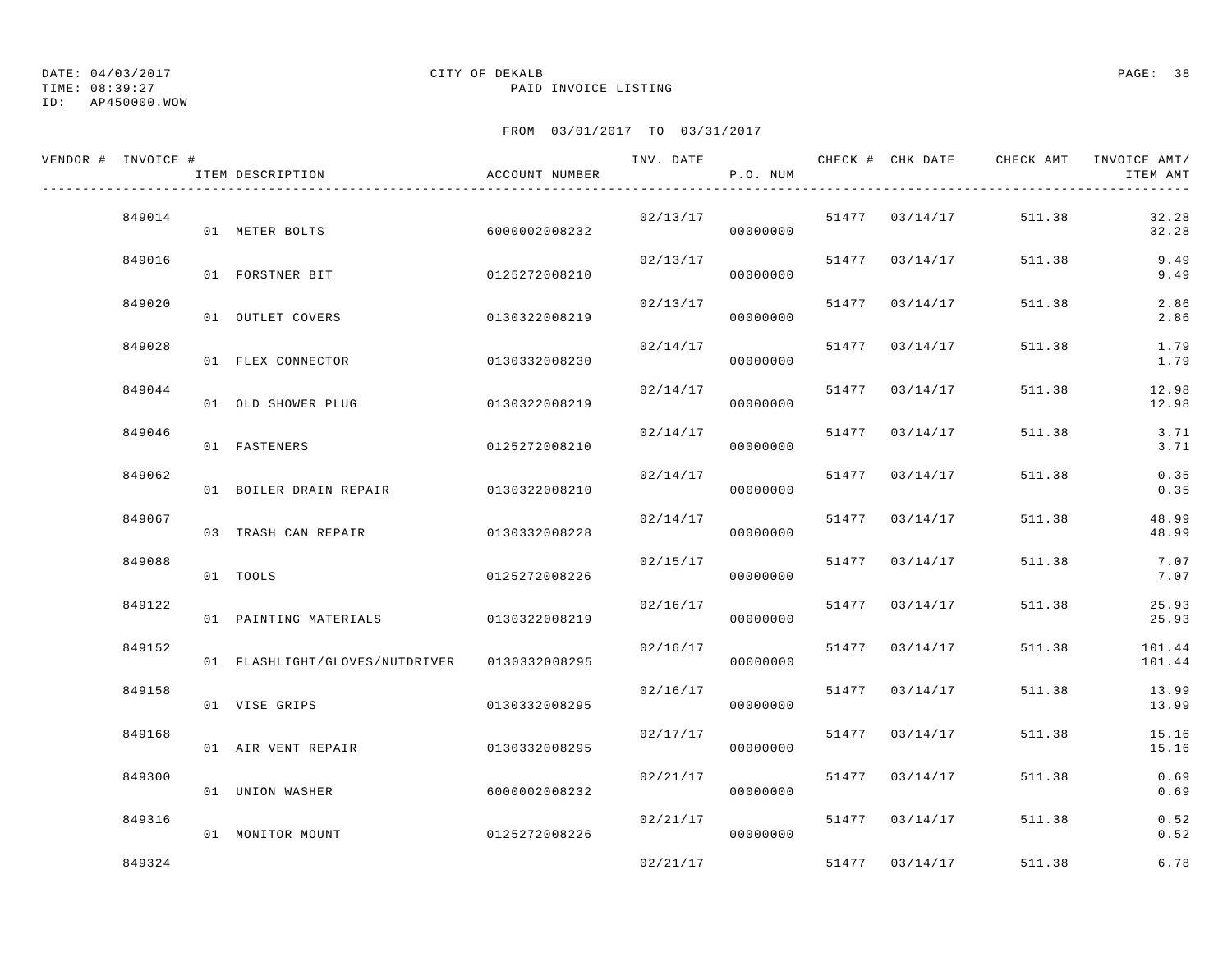TIME: 08:39:27 PAID INVOICE LISTING

ID: AP450000.WOW

| VENDOR # INVOICE # | ITEM DESCRIPTION               | ACCOUNT NUMBER | INV. DATE | P.O. NUM |       | CHECK # CHK DATE | CHECK AMT | INVOICE AMT/<br>ITEM AMT |
|--------------------|--------------------------------|----------------|-----------|----------|-------|------------------|-----------|--------------------------|
| 849014             | 01 METER BOLTS                 | 6000002008232  | 02/13/17  | 00000000 |       | 51477 03/14/17   | 511.38    | 32.28<br>32.28           |
| 849016             | 01 FORSTNER BIT                | 0125272008210  | 02/13/17  | 00000000 | 51477 | 03/14/17         | 511.38    | 9.49<br>9.49             |
| 849020             | 01 OUTLET COVERS               | 0130322008219  | 02/13/17  | 00000000 | 51477 | 03/14/17         | 511.38    | 2.86<br>2.86             |
| 849028             | 01 FLEX CONNECTOR              | 0130332008230  | 02/14/17  | 00000000 | 51477 | 03/14/17         | 511.38    | 1.79<br>1.79             |
| 849044             | 01 OLD SHOWER PLUG             | 0130322008219  | 02/14/17  | 00000000 | 51477 | 03/14/17         | 511.38    | 12.98<br>12.98           |
| 849046             | 01 FASTENERS                   | 0125272008210  | 02/14/17  | 00000000 | 51477 | 03/14/17         | 511.38    | 3.71<br>3.71             |
| 849062             | 01 BOILER DRAIN REPAIR         | 0130322008210  | 02/14/17  | 00000000 | 51477 | 03/14/17         | 511.38    | 0.35<br>0.35             |
| 849067             | 03 TRASH CAN REPAIR            | 0130332008228  | 02/14/17  | 00000000 | 51477 | 03/14/17         | 511.38    | 48.99<br>48.99           |
| 849088             | 01 TOOLS                       | 0125272008226  | 02/15/17  | 00000000 | 51477 | 03/14/17         | 511.38    | 7.07<br>7.07             |
| 849122             | 01 PAINTING MATERIALS          | 0130322008219  | 02/16/17  | 00000000 | 51477 | 03/14/17         | 511.38    | 25.93<br>25.93           |
| 849152             | 01 FLASHLIGHT/GLOVES/NUTDRIVER | 0130332008295  | 02/16/17  | 00000000 | 51477 | 03/14/17         | 511.38    | 101.44<br>101.44         |
| 849158             | 01 VISE GRIPS                  | 0130332008295  | 02/16/17  | 00000000 | 51477 | 03/14/17         | 511.38    | 13.99<br>13.99           |
| 849168             | 01 AIR VENT REPAIR             | 0130332008295  | 02/17/17  | 00000000 | 51477 | 03/14/17         | 511.38    | 15.16<br>15.16           |
| 849300             | 01 UNION WASHER                | 6000002008232  | 02/21/17  | 00000000 | 51477 | 03/14/17         | 511.38    | 0.69<br>0.69             |
| 849316             | 01 MONITOR MOUNT               | 0125272008226  | 02/21/17  | 00000000 | 51477 | 03/14/17         | 511.38    | 0.52<br>0.52             |
| 849324             |                                |                | 02/21/17  |          | 51477 | 03/14/17         | 511.38    | 6.78                     |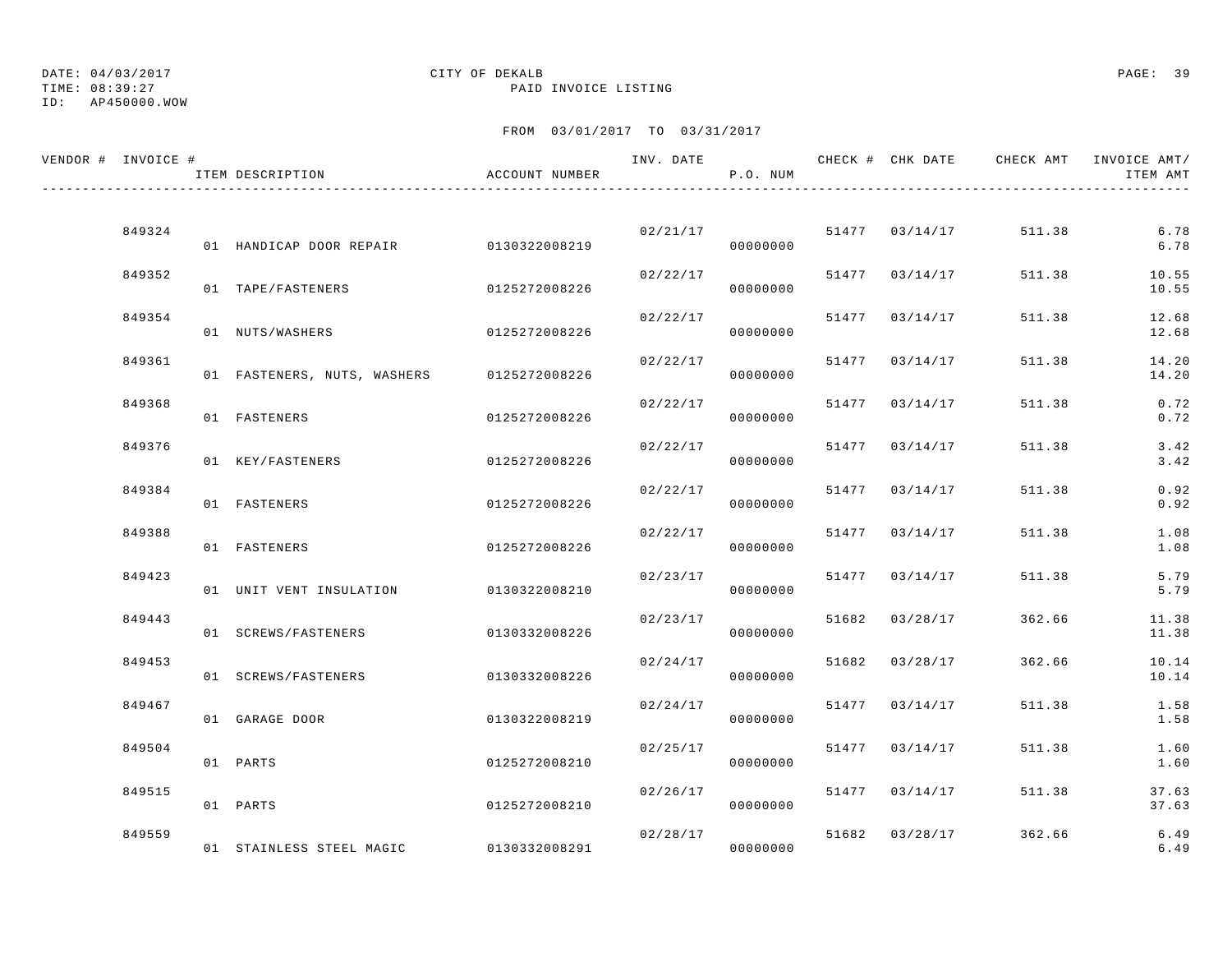# TIME: 08:39:27 PAID INVOICE LISTING

## ID: AP450000.WOW

## DATE: 04/03/2017 CITY OF DEKALB PAGE: 39

| VENDOR # INVOICE # | ITEM DESCRIPTION                          | ACCOUNT NUMBER | INV. DATE            | P.O. NUM             |       |                |        | CHECK # CHK DATE CHECK AMT INVOICE AMT/<br>ITEM AMT |
|--------------------|-------------------------------------------|----------------|----------------------|----------------------|-------|----------------|--------|-----------------------------------------------------|
|                    |                                           |                |                      |                      |       |                |        |                                                     |
| 849324             | 01 HANDICAP DOOR REPAIR 0130322008219     |                |                      | 02/21/17<br>00000000 |       | 51477 03/14/17 | 511.38 | 6.78<br>6.78                                        |
| 849352             | 01 TAPE/FASTENERS                         | 0125272008226  | 02/22/17             | 00000000             | 51477 | 03/14/17       | 511.38 | 10.55<br>10.55                                      |
| 849354             | 01 NUTS/WASHERS                           | 0125272008226  | 02/22/17             | 00000000             | 51477 | 03/14/17       | 511.38 | 12.68<br>12.68                                      |
| 849361             | 01 FASTENERS, NUTS, WASHERS 0125272008226 |                | 02/22/17             | 00000000             | 51477 | 03/14/17       | 511.38 | 14.20<br>14.20                                      |
| 849368             | 01 FASTENERS                              | 0125272008226  | 02/22/17             | 00000000             |       | 51477 03/14/17 | 511.38 | 0.72<br>0.72                                        |
| 849376             | 01 KEY/FASTENERS                          | 0125272008226  | 02/22/17             | 00000000             |       | 51477 03/14/17 | 511.38 | 3.42<br>3.42                                        |
| 849384             | 01 FASTENERS                              | 0125272008226  | 02/22/17             | 00000000             | 51477 | 03/14/17       | 511.38 | 0.92<br>0.92                                        |
| 849388             | 01 FASTENERS                              | 0125272008226  | 02/22/17             | 00000000             | 51477 | 03/14/17       | 511.38 | 1.08<br>1.08                                        |
| 849423             | 01 UNIT VENT INSULATION                   | 0130322008210  | 02/23/17             | 00000000             | 51477 | 03/14/17       | 511.38 | 5.79<br>5.79                                        |
| 849443             | 01 SCREWS/FASTENERS                       | 0130332008226  |                      | 02/23/17<br>00000000 | 51682 | 03/28/17       | 362.66 | 11.38<br>11.38                                      |
| 849453             | 01 SCREWS/FASTENERS                       | 0130332008226  | 02/24/17             | 00000000             |       | 51682 03/28/17 | 362.66 | 10.14<br>10.14                                      |
| 849467             |                                           |                | 02/24/17             |                      | 51477 | 03/14/17       | 511.38 | 1.58                                                |
| 849504             | 01 GARAGE DOOR                            | 0130322008219  | 02/25/17             | 00000000             | 51477 | 03/14/17       | 511.38 | 1.58<br>1.60                                        |
|                    | 01 PARTS                                  | 0125272008210  |                      | 00000000             |       |                |        | 1.60                                                |
| 849515             | 01 PARTS                                  | 0125272008210  | 02/26/17             | 00000000             | 51477 | 03/14/17       | 511.38 | 37.63<br>37.63                                      |
| 849559             | 01 STAINLESS STEEL MAGIC 0130332008291    |                | 02/28/17<br>00000000 |                      | 51682 | 03/28/17       | 362.66 | 6.49<br>6.49                                        |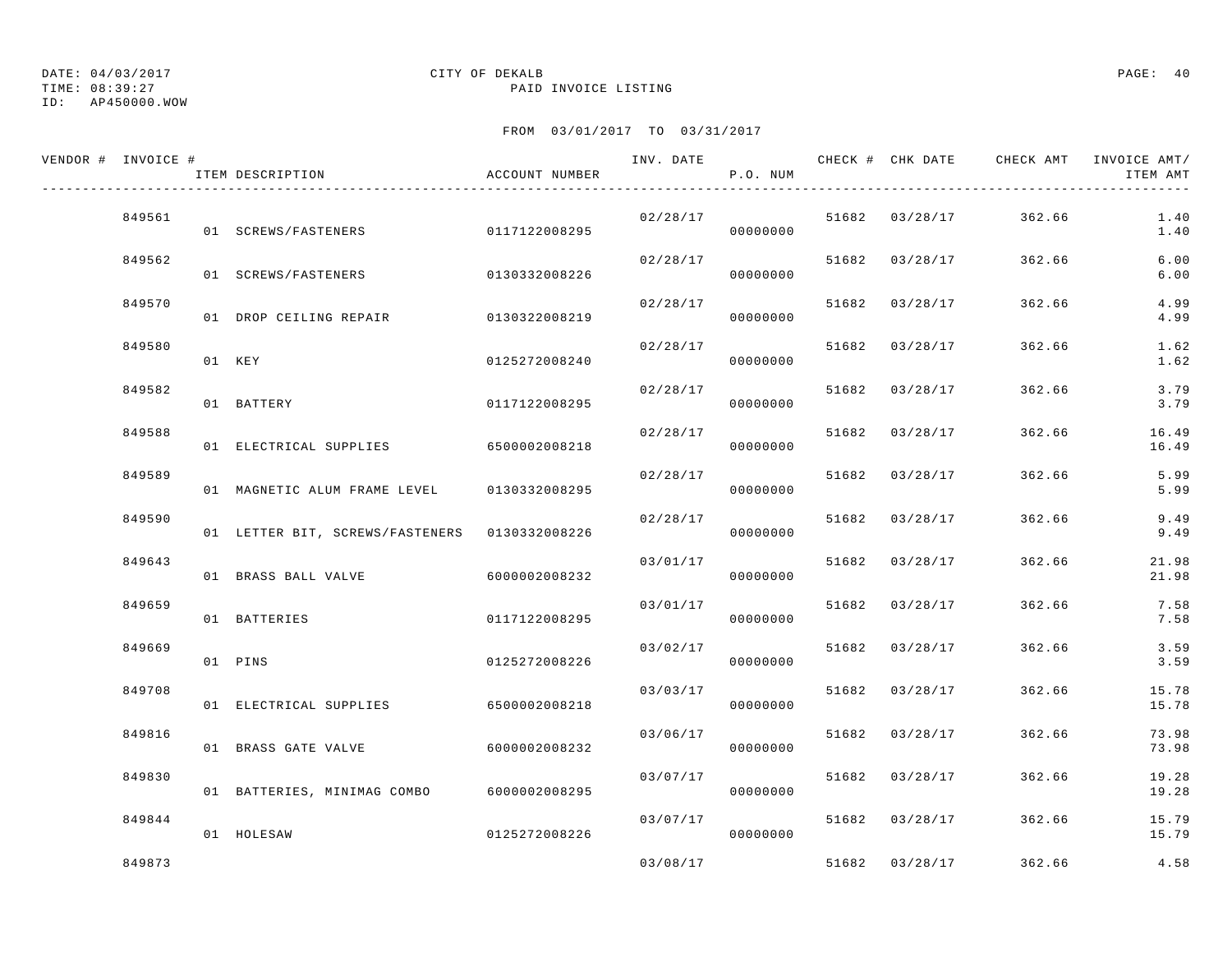TIME: 08:39:27 PAID INVOICE LISTING

ID: AP450000.WOW

| VENDOR # INVOICE # | ITEM DESCRIPTION                              | ACCOUNT NUMBER | INV. DATE | P.O. NUM |       |                | CHECK # CHK DATE GHECK AMT | INVOICE AMT/<br>ITEM AMT |
|--------------------|-----------------------------------------------|----------------|-----------|----------|-------|----------------|----------------------------|--------------------------|
| 849561             | 01 SCREWS/FASTENERS                           | 0117122008295  | 02/28/17  | 00000000 |       | 51682 03/28/17 | 362.66                     | 1.40<br>1.40             |
| 849562             | 01 SCREWS/FASTENERS                           | 0130332008226  | 02/28/17  | 00000000 | 51682 | 03/28/17       | 362.66                     | 6.00<br>$6.00$           |
| 849570             | 01 DROP CEILING REPAIR                        | 0130322008219  | 02/28/17  | 00000000 |       | 51682 03/28/17 | 362.66                     | 4.99<br>4.99             |
| 849580             | 01 KEY                                        | 0125272008240  | 02/28/17  | 00000000 | 51682 | 03/28/17       | 362.66                     | 1.62<br>1.62             |
| 849582             | 01 BATTERY                                    | 0117122008295  | 02/28/17  | 00000000 | 51682 | 03/28/17       | 362.66                     | 3.79<br>3.79             |
| 849588             | 01 ELECTRICAL SUPPLIES                        | 6500002008218  | 02/28/17  | 00000000 | 51682 | 03/28/17       | 362.66                     | 16.49<br>16.49           |
| 849589             | 01 MAGNETIC ALUM FRAME LEVEL                  | 0130332008295  | 02/28/17  | 00000000 |       | 51682 03/28/17 | 362.66                     | 5.99<br>5.99             |
| 849590             | 01 LETTER BIT, SCREWS/FASTENERS 0130332008226 |                | 02/28/17  | 00000000 | 51682 | 03/28/17       | 362.66                     | 9.49<br>9.49             |
| 849643             | 01 BRASS BALL VALVE                           | 6000002008232  | 03/01/17  | 00000000 | 51682 | 03/28/17       | 362.66                     | 21.98<br>21.98           |
| 849659             | 01 BATTERIES                                  | 0117122008295  | 03/01/17  | 00000000 | 51682 | 03/28/17       | 362.66                     | 7.58<br>7.58             |
| 849669             | 01 PINS                                       | 0125272008226  | 03/02/17  | 00000000 | 51682 | 03/28/17       | 362.66                     | 3.59<br>3.59             |
| 849708             | 01 ELECTRICAL SUPPLIES                        | 6500002008218  | 03/03/17  | 00000000 | 51682 | 03/28/17       | 362.66                     | 15.78<br>15.78           |
| 849816             | 01 BRASS GATE VALVE                           | 6000002008232  | 03/06/17  | 00000000 | 51682 | 03/28/17       | 362.66                     | 73.98<br>73.98           |
| 849830             | 01 BATTERIES, MINIMAG COMBO                   | 6000002008295  | 03/07/17  | 00000000 | 51682 | 03/28/17       | 362.66                     | 19.28<br>19.28           |
| 849844             | 01 HOLESAW                                    | 0125272008226  | 03/07/17  | 00000000 |       | 51682 03/28/17 | 362.66                     | 15.79<br>15.79           |
| 849873             |                                               |                | 03/08/17  |          |       | 51682 03/28/17 | 362.66                     | 4.58                     |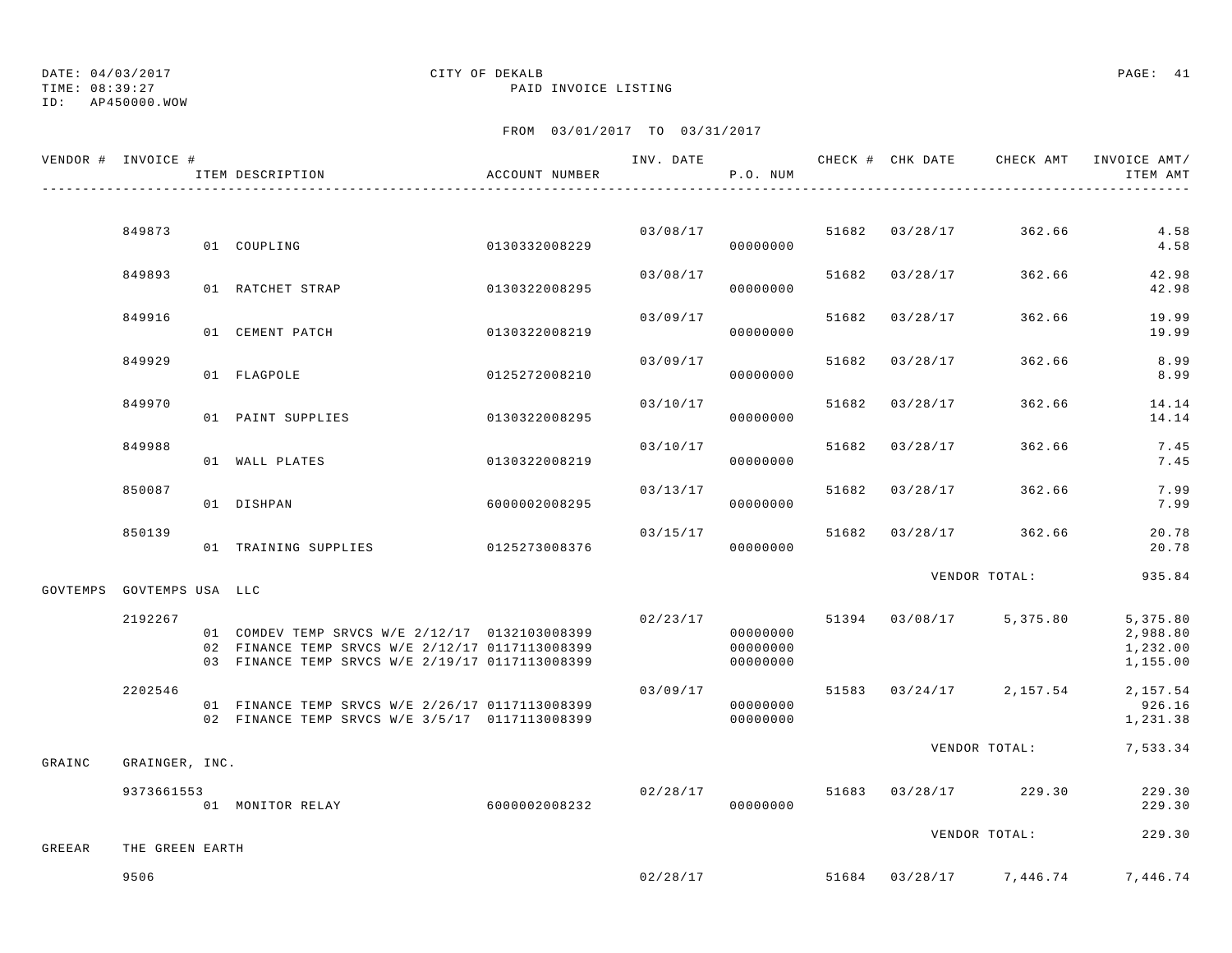TIME: 08:39:27 PAID INVOICE LISTING

ID: AP450000.WOW

| VENDOR # INVOICE # |                  | ITEM DESCRIPTION                                                                                                                                     | ACCOUNT NUMBER |          | P.O. NUM                         |       |                | INV. DATE 6 CHECK # CHK DATE CHECK AMT INVOICE AMT/ | ITEM AMT                                      |
|--------------------|------------------|------------------------------------------------------------------------------------------------------------------------------------------------------|----------------|----------|----------------------------------|-------|----------------|-----------------------------------------------------|-----------------------------------------------|
|                    |                  |                                                                                                                                                      |                |          |                                  |       |                |                                                     |                                               |
|                    | 849873           | 01 COUPLING                                                                                                                                          | 0130332008229  |          | 03/08/17<br>00000000             |       | 51682 03/28/17 | 362.66                                              | 4.58<br>4.58                                  |
|                    | 849893           | 01 RATCHET STRAP                                                                                                                                     | 0130322008295  | 03/08/17 | 00000000                         |       | 51682 03/28/17 | 362.66                                              | 42.98<br>42.98                                |
|                    | 849916           | 01 CEMENT PATCH                                                                                                                                      | 0130322008219  | 03/09/17 | 00000000                         | 51682 | 03/28/17       | 362.66                                              | 19.99<br>19.99                                |
|                    | 849929           | 01 FLAGPOLE                                                                                                                                          | 0125272008210  | 03/09/17 | 00000000                         |       | 51682 03/28/17 | 362.66                                              | 8.99<br>8.99                                  |
|                    | 849970           | 01 PAINT SUPPLIES                                                                                                                                    | 0130322008295  | 03/10/17 | 00000000                         |       | 51682 03/28/17 | 362.66                                              | 14.14<br>14.14                                |
|                    | 849988           | 01 WALL PLATES                                                                                                                                       | 0130322008219  | 03/10/17 | 00000000                         | 51682 | 03/28/17       | 362.66                                              | 7.45<br>7.45                                  |
|                    | 850087           | 01 DISHPAN                                                                                                                                           | 6000002008295  | 03/13/17 | 00000000                         | 51682 | 03/28/17       | 362.66                                              | 7.99<br>7.99                                  |
|                    | 850139           | 01 TRAINING SUPPLIES 0125273008376                                                                                                                   |                | 03/15/17 | 00000000                         |       | 51682 03/28/17 | 362.66                                              | 20.78<br>20.78                                |
|                    |                  |                                                                                                                                                      |                |          |                                  |       |                | VENDOR TOTAL:                                       | 935.84                                        |
| GOVTEMPS           | GOVTEMPS USA LLC |                                                                                                                                                      |                |          |                                  |       |                |                                                     |                                               |
|                    | 2192267          | 01 COMDEV TEMP SRVCS W/E 2/12/17 0132103008399<br>02 FINANCE TEMP SRVCS W/E 2/12/17 0117113008399<br>03 FINANCE TEMP SRVCS W/E 2/19/17 0117113008399 |                | 02/23/17 | 00000000<br>00000000<br>00000000 |       |                | 51394 03/08/17 5,375.80                             | 5, 375.80<br>2,988.80<br>1,232.00<br>1,155.00 |
|                    | 2202546          | 01 FINANCE TEMP SRVCS W/E 2/26/17 0117113008399<br>02 FINANCE TEMP SRVCS W/E 3/5/17 0117113008399                                                    |                | 03/09/17 | 00000000<br>00000000             |       |                | 51583 03/24/17 2,157.54                             | 2, 157.54<br>926.16<br>1,231.38               |
| GRAINC             | GRAINGER, INC.   |                                                                                                                                                      |                |          |                                  |       |                | VENDOR TOTAL:                                       | 7,533.34                                      |
|                    | 9373661553       | 01 MONITOR RELAY 6000002008232                                                                                                                       |                | 02/28/17 | 00000000                         |       |                | 51683 03/28/17 229.30                               | 229.30<br>229.30                              |
|                    |                  |                                                                                                                                                      |                |          |                                  |       |                | VENDOR TOTAL:                                       | 229.30                                        |
| GREEAR             | THE GREEN EARTH  |                                                                                                                                                      |                |          |                                  |       |                |                                                     |                                               |
|                    | 9506             |                                                                                                                                                      |                | 02/28/17 |                                  |       |                | 51684 03/28/17 7,446.74                             | 7,446.74                                      |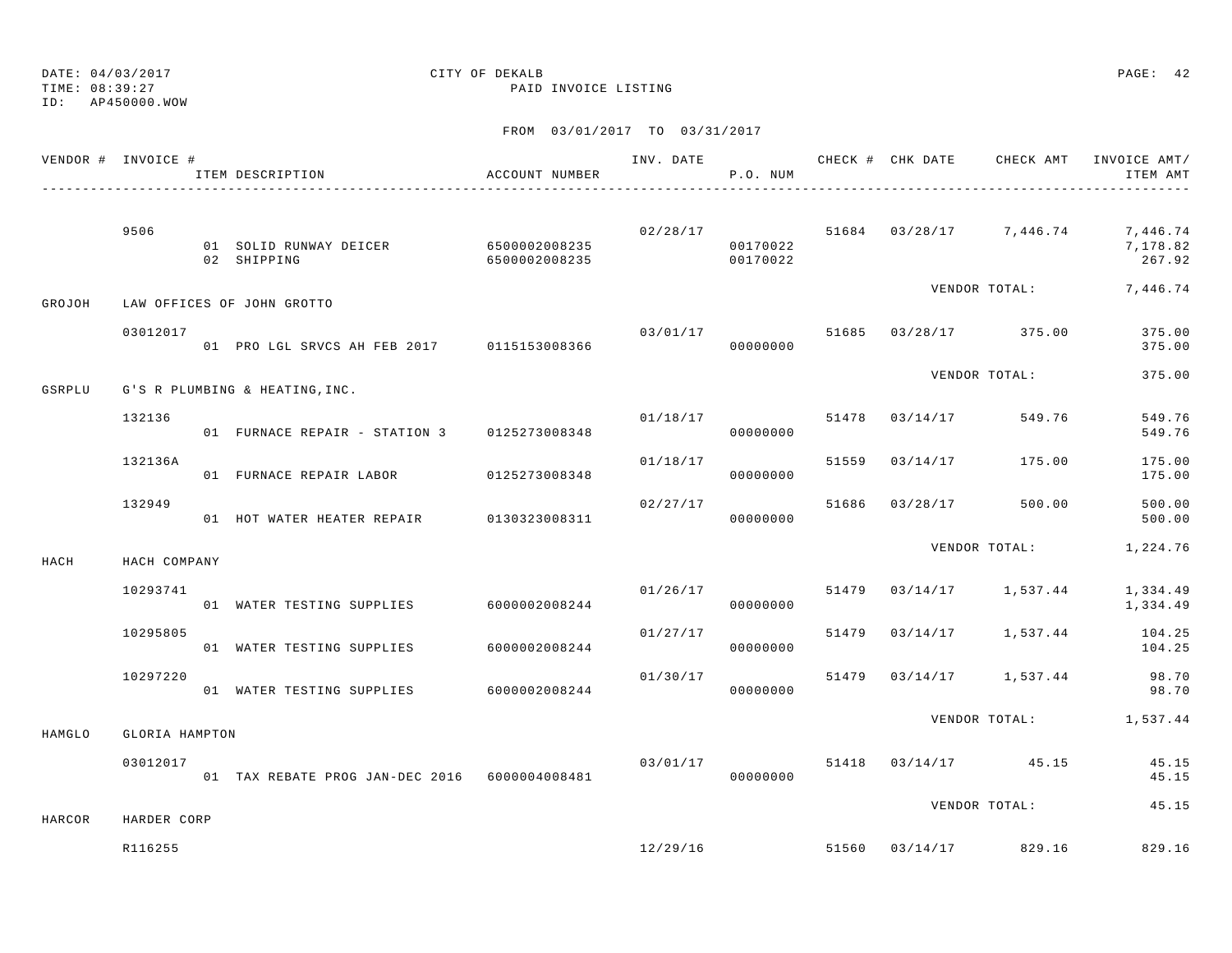TIME: 08:39:27 PAID INVOICE LISTING

ID: AP450000.WOW

|        | VENDOR # INVOICE # | ACCOUNT NUMBER<br>ITEM DESCRIPTION<br>--------------------------------- |                        |          | P.O. NUM             |       |                |                                  | INV. DATE 6 CHECK # CHK DATE CHECK AMT INVOICE AMT/<br>ITEM AMT           |
|--------|--------------------|-------------------------------------------------------------------------|------------------------|----------|----------------------|-------|----------------|----------------------------------|---------------------------------------------------------------------------|
|        | 9506               | 01 SOLID RUNWAY DEICER 6500002008235<br>02 SHIPPING                     | 6500002008235 00170022 |          | 00170022             |       |                |                                  | $02/28/17$ $51684$ $03/28/17$ $7,446.74$ $7,446.74$<br>7,178.82<br>267.92 |
| GROJOH |                    | LAW OFFICES OF JOHN GROTTO                                              |                        |          |                      |       |                | VENDOR TOTAL:                    | 7,446.74                                                                  |
|        | 03012017           | 01 PRO LGL SRVCS AH FEB 2017 0115153008366                              |                        | 03/01/17 | 00000000             |       |                | 51685 03/28/17 375.00            | 375.00<br>375.00                                                          |
| GSRPLU |                    | G'S R PLUMBING & HEATING, INC.                                          |                        |          |                      |       |                | VENDOR TOTAL:                    | 375.00                                                                    |
|        | 132136             | 01 FURNACE REPAIR - STATION 3 0125273008348                             |                        |          | 01/18/17<br>00000000 | 51478 |                | 03/14/17 549.76                  | 549.76<br>549.76                                                          |
|        | 132136A            |                                                                         |                        | 01/18/17 | 00000000             |       | 51559 03/14/17 | 175.00                           | 175.00<br>175.00                                                          |
|        | 132949             | 01 HOT WATER HEATER REPAIR 0130323008311                                |                        | 02/27/17 | 00000000             |       | 51686 03/28/17 | 500.00                           | 500.00<br>500.00                                                          |
| HACH   | HACH COMPANY       |                                                                         |                        |          |                      |       |                | VENDOR TOTAL:                    | 1,224.76                                                                  |
|        | 10293741           | 01 WATER TESTING SUPPLIES 6000002008244                                 |                        |          | 01/26/17<br>00000000 |       |                | 51479 03/14/17 1,537.44          | 1,334.49<br>1,334.49                                                      |
|        | 10295805           | 01 WATER TESTING SUPPLIES                                               | 6000002008244          | 01/27/17 | 00000000             |       |                | 51479 03/14/17 1,537.44          | 104.25<br>104.25                                                          |
|        | 10297220           | 01 WATER TESTING SUPPLIES 6000002008244                                 |                        | 01/30/17 | 00000000             |       |                | 51479 03/14/17 1,537.44          | 98.70<br>98.70                                                            |
| HAMGLO | GLORIA HAMPTON     |                                                                         |                        |          |                      |       |                |                                  | VENDOR TOTAL: 1,537.44                                                    |
|        | 03012017           | 01 TAX REBATE PROG JAN-DEC 2016 6000004008481                           |                        | 03/01/17 | 00000000             |       |                | 51418 03/14/17 45.15             | 45.15<br>45.15                                                            |
| HARCOR | HARDER CORP        |                                                                         |                        |          |                      |       |                | VENDOR TOTAL:                    | 45.15                                                                     |
|        | R116255            |                                                                         |                        |          |                      |       |                | $12/29/16$ 51560 03/14/17 829.16 | 829.16                                                                    |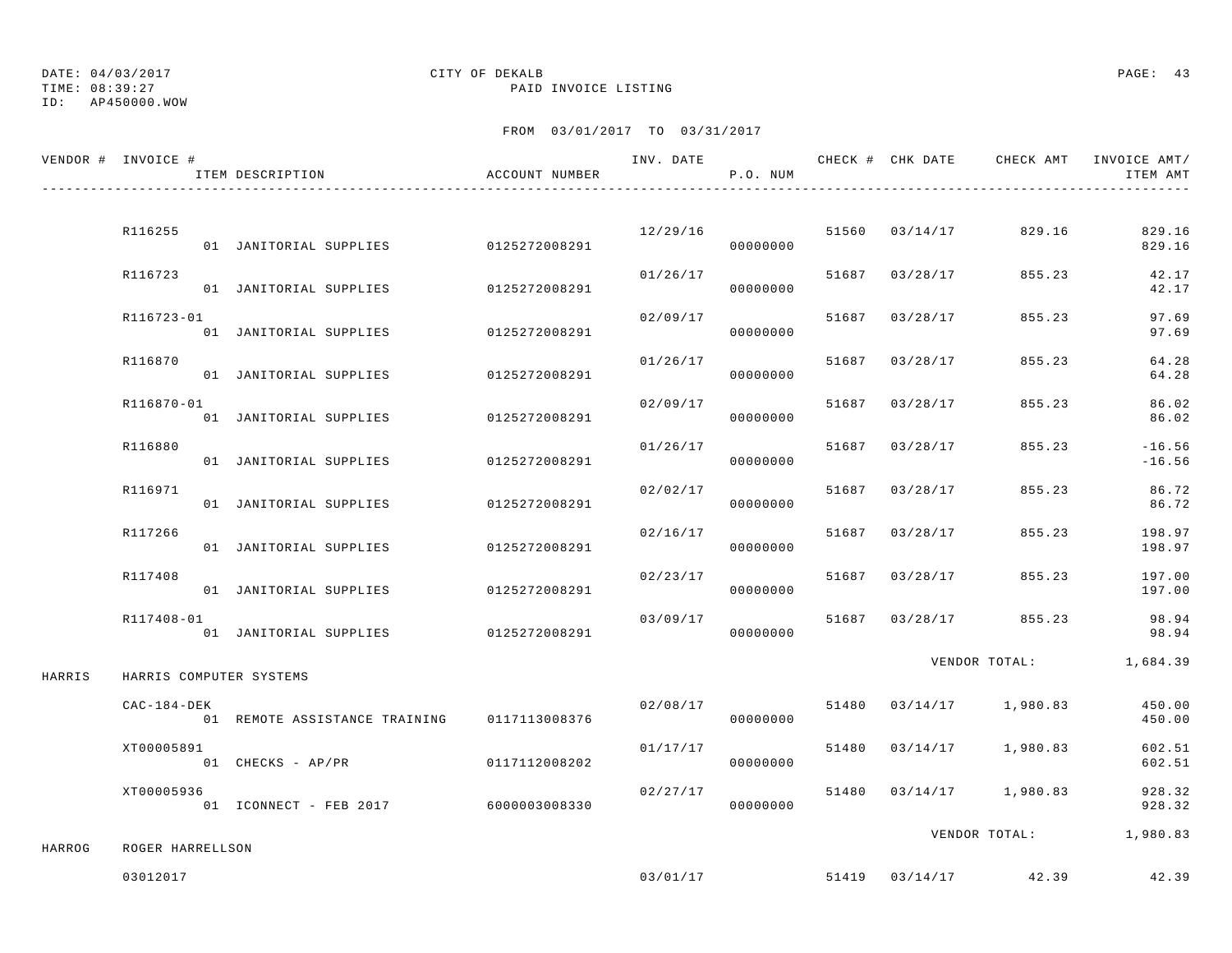TIME: 08:39:27 PAID INVOICE LISTING

ID: AP450000.WOW

|        | VENDOR # INVOICE # | ITEM DESCRIPTION                     | ACCOUNT NUMBER |          | P.O. NUM             |       |                | INV. DATE 6 1999 CHECK # CHK DATE 6 CHECK AMT INVOICE AMT | ITEM AMT             |
|--------|--------------------|--------------------------------------|----------------|----------|----------------------|-------|----------------|-----------------------------------------------------------|----------------------|
|        |                    |                                      |                |          |                      |       |                |                                                           |                      |
|        | R116255            | 01 JANITORIAL SUPPLIES 0125272008291 |                | 12/29/16 | 00000000             |       | 51560 03/14/17 | 829.16                                                    | 829.16<br>829.16     |
|        | R116723            | 01 JANITORIAL SUPPLIES               | 0125272008291  | 01/26/17 | 00000000             |       | 51687 03/28/17 | 855.23                                                    | 42.17<br>42.17       |
|        | R116723-01         | 01 JANITORIAL SUPPLIES               | 0125272008291  | 02/09/17 | 00000000             |       | 51687 03/28/17 | 855.23                                                    | 97.69<br>97.69       |
|        | R116870            | 01 JANITORIAL SUPPLIES               | 0125272008291  | 01/26/17 | 00000000             | 51687 | 03/28/17       | 855.23                                                    | 64.28<br>64.28       |
|        | R116870-01         | 01 JANITORIAL SUPPLIES               | 0125272008291  | 02/09/17 | 00000000             |       | 51687 03/28/17 | 855.23                                                    | 86.02<br>86.02       |
|        | R116880            | 01 JANITORIAL SUPPLIES               | 0125272008291  | 01/26/17 | 00000000             | 51687 | 03/28/17       | 855.23                                                    | $-16.56$<br>$-16.56$ |
|        | R116971            | 01 JANITORIAL SUPPLIES               | 0125272008291  | 02/02/17 | 00000000             | 51687 | 03/28/17       | 855.23                                                    | 86.72<br>86.72       |
|        | R117266            | 01 JANITORIAL SUPPLIES               | 0125272008291  | 02/16/17 | 00000000             |       | 51687 03/28/17 | 855.23                                                    | 198.97<br>198.97     |
|        | R117408            | 01 JANITORIAL SUPPLIES               | 0125272008291  | 02/23/17 | 00000000             |       | 51687 03/28/17 | 855.23                                                    | 197.00<br>197.00     |
|        | R117408-01         | 01 JANITORIAL SUPPLIES 0125272008291 |                | 03/09/17 | 00000000             |       |                | 51687 03/28/17 855.23                                     | 98.94<br>98.94       |
| HARRIS |                    | HARRIS COMPUTER SYSTEMS              |                |          |                      |       |                | VENDOR TOTAL:                                             | 1,684.39             |
|        | $CAC-184-DEK$      | 01 REMOTE ASSISTANCE TRAINING        | 0117113008376  | 02/08/17 | 00000000             |       |                | 51480 03/14/17 1,980.83                                   | 450.00<br>450.00     |
|        | XT00005891         | 01 CHECKS - AP/PR                    | 0117112008202  | 01/17/17 | 00000000             |       |                | 51480 03/14/17 1,980.83                                   | 602.51<br>602.51     |
|        | XT00005936         | 01 ICONNECT - FEB 2017 6000003008330 |                |          | 02/27/17<br>00000000 |       |                | 51480 03/14/17 1,980.83                                   | 928.32<br>928.32     |
|        |                    |                                      |                |          |                      |       |                | VENDOR TOTAL:                                             | 1,980.83             |
| HARROG | ROGER HARRELLSON   |                                      |                |          |                      |       |                |                                                           |                      |
|        | 03012017           |                                      |                | 03/01/17 |                      |       |                | 51419 03/14/17 42.39                                      | 42.39                |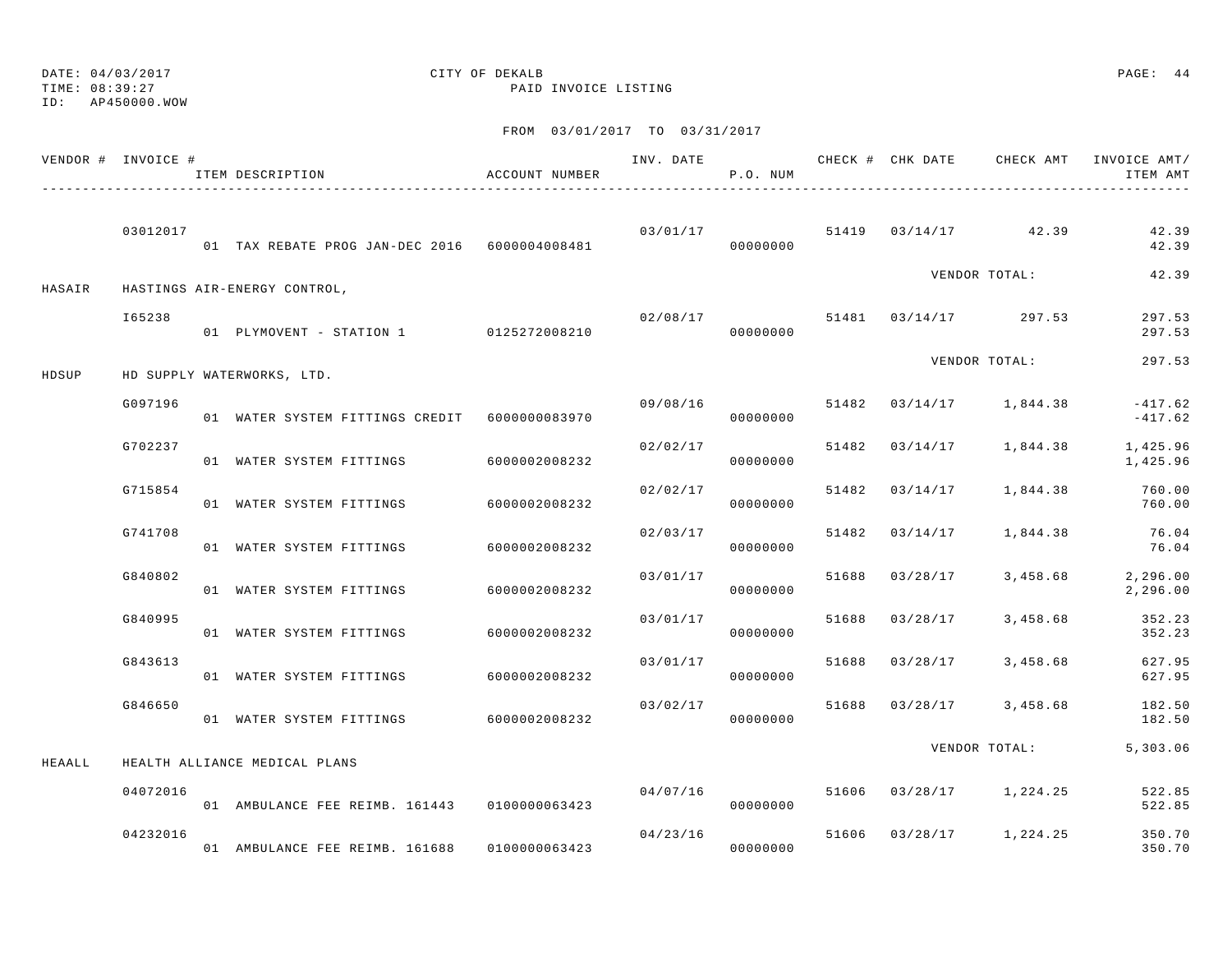ID: AP450000.WOW

### TIME: 08:39:27 PAID INVOICE LISTING

|        | VENDOR # INVOICE # | ITEM DESCRIPTION                              | ACCOUNT NUMBER |          | P.O. NUM  |       |                |                             | ITEM AMT               |
|--------|--------------------|-----------------------------------------------|----------------|----------|-----------|-------|----------------|-----------------------------|------------------------|
|        | 03012017           | 01 TAX REBATE PROG JAN-DEC 2016 6000004008481 |                | 03/01/17 | 000000000 |       |                | 51419 03/14/17 42.39        | 42.39<br>42.39         |
| HASAIR |                    | HASTINGS AIR-ENERGY CONTROL,                  |                |          |           |       |                | VENDOR TOTAL:               | 42.39                  |
|        | I65238             | 01 PLYMOVENT - STATION 1 0125272008210        |                | 02/08/17 | 00000000  |       |                | 51481 03/14/17 297.53       | 297.53<br>297.53       |
| HDSUP  |                    | HD SUPPLY WATERWORKS, LTD.                    |                |          |           |       |                | VENDOR TOTAL:               | 297.53                 |
|        | G097196            | 01 WATER SYSTEM FITTINGS CREDIT 6000000083970 |                | 09/08/16 | 00000000  |       |                | $51482$ $03/14/17$ 1,844.38 | $-417.62$<br>$-417.62$ |
|        | G702237            | 01 WATER SYSTEM FITTINGS                      | 6000002008232  | 02/02/17 | 00000000  |       |                | 51482 03/14/17 1,844.38     | 1,425.96<br>1,425.96   |
|        | G715854            | 01 WATER SYSTEM FITTINGS 6000002008232        |                | 02/02/17 | 00000000  |       |                | 51482 03/14/17 1,844.38     | 760.00<br>760.00       |
|        | G741708            | 01 WATER SYSTEM FITTINGS                      | 6000002008232  | 02/03/17 | 00000000  | 51482 |                | $03/14/17$ 1,844.38         | 76.04<br>76.04         |
|        | G840802            | 01 WATER SYSTEM FITTINGS                      | 6000002008232  | 03/01/17 | 00000000  | 51688 | 03/28/17       | 3,458.68                    | 2,296.00<br>2,296.00   |
|        | G840995            | 01 WATER SYSTEM FITTINGS 6000002008232        |                | 03/01/17 | 00000000  |       | 51688 03/28/17 | 3,458.68                    | 352.23<br>352.23       |
|        | G843613            | 01 WATER SYSTEM FITTINGS 6000002008232        |                | 03/01/17 | 00000000  |       |                | 51688 03/28/17 3,458.68     | 627.95<br>627.95       |
|        | G846650            | 01 WATER SYSTEM FITTINGS 6000002008232        |                | 03/02/17 | 00000000  |       |                | 51688 03/28/17 3,458.68     | 182.50<br>182.50       |
| HEAALL |                    | HEALTH ALLIANCE MEDICAL PLANS                 |                |          |           |       |                | VENDOR TOTAL:               | 5,303.06               |
|        | 04072016           | 01 AMBULANCE FEE REIMB. 161443 0100000063423  |                | 04/07/16 | 00000000  |       |                | 51606 03/28/17 1,224.25     | 522.85<br>522.85       |
|        | 04232016           | 01 AMBULANCE FEE REIMB. 161688 0100000063423  |                | 04/23/16 | 00000000  |       |                | 51606 03/28/17 1,224.25     | 350.70<br>350.70       |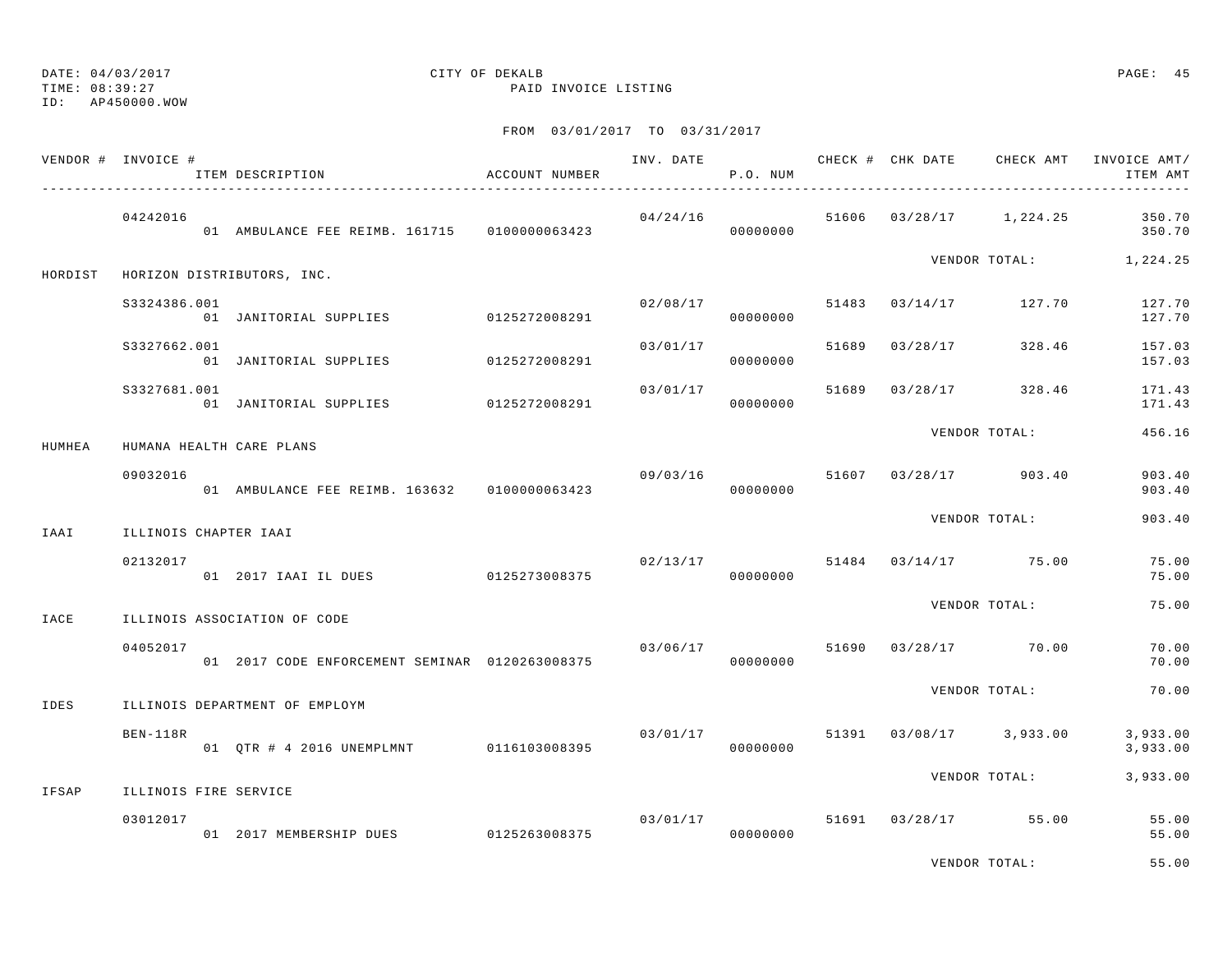ID: AP450000.WOW

### TIME: 08:39:27 PAID INVOICE LISTING

|        | VENDOR # INVOICE #       | ITEM DESCRIPTION                               | ACCOUNT NUMBER |          | P.O. NUM             |       |                                 | INV. DATE 6 6 CHECK # CHK DATE CHECK AMT INVOICE AMT/<br>ITEM AMT |
|--------|--------------------------|------------------------------------------------|----------------|----------|----------------------|-------|---------------------------------|-------------------------------------------------------------------|
|        | 04242016                 | 01 AMBULANCE FEE REIMB. 161715 0100000063423   |                |          | 00000000             |       |                                 | $04/24/16$ 51606 03/28/17 1,224.25 350.70<br>350.70               |
|        |                          | HORDIST HORIZON DISTRIBUTORS, INC.             |                |          |                      |       |                                 | VENDOR TOTAL: 1,224.25                                            |
|        | S3324386.001             | 01 JANITORIAL SUPPLIES 0125272008291           |                | 02/08/17 | 00000000             |       | 51483 03/14/17 127.70           | 127.70<br>127.70                                                  |
|        | S3327662.001             | 01 JANITORIAL SUPPLIES 0125272008291           |                |          | 03/01/17<br>00000000 | 51689 | $03/28/17$ 328.46               | 157.03<br>157.03                                                  |
|        | S3327681.001             | 01 JANITORIAL SUPPLIES 0125272008291           |                | 03/01/17 | 00000000             |       | 51689 03/28/17 328.46           | 171.43<br>171.43                                                  |
| HUMHEA | HUMANA HEALTH CARE PLANS |                                                |                |          |                      |       | VENDOR TOTAL:                   | 456.16                                                            |
|        | 09032016                 | 01 AMBULANCE FEE REIMB. 163632 0100000063423   |                | 09/03/16 | 00000000             |       | 51607 03/28/17 903.40           | 903.40<br>903.40                                                  |
| IAAI   | ILLINOIS CHAPTER IAAI    |                                                |                |          |                      |       | VENDOR TOTAL:                   | 903.40                                                            |
|        | 02132017                 | 01 2017 IAAI IL DUES 0125273008375             |                |          | 00000000             |       | $02/13/17$ 51484 03/14/17 75.00 | 75.00<br>75.00                                                    |
| IACE   |                          | ILLINOIS ASSOCIATION OF CODE                   |                |          |                      |       | VENDOR TOTAL:                   | 75.00                                                             |
|        | 04052017                 | 01 2017 CODE ENFORCEMENT SEMINAR 0120263008375 |                |          |                      |       | $03/06/17$ 51690 03/28/17 70.00 | 70.00<br>70.00                                                    |
| IDES   |                          | ILLINOIS DEPARTMENT OF EMPLOYM                 |                |          |                      |       | VENDOR TOTAL:                   | 70.00                                                             |
|        | BEN-118R                 | 01 QTR # 4 2016 UNEMPLMNT 0116103008395        |                | 03/01/17 | 00000000             |       | 51391 03/08/17 3,933.00         | 3,933.00<br>3,933.00                                              |
| IFSAP  | ILLINOIS FIRE SERVICE    |                                                |                |          |                      |       | VENDOR TOTAL:                   | 3,933.00                                                          |
|        | 03012017                 | 01 2017 MEMBERSHIP DUES 0125263008375          |                |          | 00000000             |       | $03/01/17$ 51691 03/28/17 55.00 | 55.00<br>55.00                                                    |
|        |                          |                                                |                |          |                      |       | VENDOR TOTAL:                   | 55.00                                                             |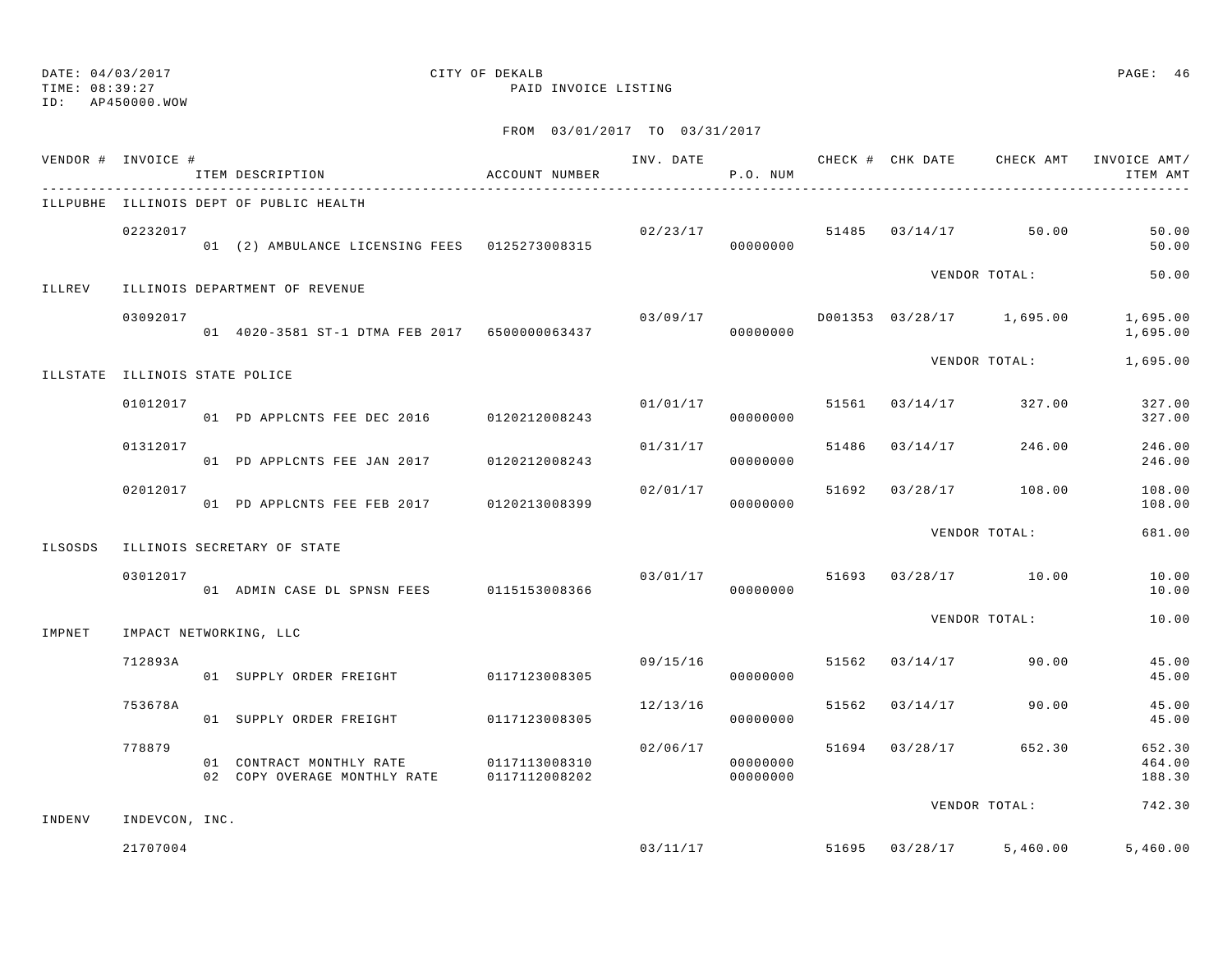TIME: 08:39:27 PAID INVOICE LISTING

ID: AP450000.WOW

|         | VENDOR # INVOICE #             | ITEM DESCRIPTION                                                       | ACCOUNT NUMBER |          | P.O. NUM             |       |                         |                           | INV. DATE 6 CHECK # CHK DATE CHECK AMT INVOICE AMT/<br>ITEM AMT |
|---------|--------------------------------|------------------------------------------------------------------------|----------------|----------|----------------------|-------|-------------------------|---------------------------|-----------------------------------------------------------------|
|         |                                | ILLPUBHE ILLINOIS DEPT OF PUBLIC HEALTH                                |                |          |                      |       |                         |                           |                                                                 |
|         | 02232017                       | 01 (2) AMBULANCE LICENSING FEES 0125273008315                          |                | 02/23/17 | 00000000             |       |                         | 51485 03/14/17 50.00      | 50.00<br>50.00                                                  |
| ILLREV  |                                | ILLINOIS DEPARTMENT OF REVENUE                                         |                |          |                      |       |                         | VENDOR TOTAL:             | 50.00                                                           |
|         | 03092017                       | 01 4020-3581 ST-1 DTMA FEB 2017 6500000063437                          |                | 03/09/17 | 00000000             |       |                         | D001353 03/28/17 1,695.00 | 1,695.00<br>1,695.00                                            |
|         | ILLSTATE ILLINOIS STATE POLICE |                                                                        |                |          |                      |       |                         | VENDOR TOTAL:             | 1,695.00                                                        |
|         | 01012017                       | 01 PD APPLCNTS FEE DEC 2016 0120212008243                              |                | 01/01/17 | 00000000             | 51561 | 03/14/17                | 327.00                    | 327.00<br>327.00                                                |
|         | 01312017                       | 01 PD APPLCNTS FEE JAN 2017                                            | 0120212008243  | 01/31/17 | 00000000             |       | 51486 03/14/17          | 246.00                    | 246.00<br>246.00                                                |
|         | 02012017                       | 01 PD APPLCNTS FEE FEB 2017 0120213008399                              |                | 02/01/17 | 00000000             | 51692 |                         | $03/28/17$ 108.00         | 108.00<br>108.00                                                |
| ILSOSDS |                                | ILLINOIS SECRETARY OF STATE                                            |                |          |                      |       |                         | VENDOR TOTAL:             | 681.00                                                          |
|         | 03012017                       | 01 ADMIN CASE DL SPNSN FEES 0115153008366                              |                | 03/01/17 | 00000000             |       |                         | 51693 03/28/17 10.00      | 10.00<br>10.00                                                  |
| IMPNET  |                                | IMPACT NETWORKING, LLC                                                 |                |          |                      |       |                         | VENDOR TOTAL:             | 10.00                                                           |
|         | 712893A                        | 01 SUPPLY ORDER FREIGHT                                                | 0117123008305  | 09/15/16 | 00000000             | 51562 | 03/14/17                | 90.00                     | 45.00<br>45.00                                                  |
|         | 753678A                        | 01 SUPPLY ORDER FREIGHT                                                | 0117123008305  | 12/13/16 | 00000000             | 51562 | 03/14/17                | 90.00                     | 45.00<br>45.00                                                  |
|         | 778879                         | 01 CONTRACT MONTHLY RATE<br>02 COPY OVERAGE MONTHLY RATE 0117112008202 | 0117113008310  | 02/06/17 | 00000000<br>00000000 |       | 51694 03/28/17          | 652.30                    | 652.30<br>464.00<br>188.30                                      |
| INDENV  | INDEVCON, INC.                 |                                                                        |                |          |                      |       |                         | VENDOR TOTAL:             | 742.30                                                          |
|         | 21707004                       |                                                                        |                |          |                      |       | 03/11/17 51695 03/28/17 | 5,460.00                  | 5,460.00                                                        |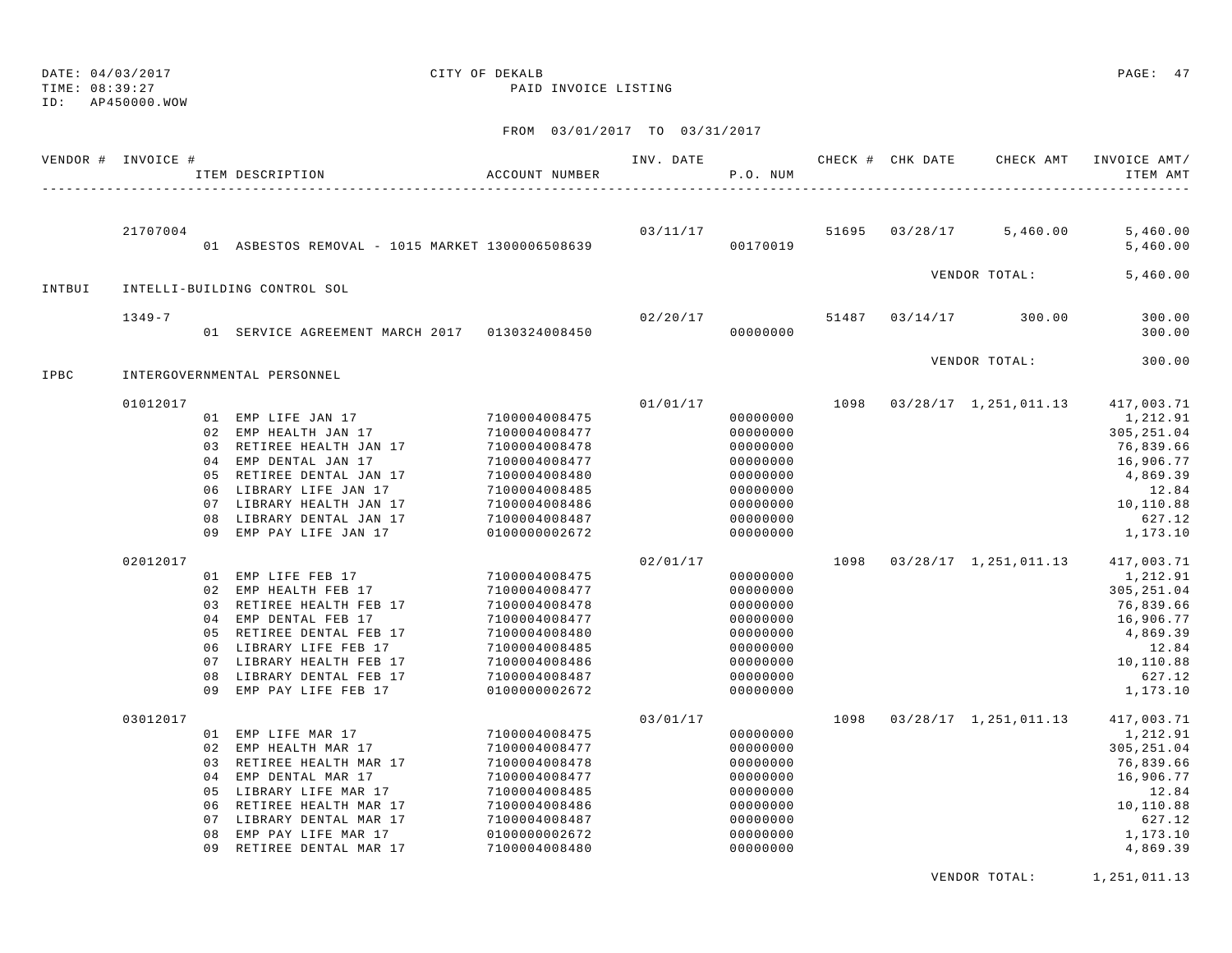TIME: 08:39:27 PAID INVOICE LISTING

## ID: AP450000.WOW

# DATE: 04/03/2017 CITY OF DEKALB PAGE: 47

FROM 03/01/2017 TO 03/31/2017

|        | VENDOR # INVOICE #   |                                              | ITEM DESCRIPTION                                                                                                                                                                                                                                 | ACCOUNT NUMBER                                                                                                                                                         | INV. DATE            | P.O. NUM                                                                                                             |              | CHECK # CHK DATE | CHECK AMT                                          | INVOICE AMT/<br>ITEM AMT                                                                                                                          |
|--------|----------------------|----------------------------------------------|--------------------------------------------------------------------------------------------------------------------------------------------------------------------------------------------------------------------------------------------------|------------------------------------------------------------------------------------------------------------------------------------------------------------------------|----------------------|----------------------------------------------------------------------------------------------------------------------|--------------|------------------|----------------------------------------------------|---------------------------------------------------------------------------------------------------------------------------------------------------|
|        | 21707004             |                                              | 01 ASBESTOS REMOVAL - 1015 MARKET 1300006508639                                                                                                                                                                                                  |                                                                                                                                                                        |                      | 03/11/17<br>00170019                                                                                                 |              | 51695 03/28/17   | 5,460.00                                           | 5,460.00<br>5,460.00                                                                                                                              |
| INTBUI |                      |                                              | INTELLI-BUILDING CONTROL SOL                                                                                                                                                                                                                     |                                                                                                                                                                        |                      |                                                                                                                      |              |                  | VENDOR TOTAL:                                      | 5,460.00                                                                                                                                          |
|        | $1349 - 7$           |                                              | 01 SERVICE AGREEMENT MARCH 2017 0130324008450                                                                                                                                                                                                    |                                                                                                                                                                        | 02/20/17             | 00000000                                                                                                             |              | 51487 03/14/17   | 300.00                                             | 300.00<br>300.00                                                                                                                                  |
| IPBC   |                      |                                              | INTERGOVERNMENTAL PERSONNEL                                                                                                                                                                                                                      |                                                                                                                                                                        |                      |                                                                                                                      |              |                  | VENDOR TOTAL:                                      | 300.00                                                                                                                                            |
|        | 01012017<br>02012017 | 05<br>07<br>08<br>09                         | 01 EMP LIFE JAN 17<br>02 EMP HEALTH JAN 17<br>03 RETIREE HEALTH JAN 17<br>04 EMP DENTAL JAN 17<br>RETIREE DENTAL JAN 17<br>06 LIBRARY LIFE JAN 17<br>LIBRARY HEALTH JAN 17<br>LIBRARY DENTAL JAN 17<br>EMP PAY LIFE JAN 17<br>01 EMP LIFE FEB 17 | 7100004008475<br>7100004008477<br>7100004008478<br>7100004008477<br>7100004008480<br>7100004008485<br>7100004008486<br>7100004008487<br>0100000002672<br>7100004008475 | 01/01/17<br>02/01/17 | 00000000<br>00000000<br>00000000<br>00000000<br>00000000<br>00000000<br>00000000<br>00000000<br>00000000<br>00000000 | 1098<br>1098 |                  | 03/28/17 1,251,011.13<br>$03/28/17$ 1, 251, 011.13 | 417,003.71<br>1,212.91<br>305, 251.04<br>76,839.66<br>16,906.77<br>4,869.39<br>12.84<br>10,110.88<br>627.12<br>1,173.10<br>417,003.71<br>1,212.91 |
|        |                      | 02<br>0.3<br>07<br>08<br>09                  | EMP HEALTH FEB 17<br>RETIREE HEALTH FEB 17<br>04 EMP DENTAL FEB 17<br>05 RETIREE DENTAL FEB 17<br>06 LIBRARY LIFE FEB 17<br>LIBRARY HEALTH FEB 17<br>LIBRARY DENTAL FEB 17<br>EMP PAY LIFE FEB 17                                                | 7100004008477<br>7100004008478<br>7100004008477<br>7100004008480<br>7100004008485<br>7100004008486<br>7100004008487<br>0100000002672                                   |                      | 00000000<br>00000000<br>00000000<br>00000000<br>00000000<br>00000000<br>00000000<br>00000000                         |              |                  |                                                    | 305, 251.04<br>76,839.66<br>16,906.77<br>4,869.39<br>12.84<br>10,110.88<br>627.12<br>1,173.10                                                     |
|        | 03012017             | 02<br>03<br>04<br>05<br>06<br>07<br>08<br>09 | 01 EMP LIFE MAR 17<br>EMP HEALTH MAR 17<br>RETIREE HEALTH MAR 17<br>EMP DENTAL MAR 17<br>LIBRARY LIFE MAR 17<br>RETIREE HEALTH MAR 17<br>LIBRARY DENTAL MAR 17<br>EMP PAY LIFE MAR 17<br>RETIREE DENTAL MAR 17                                   | 7100004008475<br>7100004008477<br>7100004008478<br>7100004008477<br>7100004008485<br>7100004008486<br>7100004008487<br>0100000002672<br>7100004008480                  | 03/01/17             | 00000000<br>00000000<br>00000000<br>00000000<br>00000000<br>00000000<br>00000000<br>00000000<br>00000000             | 1098         |                  | $03/28/17$ 1, 251, 011.13                          | 417,003.71<br>1,212.91<br>305, 251.04<br>76,839.66<br>16,906.77<br>12.84<br>10,110.88<br>627.12<br>1,173.10<br>4,869.39                           |

VENDOR TOTAL: 1,251,011.13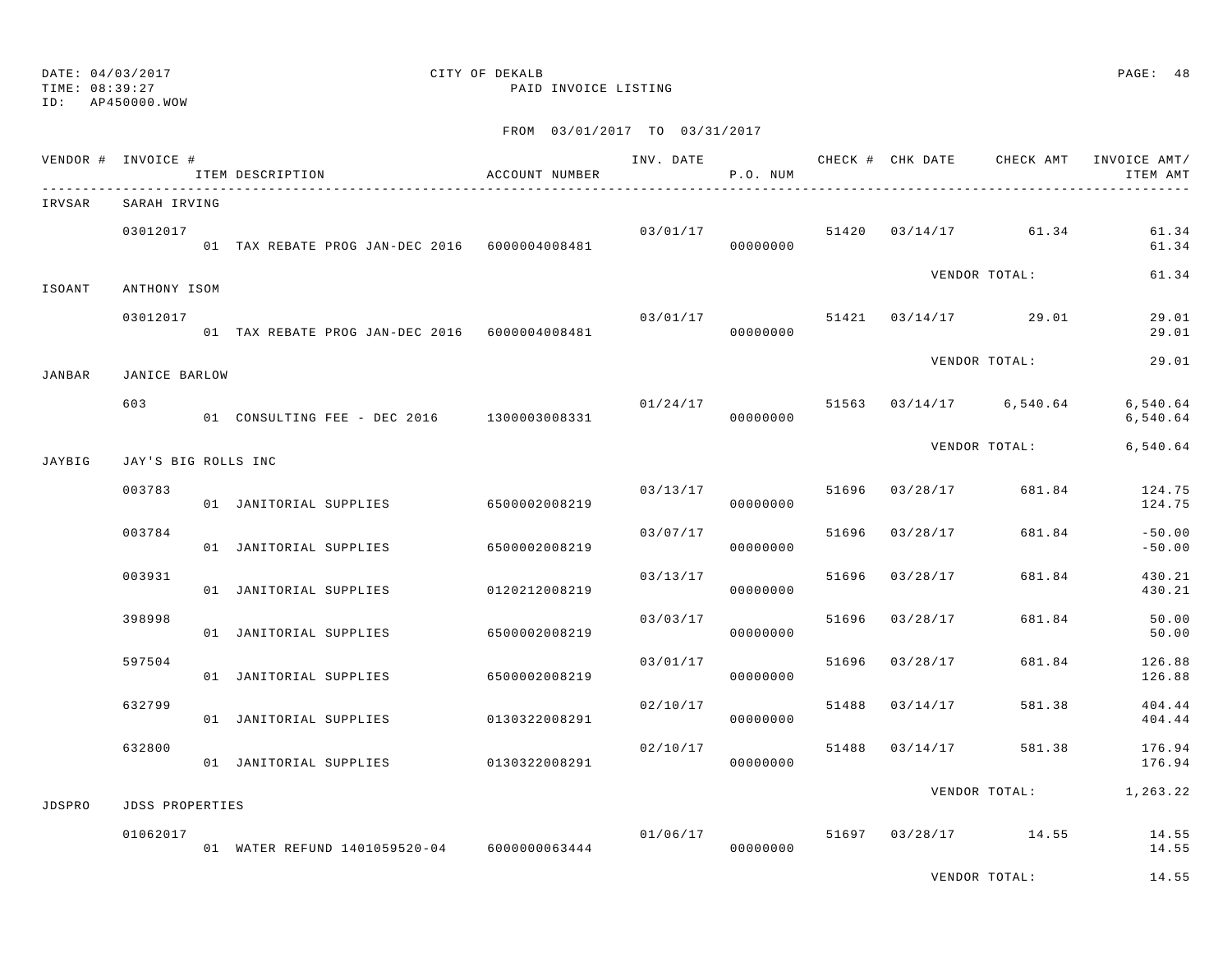### TIME: 08:39:27 PAID INVOICE LISTING ID: AP450000.WOW

## DATE: 04/03/2017 CITY OF DEKALB PAGE: 48

|        | VENDOR # INVOICE #     | ITEM DESCRIPTION                              | ACCOUNT NUMBER | INV. DATE | P.O. NUM             |       |          | CHECK # CHK DATE CHECK AMT | INVOICE AMT/<br>ITEM AMT |
|--------|------------------------|-----------------------------------------------|----------------|-----------|----------------------|-------|----------|----------------------------|--------------------------|
| IRVSAR | SARAH IRVING           |                                               |                |           |                      |       |          |                            |                          |
|        | 03012017               | 01 TAX REBATE PROG JAN-DEC 2016 6000004008481 |                |           | 03/01/17<br>00000000 |       |          | 51420 03/14/17 61.34       | 61.34<br>61.34           |
| ISOANT | ANTHONY ISOM           |                                               |                |           |                      |       |          | VENDOR TOTAL:              | 61.34                    |
|        | 03012017               | 01 TAX REBATE PROG JAN-DEC 2016 6000004008481 |                | 03/01/17  | 00000000             |       |          | 51421 03/14/17 29.01       | 29.01<br>29.01           |
| JANBAR | JANICE BARLOW          |                                               |                |           |                      |       |          | VENDOR TOTAL:              | 29.01                    |
|        | 603                    | 01 CONSULTING FEE - DEC 2016 1300003008331    |                | 01/24/17  | 00000000             |       |          | 51563 03/14/17 6,540.64    | 6,540.64<br>6,540.64     |
| JAYBIG | JAY'S BIG ROLLS INC    |                                               |                |           |                      |       |          | VENDOR TOTAL:              | 6,540.64                 |
|        | 003783                 | 01 JANITORIAL SUPPLIES                        | 6500002008219  |           | 03/13/17<br>00000000 | 51696 | 03/28/17 | 681.84                     | 124.75<br>124.75         |
|        | 003784                 | 01 JANITORIAL SUPPLIES                        | 6500002008219  | 03/07/17  | 00000000             | 51696 | 03/28/17 | 681.84                     | $-50.00$<br>$-50.00$     |
|        | 003931                 | 01 JANITORIAL SUPPLIES                        | 0120212008219  | 03/13/17  | 00000000             | 51696 | 03/28/17 | 681.84                     | 430.21<br>430.21         |
|        | 398998                 | 01 JANITORIAL SUPPLIES                        | 6500002008219  | 03/03/17  | 00000000             | 51696 | 03/28/17 | 681.84                     | 50.00<br>50.00           |
|        | 597504                 | 01 JANITORIAL SUPPLIES                        | 6500002008219  | 03/01/17  | 00000000             | 51696 | 03/28/17 | 681.84                     | 126.88<br>126.88         |
|        | 632799                 | 01 JANITORIAL SUPPLIES                        | 0130322008291  | 02/10/17  | 00000000             | 51488 | 03/14/17 | 581.38                     | 404.44<br>404.44         |
|        | 632800                 | 01 JANITORIAL SUPPLIES                        | 0130322008291  | 02/10/17  | 00000000             | 51488 | 03/14/17 | 581.38                     | 176.94<br>176.94         |
| JDSPRO | <b>JDSS PROPERTIES</b> |                                               |                |           |                      |       |          | VENDOR TOTAL:              | 1,263.22                 |
|        | 01062017               | 01 WATER REFUND 1401059520-04 6000000063444   |                | 01/06/17  | 00000000             |       |          | 51697 03/28/17 14.55       | 14.55<br>14.55           |
|        |                        |                                               |                |           |                      |       |          | VENDOR TOTAL:              | 14.55                    |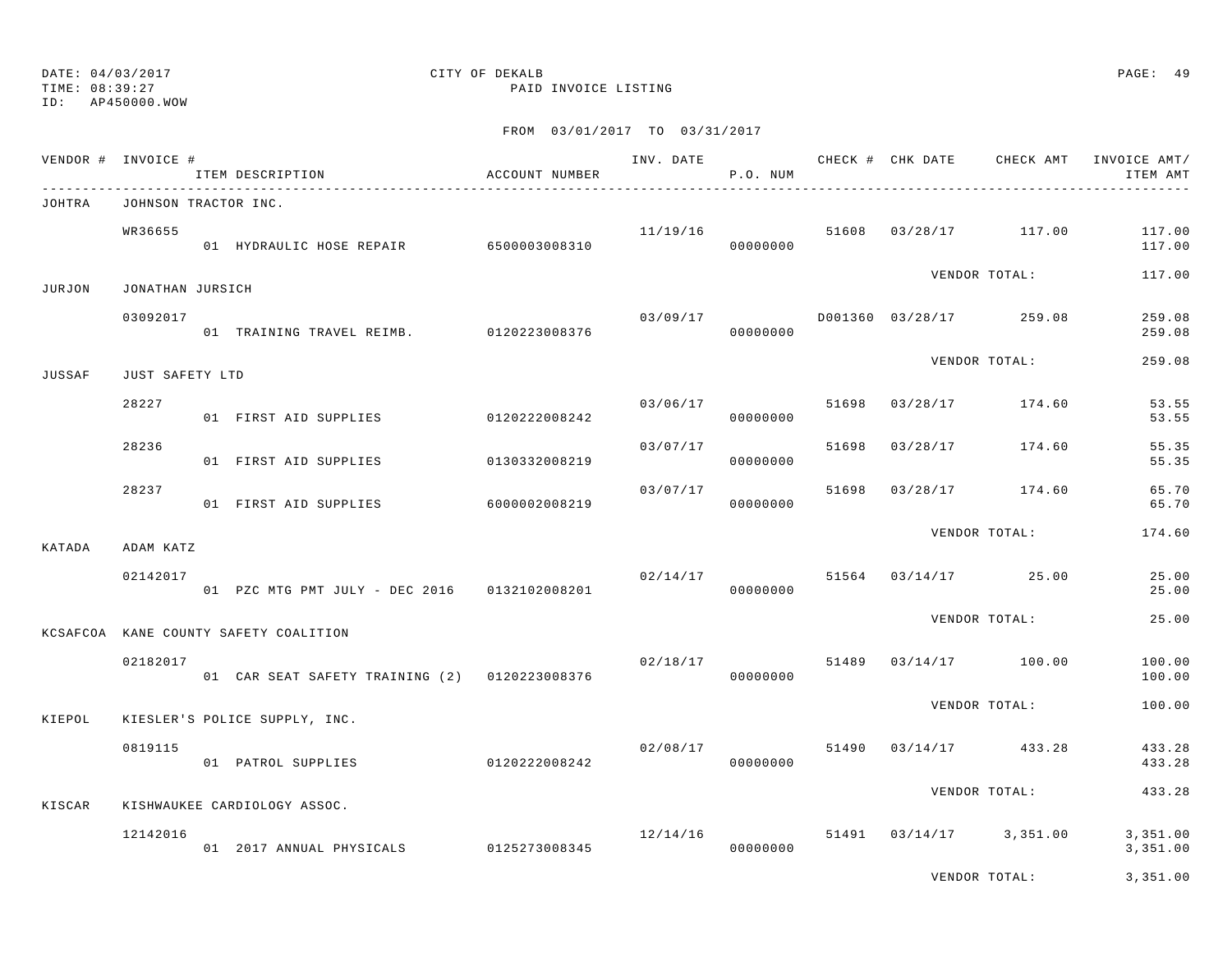TIME: 08:39:27 PAID INVOICE LISTING

ID: AP450000.WOW

| VENDOR # INVOICE # |                      | ITEM DESCRIPTION                              | ACCOUNT NUMBER |          | P.O. NUM             |       |          | INV. DATE 6 CHECK # CHK DATE CHECK AMT | INVOICE AMT/<br>ITEM AMT |
|--------------------|----------------------|-----------------------------------------------|----------------|----------|----------------------|-------|----------|----------------------------------------|--------------------------|
| JOHTRA             | JOHNSON TRACTOR INC. |                                               |                |          |                      |       |          |                                        |                          |
|                    | WR36655              | 01 HYDRAULIC HOSE REPAIR 6500003008310        |                |          | 11/19/16<br>00000000 |       |          | 51608 03/28/17 117.00                  | 117.00<br>117.00         |
| JURJON             | JONATHAN JURSICH     |                                               |                |          |                      |       |          | VENDOR TOTAL:                          | 117.00                   |
|                    | 03092017             | 01 TRAINING TRAVEL REIMB. 0120223008376       |                |          | 03/09/17<br>00000000 |       |          | D001360 03/28/17 259.08                | 259.08<br>259.08         |
| <b>JUSSAF</b>      | JUST SAFETY LTD      |                                               |                |          |                      |       |          | VENDOR TOTAL:                          | 259.08                   |
|                    | 28227                | 01 FIRST AID SUPPLIES                         | 0120222008242  | 03/06/17 | 00000000             | 51698 | 03/28/17 | 174.60                                 | 53.55<br>53.55           |
|                    | 28236                | 01 FIRST AID SUPPLIES                         | 0130332008219  | 03/07/17 | 00000000             | 51698 | 03/28/17 | 174.60                                 | 55.35<br>55.35           |
|                    | 28237                | 01 FIRST AID SUPPLIES                         | 6000002008219  | 03/07/17 | 00000000             | 51698 | 03/28/17 | 174.60                                 | 65.70<br>65.70           |
| KATADA             | ADAM KATZ            |                                               |                |          |                      |       |          | VENDOR TOTAL:                          | 174.60                   |
|                    | 02142017             | 01 PZC MTG PMT JULY - DEC 2016 0132102008201  |                |          | 02/14/17<br>00000000 |       |          | 51564 03/14/17 25.00                   | 25.00<br>25.00           |
|                    |                      | KCSAFCOA KANE COUNTY SAFETY COALITION         |                |          |                      |       |          | VENDOR TOTAL:                          | 25.00                    |
|                    | 02182017             | 01 CAR SEAT SAFETY TRAINING (2) 0120223008376 |                |          | 02/18/17<br>00000000 | 51489 |          | 03/14/17 100.00                        | 100.00<br>100.00         |
| KIEPOL             |                      | KIESLER'S POLICE SUPPLY, INC.                 |                |          |                      |       |          | VENDOR TOTAL:                          | 100.00                   |
|                    | 0819115              | 01 PATROL SUPPLIES                            | 0120222008242  | 02/08/17 | 00000000             |       |          | 51490 03/14/17 433.28                  | 433.28<br>433.28         |
| KISCAR             |                      | KISHWAUKEE CARDIOLOGY ASSOC.                  |                |          |                      |       |          | VENDOR TOTAL:                          | 433.28                   |
|                    | 12142016             | 01 2017 ANNUAL PHYSICALS 0125273008345        |                | 12/14/16 | 00000000             | 51491 |          | $03/14/17$ 3,351.00                    | 3,351.00<br>3,351.00     |
|                    |                      |                                               |                |          |                      |       |          | VENDOR TOTAL:                          | 3,351.00                 |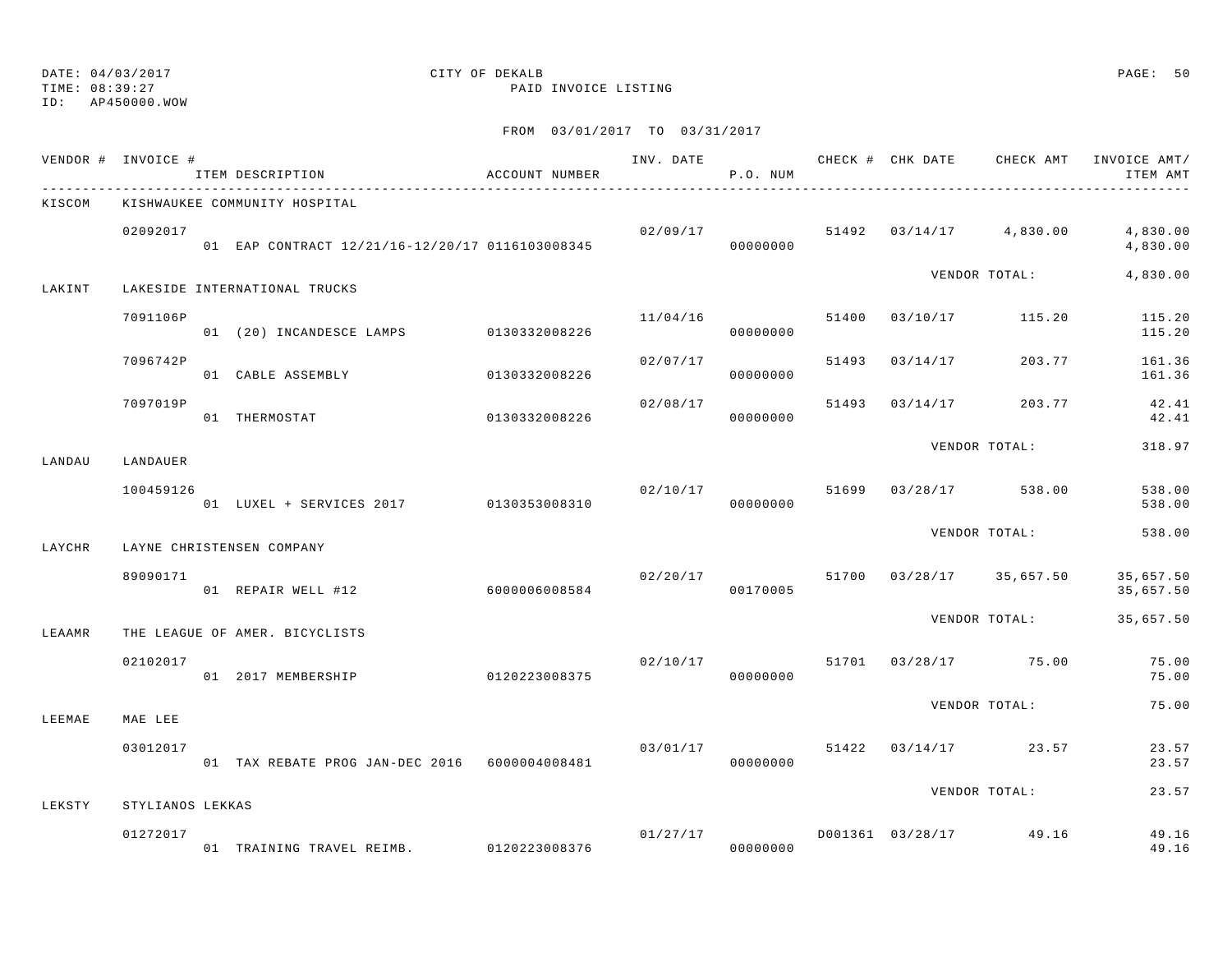TIME: 08:39:27 PAID INVOICE LISTING

ID: AP450000.WOW

|        | VENDOR # INVOICE # | ITEM DESCRIPTION                                | ACCOUNT NUMBER |                                 | P.O. NUM |       |                |                                   | INV. DATE 6 CHECK # CHK DATE CHECK AMT INVOICE AMT/<br>ITEM AMT |
|--------|--------------------|-------------------------------------------------|----------------|---------------------------------|----------|-------|----------------|-----------------------------------|-----------------------------------------------------------------|
| KISCOM |                    | KISHWAUKEE COMMUNITY HOSPITAL                   |                |                                 |          |       |                |                                   |                                                                 |
|        | 02092017           | 01 EAP CONTRACT 12/21/16-12/20/17 0116103008345 |                |                                 | 00000000 |       |                |                                   | $02/09/17$ $51492$ $03/14/17$ $4,830.00$ $4,830.00$<br>4,830.00 |
| LAKINT |                    | LAKESIDE INTERNATIONAL TRUCKS                   |                |                                 |          |       |                | VENDOR TOTAL:                     | 4,830.00                                                        |
|        | 7091106P           | 01 (20) INCANDESCE LAMPS 0130332008226          |                | 11/04/16                        | 00000000 |       |                | 51400 03/10/17 115.20             | 115.20<br>115.20                                                |
|        | 7096742P           | 01 CABLE ASSEMBLY                               | 0130332008226  | 02/07/17                        | 00000000 | 51493 | 03/14/17       | 203.77                            | 161.36<br>161.36                                                |
|        | 7097019P           | 0130332008226<br>01 THERMOSTAT                  |                | 02/08/17                        | 00000000 |       | 51493 03/14/17 | 203.77                            | 42.41<br>42.41                                                  |
| LANDAU | LANDAUER           |                                                 |                |                                 |          |       |                | VENDOR TOTAL:                     | 318.97                                                          |
|        | 100459126          | 01 LUXEL + SERVICES 2017 0130353008310          |                | 02/10/17<br>00000000            |          |       |                | 51699 03/28/17 538.00             | 538.00<br>538.00                                                |
| LAYCHR |                    | LAYNE CHRISTENSEN COMPANY                       |                |                                 |          |       |                | VENDOR TOTAL:                     | 538.00                                                          |
|        | 89090171           | 01 REPAIR WELL #12                              | 6000006008584  | 02/20/17                        | 00170005 |       |                | 51700 03/28/17 35,657.50          | 35,657.50<br>35,657.50                                          |
| LEAAMR |                    | THE LEAGUE OF AMER. BICYCLISTS                  |                |                                 |          |       |                | VENDOR TOTAL:                     | 35,657.50                                                       |
|        | 02102017           | 01 2017 MEMBERSHIP                              | 0120223008375  |                                 | 00000000 |       |                | $02/10/17$ 51701 03/28/17 75.00   | 75.00<br>75.00                                                  |
| LEEMAE | MAE LEE            |                                                 |                |                                 |          |       |                | VENDOR TOTAL:                     | 75.00                                                           |
|        | 03012017           | 01 TAX REBATE PROG JAN-DEC 2016 6000004008481   |                | $03/01/17$ 51422 03/14/17 23.57 | 00000000 |       |                |                                   | 23.57<br>23.57                                                  |
| LEKSTY | STYLIANOS LEKKAS   |                                                 |                |                                 |          |       |                | VENDOR TOTAL:                     | 23.57                                                           |
|        | 01272017           |                                                 |                |                                 |          |       |                | $01/27/17$ D001361 03/28/17 49.16 | 49.16<br>49.16                                                  |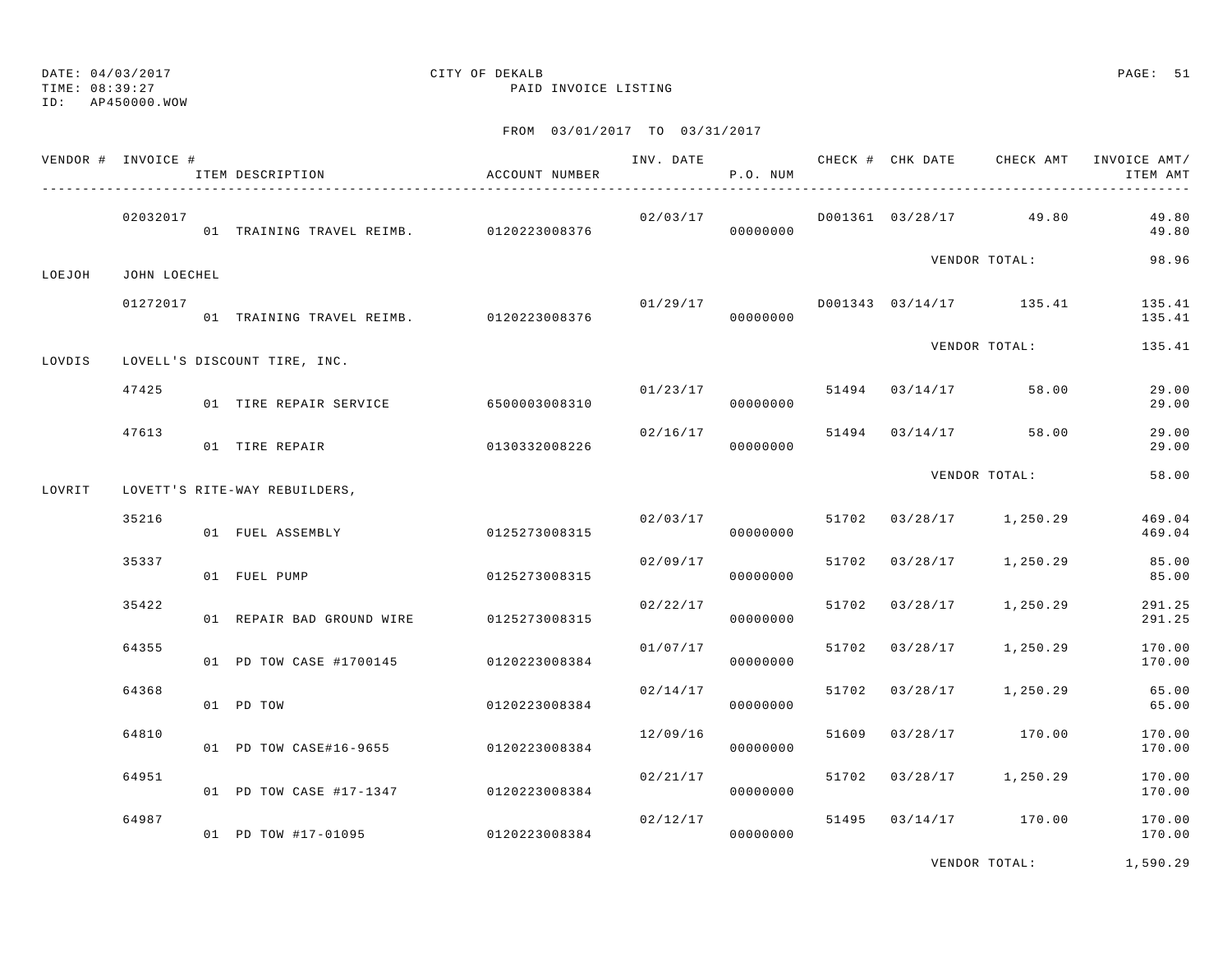TIME: 08:39:27 PAID INVOICE LISTING

ID: AP450000.WOW

## FROM 03/01/2017 TO 03/31/2017

|        | VENDOR # INVOICE # | ITEM DESCRIPTION                        | ACCOUNT NUMBER |                                 | P.O. NUM             |       |                         |                                    | INV. DATE 6 1999 CHECK # CHK DATE CHECK AMT INVOICE AMT<br>ITEM AMT |
|--------|--------------------|-----------------------------------------|----------------|---------------------------------|----------------------|-------|-------------------------|------------------------------------|---------------------------------------------------------------------|
|        | 02032017           | 01 TRAINING TRAVEL REIMB. 0120223008376 |                | 00000000                        |                      |       |                         | $02/03/17$ D001361 03/28/17 49.80  | 49.80<br>49.80                                                      |
| LOEJOH | JOHN LOECHEL       |                                         |                |                                 |                      |       |                         | VENDOR TOTAL:                      | 98.96                                                               |
|        | 01272017           | 01 TRAINING TRAVEL REIMB. 0120223008376 |                |                                 | 00000000             |       |                         | $01/29/17$ D001343 03/14/17 135.41 | 135.41<br>135.41                                                    |
| LOVDIS |                    | LOVELL'S DISCOUNT TIRE, INC.            |                |                                 |                      |       |                         | VENDOR TOTAL:                      | 135.41                                                              |
|        | 47425              | 01 TIRE REPAIR SERVICE 6500003008310    |                | $01/23/17$ 51494 03/14/17 58.00 | 00000000             |       |                         |                                    | 29.00<br>29.00                                                      |
|        | 47613              | 01 TIRE REPAIR                          | 0130332008226  | 02/16/17                        | 00000000             |       | 51494 03/14/17 58.00    |                                    | 29.00<br>29.00                                                      |
| LOVRIT |                    | LOVETT'S RITE-WAY REBUILDERS,           |                |                                 |                      |       |                         | VENDOR TOTAL:                      | 58.00                                                               |
|        | 35216              | 01 FUEL ASSEMBLY                        | 0125273008315  |                                 | 02/03/17<br>00000000 |       | 51702 03/28/17 1,250.29 |                                    | 469.04<br>469.04                                                    |
|        | 35337              | 01 FUEL PUMP                            | 0125273008315  | 02/09/17                        | 00000000             |       | 51702 03/28/17 1,250.29 |                                    | 85.00<br>85.00                                                      |
|        | 35422              | 01 REPAIR BAD GROUND WIRE 0125273008315 |                | 02/22/17                        | 00000000             |       | 51702 03/28/17 1,250.29 |                                    | 291.25<br>291.25                                                    |
|        | 64355              | 01 PD TOW CASE #1700145 0120223008384   |                | 01/07/17                        | 00000000             |       | 51702 03/28/17          | 1,250.29                           | 170.00<br>170.00                                                    |
|        | 64368              | 01 PD TOW                               | 0120223008384  | 02/14/17                        | 00000000             |       | 51702 03/28/17 1,250.29 |                                    | 65.00<br>65.00                                                      |
|        | 64810              | 01 PD TOW CASE#16-9655 0120223008384    |                | 12/09/16                        | 00000000             | 51609 | 03/28/17 170.00         |                                    | 170.00<br>170.00                                                    |
|        | 64951              | 01 PD TOW CASE #17-1347 0120223008384   |                | 02/21/17                        | 00000000             |       | 51702 03/28/17 1,250.29 |                                    | 170.00<br>170.00                                                    |
|        | 64987              | 01 PD TOW #17-01095 0120223008384       |                | 02/12/17                        | 00000000             |       |                         | 51495 03/14/17 170.00              | 170.00<br>170.00                                                    |
|        |                    |                                         |                |                                 |                      |       |                         |                                    |                                                                     |

VENDOR TOTAL: 1,590.29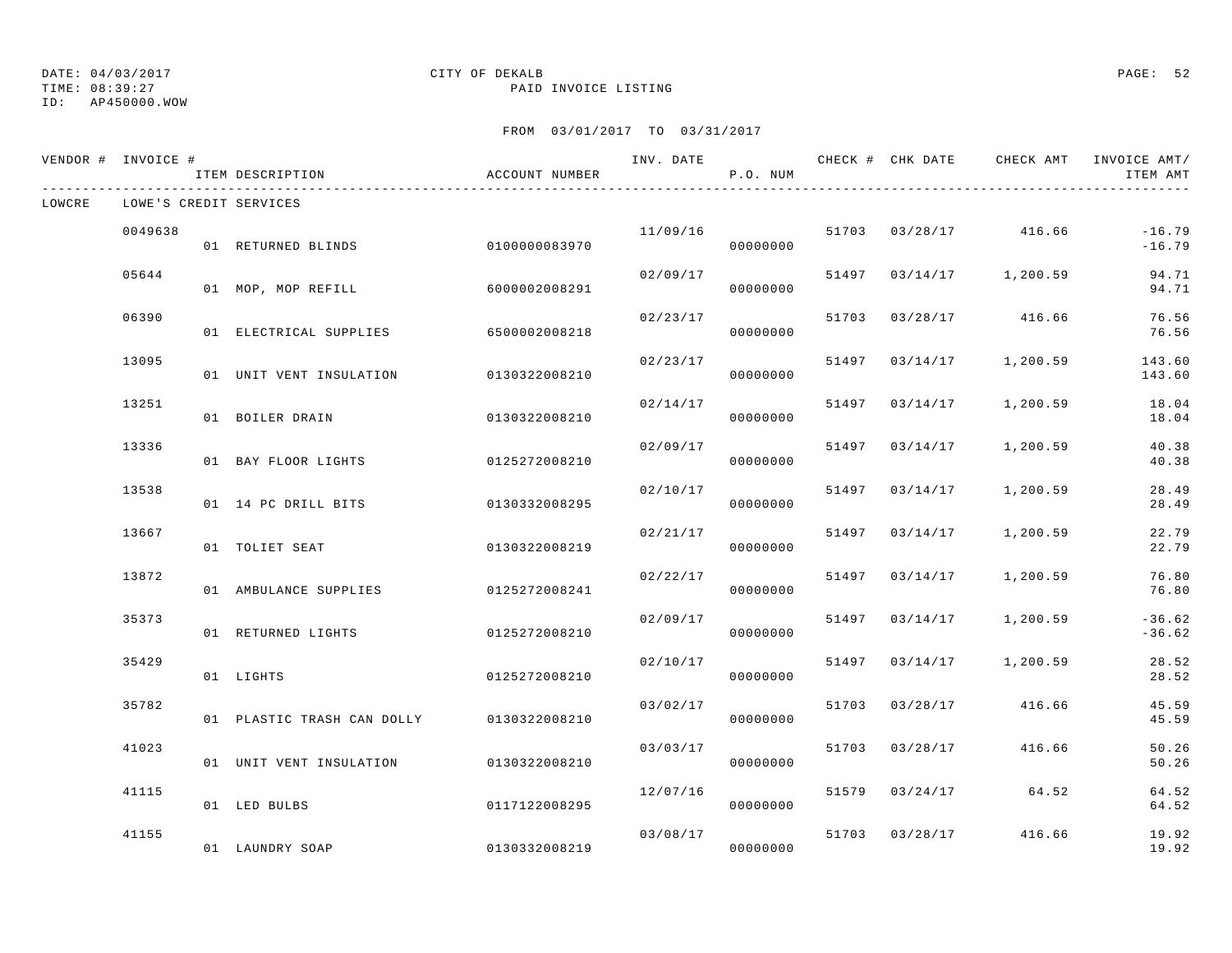TIME: 08:39:27 PAID INVOICE LISTING

ID: AP450000.WOW

|        | VENDOR # INVOICE # | ITEM DESCRIPTION                         | ACCOUNT NUMBER |          | P.O. NUM |                |                         | INV. DATE 60 CHECK # CHK DATE CHECK AMT INVOICE AMT/<br>ITEM AMT |
|--------|--------------------|------------------------------------------|----------------|----------|----------|----------------|-------------------------|------------------------------------------------------------------|
| LOWCRE |                    | LOWE'S CREDIT SERVICES                   |                |          |          |                |                         |                                                                  |
|        | 0049638            | 01 RETURNED BLINDS                       | 01000000083970 | 11/09/16 | 00000000 |                | 51703 03/28/17 416.66   | $-16.79$<br>$-16.79$                                             |
|        | 05644              | 01 MOP, MOP REFILL                       | 6000002008291  | 02/09/17 | 00000000 |                | 51497 03/14/17 1,200.59 | 94.71<br>94.71                                                   |
|        | 06390              | 01 ELECTRICAL SUPPLIES 6500002008218     |                | 02/23/17 | 00000000 |                | 51703 03/28/17 416.66   | 76.56<br>76.56                                                   |
|        | 13095              | 01 UNIT VENT INSULATION 0130322008210    |                | 02/23/17 | 00000000 |                | 51497 03/14/17 1,200.59 | 143.60<br>143.60                                                 |
|        | 13251              | 01 BOILER DRAIN                          | 0130322008210  | 02/14/17 | 00000000 | 51497 03/14/17 | 1,200.59                | 18.04<br>18.04                                                   |
|        | 13336              | 01 BAY FLOOR LIGHTS                      | 0125272008210  | 02/09/17 | 00000000 | 51497 03/14/17 | 1,200.59                | 40.38<br>40.38                                                   |
|        | 13538              | 01 14 PC DRILL BITS                      | 0130332008295  | 02/10/17 | 00000000 | 51497 03/14/17 | 1,200.59                | 28.49<br>28.49                                                   |
|        | 13667              | 01 TOLIET SEAT                           | 0130322008219  | 02/21/17 | 00000000 | 51497 03/14/17 | 1,200.59                | 22.79<br>22.79                                                   |
|        | 13872              | 01 AMBULANCE SUPPLIES 0125272008241      |                | 02/22/17 | 00000000 | 51497 03/14/17 | 1,200.59                | 76.80<br>76.80                                                   |
|        | 35373              | 01 RETURNED LIGHTS                       | 0125272008210  | 02/09/17 | 00000000 | 51497 03/14/17 | 1,200.59                | $-36.62$<br>$-36.62$                                             |
|        | 35429              | 01 LIGHTS                                | 0125272008210  | 02/10/17 | 00000000 |                | 51497 03/14/17 1,200.59 | 28.52<br>28.52                                                   |
|        | 35782              | 01 PLASTIC TRASH CAN DOLLY 0130322008210 |                | 03/02/17 | 00000000 | 51703 03/28/17 | 416.66                  | 45.59<br>45.59                                                   |
|        | 41023              | 01 UNIT VENT INSULATION 0130322008210    |                | 03/03/17 | 00000000 | 51703 03/28/17 | 416.66                  | 50.26<br>50.26                                                   |
|        | 41115              | 01 LED BULBS                             | 0117122008295  | 12/07/16 | 00000000 |                | 51579 03/24/17 64.52    | 64.52<br>64.52                                                   |
|        | 41155              | 01 LAUNDRY SOAP                          | 0130332008219  | 03/08/17 | 00000000 | 51703 03/28/17 | 416.66                  | 19.92<br>19.92                                                   |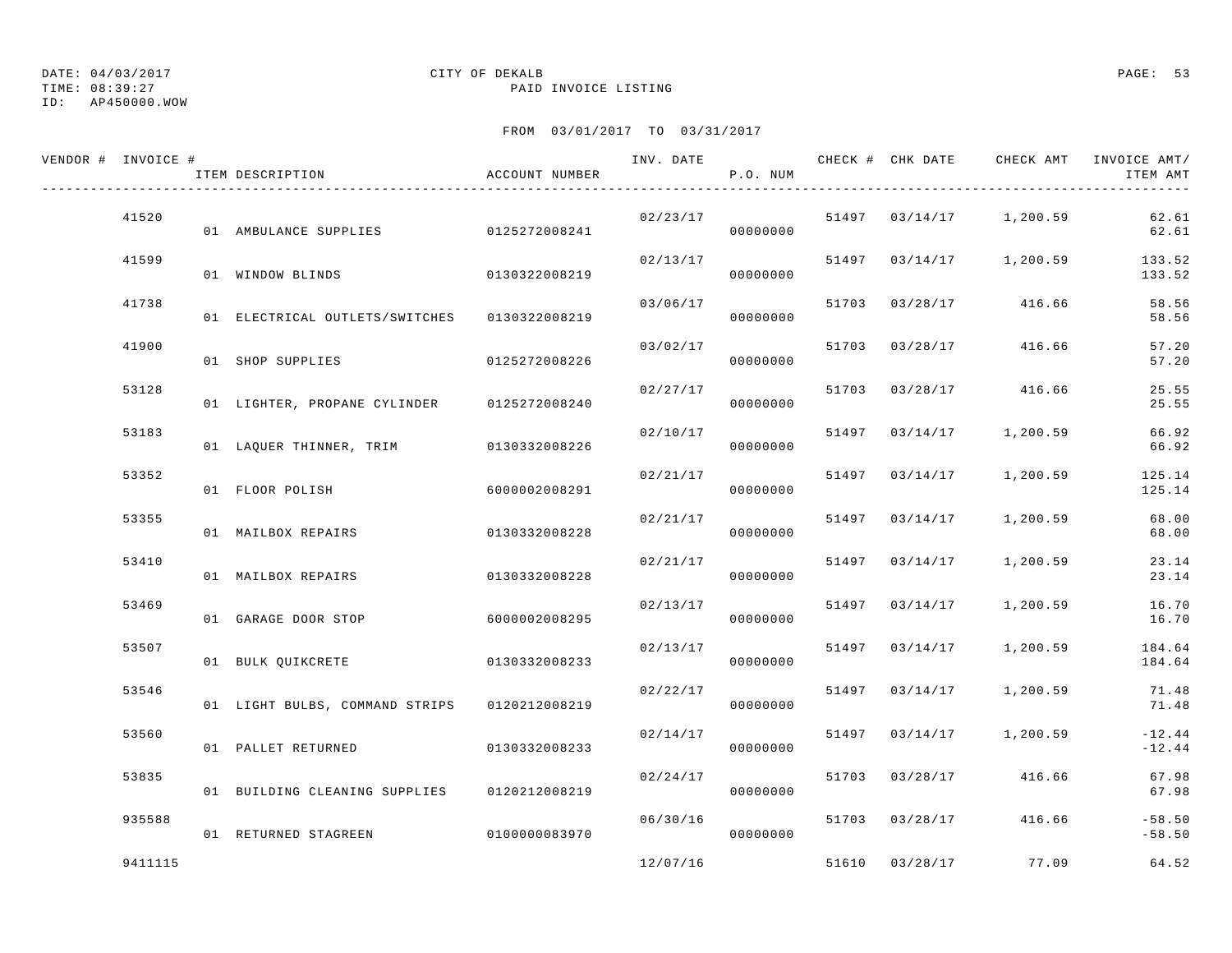# ID: AP450000.WOW

## DATE: 04/03/2017 CITY OF DEKALB PAGE: 53

TIME: 08:39:27 PAID INVOICE LISTING

| VENDOR # INVOICE # | ITEM DESCRIPTION                             | ACCOUNT NUMBER | INV. DATE | P.O. NUM             |       | CHECK # CHK DATE | CHECK AMT                   | INVOICE AMT/<br>ITEM AMT |
|--------------------|----------------------------------------------|----------------|-----------|----------------------|-------|------------------|-----------------------------|--------------------------|
| 41520              | 01 AMBULANCE SUPPLIES 0125272008241          |                | 02/23/17  | 00000000             |       |                  | $51497$ $03/14/17$ 1,200.59 | 62.61<br>62.61           |
| 41599              | 01 WINDOW BLINDS                             | 0130322008219  | 02/13/17  | 00000000             |       |                  | 51497 03/14/17 1,200.59     | 133.52<br>133.52         |
| 41738              | 01 ELECTRICAL OUTLETS/SWITCHES 0130322008219 |                |           | 03/06/17<br>00000000 |       |                  | 51703 03/28/17 416.66       | 58.56<br>58.56           |
| 41900              | 01 SHOP SUPPLIES                             | 0125272008226  | 03/02/17  | 00000000             | 51703 | 03/28/17         | 416.66                      | 57.20<br>57.20           |
| 53128              | 01 LIGHTER, PROPANE CYLINDER 0125272008240   |                | 02/27/17  | 00000000             |       | 51703 03/28/17   | 416.66                      | 25.55<br>25.55           |
| 53183              | 01 LAQUER THINNER, TRIM 0130332008226        |                | 02/10/17  | 00000000             |       |                  | 51497 03/14/17 1,200.59     | 66.92<br>66.92           |
| 53352              | 01 FLOOR POLISH                              | 6000002008291  | 02/21/17  | 00000000             |       | 51497 03/14/17   | 1,200.59                    | 125.14<br>125.14         |
| 53355              | 01 MAILBOX REPAIRS                           | 0130332008228  | 02/21/17  | 00000000             |       | 51497 03/14/17   | 1,200.59                    | 68.00<br>68.00           |
| 53410              | 01 MAILBOX REPAIRS                           | 0130332008228  | 02/21/17  | 00000000             |       | 51497 03/14/17   | 1,200.59                    | 23.14<br>23.14           |
| 53469              | 01 GARAGE DOOR STOP                          | 6000002008295  | 02/13/17  | 00000000             |       | 51497 03/14/17   | 1,200.59                    | 16.70<br>16.70           |
| 53507              | 01 BULK QUIKCRETE 0130332008233              |                | 02/13/17  | 00000000             |       | 51497 03/14/17   | 1,200.59                    | 184.64<br>184.64         |
| 53546              | 01 LIGHT BULBS, COMMAND STRIPS 0120212008219 |                |           | 02/22/17<br>00000000 |       |                  | 51497 03/14/17 1,200.59     | 71.48<br>71.48           |
| 53560              | 01 PALLET RETURNED                           | 0130332008233  | 02/14/17  | 00000000             |       | 51497 03/14/17   | 1,200.59                    | $-12.44$<br>$-12.44$     |
| 53835              | 01 BUILDING CLEANING SUPPLIES 0120212008219  |                | 02/24/17  | 00000000             |       | 51703 03/28/17   | 416.66                      | 67.98<br>67.98           |
| 935588             | 01 RETURNED STAGREEN                         | 0100000083970  | 06/30/16  | 00000000             |       | 51703 03/28/17   | 416.66                      | $-58.50$<br>$-58.50$     |
| 9411115            |                                              |                | 12/07/16  |                      |       | 51610 03/28/17   | 77.09                       | 64.52                    |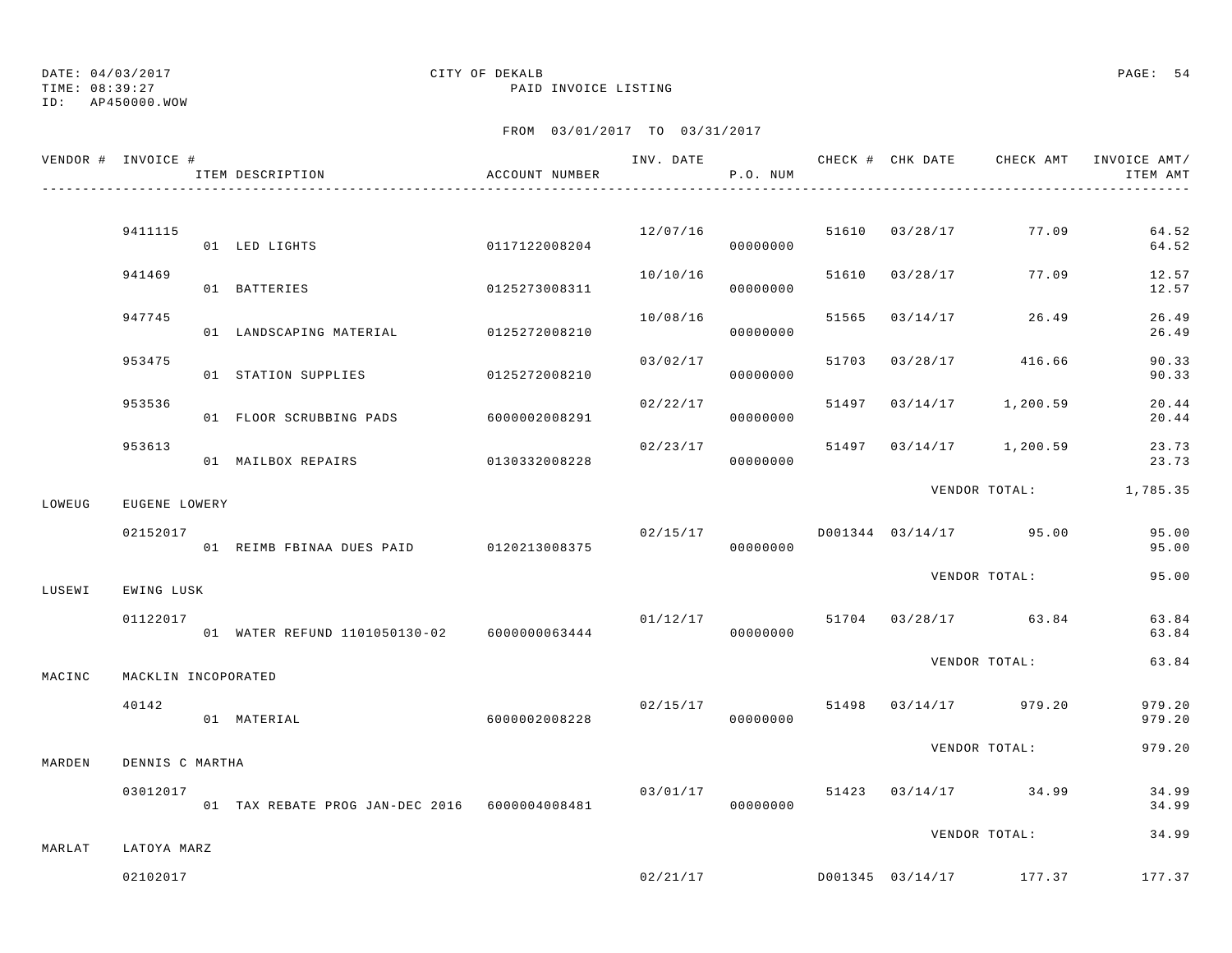TIME: 08:39:27 PAID INVOICE LISTING ID: AP450000.WOW

## DATE: 04/03/2017 CITY OF DEKALB PAGE: 54

|        | VENDOR # INVOICE #  | ITEM DESCRIPTION                              | ACCOUNT NUMBER |          | P.O. NUM             |                |                                    | INV. DATE 6 1999 CHECK # CHK DATE 6 CHECK AMT INVOICE AMT<br>ITEM AMT |
|--------|---------------------|-----------------------------------------------|----------------|----------|----------------------|----------------|------------------------------------|-----------------------------------------------------------------------|
|        |                     |                                               |                |          |                      |                |                                    |                                                                       |
|        | 9411115             | 01 LED LIGHTS                                 | 0117122008204  |          | 12/07/16<br>00000000 |                | 51610 03/28/17 77.09               | 64.52<br>64.52                                                        |
|        | 941469              | 01 BATTERIES                                  | 0125273008311  | 10/10/16 | 00000000             | 51610 03/28/17 | 77.09                              | 12.57<br>12.57                                                        |
|        | 947745              | 01 LANDSCAPING MATERIAL 0125272008210         |                | 10/08/16 | 00000000             |                | 51565 03/14/17 26.49               | 26.49<br>26.49                                                        |
|        | 953475              | 01 STATION SUPPLIES                           | 0125272008210  | 03/02/17 | 00000000             |                | 51703 03/28/17 416.66              | 90.33<br>90.33                                                        |
|        | 953536              | 01 FLOOR SCRUBBING PADS 6000002008291         |                | 02/22/17 | 00000000             |                | 51497 03/14/17 1,200.59            | 20.44<br>20.44                                                        |
|        | 953613              | 01 MAILBOX REPAIRS                            | 0130332008228  |          | 00000000             |                | $02/23/17$ 51497 03/14/17 1,200.59 | 23.73<br>23.73                                                        |
| LOWEUG | EUGENE LOWERY       |                                               |                |          |                      |                |                                    | VENDOR TOTAL: 1,785.35                                                |
|        | 02152017            | 01 REIMB FBINAA DUES PAID 0120213008375       |                |          | 00000000             |                | $02/15/17$ D001344 03/14/17 95.00  | 95.00<br>95.00                                                        |
| LUSEWI | EWING LUSK          |                                               |                |          |                      |                | VENDOR TOTAL:                      | 95.00                                                                 |
|        | 01122017            | 01 WATER REFUND 1101050130-02 6000000063444   |                | 01/12/17 | 00000000             |                | 51704 03/28/17 63.84               | 63.84<br>63.84                                                        |
| MACINC | MACKLIN INCOPORATED |                                               |                |          |                      |                | VENDOR TOTAL:                      | 63.84                                                                 |
|        | 40142               | 01 MATERIAL                                   | 6000002008228  | 02/15/17 | 00000000             |                | 51498 03/14/17 979.20              | 979.20<br>979.20                                                      |
| MARDEN | DENNIS C MARTHA     |                                               |                |          |                      |                | VENDOR TOTAL:                      | 979.20                                                                |
|        | 03012017            | 01 TAX REBATE PROG JAN-DEC 2016 6000004008481 |                |          | 00000000             |                | $03/01/17$ 51423 $03/14/17$ 34.99  | 34.99<br>34.99                                                        |
| MARLAT | LATOYA MARZ         |                                               |                |          |                      |                | VENDOR TOTAL:                      | 34.99                                                                 |
|        | 02102017            |                                               |                |          |                      |                |                                    | $02/21/17$ D001345 03/14/17 177.37 177.37                             |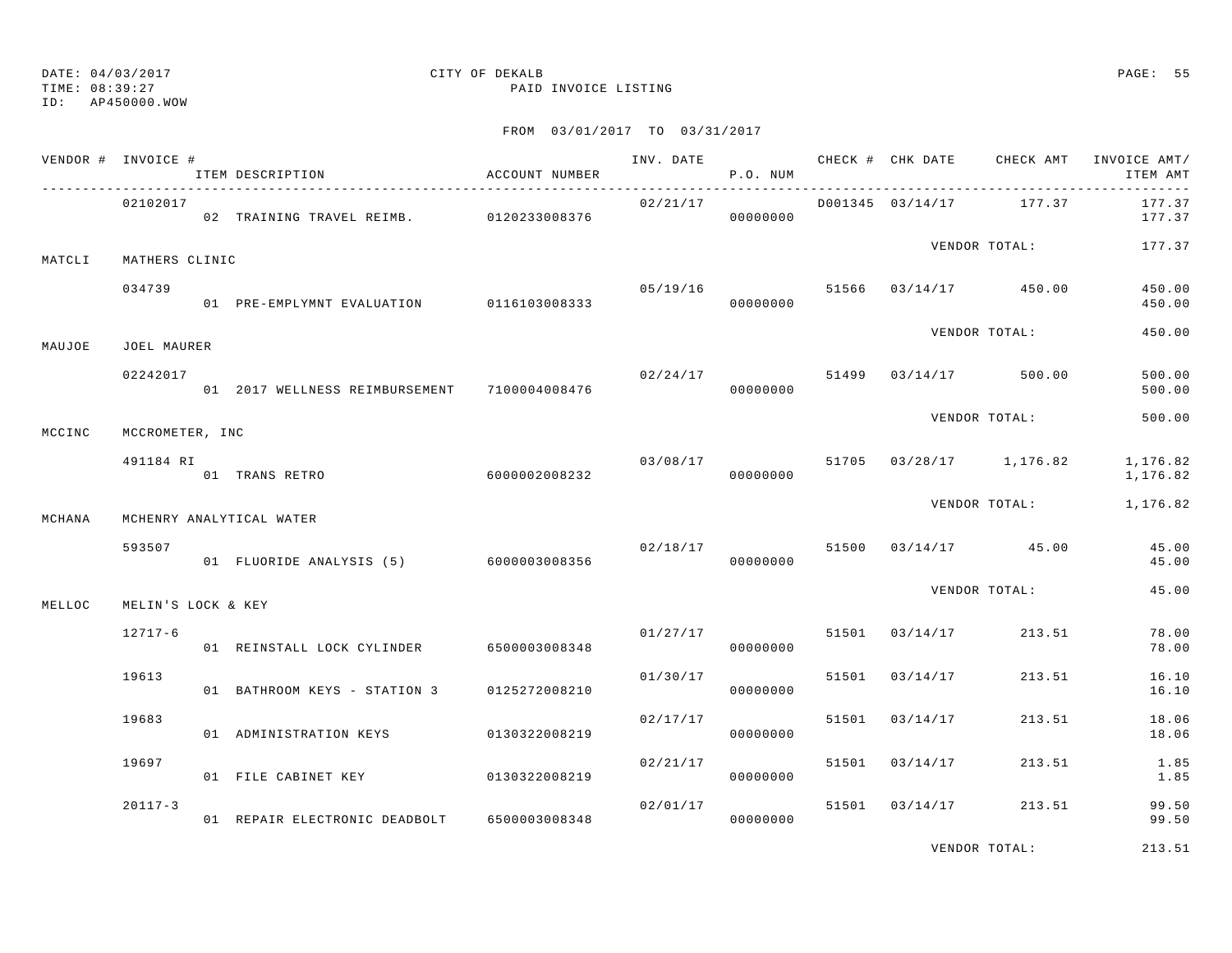TIME: 08:39:27 PAID INVOICE LISTING

ID: AP450000.WOW

## FROM 03/01/2017 TO 03/31/2017

|        | VENDOR # INVOICE # | ITEM DESCRIPTION                               | ACCOUNT NUMBER | INV. DATE      | P.O. NUM             |       |                         |                                  | CHECK # CHK DATE CHECK AMT INVOICE AMT/<br>ITEM AMT |
|--------|--------------------|------------------------------------------------|----------------|----------------|----------------------|-------|-------------------------|----------------------------------|-----------------------------------------------------|
|        | 02102017           | 02 TRAINING TRAVEL REIMB. 0120233008376        |                | 02/21/17       | 00000000             |       | D001345 03/14/17 177.37 |                                  | 177.37<br>177.37                                    |
| MATCLI | MATHERS CLINIC     |                                                |                |                |                      |       |                         | VENDOR TOTAL:                    | 177.37                                              |
|        | 034739             | 01 PRE-EMPLYMNT EVALUATION 0116103008333       |                |                | 00000000             |       |                         | $05/19/16$ 51566 03/14/17 450.00 | 450.00<br>450.00                                    |
| MAUJOE | JOEL MAURER        |                                                |                |                |                      |       |                         | VENDOR TOTAL:                    | 450.00                                              |
|        | 02242017           | 01  2017 WELLNESS REIMBURSEMENT  7100004008476 |                | 02/24/17 51499 | 00000000             |       |                         | 03/14/17 500.00                  | 500.00<br>500.00                                    |
| MCCINC | MCCROMETER, INC    |                                                |                |                |                      |       |                         | VENDOR TOTAL:                    | 500.00                                              |
|        | 491184 RI          | 01 TRANS RETRO                                 | 6000002008232  |                | 03/08/17<br>00000000 |       |                         | 51705 03/28/17 1,176.82          | 1,176.82<br>1,176.82                                |
| MCHANA |                    | MCHENRY ANALYTICAL WATER                       |                |                |                      |       |                         | VENDOR TOTAL:                    | 1,176.82                                            |
|        | 593507             | 01 FLUORIDE ANALYSIS (5) 6000003008356         |                | 02/18/17       | 00000000             |       |                         | 51500 03/14/17 45.00             | 45.00<br>45.00                                      |
| MELLOC | MELIN'S LOCK & KEY |                                                |                |                |                      |       |                         | VENDOR TOTAL:                    | 45.00                                               |
|        | $12717 - 6$        | 01 REINSTALL LOCK CYLINDER                     | 6500003008348  |                | 01/27/17<br>00000000 | 51501 | 03/14/17                | 213.51                           | 78.00<br>78.00                                      |
|        | 19613              | 01 BATHROOM KEYS - STATION 3                   | 0125272008210  | 01/30/17       | 00000000             | 51501 | 03/14/17                | 213.51                           | 16.10<br>16.10                                      |
|        | 19683              | 01 ADMINISTRATION KEYS                         | 0130322008219  | 02/17/17       | 00000000             | 51501 | 03/14/17                | 213.51                           | 18.06<br>18.06                                      |
|        | 19697              | 01 FILE CABINET KEY                            | 0130322008219  | 02/21/17       | 00000000             | 51501 | 03/14/17                | 213.51                           | 1.85<br>1.85                                        |
|        | $20117 - 3$        | 01 REPAIR ELECTRONIC DEADBOLT                  | 6500003008348  | 02/01/17       | 00000000             | 51501 | 03/14/17                | 213.51                           | 99.50<br>99.50                                      |

VENDOR TOTAL: 213.51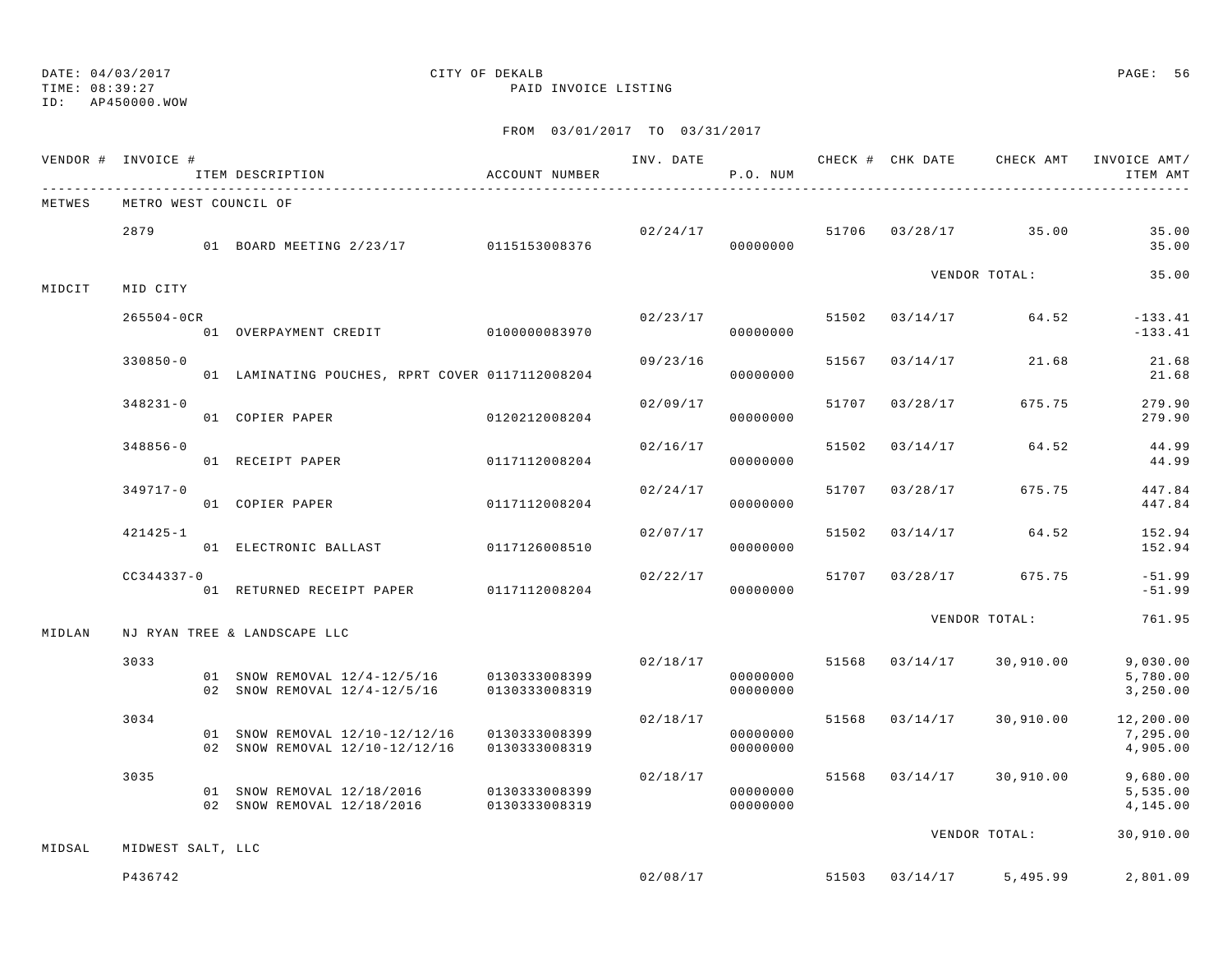TIME: 08:39:27 PAID INVOICE LISTING

ID: AP450000.WOW

|        | VENDOR # INVOICE # | ITEM DESCRIPTION                                                           | ACCOUNT NUMBER                 |                      | P.O. NUM                         |       |                | INV. DATE 6 CHECK # CHK DATE CHECK AMT | INVOICE AMT/<br>ITEM AMT          |
|--------|--------------------|----------------------------------------------------------------------------|--------------------------------|----------------------|----------------------------------|-------|----------------|----------------------------------------|-----------------------------------|
| METWES |                    | METRO WEST COUNCIL OF                                                      |                                |                      |                                  |       |                |                                        |                                   |
|        | 2879               | 01 BOARD MEETING 2/23/17 0115153008376                                     |                                | 02/24/17<br>00000000 |                                  |       |                | 51706 03/28/17 35.00                   | 35.00<br>35.00                    |
| MIDCIT | MID CITY           |                                                                            |                                |                      |                                  |       |                | VENDOR TOTAL:                          | 35.00                             |
|        | $265504 - OCR$     | 01 OVERPAYMENT CREDIT 0100000083970                                        |                                | 02/23/17             | 00000000                         |       |                | 51502 03/14/17 64.52                   | $-133.41$<br>$-133.41$            |
|        | $330850 - 0$       | 01 LAMINATING POUCHES, RPRT COVER 0117112008204                            |                                | 09/23/16             | 00000000                         |       | 51567 03/14/17 | 21.68                                  | 21.68<br>21.68                    |
|        | $348231 - 0$       | 01 COPIER PAPER                                                            | 0120212008204                  | 02/09/17             | 00000000                         |       | 51707 03/28/17 | 675.75                                 | 279.90<br>279.90                  |
|        | $348856 - 0$       | 01 RECEIPT PAPER                                                           | 0117112008204                  | 02/16/17             | 00000000                         | 51502 | 03/14/17       | 64.52                                  | 44.99<br>44.99                    |
|        | $349717 - 0$       | 01 COPIER PAPER                                                            | 0117112008204                  | 02/24/17             | 00000000                         | 51707 | 03/28/17       | 675.75                                 | 447.84<br>447.84                  |
|        | 421425-1           | 01 ELECTRONIC BALLAST 0117126008510                                        |                                | 02/07/17             | 00000000                         | 51502 |                | $03/14/17$ 64.52                       | 152.94<br>152.94                  |
|        | $CC344337 - 0$     | 01 RETURNED RECEIPT PAPER 0117112008204                                    |                                | 02/22/17             | 00000000                         |       |                | 51707 03/28/17 675.75                  | $-51.99$<br>$-51.99$              |
| MIDLAN |                    | NJ RYAN TREE & LANDSCAPE LLC                                               |                                |                      |                                  |       |                | VENDOR TOTAL:                          | 761.95                            |
|        | 3033               | 01 SNOW REMOVAL 12/4-12/5/16 0130333008399<br>02 SNOW REMOVAL 12/4-12/5/16 | 0130333008319                  | 02/18/17             | 00000000<br>00000000             |       |                | 51568 03/14/17 30,910.00               | 9,030.00<br>5,780.00<br>3,250.00  |
|        | 3034               | 01 SNOW REMOVAL 12/10-12/12/16<br>02 SNOW REMOVAL 12/10-12/12/16           | 0130333008399<br>0130333008319 | 02/18/17             | 00000000<br>00000000             |       |                | 51568 03/14/17 30,910.00               | 12,200.00<br>7,295.00<br>4,905.00 |
|        | 3035               | 01 SNOW REMOVAL 12/18/2016<br>02 SNOW REMOVAL 12/18/2016                   | 0130333008399<br>0130333008319 |                      | 02/18/17<br>00000000<br>00000000 |       |                | 51568 03/14/17 30,910.00               | 9,680.00<br>5,535.00<br>4,145.00  |
| MIDSAL | MIDWEST SALT, LLC  |                                                                            |                                |                      |                                  |       |                | VENDOR TOTAL:                          | 30,910.00                         |
|        | P436742            |                                                                            |                                |                      | 02/08/17                         |       |                | 51503 03/14/17 5,495.99                | 2,801.09                          |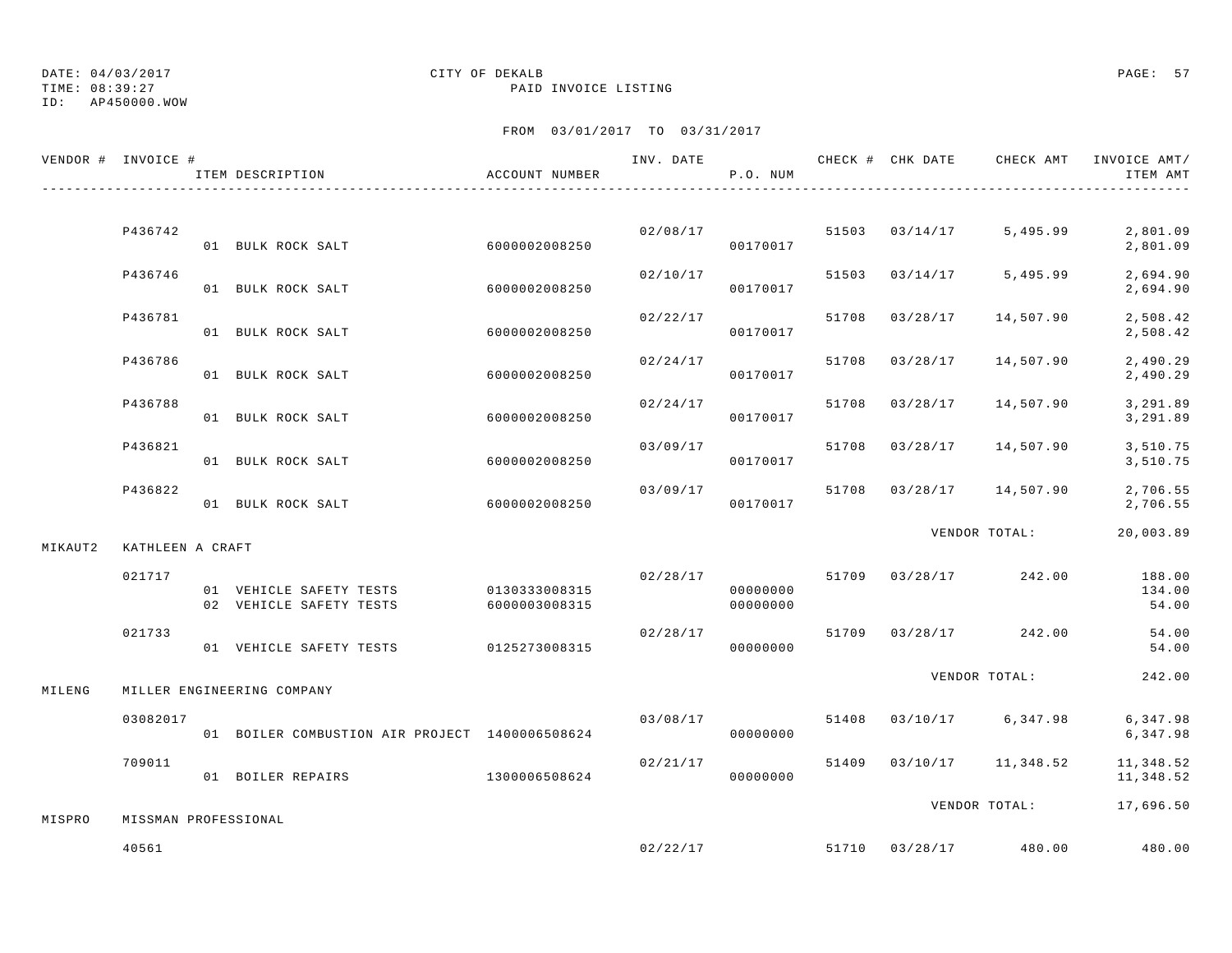ID: AP450000.WOW

### TIME: 08:39:27 PAID INVOICE LISTING

|         | VENDOR # INVOICE #            | ITEM DESCRIPTION                                   | ACCOUNT NUMBER                 |          | P.O. NUM             |       |                | INV. DATE 6 1999 CHECK # CHK DATE 6 CHECK AMT INVOICE AMT | ITEM AMT                               |
|---------|-------------------------------|----------------------------------------------------|--------------------------------|----------|----------------------|-------|----------------|-----------------------------------------------------------|----------------------------------------|
|         |                               |                                                    |                                |          |                      |       |                |                                                           |                                        |
|         | P436742                       | 01 BULK ROCK SALT                                  | 6000002008250                  |          | 02/08/17<br>00170017 |       | 51503 03/14/17 | 5,495.99                                                  | 2,801.09<br>2,801.09                   |
|         | P436746                       | 01 BULK ROCK SALT                                  | 6000002008250                  | 02/10/17 | 00170017             |       | 51503 03/14/17 | 5,495.99                                                  | 2,694.90<br>2,694.90                   |
|         | P436781                       | 01 BULK ROCK SALT                                  | 6000002008250                  |          | 02/22/17<br>00170017 | 51708 | 03/28/17       | 14,507.90                                                 | 2,508.42<br>2,508.42                   |
|         | P436786                       | 01 BULK ROCK SALT                                  | 6000002008250                  | 02/24/17 | 00170017             | 51708 | 03/28/17       | 14,507.90                                                 | 2,490.29<br>2,490.29                   |
|         | P436788                       | 01 BULK ROCK SALT                                  | 6000002008250                  |          | 02/24/17<br>00170017 | 51708 | 03/28/17       | 14,507.90                                                 | 3,291.89<br>3,291.89                   |
|         | P436821                       | 01 BULK ROCK SALT                                  | 6000002008250                  |          | 03/09/17<br>00170017 | 51708 | 03/28/17       | 14,507.90                                                 | 3,510.75<br>3,510.75                   |
|         | P436822                       | 01 BULK ROCK SALT                                  | 6000002008250                  | 03/09/17 | 00170017             | 51708 |                | $03/28/17$ 14,507.90                                      | 2,706.55<br>2,706.55                   |
| MIKAUT2 | KATHLEEN A CRAFT              |                                                    |                                |          |                      |       |                | VENDOR TOTAL:                                             | 20,003.89                              |
|         | 021717                        | 01 VEHICLE SAFETY TESTS<br>02 VEHICLE SAFETY TESTS | 0130333008315<br>6000003008315 | 02/28/17 | 00000000<br>00000000 |       |                | 51709 03/28/17 242.00                                     | 188.00<br>134.00<br>54.00              |
|         | 021733                        | 01 VEHICLE SAFETY TESTS 0125273008315              |                                | 02/28/17 | 00000000             |       |                | 51709 03/28/17 242.00                                     | 54.00<br>54.00                         |
| MILENG  |                               | MILLER ENGINEERING COMPANY                         |                                |          |                      |       |                | VENDOR TOTAL:                                             | 242.00                                 |
|         | 03082017                      | 01 BOILER COMBUSTION AIR PROJECT 1400006508624     |                                | 03/08/17 | 00000000             | 51408 |                |                                                           | 03/10/17 6,347.98 6,347.98<br>6,347.98 |
|         | 709011                        | 01 BOILER REPAIRS                                  | 1300006508624                  | 02/21/17 | 00000000             |       |                | 51409 03/10/17 11,348.52                                  | 11,348.52<br>11,348.52                 |
|         |                               |                                                    |                                |          |                      |       |                | VENDOR TOTAL:                                             | 17,696.50                              |
| MISPRO  | MISSMAN PROFESSIONAL<br>40561 |                                                    |                                | 02/22/17 |                      |       |                | 51710 03/28/17 480.00                                     | 480.00                                 |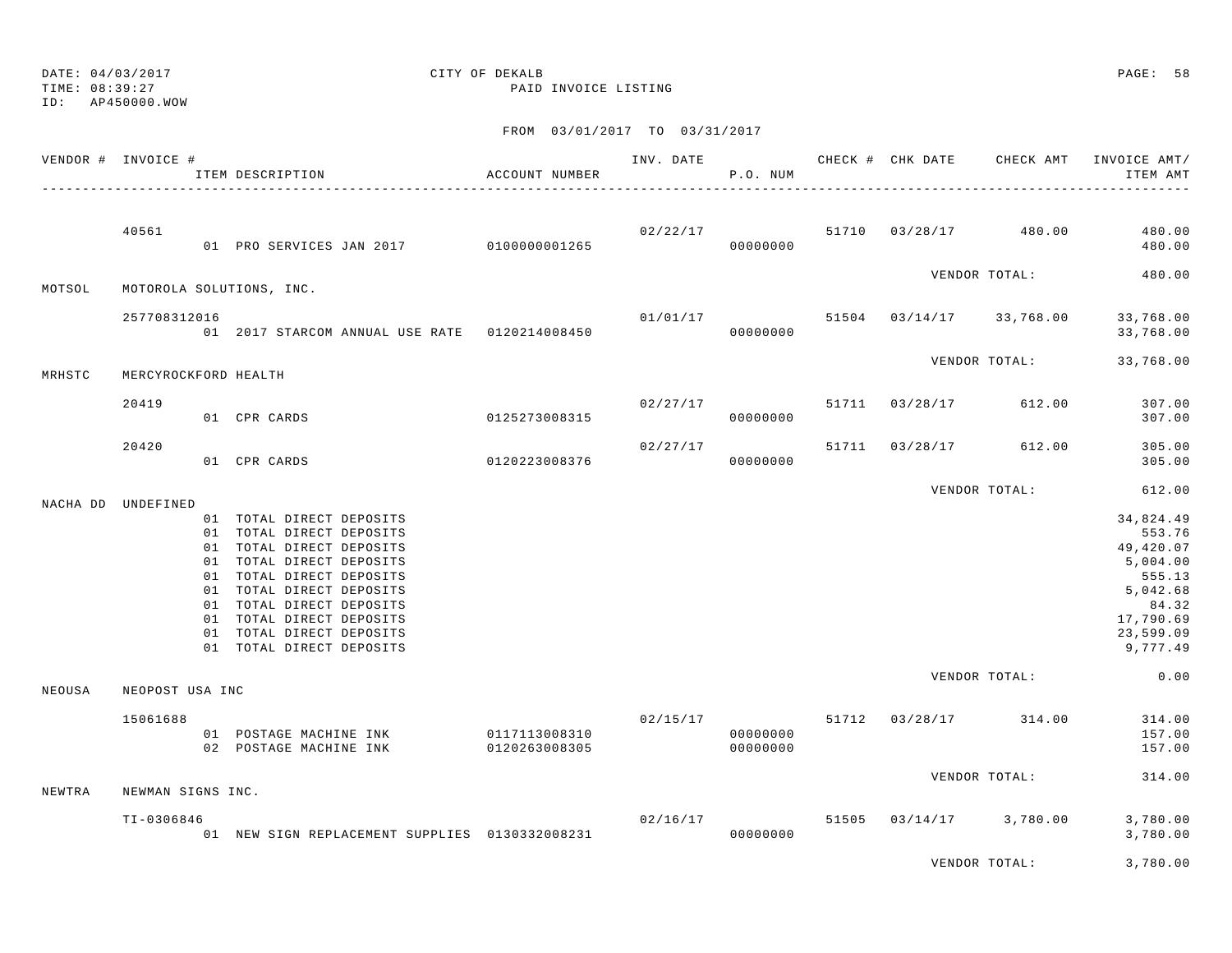TIME: 08:39:27 PAID INVOICE LISTING ID: AP450000.WOW

## DATE: 04/03/2017 CITY OF DEKALB PAGE: 58

| VENDOR # INVOICE # |                      | ITEM DESCRIPTION                                                                                                                                                                                                                                                                     | ACCOUNT NUMBER                 | INV. DATE | P.O. NUM             |       |                | CHECK # CHK DATE CHECK AMT          | INVOICE AMT/<br>ITEM AMT                                                                                          |
|--------------------|----------------------|--------------------------------------------------------------------------------------------------------------------------------------------------------------------------------------------------------------------------------------------------------------------------------------|--------------------------------|-----------|----------------------|-------|----------------|-------------------------------------|-------------------------------------------------------------------------------------------------------------------|
|                    | 40561                | 01 PRO SERVICES JAN 2017 0100000001265                                                                                                                                                                                                                                               |                                |           | 00000000             |       |                | $02/22/17$ 51710 03/28/17 480.00    | 480.00<br>480.00                                                                                                  |
| MOTSOL             |                      | MOTOROLA SOLUTIONS, INC.                                                                                                                                                                                                                                                             |                                |           |                      |       |                | VENDOR TOTAL:                       | 480.00                                                                                                            |
|                    | 257708312016         | 01 2017 STARCOM ANNUAL USE RATE  0120214008450                                                                                                                                                                                                                                       |                                |           | 00000000             |       |                | $01/01/17$ 51504 03/14/17 33,768.00 | 33,768.00<br>33,768.00                                                                                            |
| MRHSTC             | MERCYROCKFORD HEALTH |                                                                                                                                                                                                                                                                                      |                                |           |                      |       |                | VENDOR TOTAL:                       | 33,768.00                                                                                                         |
|                    | 20419                | 01 CPR CARDS                                                                                                                                                                                                                                                                         | 0125273008315                  |           | 00000000             |       |                | $02/27/17$ 51711 03/28/17 612.00    | 307.00<br>307.00                                                                                                  |
|                    | 20420                | 01 CPR CARDS                                                                                                                                                                                                                                                                         | 0120223008376                  | 02/27/17  | 00000000             |       | 51711 03/28/17 | 612.00                              | 305.00<br>305.00                                                                                                  |
|                    |                      |                                                                                                                                                                                                                                                                                      |                                |           |                      |       |                | VENDOR TOTAL:                       | 612.00                                                                                                            |
| NACHA DD UNDEFINED |                      | 01 TOTAL DIRECT DEPOSITS<br>01 TOTAL DIRECT DEPOSITS<br>01 TOTAL DIRECT DEPOSITS<br>01 TOTAL DIRECT DEPOSITS<br>01 TOTAL DIRECT DEPOSITS<br>01 TOTAL DIRECT DEPOSITS<br>01 TOTAL DIRECT DEPOSITS<br>01 TOTAL DIRECT DEPOSITS<br>01 TOTAL DIRECT DEPOSITS<br>01 TOTAL DIRECT DEPOSITS |                                |           |                      |       |                |                                     | 34,824.49<br>553.76<br>49,420.07<br>5,004.00<br>555.13<br>5,042.68<br>84.32<br>17,790.69<br>23,599.09<br>9,777.49 |
| NEOUSA             | NEOPOST USA INC      |                                                                                                                                                                                                                                                                                      |                                |           |                      |       |                | VENDOR TOTAL:                       | 0.00                                                                                                              |
|                    | 15061688             | 01 POSTAGE MACHINE INK<br>02 POSTAGE MACHINE INK                                                                                                                                                                                                                                     | 0117113008310<br>0120263008305 |           | 00000000<br>00000000 |       |                | $02/15/17$ 51712 $03/28/17$ 314.00  | 314.00<br>157.00<br>157.00                                                                                        |
| NEWTRA             | NEWMAN SIGNS INC.    |                                                                                                                                                                                                                                                                                      |                                |           |                      |       |                | VENDOR TOTAL:                       | 314.00                                                                                                            |
|                    | $T1 - 0306846$       | 01 NEW SIGN REPLACEMENT SUPPLIES 0130332008231                                                                                                                                                                                                                                       |                                |           | 02/16/17<br>00000000 | 51505 |                | $03/14/17$ 3,780.00                 | 3,780.00<br>3,780.00                                                                                              |
|                    |                      |                                                                                                                                                                                                                                                                                      |                                |           |                      |       |                | VENDOR TOTAL:                       | 3,780.00                                                                                                          |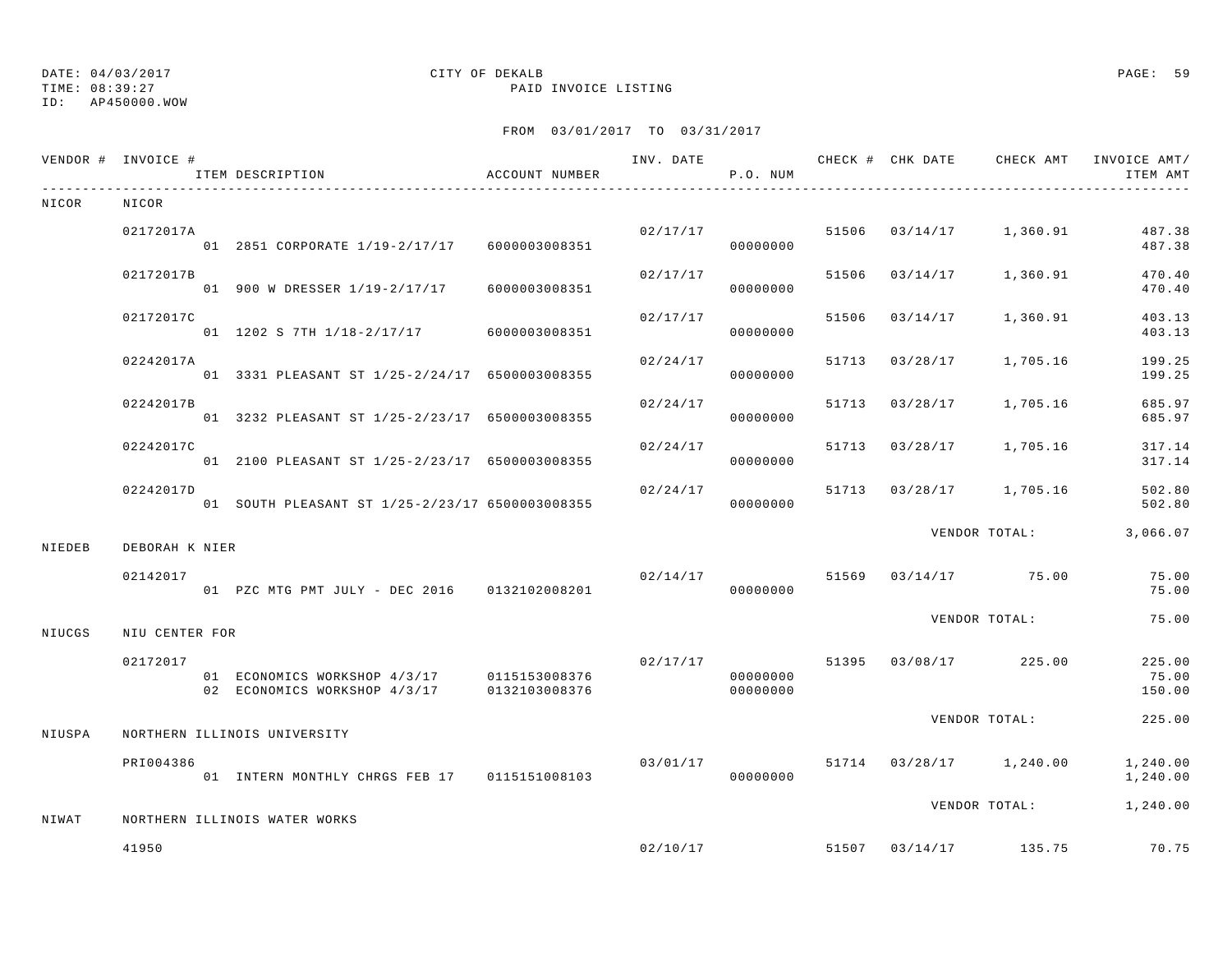## ID: AP450000.WOW

## DATE: 04/03/2017 CITY OF DEKALB PAGE: 59

TIME: 08:39:27 PAID INVOICE LISTING

|        | VENDOR # INVOICE # | ITEM DESCRIPTION                                                                         | ACCOUNT NUMBER |          | P.O. NUM             |       |                |                                          | ITEM AMT                  |
|--------|--------------------|------------------------------------------------------------------------------------------|----------------|----------|----------------------|-------|----------------|------------------------------------------|---------------------------|
| NICOR  | NICOR              |                                                                                          |                |          |                      |       |                |                                          |                           |
|        | 02172017A          | 01  2851  CORPORATE  1/19-2/17/17  6000003008351                                         |                |          | 00000000             |       |                | $02/17/17$ 51506 $03/14/17$ 1,360.91     | 487.38<br>487.38          |
|        | 02172017B          | 01 900 W DRESSER 1/19-2/17/17                                                            | 6000003008351  | 02/17/17 | 00000000             |       | 51506 03/14/17 | 1,360.91                                 | 470.40<br>470.40          |
|        | 02172017C          | 01 1202 S 7TH 1/18-2/17/17 6000003008351                                                 |                | 02/17/17 | 00000000             | 51506 | 03/14/17       | 1,360.91                                 | 403.13<br>403.13          |
|        | 02242017A          | 01 3331 PLEASANT ST 1/25-2/24/17 6500003008355                                           |                | 02/24/17 | 00000000             | 51713 | 03/28/17       | 1,705.16                                 | 199.25<br>199.25          |
|        | 02242017B          | 01 3232 PLEASANT ST 1/25-2/23/17 6500003008355                                           |                | 02/24/17 | 00000000             |       | 51713 03/28/17 | 1,705.16                                 | 685.97<br>685.97          |
|        | 02242017C          | 01 2100 PLEASANT ST 1/25-2/23/17 6500003008355                                           |                | 02/24/17 | 00000000             |       |                | 51713 03/28/17 1,705.16                  | 317.14<br>317.14          |
|        | 02242017D          | 01 SOUTH PLEASANT ST 1/25-2/23/17 6500003008355                                          |                | 02/24/17 | 00000000             |       |                | 51713 03/28/17 1,705.16                  | 502.80<br>502.80          |
| NIEDEB | DEBORAH K NIER     |                                                                                          |                |          |                      |       |                | VENDOR TOTAL:                            | 3,066.07                  |
|        | 02142017           | 01 PZC MTG PMT JULY - DEC 2016 0132102008201                                             |                |          | 00000000             |       |                | $02/14/17$ 51569 03/14/17 75.00          | 75.00<br>75.00            |
| NIUCGS | NIU CENTER FOR     |                                                                                          |                |          |                      |       |                | VENDOR TOTAL:                            | 75.00                     |
|        | 02172017           | 01 ECONOMICS WORKSHOP 4/3/17 0115153008376<br>02 ECONOMICS WORKSHOP 4/3/17 0132103008376 |                |          | 00000000<br>00000000 |       |                | $02/17/17$ 51395 03/08/17 225.00         | 225.00<br>75.00<br>150.00 |
|        |                    |                                                                                          |                |          |                      |       |                | VENDOR TOTAL:                            | 225.00                    |
| NIUSPA |                    | NORTHERN ILLINOIS UNIVERSITY                                                             |                |          |                      |       |                |                                          |                           |
|        | PRI004386          | 01 INTERN MONTHLY CHRGS FEB 17 0115151008103                                             |                |          | 00000000             |       |                | $03/01/17$ $51714$ $03/28/17$ $1,240.00$ | 1,240.00<br>1,240.00      |
| NIWAT  |                    | NORTHERN ILLINOIS WATER WORKS                                                            |                |          |                      |       |                | VENDOR TOTAL:                            | 1,240.00                  |
|        | 41950              |                                                                                          |                |          |                      |       |                | $02/10/17$ 51507 03/14/17 135.75         | 70.75                     |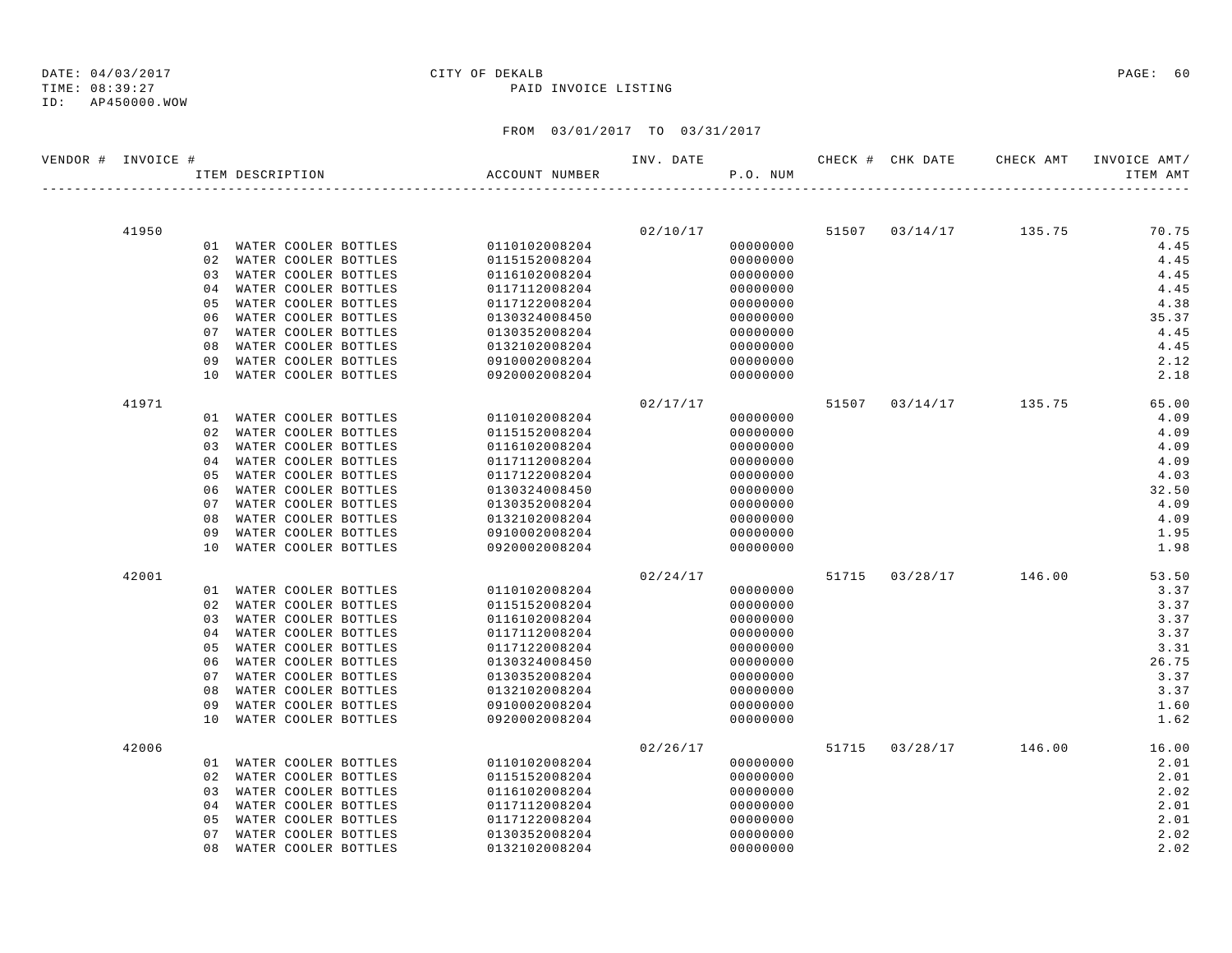### TIME: 08:39:27 PAID INVOICE LISTING

| VENDOR # INVOICE # |       |                |                  |                         |                | INV. DATE |          |  | CHECK # CHK DATE CHECK AMT INVOICE AMT/ |          |
|--------------------|-------|----------------|------------------|-------------------------|----------------|-----------|----------|--|-----------------------------------------|----------|
|                    |       |                | ITEM DESCRIPTION |                         | ACCOUNT NUMBER |           | P.O. NUM |  |                                         | ITEM AMT |
|                    |       |                |                  |                         |                |           |          |  |                                         |          |
|                    | 41950 |                |                  |                         |                |           | 02/10/17 |  | 51507 03/14/17 135.75                   | 70.75    |
|                    |       |                |                  | 01 WATER COOLER BOTTLES | 0110102008204  |           | 00000000 |  |                                         | 4.45     |
|                    |       |                |                  | 02 WATER COOLER BOTTLES | 0115152008204  |           | 00000000 |  |                                         | 4.45     |
|                    |       |                |                  | 03 WATER COOLER BOTTLES | 0116102008204  |           | 00000000 |  |                                         | 4.45     |
|                    |       | 0 <sub>4</sub> |                  | WATER COOLER BOTTLES    | 0117112008204  |           | 00000000 |  |                                         | 4.45     |
|                    |       | 05             |                  | WATER COOLER BOTTLES    | 0117122008204  |           | 00000000 |  |                                         | 4.38     |
|                    |       | 06             |                  | WATER COOLER BOTTLES    | 0130324008450  |           | 00000000 |  |                                         | 35.37    |
|                    |       | 07             |                  | WATER COOLER BOTTLES    | 0130352008204  |           | 00000000 |  |                                         | 4.45     |
|                    |       | 08             |                  | WATER COOLER BOTTLES    | 0132102008204  |           | 00000000 |  |                                         | 4.45     |
|                    |       | 09             |                  | WATER COOLER BOTTLES    | 0910002008204  |           | 00000000 |  |                                         | 2.12     |
|                    |       | 10             |                  | WATER COOLER BOTTLES    | 0920002008204  |           | 00000000 |  |                                         | 2.18     |
|                    | 41971 |                |                  |                         |                | 02/17/17  |          |  | 51507 03/14/17 135.75                   | 65.00    |
|                    |       |                |                  | 01 WATER COOLER BOTTLES | 0110102008204  |           | 00000000 |  |                                         | 4.09     |
|                    |       | 02             |                  | WATER COOLER BOTTLES    | 0115152008204  |           | 00000000 |  |                                         | 4.09     |
|                    |       | 03             |                  | WATER COOLER BOTTLES    | 0116102008204  |           | 00000000 |  |                                         | 4.09     |
|                    |       | 04             |                  | WATER COOLER BOTTLES    | 0117112008204  |           | 00000000 |  |                                         | 4.09     |
|                    |       | 05             |                  | WATER COOLER BOTTLES    | 0117122008204  |           | 00000000 |  |                                         | 4.03     |
|                    |       | 06             |                  | WATER COOLER BOTTLES    | 0130324008450  |           | 00000000 |  |                                         | 32.50    |
|                    |       | 07             |                  | WATER COOLER BOTTLES    | 0130352008204  |           | 00000000 |  |                                         | 4.09     |
|                    |       | 08             |                  | WATER COOLER BOTTLES    | 0132102008204  |           | 00000000 |  |                                         | 4.09     |
|                    |       | 09             |                  | WATER COOLER BOTTLES    | 0910002008204  |           | 00000000 |  |                                         | 1.95     |
|                    |       | 10             |                  | WATER COOLER BOTTLES    | 0920002008204  |           | 00000000 |  |                                         | 1.98     |
|                    | 42001 |                |                  |                         |                | 02/24/17  |          |  | 51715 03/28/17 146.00                   | 53.50    |
|                    |       |                |                  | 01 WATER COOLER BOTTLES | 0110102008204  |           | 00000000 |  |                                         | 3.37     |
|                    |       | 02             |                  | WATER COOLER BOTTLES    | 0115152008204  |           | 00000000 |  |                                         | 3.37     |
|                    |       | 03             |                  | WATER COOLER BOTTLES    | 0116102008204  |           | 00000000 |  |                                         | 3.37     |
|                    |       | 04             |                  | WATER COOLER BOTTLES    | 0117112008204  |           | 00000000 |  |                                         | 3.37     |
|                    |       | 05             |                  | WATER COOLER BOTTLES    | 0117122008204  |           | 00000000 |  |                                         | 3.31     |
|                    |       | 06             |                  | WATER COOLER BOTTLES    | 0130324008450  |           | 00000000 |  |                                         | 26.75    |
|                    |       | 07             |                  | WATER COOLER BOTTLES    | 0130352008204  |           | 00000000 |  |                                         | 3.37     |
|                    |       | 08             |                  | WATER COOLER BOTTLES    | 0132102008204  |           | 00000000 |  |                                         | 3.37     |
|                    |       | 09             |                  | WATER COOLER BOTTLES    | 0910002008204  |           | 00000000 |  |                                         | 1.60     |
|                    |       | 10             |                  | WATER COOLER BOTTLES    | 0920002008204  |           | 00000000 |  |                                         | 1.62     |
|                    | 42006 |                |                  |                         |                | 02/26/17  |          |  | 51715 03/28/17 146.00                   | 16.00    |
|                    |       |                |                  | 01 WATER COOLER BOTTLES | 0110102008204  |           | 00000000 |  |                                         | 2.01     |
|                    |       |                |                  | 02 WATER COOLER BOTTLES | 0115152008204  |           | 00000000 |  |                                         | 2.01     |
|                    |       | 03             |                  | WATER COOLER BOTTLES    | 0116102008204  |           | 00000000 |  |                                         | 2.02     |
|                    |       | 0 <sub>4</sub> |                  | WATER COOLER BOTTLES    | 0117112008204  |           | 00000000 |  |                                         | 2.01     |
|                    |       | 0.5            |                  | WATER COOLER BOTTLES    | 0117122008204  |           | 00000000 |  |                                         | 2.01     |
|                    |       | 07             |                  | WATER COOLER BOTTLES    | 0130352008204  |           | 00000000 |  |                                         | 2.02     |
|                    |       | 08             |                  | WATER COOLER BOTTLES    | 0132102008204  |           | 00000000 |  |                                         | 2.02     |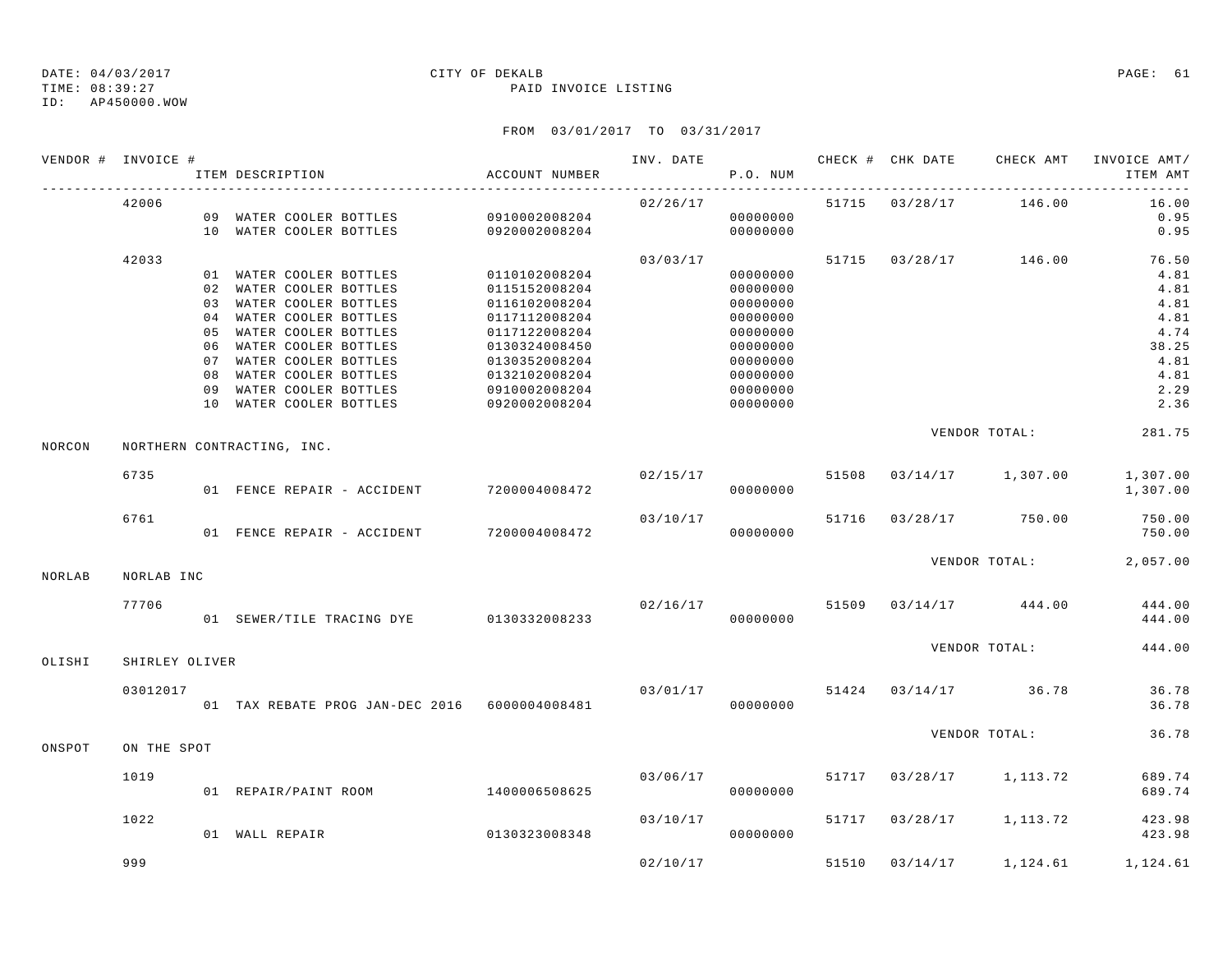### TIME: 08:39:27 PAID INVOICE LISTING

ID: AP450000.WOW

|        | VENDOR # INVOICE # | ITEM DESCRIPTION                              | ACCOUNT NUMBER |                      | P.O. NUM |       |                                     | ITEM AMT       |
|--------|--------------------|-----------------------------------------------|----------------|----------------------|----------|-------|-------------------------------------|----------------|
|        | 42006              |                                               |                | 02/26/17             |          |       | 51715 03/28/17 146.00               | 16.00          |
|        |                    | 09 WATER COOLER BOTTLES 0910002008204         |                |                      | 00000000 |       |                                     | 0.95           |
|        |                    | 10 WATER COOLER BOTTLES                       | 0920002008204  |                      | 00000000 |       |                                     | 0.95           |
|        | 42033              |                                               |                | 03/03/17             |          |       | 51715 03/28/17 146.00 76.50         |                |
|        |                    | 01 WATER COOLER BOTTLES 0110102008204         |                |                      | 00000000 |       |                                     | 4.81           |
|        |                    | 02 WATER COOLER BOTTLES                       | 0115152008204  |                      | 00000000 |       |                                     | 4.81           |
|        |                    | 03 WATER COOLER BOTTLES                       | 0116102008204  |                      | 00000000 |       |                                     | 4.81           |
|        |                    | 04 WATER COOLER BOTTLES                       | 0117112008204  |                      | 00000000 |       |                                     | 4.81           |
|        |                    | 05 WATER COOLER BOTTLES                       | 0117122008204  |                      | 00000000 |       |                                     | 4.74           |
|        |                    | 06 WATER COOLER BOTTLES                       | 0130324008450  |                      | 00000000 |       |                                     | 38.25          |
|        |                    | 07 WATER COOLER BOTTLES                       | 0130352008204  |                      | 00000000 |       |                                     | 4.81           |
|        |                    | 08 WATER COOLER BOTTLES                       | 0132102008204  |                      | 00000000 |       |                                     | 4.81           |
|        |                    | 09 WATER COOLER BOTTLES                       | 0910002008204  |                      | 00000000 |       |                                     | 2.29           |
|        |                    | 10 WATER COOLER BOTTLES                       | 0920002008204  |                      | 00000000 |       |                                     | 2.36           |
| NORCON |                    | NORTHERN CONTRACTING, INC.                    |                |                      |          |       | VENDOR TOTAL: 281.75                |                |
|        | 6735               |                                               |                | 02/15/17             |          |       | 51508  03/14/17  1,307.00  1,307.00 |                |
|        |                    | 01 FENCE REPAIR - ACCIDENT 7200004008472      |                |                      | 00000000 |       |                                     | 1,307.00       |
|        | 6761               |                                               |                | 03/10/17             |          |       | 51716 03/28/17 750.00               | 750.00         |
|        |                    | 01 FENCE REPAIR - ACCIDENT 7200004008472      |                |                      | 00000000 |       |                                     | 750.00         |
|        |                    |                                               |                |                      |          |       | VENDOR TOTAL: 2,057.00              |                |
| NORLAB | NORLAB INC         |                                               |                |                      |          |       |                                     |                |
|        | 77706              |                                               |                | 02/16/17             |          |       | 51509 03/14/17 444.00               | 444.00         |
|        |                    | 01 SEWER/TILE TRACING DYE 0130332008233       |                |                      | 00000000 |       |                                     | 444.00         |
| OLISHI | SHIRLEY OLIVER     |                                               |                |                      |          |       | VENDOR TOTAL:                       | 444.00         |
|        |                    |                                               |                |                      |          |       |                                     |                |
|        | 03012017           | 01 TAX REBATE PROG JAN-DEC 2016 6000004008481 |                | 03/01/17<br>00000000 |          |       | 51424 03/14/17 36.78                | 36.78<br>36.78 |
|        |                    |                                               |                |                      |          |       | VENDOR TOTAL:                       | 36.78          |
| ONSPOT | ON THE SPOT        |                                               |                |                      |          |       |                                     |                |
|        | 1019               |                                               |                | 03/06/17             |          |       | 51717 03/28/17 1,113.72             | 689.74         |
|        |                    | 01 REPAIR/PAINT ROOM 1400006508625            |                |                      | 00000000 |       |                                     | 689.74         |
|        | 1022               |                                               |                | 03/10/17             |          |       | 51717 03/28/17 1,113.72             | 423.98         |
|        |                    | 0130323008348<br>01 WALL REPAIR               |                |                      | 00000000 |       |                                     | 423.98         |
|        | 999                |                                               |                | 02/10/17             |          | 51510 | $03/14/17$ 1, 124.61                | 1,124.61       |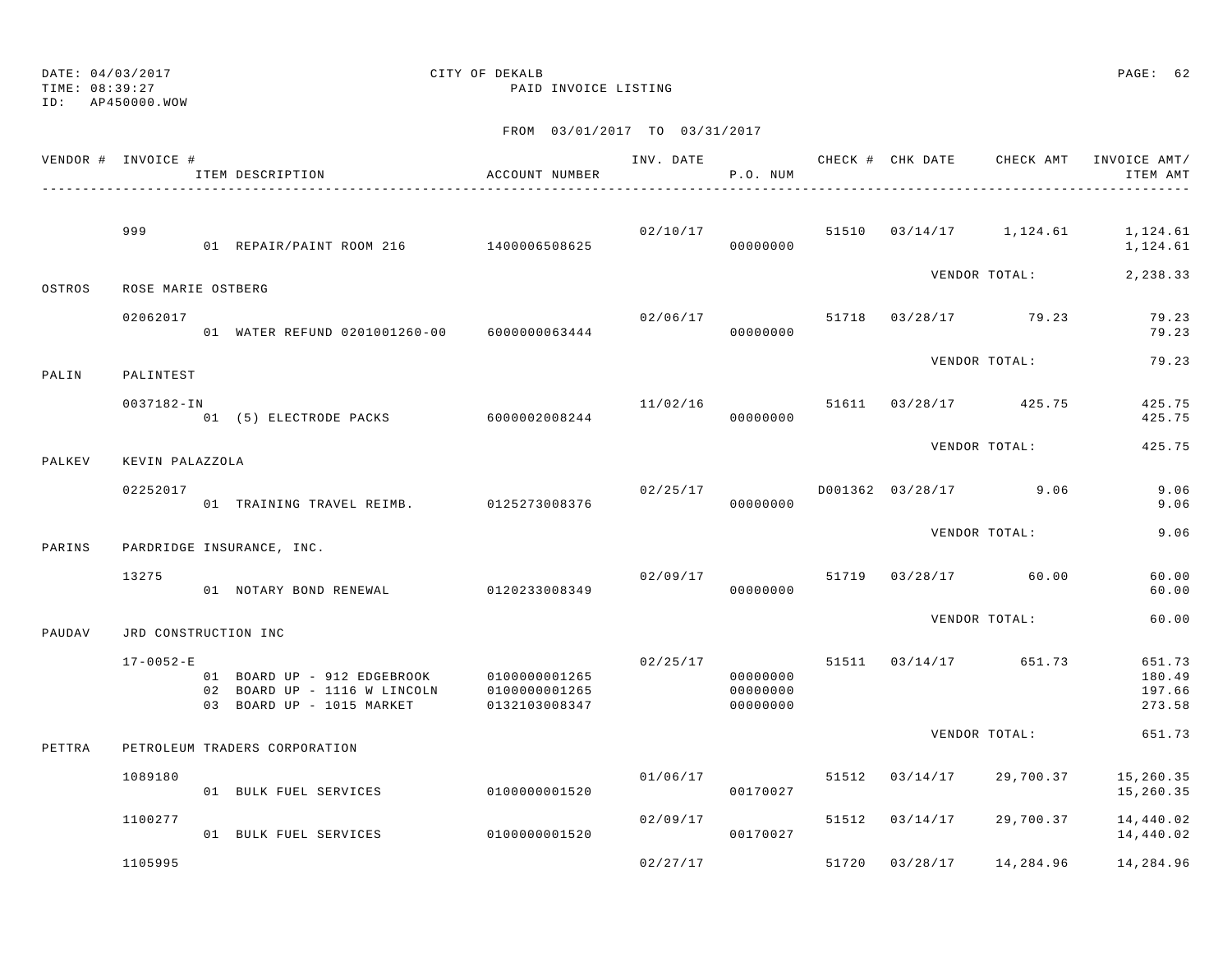TIME: 08:39:27 PAID INVOICE LISTING

ID: AP450000.WOW

|        | VENDOR # INVOICE #   | ITEM DESCRIPTION                                                                         | ACCOUNT NUMBER                                  | INV. DATE | P.O. NUM                         |       | CHECK # CHK DATE | CHECK AMT     | INVOICE AMT/<br>ITEM AMT             |
|--------|----------------------|------------------------------------------------------------------------------------------|-------------------------------------------------|-----------|----------------------------------|-------|------------------|---------------|--------------------------------------|
|        | 999                  |                                                                                          |                                                 | 02/10/17  |                                  | 51510 | 03/14/17         | 1,124.61      | 1,124.61                             |
|        |                      | 01 REPAIR/PAINT ROOM 216 1400006508625                                                   |                                                 |           | 00000000                         |       |                  |               | 1,124.61                             |
| OSTROS | ROSE MARIE OSTBERG   |                                                                                          |                                                 |           |                                  |       |                  | VENDOR TOTAL: | 2,238.33                             |
|        | 02062017             | 01 WATER REFUND 0201001260-00                                                            | 6000000063444                                   | 02/06/17  | 00000000                         | 51718 | 03/28/17         | 79.23         | 79.23<br>79.23                       |
| PALIN  | PALINTEST            |                                                                                          |                                                 |           |                                  |       |                  | VENDOR TOTAL: | 79.23                                |
|        | 0037182-IN           | .<br>01 (5) ELECTRODE PACKS 6000002008244                                                |                                                 | 11/02/16  | 00000000                         | 51611 | 03/28/17         | 425.75        | 425.75<br>425.75                     |
| PALKEV | KEVIN PALAZZOLA      |                                                                                          |                                                 |           |                                  |       |                  | VENDOR TOTAL: | 425.75                               |
|        | 02252017             | 01 TRAINING TRAVEL REIMB.                                                                | 0125273008376                                   | 02/25/17  | 00000000                         |       | D001362 03/28/17 | 9.06          | 9.06<br>9.06                         |
| PARINS |                      | PARDRIDGE INSURANCE, INC.                                                                |                                                 |           |                                  |       |                  | VENDOR TOTAL: | 9.06                                 |
|        | 13275                |                                                                                          |                                                 |           | 02/09/17                         | 51719 | 03/28/17         | 60.00         | 60.00                                |
|        |                      | 01 NOTARY BOND RENEWAL                                                                   | 0120233008349                                   |           | 00000000                         |       |                  |               | 60.00                                |
| PAUDAV | JRD CONSTRUCTION INC |                                                                                          |                                                 |           |                                  |       |                  | VENDOR TOTAL: | 60.00                                |
|        | $17 - 0052 - E$      | 01 BOARD UP - 912 EDGEBROOK<br>02 BOARD UP - 1116 W LINCOLN<br>03 BOARD UP - 1015 MARKET | 0100000001265<br>0100000001265<br>0132103008347 | 02/25/17  | 00000000<br>00000000<br>00000000 |       | 51511 03/14/17   | 651.73        | 651.73<br>180.49<br>197.66<br>273.58 |
| PETTRA |                      | PETROLEUM TRADERS CORPORATION                                                            |                                                 |           |                                  |       |                  | VENDOR TOTAL: | 651.73                               |
|        | 1089180              | 01 BULK FUEL SERVICES                                                                    | 0100000001520                                   | 01/06/17  | 00170027                         | 51512 | 03/14/17         | 29,700.37     | 15,260.35<br>15,260.35               |
|        | 1100277              | 01 BULK FUEL SERVICES                                                                    | 0100000001520                                   | 02/09/17  | 00170027                         | 51512 | 03/14/17         | 29,700.37     | 14,440.02<br>14,440.02               |
|        | 1105995              |                                                                                          |                                                 | 02/27/17  |                                  | 51720 | 03/28/17         | 14,284.96     | 14,284.96                            |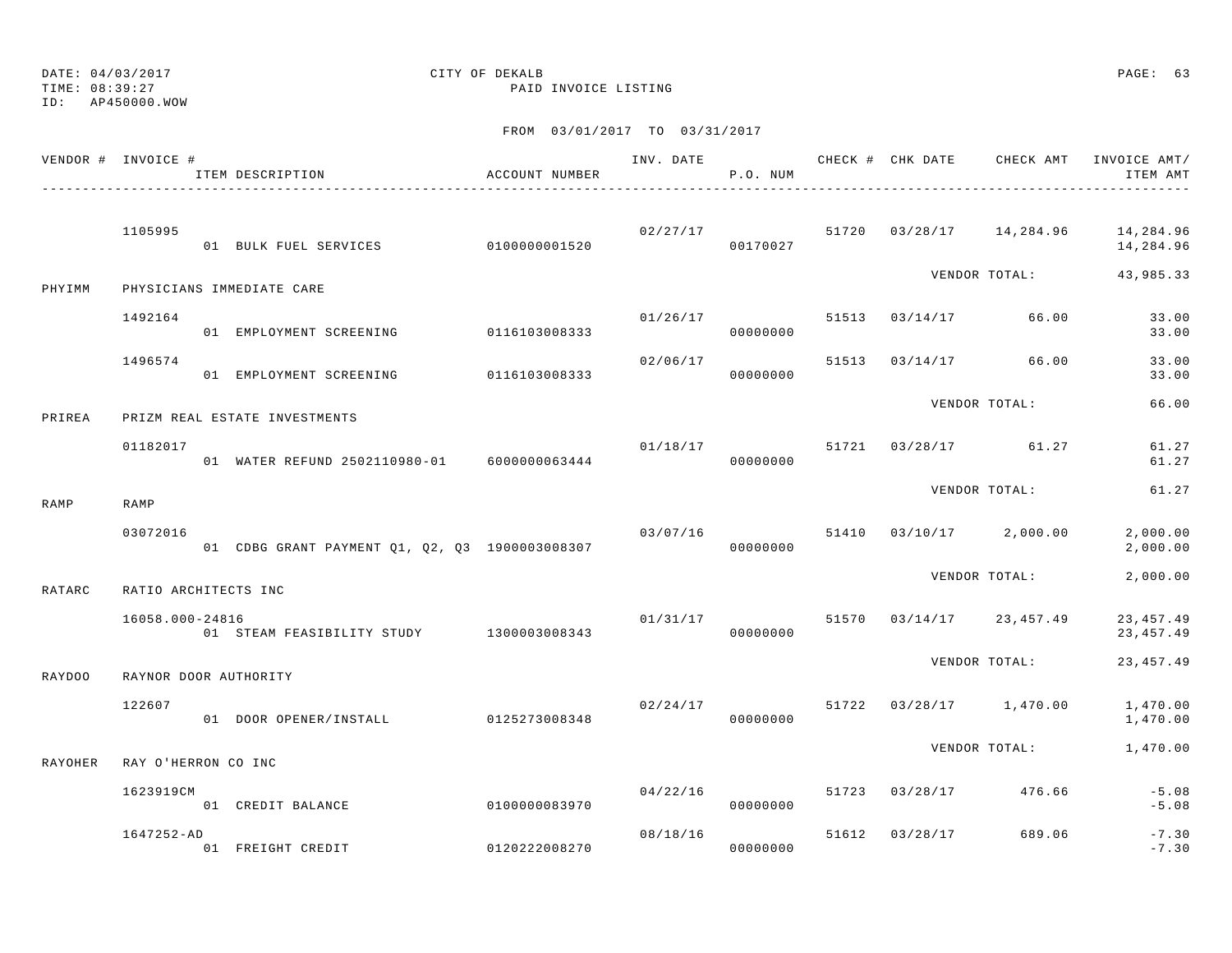TIME: 08:39:27 PAID INVOICE LISTING

ID: AP450000.WOW

|         | VENDOR # INVOICE #   | ITEM DESCRIPTION                               | ACCOUNT NUMBER | INV. DATE 6 CHECK # CHK DATE CHECK AMT | P.O. NUM             |       |                |                          | INVOICE AMT/<br>ITEM AMT |
|---------|----------------------|------------------------------------------------|----------------|----------------------------------------|----------------------|-------|----------------|--------------------------|--------------------------|
|         | 1105995              | 01 BULK FUEL SERVICES 0100000001520            |                |                                        | 02/27/17<br>00170027 |       |                | 51720 03/28/17 14,284.96 | 14,284.96<br>14,284.96   |
| PHYIMM  |                      | PHYSICIANS IMMEDIATE CARE                      |                |                                        |                      |       |                | VENDOR TOTAL:            | 43,985.33                |
|         | 1492164              | 01 EMPLOYMENT SCREENING 0116103008333          |                |                                        | 01/26/17<br>00000000 |       | 51513 03/14/17 | 66.00                    | 33.00<br>33.00           |
|         | 1496574              | 01 EMPLOYMENT SCREENING                        | 0116103008333  | 02/06/17                               | 00000000             | 51513 |                | $03/14/17$ 66.00         | 33.00<br>33.00           |
| PRIREA  |                      | PRIZM REAL ESTATE INVESTMENTS                  |                |                                        |                      |       |                | VENDOR TOTAL:            | 66.00                    |
|         | 01182017             | 01 WATER REFUND 2502110980-01 6000000063444    |                |                                        | 01/18/17<br>00000000 |       |                | 51721 03/28/17 61.27     | 61.27<br>61.27           |
| RAMP    | RAMP                 |                                                |                |                                        |                      |       |                | VENDOR TOTAL:            | 61.27                    |
|         | 03072016             | 01 CDBG GRANT PAYMENT Q1, Q2, Q3 1900003008307 |                |                                        | 03/07/16<br>00000000 | 51410 |                | $03/10/17$ 2,000.00      | 2,000.00<br>2,000.00     |
| RATARC  | RATIO ARCHITECTS INC |                                                |                |                                        |                      |       |                | VENDOR TOTAL:            | 2,000.00                 |
|         | 16058.000-24816      | 01 STEAM FEASIBILITY STUDY 1300003008343       |                | 01/31/17                               | 00000000             |       |                | 51570 03/14/17 23,457.49 | 23, 457.49<br>23, 457.49 |
| RAYDOO  |                      | RAYNOR DOOR AUTHORITY                          |                |                                        |                      |       |                | VENDOR TOTAL:            | 23, 457. 49              |
|         | 122607               | 01 DOOR OPENER/INSTALL                         | 0125273008348  | 02/24/17                               | 00000000             |       |                | 51722 03/28/17 1,470.00  | 1,470.00<br>1,470.00     |
| RAYOHER | RAY O'HERRON CO INC  |                                                |                |                                        |                      |       |                | VENDOR TOTAL:            | 1,470.00                 |
|         | 1623919CM            | 01 CREDIT BALANCE                              | 0100000083970  | 04/22/16                               | 00000000             | 51723 |                | 03/28/17 476.66          | $-5.08$<br>$-5.08$       |
|         | 1647252-AD           | 01 FREIGHT CREDIT                              | 0120222008270  |                                        | 08/18/16<br>00000000 | 51612 | 03/28/17       | 689.06                   | $-7.30$<br>$-7.30$       |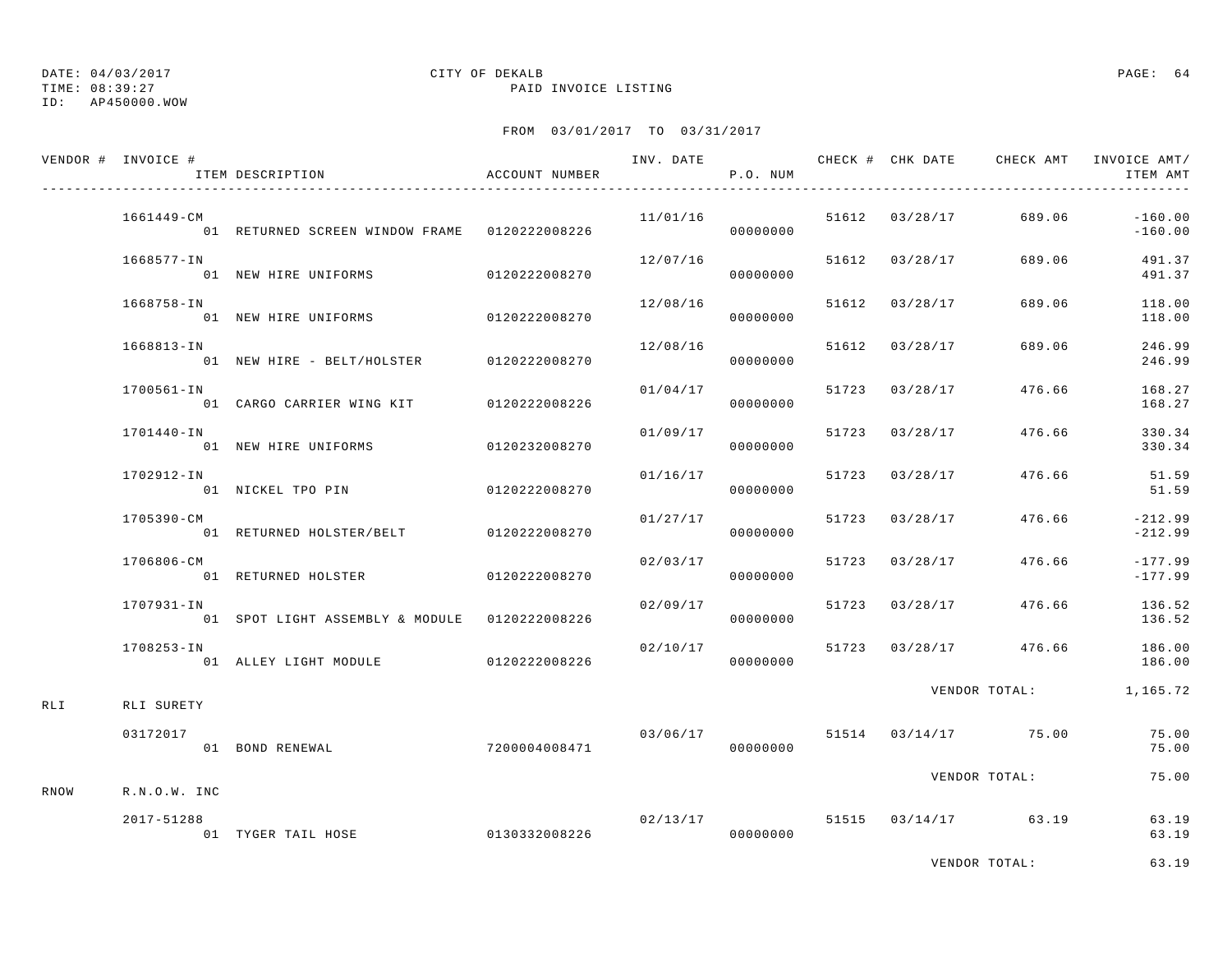### TIME: 08:39:27 PAID INVOICE LISTING ID: AP450000.WOW

## DATE: 04/03/2017 CITY OF DEKALB PAGE: 64

## FROM 03/01/2017 TO 03/31/2017

|      | VENDOR # INVOICE # | ITEM DESCRIPTION THE RECOUNT NUMBER                  |               |          | P.O. NUM  |                |                                   | ITEM AMT                                              |
|------|--------------------|------------------------------------------------------|---------------|----------|-----------|----------------|-----------------------------------|-------------------------------------------------------|
|      | 1661449-CM         | 01 RETURNED SCREEN WINDOW FRAME   0120222008226      |               |          | 000000000 |                |                                   | $11/01/16$ 51612 03/28/17 689.06 -160.00<br>$-160.00$ |
|      | 1668577-IN         | 01 NEW HIRE UNIFORMS                                 | 0120222008270 | 12/07/16 | 00000000  |                | 51612 03/28/17 689.06             | 491.37<br>491.37                                      |
|      | 1668758-IN         | 01 NEW HIRE UNIFORMS 0120222008270                   |               | 12/08/16 | 00000000  | 51612 03/28/17 | 689.06                            | 118.00<br>118.00                                      |
|      | 1668813-IN         | 01 NEW HIRE - BELT/HOLSTER 0120222008270             |               | 12/08/16 | 00000000  | 51612 03/28/17 | 689.06                            | 246.99<br>246.99                                      |
|      | 1700561-IN         | 01 CARGO CARRIER WING KIT 0120222008226              |               | 01/04/17 | 00000000  |                | 51723 03/28/17 476.66             | 168.27<br>168.27                                      |
|      | 1701440-IN         | 01 NEW HIRE UNIFORMS 0120232008270                   |               | 01/09/17 | 00000000  |                | 51723 03/28/17 476.66             | 330.34<br>330.34                                      |
|      | 1702912-IN         | 01 NICKEL TPO PIN 0120222008270                      |               | 01/16/17 | 00000000  |                | 51723 03/28/17 476.66             | 51.59<br>51.59                                        |
|      | 1705390-CM         | 01 RETURNED HOLSTER/BELT 0120222008270               |               | 01/27/17 | 00000000  | 51723 03/28/17 | 476.66                            | $-212.99$<br>$-212.99$                                |
|      | 1706806-CM         |                                                      |               | 02/03/17 | 00000000  | 51723 03/28/17 | 476.66                            | $-177.99$<br>$-177.99$                                |
|      | 1707931-IN         | 01 SPOT LIGHT ASSEMBLY & MODULE 0120222008226        |               | 02/09/17 | 00000000  |                | 51723 03/28/17 476.66             | 136.52<br>136.52                                      |
|      | 1708253-IN         | 01 ALLEY LIGHT MODULE 6120222008226                  |               | 02/10/17 | 00000000  |                |                                   | 51723 03/28/17 476.66 186.00<br>186.00                |
| RLI  | RLI SURETY         |                                                      |               |          |           |                |                                   | VENDOR TOTAL: 1,165.72                                |
|      | 03172017           | 01 BOND RENEWAL                                      | 7200004008471 | 03/06/17 | 00000000  |                | 51514 03/14/17 75.00              | 75.00<br>75.00                                        |
| RNOW | R.N.O.W. INC       |                                                      |               |          |           |                | VENDOR TOTAL:                     | 75.00                                                 |
|      | 2017-51288         | 01 TYGER TAIL HOSE 60130332008226 01 TYGER TAIL HOSE |               |          |           |                | $02/13/17$ 51515 $03/14/17$ 63.19 | 63.19<br>63.19                                        |
|      |                    |                                                      |               |          |           |                |                                   |                                                       |

VENDOR TOTAL: 63.19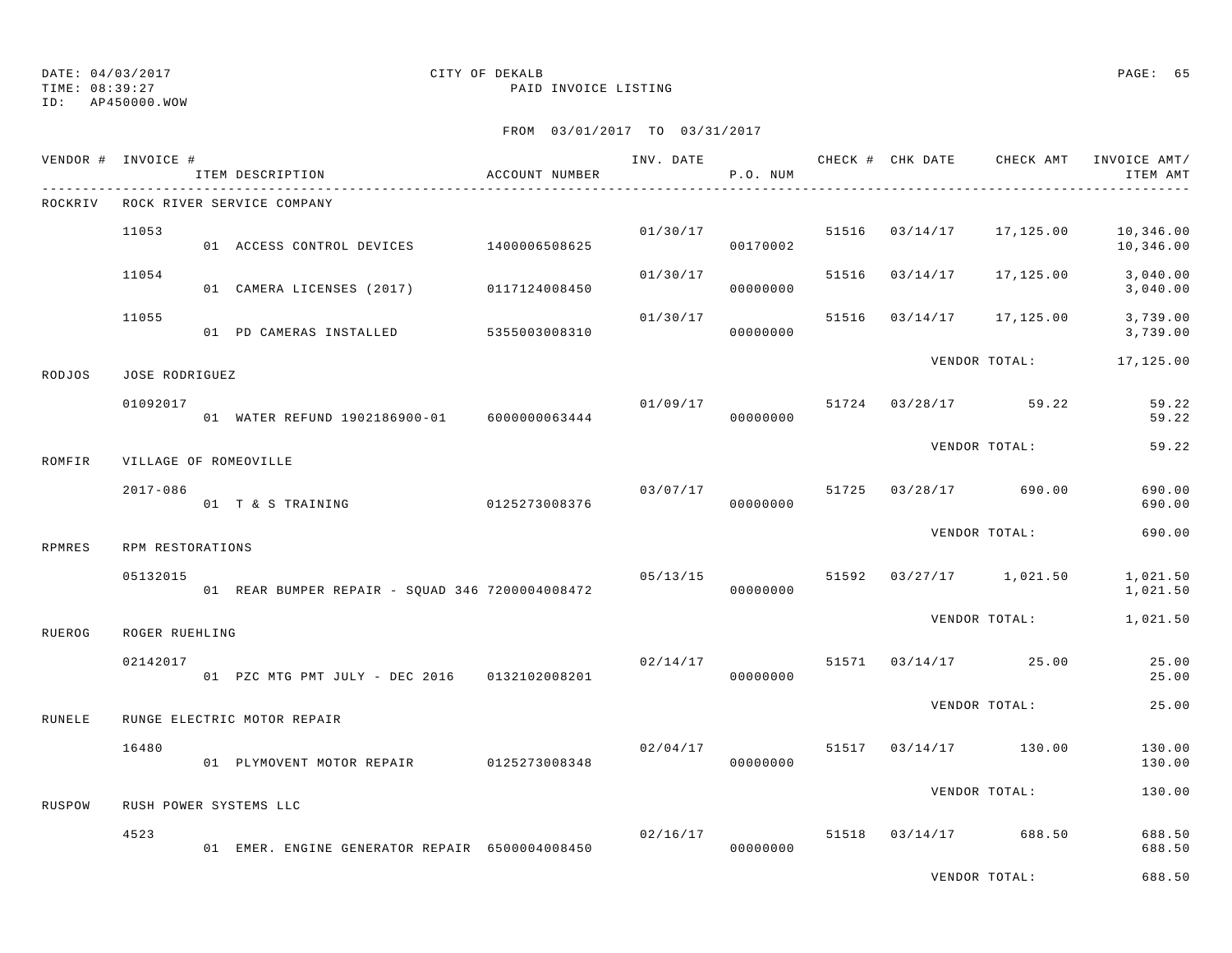TIME: 08:39:27 PAID INVOICE LISTING

ID: AP450000.WOW

|               | VENDOR # INVOICE #    | ITEM DESCRIPTION                                | ACCOUNT NUMBER |          | P.O. NUM             |       |                | INV. DATE 6 CHECK # CHK DATE CHECK AMT | INVOICE AMT/<br>ITEM AMT |
|---------------|-----------------------|-------------------------------------------------|----------------|----------|----------------------|-------|----------------|----------------------------------------|--------------------------|
| ROCKRIV       |                       | ROCK RIVER SERVICE COMPANY                      |                |          |                      |       |                |                                        |                          |
|               | 11053                 | 01 ACCESS CONTROL DEVICES 1400006508625         |                |          | 01/30/17<br>00170002 |       | 51516 03/14/17 | 17,125.00                              | 10,346.00<br>10,346.00   |
|               | 11054                 | 01 CAMERA LICENSES (2017) 0117124008450         |                | 01/30/17 | 00000000             | 51516 | 03/14/17       | 17,125.00                              | 3,040.00<br>3,040.00     |
|               | 11055                 | 01 PD CAMERAS INSTALLED 5355003008310           |                | 01/30/17 | 00000000             |       | 51516 03/14/17 | 17,125.00                              | 3,739.00<br>3,739.00     |
| RODJOS        | JOSE RODRIGUEZ        |                                                 |                |          |                      |       |                | VENDOR TOTAL:                          | 17,125.00                |
|               | 01092017              | 01 WATER REFUND 1902186900-01 6000000063444     |                | 01/09/17 | 00000000             |       |                | 51724 03/28/17 59.22                   | 59.22<br>59.22           |
| <b>ROMFIR</b> | VILLAGE OF ROMEOVILLE |                                                 |                |          |                      |       |                | VENDOR TOTAL:                          | 59.22                    |
|               | $2017 - 086$          | 01 T & S TRAINING 6125273008376                 |                |          | 00000000             |       |                | $03/07/17$ 51725 $03/28/17$ 690.00     | 690.00<br>690.00         |
| RPMRES        | RPM RESTORATIONS      |                                                 |                |          |                      |       |                | VENDOR TOTAL:                          | 690.00                   |
|               | 05132015              | 01 REAR BUMPER REPAIR - SQUAD 346 7200004008472 |                | 05/13/15 | 00000000             |       |                | 51592 03/27/17 1,021.50                | 1,021.50<br>1,021.50     |
| RUEROG        | ROGER RUEHLING        |                                                 |                |          |                      |       |                | VENDOR TOTAL:                          | 1,021.50                 |
|               | 02142017              | 01 PZC MTG PMT JULY - DEC 2016 0132102008201    |                | 02/14/17 | 00000000             |       |                | 51571 03/14/17 25.00                   | 25.00<br>25.00           |
| RUNELE        |                       | RUNGE ELECTRIC MOTOR REPAIR                     |                |          |                      |       |                | VENDOR TOTAL:                          | 25.00                    |
|               | 16480                 | 01 PLYMOVENT MOTOR REPAIR 0125273008348         |                | 02/04/17 | 00000000             |       |                | 51517 03/14/17 130.00                  | 130.00<br>130.00         |
| RUSPOW        |                       | RUSH POWER SYSTEMS LLC                          |                |          |                      |       |                | VENDOR TOTAL:                          | 130.00                   |
|               | 4523                  | 01 EMER. ENGINE GENERATOR REPAIR 6500004008450  |                | 02/16/17 | 00000000             |       |                | 51518 03/14/17 688.50                  | 688.50<br>688.50         |
|               |                       |                                                 |                |          |                      |       |                | VENDOR TOTAL:                          | 688.50                   |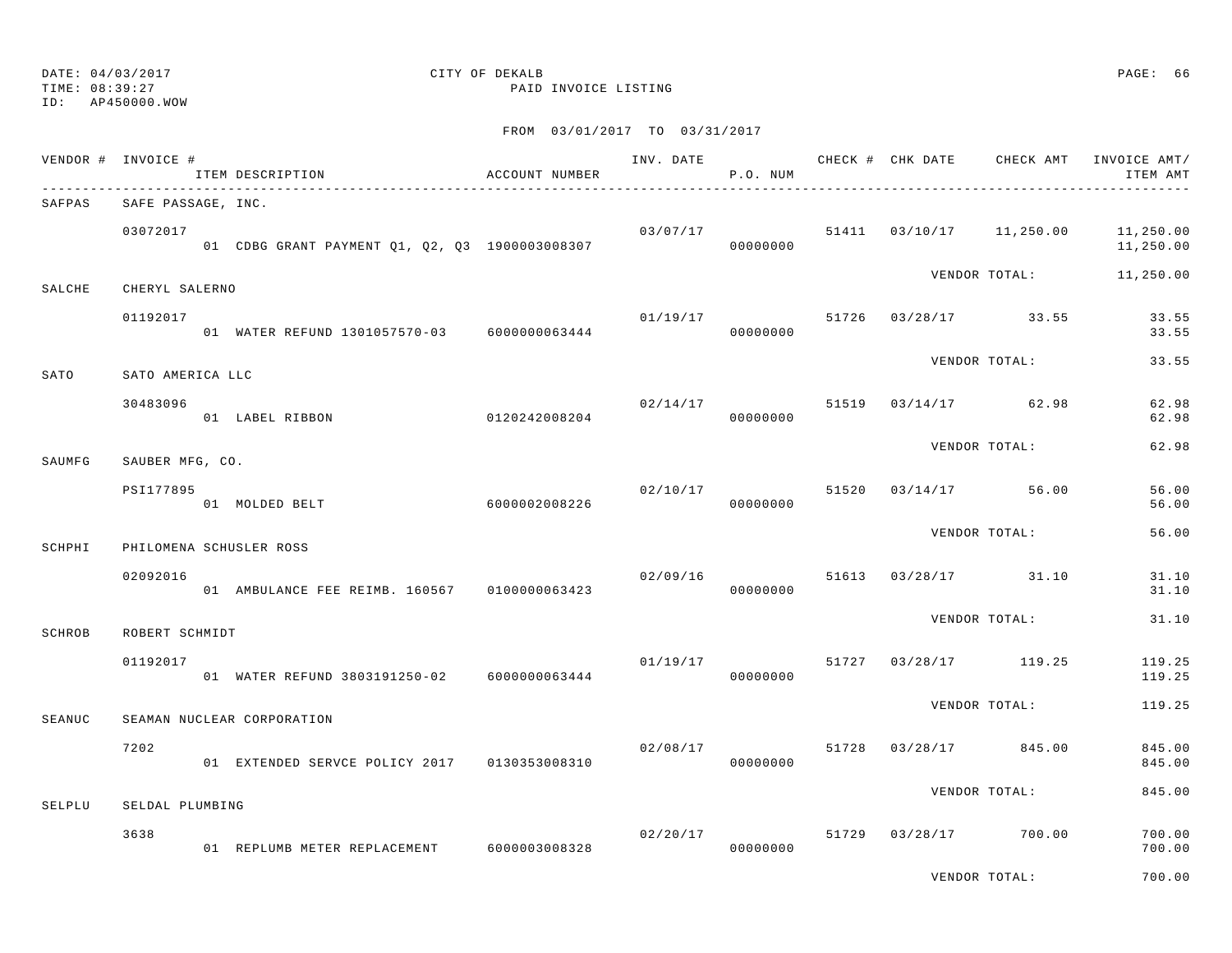### TIME: 08:39:27 PAID INVOICE LISTING ID: AP450000.WOW

## DATE:  $04/03/2017$  PAGE: 66

|        | VENDOR # INVOICE # | ITEM DESCRIPTION                               | ACCOUNT NUMBER |          | P.O. NUM             |       | INV. DATE 6 CHECK # CHK DATE CHECK AMT | INVOICE AMT/<br>ITEM AMT |
|--------|--------------------|------------------------------------------------|----------------|----------|----------------------|-------|----------------------------------------|--------------------------|
| SAFPAS | SAFE PASSAGE, INC. |                                                |                |          |                      |       |                                        |                          |
|        | 03072017           | 01 CDBG GRANT PAYMENT Q1, Q2, Q3 1900003008307 |                |          | 03/07/17<br>00000000 |       | 51411  03/10/17  11,250.00             | 11,250.00<br>11,250.00   |
| SALCHE | CHERYL SALERNO     |                                                |                |          |                      |       | VENDOR TOTAL:                          | 11,250.00                |
|        | 01192017           | 01 WATER REFUND 1301057570-03 6000000063444    |                | 01/19/17 | 00000000             |       | 51726 03/28/17 33.55                   | 33.55<br>33.55           |
| SATO   | SATO AMERICA LLC   |                                                |                |          |                      |       | VENDOR TOTAL:                          | 33.55                    |
|        | 30483096           | 01 LABEL RIBBON                                | 0120242008204  | 02/14/17 | 00000000             |       | 51519 03/14/17 62.98                   | 62.98<br>62.98           |
| SAUMFG | SAUBER MFG, CO.    |                                                |                |          |                      |       | VENDOR TOTAL:                          | 62.98                    |
|        | PSI177895          | 01 MOLDED BELT                                 | 6000002008226  | 02/10/17 | 00000000             | 51520 | 03/14/17 56.00                         | 56.00<br>56.00           |
| SCHPHI |                    | PHILOMENA SCHUSLER ROSS                        |                |          |                      |       | VENDOR TOTAL:                          | 56.00                    |
|        | 02092016           | 01 AMBULANCE FEE REIMB. 160567 0100000063423   |                | 02/09/16 | 00000000             |       | 51613 03/28/17 31.10                   | 31.10<br>31.10           |
| SCHROB | ROBERT SCHMIDT     |                                                |                |          |                      |       | VENDOR TOTAL:                          | 31.10                    |
|        | 01192017           | 01 WATER REFUND 3803191250-02 6000000063444    |                |          | 01/19/17<br>00000000 | 51727 | 03/28/17 119.25                        | 119.25<br>119.25         |
| SEANUC |                    | SEAMAN NUCLEAR CORPORATION                     |                |          |                      |       | VENDOR TOTAL:                          | 119.25                   |
|        | 7202               | 01 EXTENDED SERVCE POLICY 2017 0130353008310   |                | 02/08/17 | 00000000             |       | 51728 03/28/17 845.00                  | 845.00<br>845.00         |
|        |                    |                                                |                |          |                      |       | VENDOR TOTAL:                          | 845.00                   |
| SELPLU | SELDAL PLUMBING    |                                                |                |          |                      |       |                                        |                          |
|        | 3638               | 01 REPLUMB METER REPLACEMENT 6000003008328     |                |          | 02/20/17<br>00000000 |       | 51729 03/28/17 700.00                  | 700.00<br>700.00         |
|        |                    |                                                |                |          |                      |       | VENDOR TOTAL:                          | 700.00                   |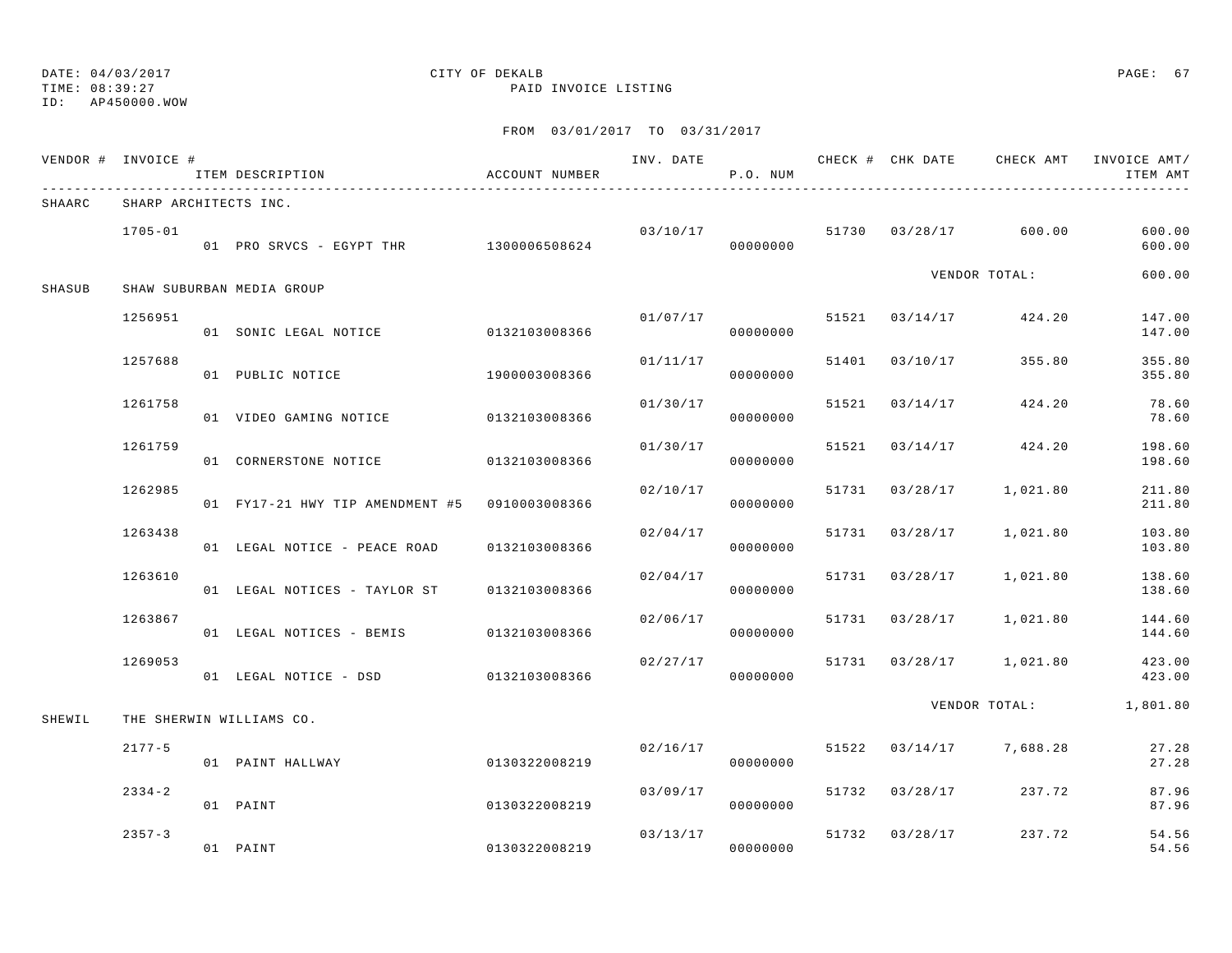## ID: AP450000.WOW

## DATE: 04/03/2017 CITY OF DEKALB PAGE: 67

TIME: 08:39:27 PAID INVOICE LISTING

|        | VENDOR # INVOICE #    | ITEM DESCRIPTION                              | ACCOUNT NUMBER |          | P.O. NUM |                |                                  | ITEM AMT               |
|--------|-----------------------|-----------------------------------------------|----------------|----------|----------|----------------|----------------------------------|------------------------|
| SHAARC | SHARP ARCHITECTS INC. |                                               |                |          |          |                |                                  |                        |
|        | $1705 - 01$           | 01 PRO SRVCS - EGYPT THR 1300006508624        |                |          | 00000000 |                | $03/10/17$ 51730 03/28/17 600.00 | 600.00<br>600.00       |
| SHASUB |                       | SHAW SUBURBAN MEDIA GROUP                     |                |          |          |                | VENDOR TOTAL:                    | 600.00                 |
|        | 1256951               | 01 SONIC LEGAL NOTICE 0132103008366           |                | 01/07/17 | 00000000 |                | 51521 03/14/17 424.20            | 147.00<br>147.00       |
|        | 1257688               | 01 PUBLIC NOTICE                              | 1900003008366  | 01/11/17 | 00000000 | 51401 03/10/17 | 355.80                           | 355.80<br>355.80       |
|        | 1261758               | 01 VIDEO GAMING NOTICE 0132103008366          |                | 01/30/17 | 00000000 | 51521 03/14/17 | 424.20                           | 78.60<br>78.60         |
|        | 1261759               | 01 CORNERSTONE NOTICE 0132103008366           |                | 01/30/17 | 00000000 |                | 51521 03/14/17 424.20            | 198.60<br>198.60       |
|        | 1262985               | 01 FY17-21 HWY TIP AMENDMENT #5 0910003008366 |                | 02/10/17 | 00000000 |                | 51731 03/28/17 1,021.80          | 211.80<br>211.80       |
|        | 1263438               | 01 LEGAL NOTICE - PEACE ROAD                  | 0132103008366  | 02/04/17 | 00000000 | 51731 03/28/17 | 1,021.80                         | 103.80<br>103.80       |
|        | 1263610               | 01 LEGAL NOTICES - TAYLOR ST 0132103008366    |                | 02/04/17 | 00000000 | 51731 03/28/17 | 1,021.80                         | 138.60<br>138.60       |
|        | 1263867               | 01 LEGAL NOTICES - BEMIS 0132103008366        |                | 02/06/17 | 00000000 |                | 51731 03/28/17 1,021.80          | 144.60<br>144.60       |
|        | 1269053               | 01 LEGAL NOTICE - DSD                         | 0132103008366  | 02/27/17 | 00000000 |                | 51731 03/28/17 1,021.80          | 423.00<br>423.00       |
| SHEWIL |                       | THE SHERWIN WILLIAMS CO.                      |                |          |          |                |                                  | VENDOR TOTAL: 1,801.80 |
|        | $2177 - 5$            | 01 PAINT HALLWAY                              | 0130322008219  | 02/16/17 | 00000000 |                | 51522 03/14/17 7,688.28          | 27.28<br>27.28         |
|        | $2334 - 2$            | 01 PAINT                                      | 0130322008219  | 03/09/17 | 00000000 |                | 51732 03/28/17 237.72            | 87.96<br>87.96         |
|        | $2357 - 3$            | 01 PAINT                                      | 0130322008219  | 03/13/17 | 00000000 | 51732 03/28/17 | 237.72                           | 54.56<br>54.56         |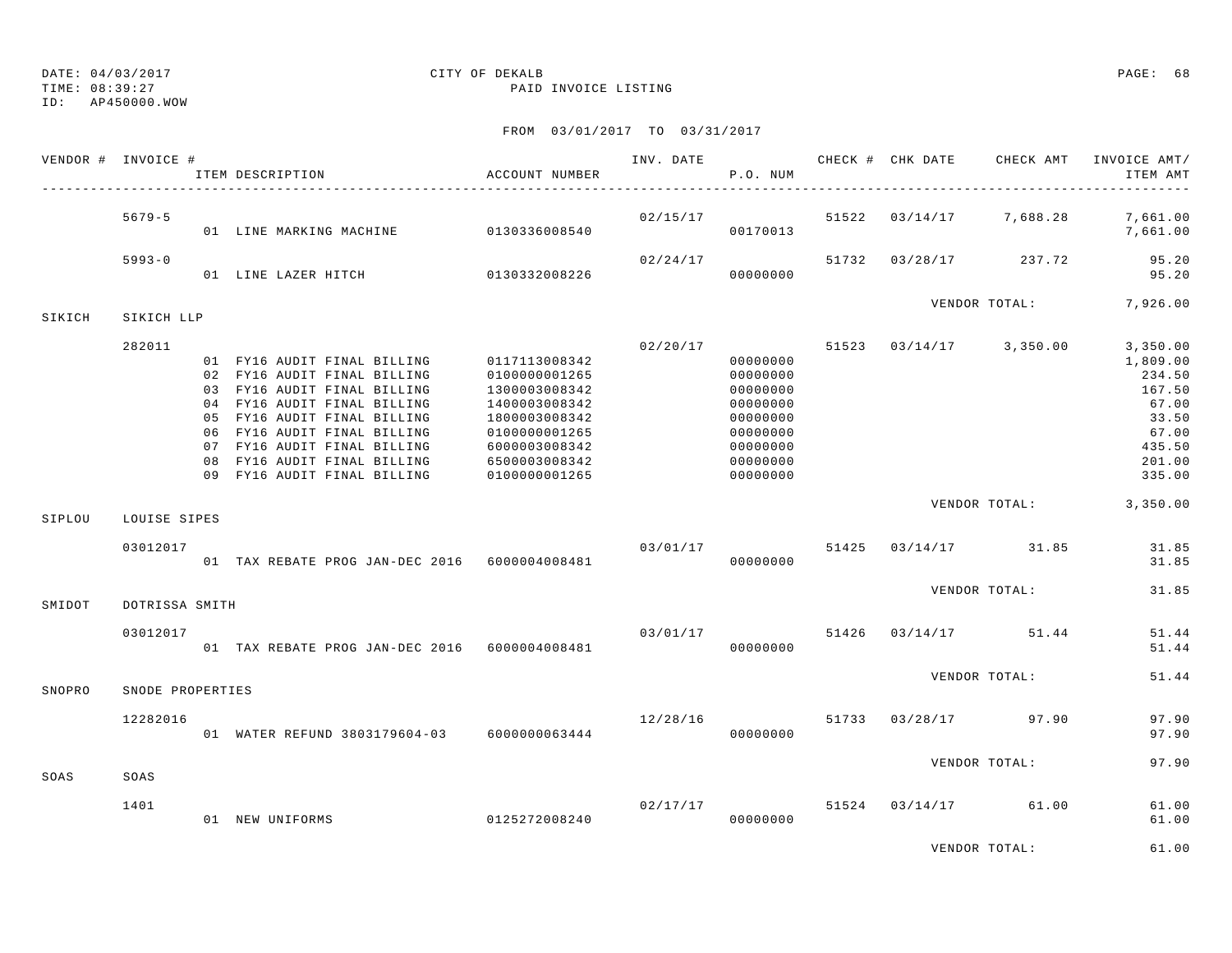TIME: 08:39:27 PAID INVOICE LISTING

ID: AP450000.WOW

|        | VENDOR # INVOICE # |  | ITEM DESCRIPTION                                                                                                                                                                                                                                                                    | ACCOUNT NUMBER                                                                                                                                        |                | P.O. NUM                                                                                                 |       | INV. DATE 6 CHECK # CHK DATE CHECK AMT | INVOICE AMT/<br>ITEM AMT                                                                          |
|--------|--------------------|--|-------------------------------------------------------------------------------------------------------------------------------------------------------------------------------------------------------------------------------------------------------------------------------------|-------------------------------------------------------------------------------------------------------------------------------------------------------|----------------|----------------------------------------------------------------------------------------------------------|-------|----------------------------------------|---------------------------------------------------------------------------------------------------|
|        | $5679 - 5$         |  | 01 LINE MARKING MACHINE 0130336008540                                                                                                                                                                                                                                               |                                                                                                                                                       | 02/15/17       | 00170013                                                                                                 |       | 51522 03/14/17 7,688.28                | 7,661.00<br>7,661.00                                                                              |
|        | $5993 - 0$         |  | 01 LINE LAZER HITCH 0130332008226                                                                                                                                                                                                                                                   |                                                                                                                                                       | 02/24/17       | 00000000                                                                                                 |       | 51732 03/28/17 237.72                  | 95.20<br>95.20                                                                                    |
| SIKICH | SIKICH LLP         |  |                                                                                                                                                                                                                                                                                     |                                                                                                                                                       |                |                                                                                                          |       | VENDOR TOTAL:                          | 7,926.00                                                                                          |
|        | 282011             |  | 01 FY16 AUDIT FINAL BILLING<br>02 FY16 AUDIT FINAL BILLING<br>03 FY16 AUDIT FINAL BILLING<br>04 FY16 AUDIT FINAL BILLING<br>05 FY16 AUDIT FINAL BILLING<br>06 FY16 AUDIT FINAL BILLING<br>07 FY16 AUDIT FINAL BILLING<br>08 FY16 AUDIT FINAL BILLING<br>09 FY16 AUDIT FINAL BILLING | 0117113008342<br>0100000001265<br>1300003008342<br>1400003008342<br>1800003008342<br>0100000001265<br>6000003008342<br>6500003008342<br>0100000001265 | 02/20/17       | 00000000<br>00000000<br>00000000<br>00000000<br>00000000<br>00000000<br>00000000<br>00000000<br>00000000 | 51523 | $03/14/17$ 3,350.00                    | 3,350.00<br>1,809.00<br>234.50<br>167.50<br>67.00<br>33.50<br>67.00<br>435.50<br>201.00<br>335.00 |
| SIPLOU | LOUISE SIPES       |  |                                                                                                                                                                                                                                                                                     |                                                                                                                                                       |                |                                                                                                          |       | VENDOR TOTAL:                          | 3,350.00                                                                                          |
|        | 03012017           |  | 01 TAX REBATE PROG JAN-DEC 2016 6000004008481                                                                                                                                                                                                                                       |                                                                                                                                                       | 03/01/17       | 00000000                                                                                                 |       | 51425 03/14/17 31.85                   | 31.85<br>31.85                                                                                    |
| SMIDOT | DOTRISSA SMITH     |  |                                                                                                                                                                                                                                                                                     |                                                                                                                                                       |                |                                                                                                          |       | VENDOR TOTAL:                          | 31.85                                                                                             |
|        | 03012017           |  | 01 TAX REBATE PROG JAN-DEC 2016 6000004008481                                                                                                                                                                                                                                       |                                                                                                                                                       | 03/01/17       | 00000000                                                                                                 |       | 51426 03/14/17 51.44                   | 51.44<br>51.44                                                                                    |
| SNOPRO | SNODE PROPERTIES   |  |                                                                                                                                                                                                                                                                                     |                                                                                                                                                       |                |                                                                                                          |       | VENDOR TOTAL:                          | 51.44                                                                                             |
|        | 12282016           |  | 01 WATER REFUND 3803179604-03 6000000063444                                                                                                                                                                                                                                         |                                                                                                                                                       | 12/28/16 51733 | 00000000                                                                                                 |       | $03/28/17$ 97.90                       | 97.90<br>97.90                                                                                    |
| SOAS   | SOAS               |  |                                                                                                                                                                                                                                                                                     |                                                                                                                                                       |                |                                                                                                          |       | VENDOR TOTAL:                          | 97.90                                                                                             |
|        | 1401               |  | 01 NEW UNIFORMS                                                                                                                                                                                                                                                                     | 0125272008240                                                                                                                                         | 02/17/17       | 00000000                                                                                                 |       | 51524 03/14/17 61.00                   | 61.00<br>61.00                                                                                    |
|        |                    |  |                                                                                                                                                                                                                                                                                     |                                                                                                                                                       |                |                                                                                                          |       | VENDOR TOTAL:                          | 61.00                                                                                             |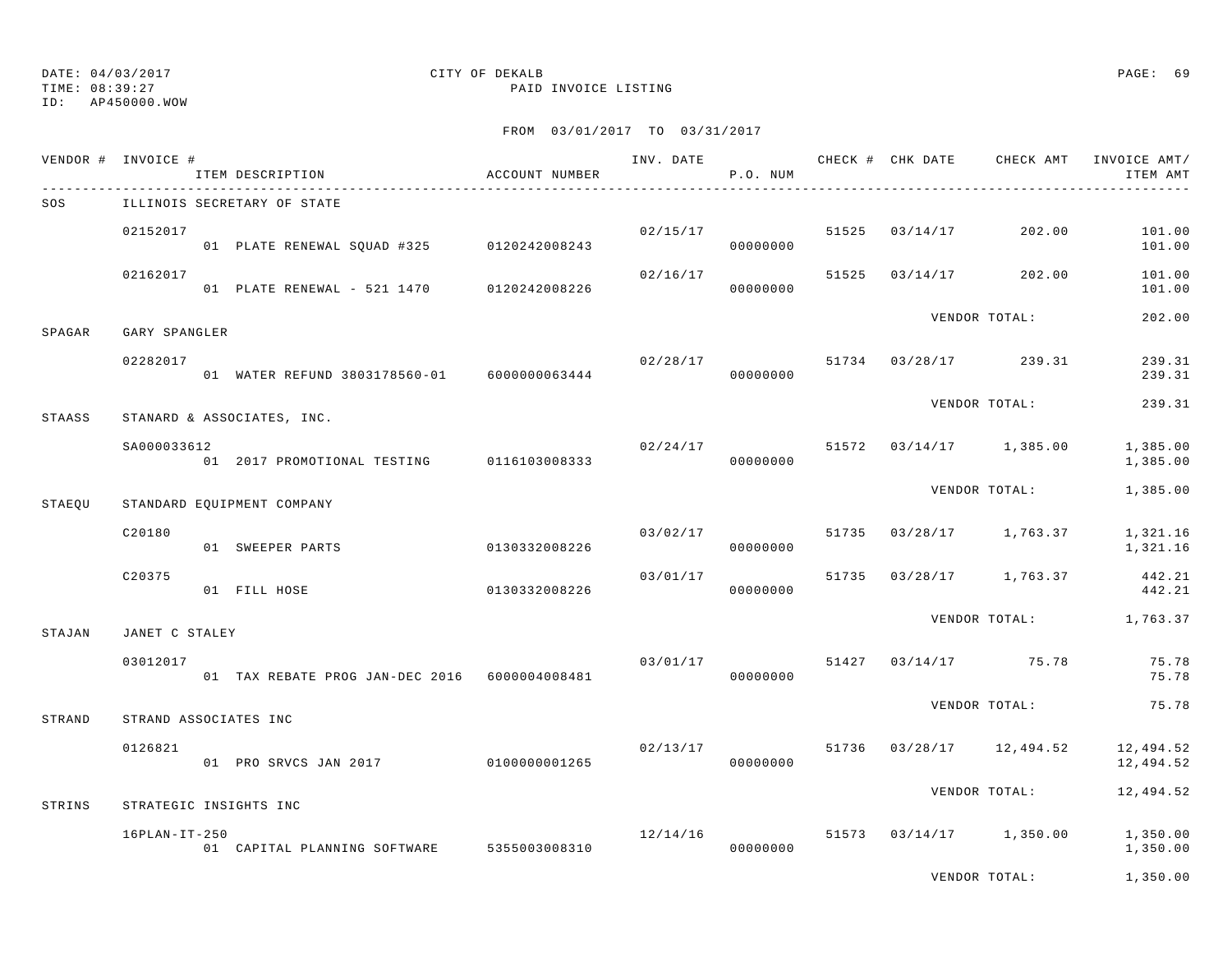# ID: AP450000.WOW

## DATE: 04/03/2017 CITY OF DEKALB PAGE: 69

TIME: 08:39:27 PAID INVOICE LISTING

|        | VENDOR # INVOICE # | ITEM DESCRIPTION                              | ACCOUNT NUMBER | INV. DATE | P.O. NUM                   |       |          | CHECK # CHK DATE CHECK AMT | INVOICE AMT/<br>ITEM AMT |
|--------|--------------------|-----------------------------------------------|----------------|-----------|----------------------------|-------|----------|----------------------------|--------------------------|
| SOS    |                    | ILLINOIS SECRETARY OF STATE                   |                |           |                            |       |          |                            |                          |
|        | 02152017           | 01 PLATE RENEWAL SQUAD #325 0120242008243     |                |           | 02/15/17<br>00000000       | 51525 | 03/14/17 | 202.00                     | 101.00<br>101.00         |
|        | 02162017           | 01 PLATE RENEWAL - 521 1470 0120242008226     |                | 02/16/17  | 00000000                   | 51525 | 03/14/17 | 202.00                     | 101.00<br>101.00         |
| SPAGAR | GARY SPANGLER      |                                               |                |           |                            |       |          | VENDOR TOTAL:              | 202.00                   |
|        | 02282017           | 01 WATER REFUND 3803178560-01 6000000063444   |                | 02/28/17  | 00000000                   |       |          | 51734 03/28/17 239.31      | 239.31<br>239.31         |
| STAASS |                    | STANARD & ASSOCIATES, INC.                    |                |           |                            |       |          | VENDOR TOTAL:              | 239.31                   |
|        | SA000033612        | 01 2017 PROMOTIONAL TESTING 0116103008333     |                |           | 02/24/17 51572<br>00000000 |       |          | $03/14/17$ 1,385.00        | 1,385.00<br>1,385.00     |
| STAEOU |                    | STANDARD EQUIPMENT COMPANY                    |                |           |                            |       |          | VENDOR TOTAL:              | 1,385.00                 |
|        | C20180             | 01 SWEEPER PARTS                              | 0130332008226  | 03/02/17  | 00000000                   | 51735 |          | $03/28/17$ 1,763.37        | 1,321.16<br>1,321.16     |
|        | C20375             | 01 FILL HOSE                                  | 0130332008226  | 03/01/17  | 00000000                   | 51735 |          | 03/28/17 1,763.37          | 442.21<br>442.21         |
| STAJAN | JANET C STALEY     |                                               |                |           |                            |       |          | VENDOR TOTAL:              | 1,763.37                 |
|        | 03012017           | 01 TAX REBATE PROG JAN-DEC 2016 6000004008481 |                |           | 03/01/17 51427<br>00000000 |       |          | $03/14/17$ 75.78           | 75.78<br>75.78           |
| STRAND |                    | STRAND ASSOCIATES INC                         |                |           |                            |       |          | VENDOR TOTAL:              | 75.78                    |
|        | 0126821            | 01 PRO SRVCS JAN 2017                         | 0100000001265  | 02/13/17  | 00000000                   |       |          | 51736 03/28/17 12,494.52   | 12,494.52<br>12,494.52   |
|        |                    |                                               |                |           |                            |       |          | VENDOR TOTAL:              | 12,494.52                |
| STRINS |                    | STRATEGIC INSIGHTS INC                        |                |           |                            |       |          |                            |                          |
|        | $16$ PLAN-IT-250   | 01 CAPITAL PLANNING SOFTWARE 5355003008310    |                | 12/14/16  | 00000000                   | 51573 |          | $03/14/17$ 1,350.00        | 1,350.00<br>1,350.00     |
|        |                    |                                               |                |           |                            |       |          | VENDOR TOTAL:              | 1,350.00                 |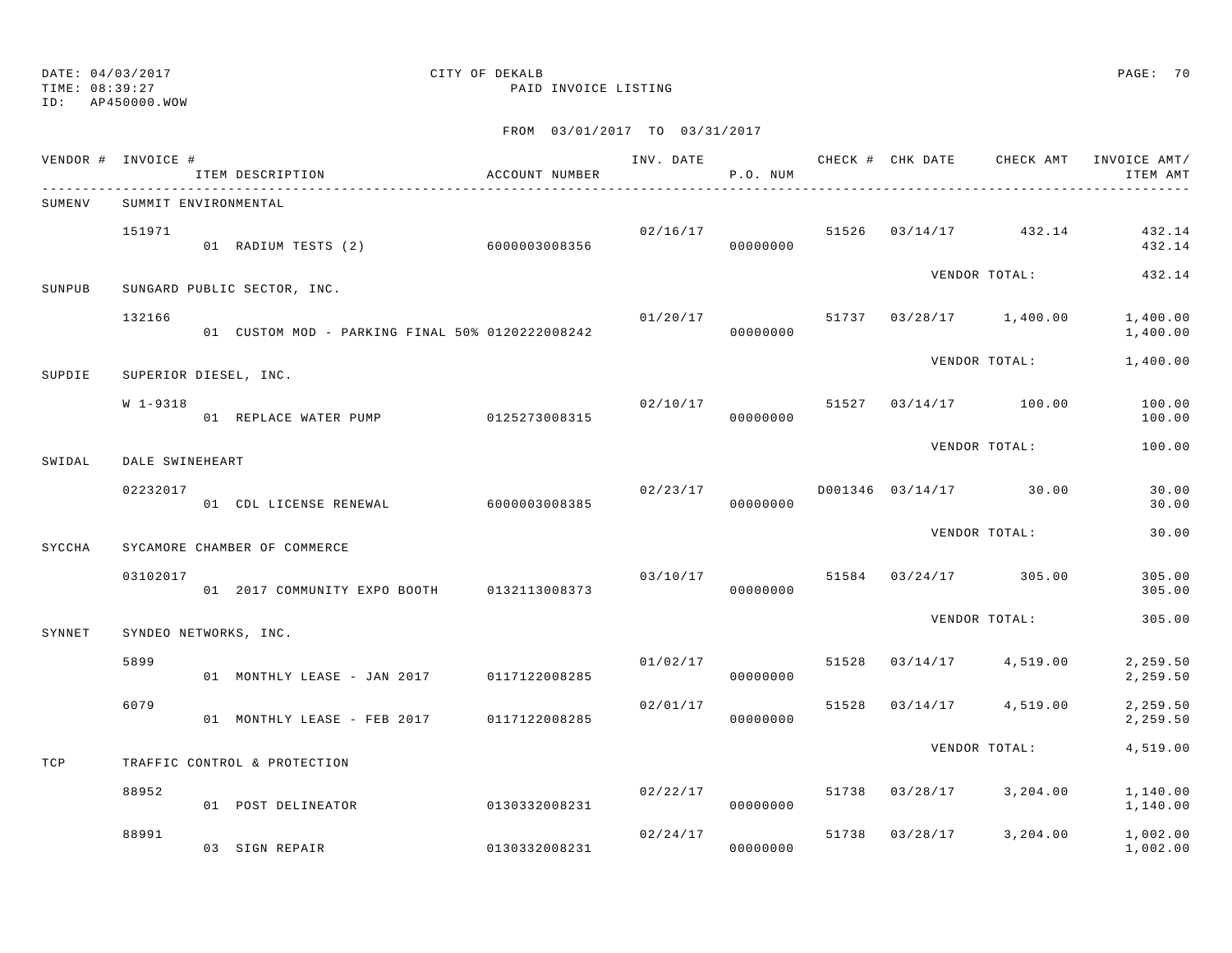ID: AP450000.WOW

TIME: 08:39:27 PAID INVOICE LISTING

|        | VENDOR # INVOICE #   | ITEM DESCRIPTION                                | ACCOUNT NUMBER |                | P.O. NUM             |       |          |                                    | INV. DATE 6 7 200 CHECK # CHK DATE CHECK AMT INVOICE AMT/<br>ITEM AMT |
|--------|----------------------|-------------------------------------------------|----------------|----------------|----------------------|-------|----------|------------------------------------|-----------------------------------------------------------------------|
| SUMENV | SUMMIT ENVIRONMENTAL |                                                 |                |                |                      |       |          |                                    |                                                                       |
|        | 151971               | 01 RADIUM TESTS (2) 6000003008356               |                |                | 00000000             |       |          | $02/16/17$ 51526 $03/14/17$ 432.14 | 432.14<br>432.14                                                      |
| SUNPUB |                      | SUNGARD PUBLIC SECTOR, INC.                     |                |                |                      |       |          | VENDOR TOTAL:                      | 432.14                                                                |
|        | 132166               | 01 CUSTOM MOD - PARKING FINAL 50% 0120222008242 |                | 01/20/17       | 00000000             |       |          | 51737 03/28/17 1,400.00            | 1,400.00<br>1,400.00                                                  |
| SUPDIE |                      | SUPERIOR DIESEL, INC.                           |                |                |                      |       |          | VENDOR TOTAL:                      | 1,400.00                                                              |
|        | W 1-9318             | 01 REPLACE WATER PUMP 0125273008315             |                | 02/10/17 51527 | 00000000             |       |          | 03/14/17 100.00                    | 100.00<br>100.00                                                      |
| SWIDAL | DALE SWINEHEART      |                                                 |                |                |                      |       |          | VENDOR TOTAL:                      | 100.00                                                                |
|        | 02232017             | 01 CDL LICENSE RENEWAL 6000003008385            |                | 02/23/17       | 00000000             |       |          | D001346 03/14/17 30.00             | 30.00<br>30.00                                                        |
| SYCCHA |                      | SYCAMORE CHAMBER OF COMMERCE                    |                |                |                      |       |          | VENDOR TOTAL:                      | 30.00                                                                 |
|        | 03102017             | 01 2017 COMMUNITY EXPO BOOTH 0132113008373      |                | 03/10/17       | 00000000             |       |          | 51584 03/24/17 305.00              | 305.00<br>305.00                                                      |
| SYNNET |                      | SYNDEO NETWORKS, INC.                           |                |                |                      |       |          | VENDOR TOTAL:                      | 305.00                                                                |
|        | 5899                 | 01 MONTHLY LEASE - JAN 2017 0117122008285       |                |                | 01/02/17<br>00000000 | 51528 |          | $03/14/17$ 4,519.00                | 2,259.50<br>2,259.50                                                  |
|        | 6079                 | 01 MONTHLY LEASE - FEB 2017                     | 0117122008285  | 02/01/17       | 00000000             | 51528 | 03/14/17 | 4,519.00                           | 2,259.50<br>2,259.50                                                  |
| TCP    |                      | TRAFFIC CONTROL & PROTECTION                    |                |                |                      |       |          | VENDOR TOTAL:                      | 4,519.00                                                              |
|        | 88952                | 01 POST DELINEATOR                              | 0130332008231  | 02/22/17       | 00000000             | 51738 |          | $03/28/17$ 3, 204.00               | 1,140.00<br>1,140.00                                                  |
|        | 88991                | 03 SIGN REPAIR                                  | 0130332008231  | 02/24/17       | 00000000             | 51738 | 03/28/17 | 3,204.00                           | 1,002.00<br>1,002.00                                                  |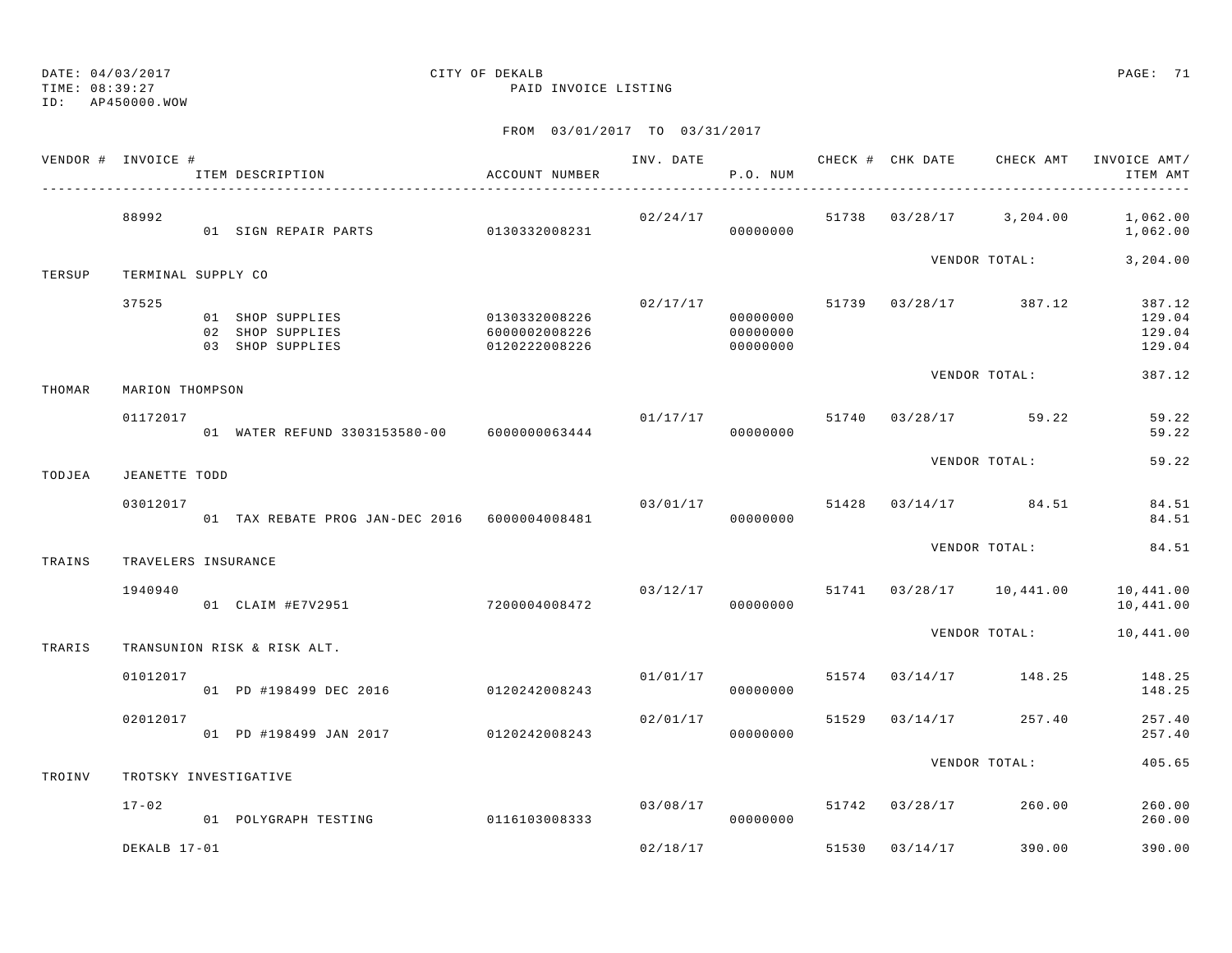DATE: 04/03/2017 CITY OF DEKALB PAGE: 71 TIME: 08:39:27 PAID INVOICE LISTING ID: AP450000.WOWFROM 03/01/2017 TO 03/31/2017 VENDOR # INVOICE # TELL THAT AND THE THAT CHECK AND CHECK # CHECK CHECK AMT INVOICE AMT/ ITEM DESCRIPTION ACCOUNT NUMBER P.O. NUM ITEM AMT---------------------------------------------------------------------------------------------------------------------------------------------- 88992 02/24/17 51738 03/28/17 3,204.00 1,062.00 01 SIGN REPAIR PARTS 0130332008231 000000000 00000000 1,062.00 VENDOR TOTAL: 3,204.00

## TERSUP TERMINAL SUPPLY CO

| 37525 |               |                 | 02/17/17 | 51739 | 03/28/17 | 387.12 | 387.12        |
|-------|---------------|-----------------|----------|-------|----------|--------|---------------|
| 01    | SHOP SUPPLIES | 0130332008226   | 00000000 |       |          |        | 129.04        |
| 02    | SHOP SUPPLIES | 6000002008226   | 00000000 |       |          |        | 129.04        |
| 03    | SHOP SUPPLIES | 0120222008226   | 00000000 |       |          |        | 129.04        |
|       |               |                 |          |       |          |        | 387.12        |
|       |               |                 |          |       |          |        |               |
|       |               | MARION THOMPSON |          |       |          |        | VENDOR TOTAL: |

|        | 01172017      | WATER REFUND 3303153580-00 | 6000000063444 | 01/17/17 | 00000000 | 51740 | 03/28/17 | 59.22         | 59.22<br>59.22 |
|--------|---------------|----------------------------|---------------|----------|----------|-------|----------|---------------|----------------|
|        |               |                            |               |          |          |       |          | VENDOR TOTAL: | 59.22          |
| TODJEA | JEANETTE TODD |                            |               |          |          |       |          |               |                |

| 03012017 |                                            | 03/01/17 |  |          | 51428 03/14/17 | 84.51 | 84.51 |       |
|----------|--------------------------------------------|----------|--|----------|----------------|-------|-------|-------|
|          | TAX REBATE PROG JAN-DEC 2016 6000004008481 |          |  | 00000000 |                |       |       | 84.51 |
|          |                                            |          |  |          |                |       |       |       |

|        |                     |                |               |          |          |       | . _ _ . _ _ _ _ _ |           | ------                 |
|--------|---------------------|----------------|---------------|----------|----------|-------|-------------------|-----------|------------------------|
| TRAINS | TRAVELERS INSURANCE |                |               |          |          |       |                   |           |                        |
|        | 1940940<br>01       | CLAIM #E7V2951 | 7200004008472 | 03/12/17 | 00000000 | 51741 | 03/28/17          | 10,441.00 | 10,441.00<br>10,441.00 |
|        |                     |                |               |          |          |       |                   |           |                        |

TRARIS TRANSUNION RISK & RISK ALT.

| 02012017 | 01 PD #198499 JAN 2017 | 0120242008243 | 02/01/17 | 51529<br>00000000 | 03/14/17 | 257.40 | 257.40<br>257.40 |
|----------|------------------------|---------------|----------|-------------------|----------|--------|------------------|
|          |                        |               |          |                   |          |        |                  |
| 01012017 | 01 PD #198499 DEC 2016 | 0120242008243 | 01/01/17 | 51574<br>00000000 | 03/14/17 | 148.25 | 148.25<br>148.25 |

## TROINV TROTSKY INVESTIGATIVE 17-02 03/08/17 51742 03/28/17 260.00 260.00 01 POLYGRAPH TESTING 0116103008333 00000000 260.00DEKALB 17-01 390.00 390.00 390.00 390.00 390.00 390.00 390.00 390.00 390.00 390.00 390.00 390.00 390.00 390.00 390.00 390.00 390.00 390.00 390.00 390.00 390.00 390.00 390.00 390.00 390.00 390.00 390.00 390.00 390.00 390.00

VENDOR TOTAL: 84.51

VENDOR TOTAL: 10,441.00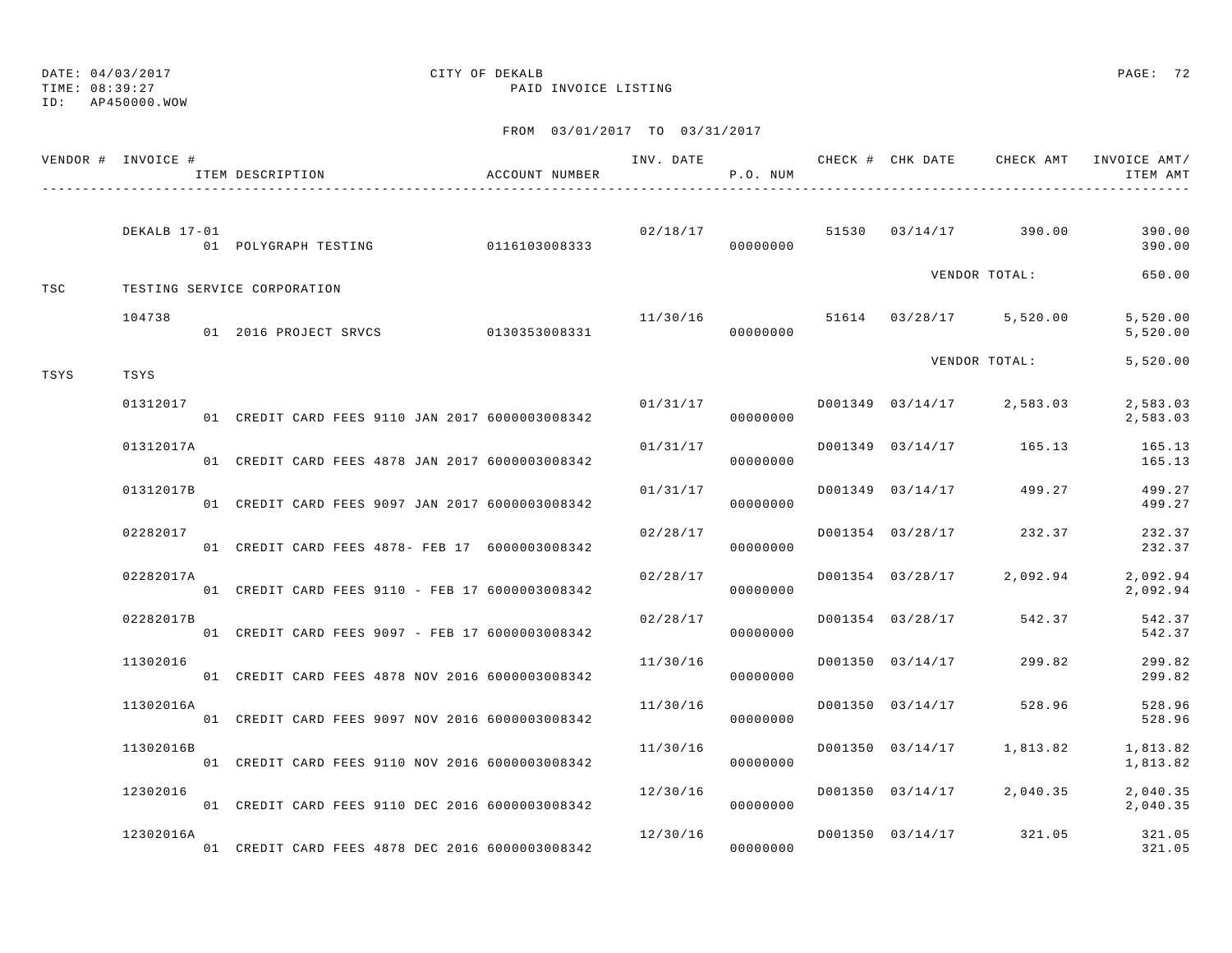TIME: 08:39:27 PAID INVOICE LISTING

ID: AP450000.WOW

|      | VENDOR # INVOICE # | ITEM DESCRIPTION                                | ACCOUNT NUMBER |          | P.O. NUM |                  |                                    | INV. DATE 6 7 CHECK # CHK DATE CHECK AMT INVOICE AMT/<br>ITEM AMT |
|------|--------------------|-------------------------------------------------|----------------|----------|----------|------------------|------------------------------------|-------------------------------------------------------------------|
|      | DEKALB 17-01       |                                                 |                | 02/18/17 |          |                  | 51530 03/14/17 390.00              | 390.00<br>390.00                                                  |
| TSC  |                    | TESTING SERVICE CORPORATION                     |                |          |          |                  | VENDOR TOTAL:                      | 650.00                                                            |
|      | 104738             | 01 2016 PROJECT SRVCS 0130353008331             |                |          | 00000000 |                  | $11/30/16$ 51614 03/28/17 5,520.00 | 5,520.00<br>5,520.00                                              |
| TSYS | TSYS               |                                                 |                |          |          |                  | VENDOR TOTAL:                      | 5,520.00                                                          |
|      | 01312017           | 01 CREDIT CARD FEES 9110 JAN 2017 6000003008342 |                | 01/31/17 | 00000000 |                  | D001349 03/14/17 2,583.03          | 2,583.03<br>2,583.03                                              |
|      | 01312017A          | 01 CREDIT CARD FEES 4878 JAN 2017 6000003008342 |                | 01/31/17 | 00000000 |                  | D001349 03/14/17 165.13            | 165.13<br>165.13                                                  |
|      | 01312017B          | 01 CREDIT CARD FEES 9097 JAN 2017 6000003008342 |                | 01/31/17 | 00000000 |                  | D001349 03/14/17 499.27            | 499.27<br>499.27                                                  |
|      | 02282017           | 01 CREDIT CARD FEES 4878- FEB 17 6000003008342  |                | 02/28/17 | 00000000 |                  | D001354 03/28/17 232.37            | 232.37<br>232.37                                                  |
|      | 02282017A          | 01 CREDIT CARD FEES 9110 - FEB 17 6000003008342 |                | 02/28/17 | 00000000 |                  | D001354 03/28/17 2,092.94          | 2,092.94<br>2,092.94                                              |
|      | 02282017B          | 01 CREDIT CARD FEES 9097 - FEB 17 6000003008342 |                | 02/28/17 | 00000000 |                  | D001354 03/28/17 542.37            | 542.37<br>542.37                                                  |
|      | 11302016           | 01 CREDIT CARD FEES 4878 NOV 2016 6000003008342 |                | 11/30/16 | 00000000 | D001350 03/14/17 | 299.82                             | 299.82<br>299.82                                                  |
|      | 11302016A          | 01 CREDIT CARD FEES 9097 NOV 2016 6000003008342 |                | 11/30/16 | 00000000 | D001350 03/14/17 | 528.96                             | 528.96<br>528.96                                                  |
|      | 11302016B          | 01 CREDIT CARD FEES 9110 NOV 2016 6000003008342 |                | 11/30/16 | 00000000 |                  | D001350 03/14/17 1,813.82          | 1,813.82<br>1,813.82                                              |
|      | 12302016           | 01 CREDIT CARD FEES 9110 DEC 2016 6000003008342 |                | 12/30/16 | 00000000 |                  | D001350 03/14/17 2,040.35          | 2,040.35<br>2,040.35                                              |
|      | 12302016A          | 01 CREDIT CARD FEES 4878 DEC 2016 6000003008342 |                | 12/30/16 | 00000000 |                  | D001350 03/14/17 321.05            | 321.05<br>321.05                                                  |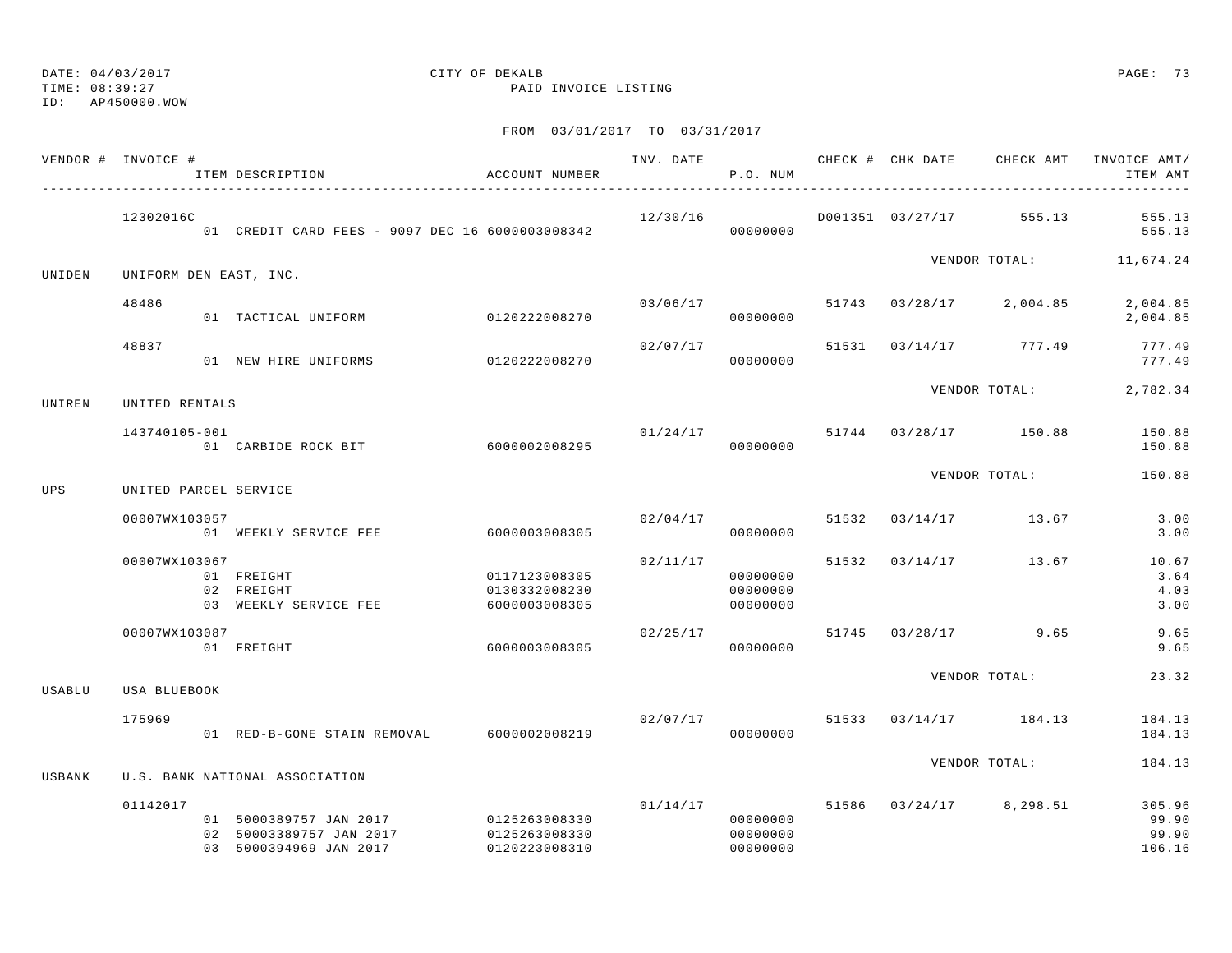TIME: 08:39:27 PAID INVOICE LISTING

ID: AP450000.WOW

|                                                                                        | VENDOR # INVOICE # |                                                                                                                                                                                                                                                                                                                                                                                                                                                                                                                                                                                                                                                                                                                                                                                                                                                                                                                                                                                                                                                                                                                                                   |               |                               |  | INV. DATE 6 1999 CHECK # CHK DATE 6 CHECK AMT INVOICE AMT/ | ITEM AMT                           |
|----------------------------------------------------------------------------------------|--------------------|---------------------------------------------------------------------------------------------------------------------------------------------------------------------------------------------------------------------------------------------------------------------------------------------------------------------------------------------------------------------------------------------------------------------------------------------------------------------------------------------------------------------------------------------------------------------------------------------------------------------------------------------------------------------------------------------------------------------------------------------------------------------------------------------------------------------------------------------------------------------------------------------------------------------------------------------------------------------------------------------------------------------------------------------------------------------------------------------------------------------------------------------------|---------------|-------------------------------|--|------------------------------------------------------------|------------------------------------|
|                                                                                        | 12302016C          |                                                                                                                                                                                                                                                                                                                                                                                                                                                                                                                                                                                                                                                                                                                                                                                                                                                                                                                                                                                                                                                                                                                                                   |               | 00000000                      |  |                                                            | 555.13<br>555.13                   |
| UNIDEN                                                                                 |                    |                                                                                                                                                                                                                                                                                                                                                                                                                                                                                                                                                                                                                                                                                                                                                                                                                                                                                                                                                                                                                                                                                                                                                   |               |                               |  | VENDOR TOTAL: 11,674.24                                    |                                    |
|                                                                                        | 48486              |                                                                                                                                                                                                                                                                                                                                                                                                                                                                                                                                                                                                                                                                                                                                                                                                                                                                                                                                                                                                                                                                                                                                                   |               | 00000000                      |  |                                                            | 2,004.85<br>2,004.85               |
|                                                                                        | 48837              |                                                                                                                                                                                                                                                                                                                                                                                                                                                                                                                                                                                                                                                                                                                                                                                                                                                                                                                                                                                                                                                                                                                                                   |               | 00000000                      |  |                                                            | 777.49<br>777.49                   |
| UNIREN                                                                                 |                    | ACCOUNT NUMBER<br>ITEM DESCRIPTION<br>P.O. NUM<br>12/30/16<br>D001351 03/27/17 555.13<br>01 CREDIT CARD FEES - 9097 DEC 16 6000003008342<br>UNIFORM DEN EAST, INC.<br>03/06/17<br>51743 03/28/17 2,004.85<br>0120222008270<br>01 TACTICAL UNIFORM<br>02/07/17<br>51531 03/14/17 777.49<br>0120222008270<br>01 NEW HIRE UNIFORMS<br>UNITED RENTALS<br>01/24/17<br>51744 03/28/17 150.88<br>143740105-001<br>01 CARBIDE ROCK BIT 6000002008295<br>00000000<br>51532 03/14/17 13.67<br>02/04/17<br>01 WEEKLY SERVICE FEE 6000003008305<br>00000000<br>02/11/17<br>51532 03/14/17 13.67<br>01 FREIGHT<br>0117123008305<br>00000000<br>02 FREIGHT<br>00000000<br>0130332008230<br>03 WEEKLY SERVICE FEE<br>6000003008305<br>00000000<br>02/25/17<br>51745 03/28/17<br>6000003008305<br>00000000<br>01 FREIGHT<br>$02/07/17$ 51533 03/14/17 184.13<br>01 RED-B-GONE STAIN REMOVAL 6000002008219<br>00000000<br>U.S. BANK NATIONAL ASSOCIATION<br>01/14/17<br>51586 03/24/17 8,298.51<br>01 5000389757 JAN 2017 0125263008330<br>00000000<br>02 50003389757 JAN 2017<br>0125263008330<br>00000000<br>03 5000394969 JAN 2017<br>0120223008310<br>00000000 | VENDOR TOTAL: | 2,782.34                      |  |                                                            |                                    |
|                                                                                        |                    |                                                                                                                                                                                                                                                                                                                                                                                                                                                                                                                                                                                                                                                                                                                                                                                                                                                                                                                                                                                                                                                                                                                                                   |               |                               |  |                                                            | 150.88<br>150.88                   |
|                                                                                        |                    |                                                                                                                                                                                                                                                                                                                                                                                                                                                                                                                                                                                                                                                                                                                                                                                                                                                                                                                                                                                                                                                                                                                                                   |               |                               |  | VENDOR TOTAL:                                              | 150.88                             |
|                                                                                        |                    |                                                                                                                                                                                                                                                                                                                                                                                                                                                                                                                                                                                                                                                                                                                                                                                                                                                                                                                                                                                                                                                                                                                                                   |               |                               |  |                                                            | 3.00<br>3.00                       |
| <b>UPS</b><br>UNITED PARCEL SERVICE<br>00007WX103057<br>00007WX103067<br>00007WX103087 |                    |                                                                                                                                                                                                                                                                                                                                                                                                                                                                                                                                                                                                                                                                                                                                                                                                                                                                                                                                                                                                                                                                                                                                                   |               | 10.67<br>3.64<br>4.03<br>3.00 |  |                                                            |                                    |
|                                                                                        |                    |                                                                                                                                                                                                                                                                                                                                                                                                                                                                                                                                                                                                                                                                                                                                                                                                                                                                                                                                                                                                                                                                                                                                                   |               |                               |  | 9.65                                                       | 9.65<br>9.65                       |
| USABLU                                                                                 | USA BLUEBOOK       |                                                                                                                                                                                                                                                                                                                                                                                                                                                                                                                                                                                                                                                                                                                                                                                                                                                                                                                                                                                                                                                                                                                                                   |               |                               |  | VENDOR TOTAL:                                              | 23.32                              |
|                                                                                        | 175969             |                                                                                                                                                                                                                                                                                                                                                                                                                                                                                                                                                                                                                                                                                                                                                                                                                                                                                                                                                                                                                                                                                                                                                   |               |                               |  |                                                            | 184.13<br>184.13                   |
| USBANK                                                                                 |                    |                                                                                                                                                                                                                                                                                                                                                                                                                                                                                                                                                                                                                                                                                                                                                                                                                                                                                                                                                                                                                                                                                                                                                   |               |                               |  | VENDOR TOTAL:                                              | 184.13                             |
|                                                                                        | 01142017           |                                                                                                                                                                                                                                                                                                                                                                                                                                                                                                                                                                                                                                                                                                                                                                                                                                                                                                                                                                                                                                                                                                                                                   |               |                               |  |                                                            | 305.96<br>99.90<br>99.90<br>106.16 |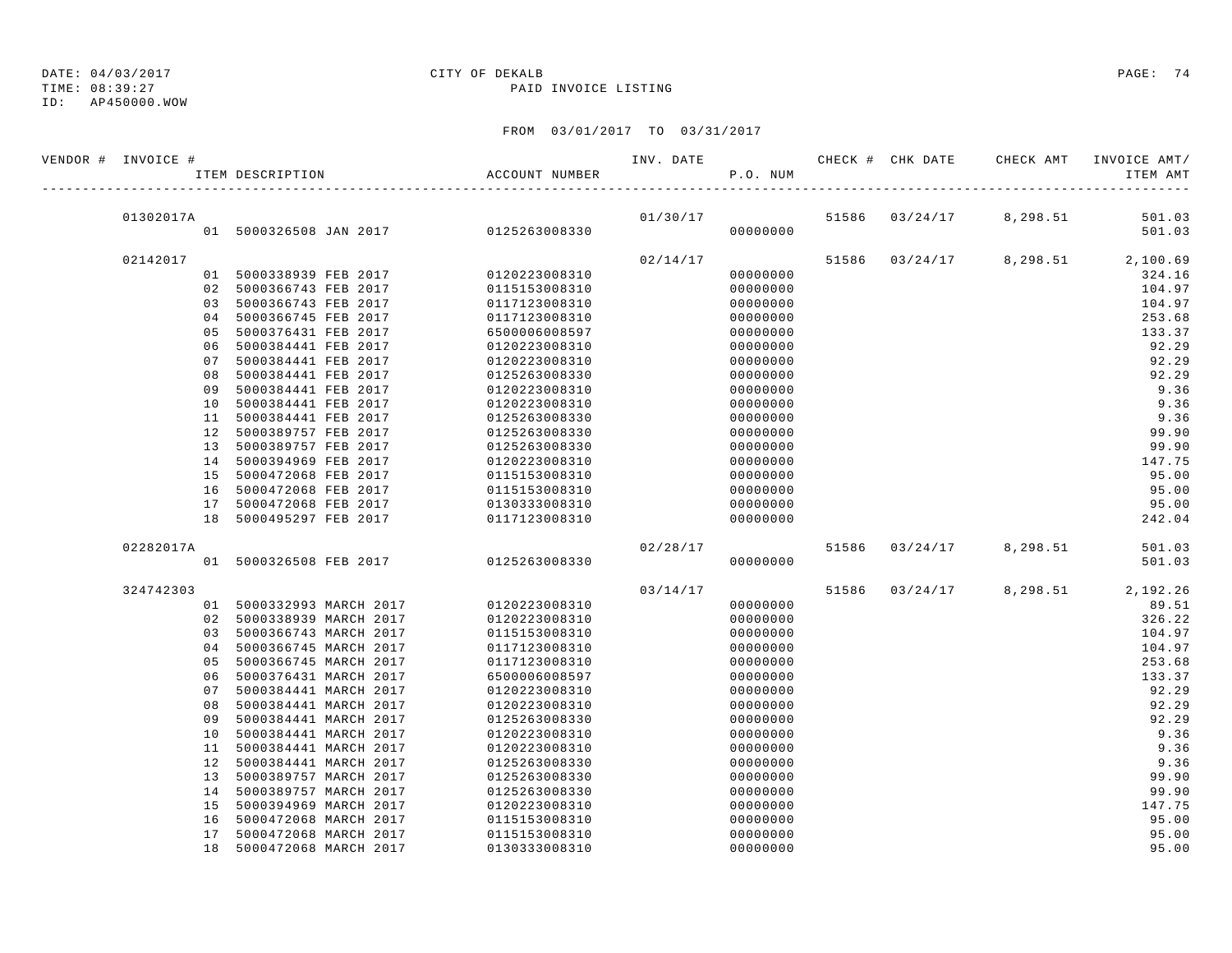# TIME: 08:39:27 PAID INVOICE LISTING

### ID: AP450000.WOW

## DATE: 04/03/2017 CITY OF DEKALB PAGE: 74

| VENDOR # INVOICE # | ITEM DESCRIPTION                     | ACCOUNT NUMBER | INV. DATE | P.O. NUM |       |          | CHECK # CHK DATE CHECK AMT | INVOICE AMT/<br>ITEM AMT |
|--------------------|--------------------------------------|----------------|-----------|----------|-------|----------|----------------------------|--------------------------|
|                    |                                      |                |           |          |       |          |                            |                          |
| 01302017A          |                                      |                |           | 01/30/17 | 51586 | 03/24/17 | 8,298.51                   | 501.03                   |
|                    | 01 5000326508 JAN 2017 0125263008330 |                |           | 00000000 |       |          |                            | 501.03                   |
| 02142017           |                                      |                | 02/14/17  |          | 51586 |          | $03/24/17$ 8, 298.51       | 2,100.69                 |
|                    | 01 5000338939 FEB 2017               | 0120223008310  |           | 00000000 |       |          |                            | 324.16                   |
|                    | 02 5000366743 FEB 2017               | 0115153008310  |           | 00000000 |       |          |                            | 104.97                   |
|                    | 03 5000366743 FEB 2017               | 0117123008310  |           | 00000000 |       |          |                            | 104.97                   |
| 0 <sub>4</sub>     | 5000366745 FEB 2017                  | 0117123008310  |           | 00000000 |       |          |                            | 253.68                   |
| 0 <sub>5</sub>     | 5000376431 FEB 2017                  | 6500006008597  |           | 00000000 |       |          |                            | 133.37                   |
| 06                 | 5000384441 FEB 2017                  | 0120223008310  |           | 00000000 |       |          |                            | 92.29                    |
| 07                 | 5000384441 FEB 2017                  | 0120223008310  |           | 00000000 |       |          |                            | 92.29                    |
| 08                 | 5000384441 FEB 2017                  | 0125263008330  |           | 00000000 |       |          |                            | 92.29                    |
| 09                 | 5000384441 FEB 2017                  | 0120223008310  |           | 00000000 |       |          |                            | 9.36                     |
|                    | 10 5000384441 FEB 2017               | 0120223008310  |           | 00000000 |       |          |                            | 9.36                     |
|                    | 11 5000384441 FEB 2017               | 0125263008330  |           | 00000000 |       |          |                            | 9.36                     |
|                    | 12 5000389757 FEB 2017               | 0125263008330  |           | 00000000 |       |          |                            | 99.90                    |
|                    | 13 5000389757 FEB 2017               | 0125263008330  |           | 00000000 |       |          |                            | 99.90                    |
|                    | 14 5000394969 FEB 2017               | 0120223008310  |           | 00000000 |       |          |                            | 147.75                   |
|                    | 15 5000472068 FEB 2017               | 0115153008310  |           | 00000000 |       |          |                            | 95.00                    |
|                    | 16 5000472068 FEB 2017               | 0115153008310  |           | 00000000 |       |          |                            | 95.00                    |
|                    | 17 5000472068 FEB 2017               | 0130333008310  |           | 00000000 |       |          |                            | 95.00                    |
|                    | 18 5000495297 FEB 2017               | 0117123008310  |           | 00000000 |       |          |                            | 242.04                   |
| 02282017A          |                                      |                | 02/28/17  |          | 51586 | 03/24/17 | 8,298.51                   | 501.03                   |
|                    | 01 5000326508 FEB 2017               | 0125263008330  |           | 00000000 |       |          |                            | 501.03                   |
| 324742303          |                                      |                | 03/14/17  |          | 51586 | 03/24/17 | 8,298.51                   | 2,192.26                 |
|                    | 01 5000332993 MARCH 2017             | 0120223008310  |           | 00000000 |       |          |                            | 89.51                    |
|                    | 02 5000338939 MARCH 2017             | 0120223008310  |           | 00000000 |       |          |                            | 326.22                   |
|                    | 03 5000366743 MARCH 2017             | 0115153008310  |           | 00000000 |       |          |                            | 104.97                   |
|                    | 04 5000366745 MARCH 2017             | 0117123008310  |           | 00000000 |       |          |                            | 104.97                   |
| 05                 | 5000366745 MARCH 2017                | 0117123008310  |           | 00000000 |       |          |                            | 253.68                   |
| 06                 | 5000376431 MARCH 2017                | 6500006008597  |           | 00000000 |       |          |                            | 133.37                   |
| 07                 | 5000384441 MARCH 2017                | 0120223008310  |           | 00000000 |       |          |                            | 92.29                    |
| 08                 | 5000384441 MARCH 2017                | 0120223008310  |           | 00000000 |       |          |                            | 92.29                    |
| 09                 | 5000384441 MARCH 2017                | 0125263008330  |           | 00000000 |       |          |                            | 92.29                    |
| 10                 | 5000384441 MARCH 2017                | 0120223008310  |           | 00000000 |       |          |                            | 9.36                     |
|                    | 11 5000384441 MARCH 2017             | 0120223008310  |           | 00000000 |       |          |                            | 9.36                     |
|                    | 12 5000384441 MARCH 2017             | 0125263008330  |           | 00000000 |       |          |                            | 9.36                     |
|                    | 13 5000389757 MARCH 2017             | 0125263008330  |           | 00000000 |       |          |                            | 99.90                    |
|                    | 14 5000389757 MARCH 2017             | 0125263008330  |           | 00000000 |       |          |                            | 99.90                    |
| 15                 | 5000394969 MARCH 2017                | 0120223008310  |           | 00000000 |       |          |                            | 147.75                   |
| 16                 | 5000472068 MARCH 2017                | 0115153008310  |           | 00000000 |       |          |                            | 95.00                    |
| 17                 | 5000472068 MARCH 2017                | 0115153008310  |           | 00000000 |       |          |                            | 95.00                    |
| 18                 | 5000472068 MARCH 2017                | 0130333008310  |           | 00000000 |       |          |                            | 95.00                    |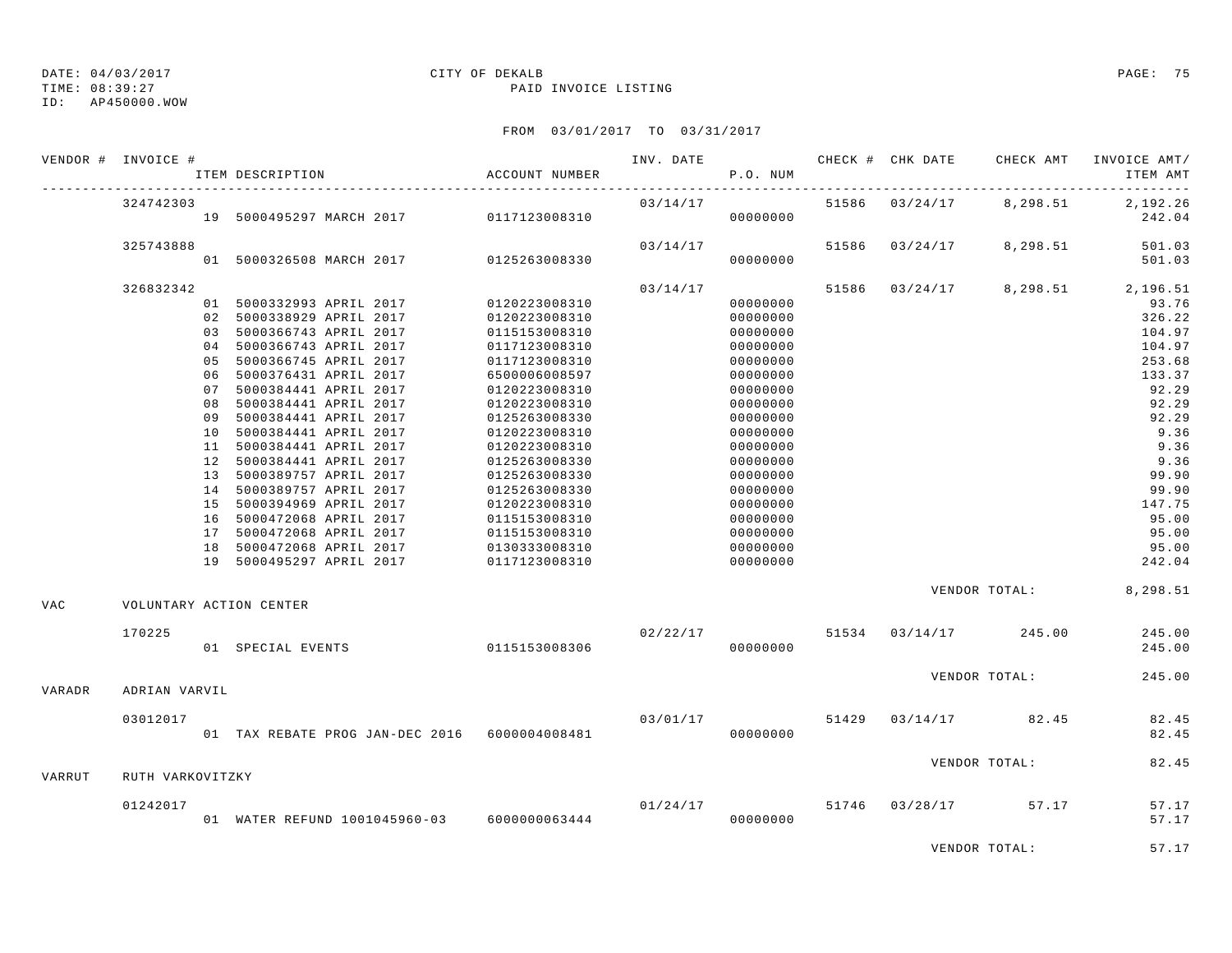ID: AP450000.WOW

#### DATE: 04/03/2017 CITY OF DEKALB PAGE: 75 TIME: 08:39:27 PAID INVOICE LISTING

### FROM 03/01/2017 TO 03/31/2017

|               | VENDOR # INVOICE # |                                               |               |          |          |       |                | INV. DATE 6 CHECK # CHK DATE CHECK AMT | INVOICE AMT/                     |
|---------------|--------------------|-----------------------------------------------|---------------|----------|----------|-------|----------------|----------------------------------------|----------------------------------|
|               |                    | ACCOUNT NUMBER<br>ITEM DESCRIPTION            |               |          | P.O. NUM |       |                |                                        | ITEM AMT                         |
|               | 324742303          |                                               |               | 03/14/17 |          |       | 51586 03/24/17 | 8,298.51                               | 2,192.26                         |
|               |                    | 19 5000495297 MARCH 2017 0117123008310        |               |          | 00000000 |       |                |                                        | 242.04                           |
|               | 325743888          |                                               |               | 03/14/17 |          | 51586 | 03/24/17       | 8,298.51                               | 501.03                           |
|               |                    | 01 5000326508 MARCH 2017 0125263008330        |               |          | 00000000 |       |                |                                        | 501.03                           |
|               | 326832342          |                                               |               | 03/14/17 |          |       |                |                                        | 51586 03/24/17 8,298.51 2,196.51 |
|               |                    | 01 5000332993 APRIL 2017 0120223008310        |               |          | 00000000 |       |                |                                        | 93.76                            |
|               |                    | 02 5000338929 APRIL 2017                      | 0120223008310 |          | 00000000 |       |                |                                        | 326.22                           |
|               |                    | 03 5000366743 APRIL 2017                      | 0115153008310 |          | 00000000 |       |                |                                        | 104.97                           |
|               |                    | 04 5000366743 APRIL 2017                      | 0117123008310 |          | 00000000 |       |                |                                        | 104.97                           |
|               |                    | 05 5000366745 APRIL 2017                      | 0117123008310 |          | 00000000 |       |                |                                        | 253.68                           |
|               |                    | 06 5000376431 APRIL 2017                      | 6500006008597 |          | 00000000 |       |                |                                        | 133.37                           |
|               |                    | 07 5000384441 APRIL 2017                      | 0120223008310 |          | 00000000 |       |                |                                        | 92.29                            |
|               |                    | 08 5000384441 APRIL 2017                      | 0120223008310 |          | 00000000 |       |                |                                        | 92.29                            |
|               |                    | 09 5000384441 APRIL 2017                      | 0125263008330 |          | 00000000 |       |                |                                        | 92.29                            |
|               |                    | 10 5000384441 APRIL 2017                      | 0120223008310 |          | 00000000 |       |                |                                        | 9.36                             |
|               |                    | 11 5000384441 APRIL 2017                      | 0120223008310 |          | 00000000 |       |                |                                        | 9.36                             |
|               |                    | 12 5000384441 APRIL 2017                      | 0125263008330 |          | 00000000 |       |                |                                        | 9.36                             |
|               |                    | 13 5000389757 APRIL 2017                      | 0125263008330 |          | 00000000 |       |                |                                        | 99.90                            |
|               |                    | 14 5000389757 APRIL 2017                      | 0125263008330 |          | 00000000 |       |                |                                        | 99.90                            |
|               |                    | 15 5000394969 APRIL 2017                      | 0120223008310 |          | 00000000 |       |                |                                        | 147.75                           |
|               |                    | 16 5000472068 APRIL 2017                      | 0115153008310 |          | 00000000 |       |                |                                        | 95.00                            |
|               |                    | 17 5000472068 APRIL 2017                      | 0115153008310 |          | 00000000 |       |                |                                        | 95.00                            |
|               |                    | 18 5000472068 APRIL 2017                      | 0130333008310 |          | 00000000 |       |                |                                        | 95.00                            |
|               |                    | 19 5000495297 APRIL 2017                      | 0117123008310 |          | 00000000 |       |                |                                        | 242.04                           |
|               |                    |                                               |               |          |          |       |                |                                        | VENDOR TOTAL: 8,298.51           |
| VAC           |                    | VOLUNTARY ACTION CENTER                       |               |          |          |       |                |                                        |                                  |
|               | 170225             |                                               | 0115153008306 |          |          |       |                | $02/22/17$ 51534 03/14/17 245.00       | 245.00                           |
|               |                    | 01 SPECIAL EVENTS                             |               |          | 00000000 |       |                |                                        | 245.00                           |
|               |                    |                                               |               |          |          |       |                | VENDOR TOTAL:                          | 245.00                           |
| <b>VARADR</b> | ADRIAN VARVIL      |                                               |               |          |          |       |                |                                        |                                  |
|               | 03012017           |                                               |               | 03/01/17 |          |       |                | 51429 03/14/17 82.45                   | 82.45                            |
|               |                    | 01 TAX REBATE PROG JAN-DEC 2016 6000004008481 |               |          | 00000000 |       |                |                                        | 82.45                            |
|               |                    |                                               |               |          |          |       |                | VENDOR TOTAL:                          | 82.45                            |
| VARRUT        | RUTH VARKOVITZKY   |                                               |               |          |          |       |                |                                        |                                  |
|               | 01242017           |                                               |               | 01/24/17 |          |       |                | 51746 03/28/17 57.17                   | 57.17                            |
|               |                    | 01 WATER REFUND 1001045960-03 6000000063444   |               |          | 00000000 |       |                |                                        | 57.17                            |
|               |                    |                                               |               |          |          |       |                |                                        |                                  |

VENDOR TOTAL: 57.17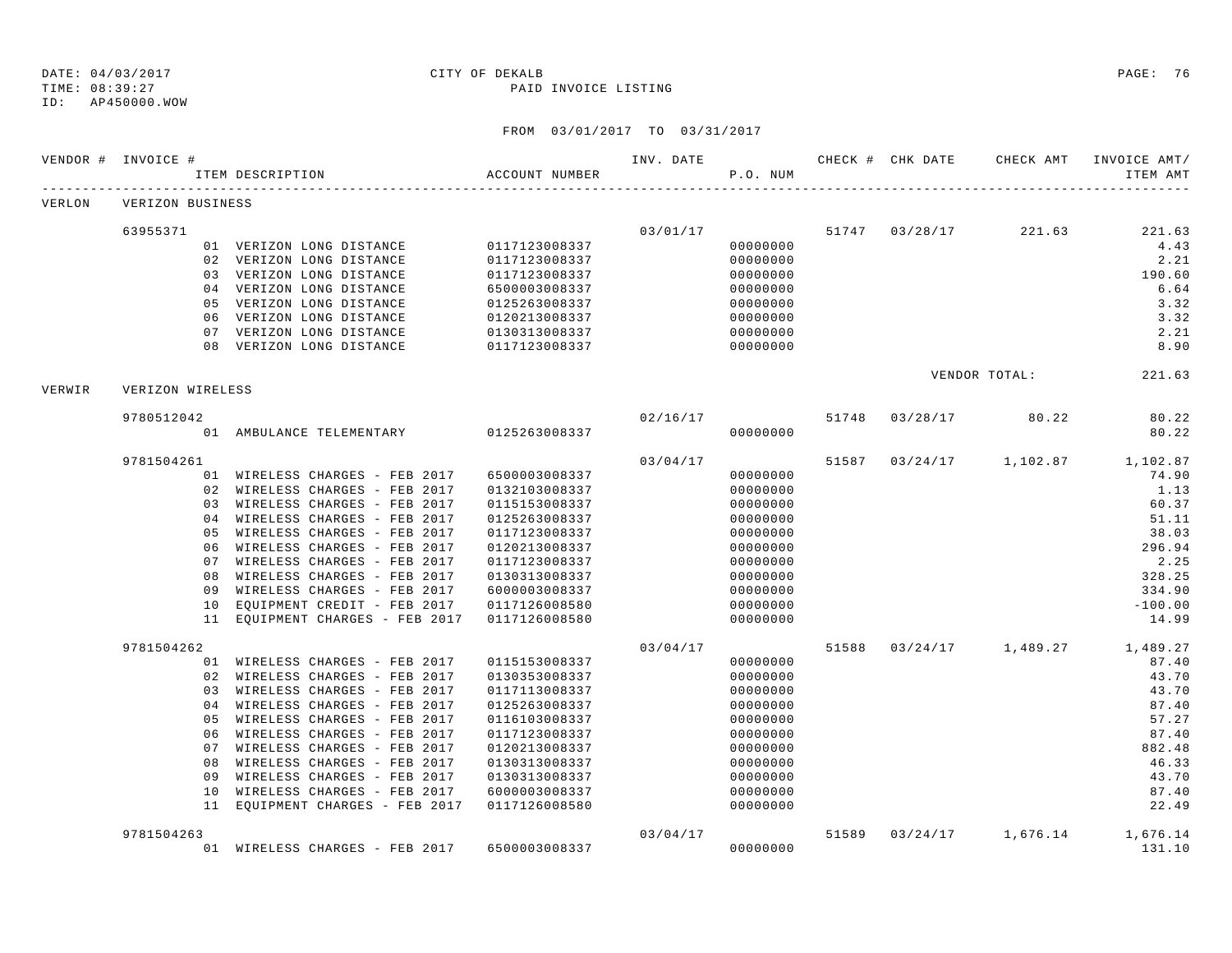TIME: 08:39:27 PAID INVOICE LISTING

ID: AP450000.WOW

|        | VENDOR # INVOICE # | ITEM DESCRIPTION                                           | ACCOUNT NUMBER                 | INV. DATE | P.O. NUM             |       | CHECK # CHK DATE | CHECK AMT            | INVOICE AMT/<br>ITEM AMT |
|--------|--------------------|------------------------------------------------------------|--------------------------------|-----------|----------------------|-------|------------------|----------------------|--------------------------|
| VERLON | VERIZON BUSINESS   |                                                            |                                |           |                      |       |                  |                      |                          |
|        | 63955371           |                                                            |                                | 03/01/17  |                      |       | 51747 03/28/17   | 221.63               | 221.63                   |
|        |                    | 01 VERIZON LONG DISTANCE                                   | 0117123008337                  |           | 00000000             |       |                  |                      | 4.43                     |
|        |                    | 02 VERIZON LONG DISTANCE                                   | 0117123008337                  |           | 00000000             |       |                  |                      | 2.21                     |
|        |                    | 03 VERIZON LONG DISTANCE                                   | 0117123008337                  |           | 00000000             |       |                  |                      | 190.60                   |
|        |                    | 04 VERIZON LONG DISTANCE                                   | 6500003008337                  |           | 00000000             |       |                  |                      | 6.64                     |
|        | 05                 | VERIZON LONG DISTANCE                                      | 0125263008337                  |           | 00000000             |       |                  |                      | 3.32                     |
|        |                    | 06 VERIZON LONG DISTANCE                                   | 0120213008337                  |           | 00000000             |       |                  |                      | 3.32                     |
|        |                    | 07 VERIZON LONG DISTANCE                                   | 0130313008337                  |           | 00000000             |       |                  |                      | 2.21                     |
|        |                    | 08 VERIZON LONG DISTANCE                                   | 0117123008337                  |           | 00000000             |       |                  |                      | 8.90                     |
| VERWIR | VERIZON WIRELESS   |                                                            |                                |           |                      |       |                  | VENDOR TOTAL:        | 221.63                   |
|        | 9780512042         |                                                            |                                |           | 02/16/17             | 51748 | 03/28/17         | 80.22                | 80.22                    |
|        |                    | 01 AMBULANCE TELEMENTARY 0125263008337                     |                                |           | 00000000             |       |                  |                      | 80.22                    |
|        | 9781504261         |                                                            |                                | 03/04/17  |                      | 51587 |                  | $03/24/17$ 1, 102.87 | 1,102.87                 |
|        |                    | 01 WIRELESS CHARGES - FEB 2017                             | 6500003008337                  |           | 00000000             |       |                  |                      | 74.90                    |
|        |                    | 02 WIRELESS CHARGES - FEB 2017                             | 0132103008337                  |           | 00000000             |       |                  |                      | 1.13                     |
|        |                    | 03 WIRELESS CHARGES - FEB 2017                             | 0115153008337                  |           | 00000000             |       |                  |                      | 60.37                    |
|        | 04                 | WIRELESS CHARGES - FEB 2017                                | 0125263008337                  |           | 00000000             |       |                  |                      | 51.11                    |
|        | 05                 | WIRELESS CHARGES - FEB 2017                                | 0117123008337                  |           | 00000000             |       |                  |                      | 38.03                    |
|        | 06                 | WIRELESS CHARGES - FEB 2017                                | 0120213008337                  |           | 00000000             |       |                  |                      | 296.94                   |
|        | 07                 | WIRELESS CHARGES - FEB 2017                                | 0117123008337                  |           | 00000000             |       |                  |                      | 2.25                     |
|        | 08                 | WIRELESS CHARGES - FEB 2017                                | 0130313008337                  |           | 00000000             |       |                  |                      | 328.25                   |
|        |                    | 09 WIRELESS CHARGES - FEB 2017                             | 6000003008337                  |           | 00000000             |       |                  |                      | 334.90                   |
|        | 10                 | EQUIPMENT CREDIT - FEB 2017                                | 0117126008580                  |           | 00000000             |       |                  |                      | $-100.00$                |
|        |                    | 11 EQUIPMENT CHARGES - FEB 2017                            | 0117126008580                  |           | 00000000             |       |                  |                      | 14.99                    |
|        | 9781504262         |                                                            |                                | 03/04/17  |                      | 51588 |                  | $03/24/17$ 1,489.27  | 1,489.27                 |
|        |                    | 01 WIRELESS CHARGES - FEB 2017                             | 0115153008337                  |           | 00000000             |       |                  |                      | 87.40                    |
|        |                    | 02 WIRELESS CHARGES - FEB 2017                             | 0130353008337                  |           | 00000000             |       |                  |                      | 43.70                    |
|        |                    | 03 WIRELESS CHARGES - FEB 2017                             | 0117113008337                  |           | 00000000             |       |                  |                      | 43.70                    |
|        | 04                 | WIRELESS CHARGES - FEB 2017                                | 0125263008337                  |           | 00000000             |       |                  |                      | 87.40                    |
|        | 05<br>06           | WIRELESS CHARGES - FEB 2017                                | 0116103008337                  |           | 00000000             |       |                  |                      | 57.27<br>87.40           |
|        | 07                 | WIRELESS CHARGES - FEB 2017<br>WIRELESS CHARGES - FEB 2017 | 0117123008337<br>0120213008337 |           | 00000000<br>00000000 |       |                  |                      | 882.48                   |
|        | 08                 | WIRELESS CHARGES - FEB 2017                                | 0130313008337                  |           | 00000000             |       |                  |                      | 46.33                    |
|        | 09                 | WIRELESS CHARGES - FEB 2017                                | 0130313008337                  |           | 00000000             |       |                  |                      | 43.70                    |
|        | 10                 | WIRELESS CHARGES - FEB 2017                                | 6000003008337                  |           | 00000000             |       |                  |                      | 87.40                    |
|        |                    | 11 EQUIPMENT CHARGES - FEB 2017                            | 0117126008580                  |           | 00000000             |       |                  |                      | 22.49                    |
|        | 9781504263         |                                                            |                                | 03/04/17  |                      | 51589 |                  | $03/24/17$ 1,676.14  | 1,676.14                 |
|        |                    | 01 WIRELESS CHARGES - FEB 2017                             | 6500003008337                  |           | 00000000             |       |                  |                      | 131.10                   |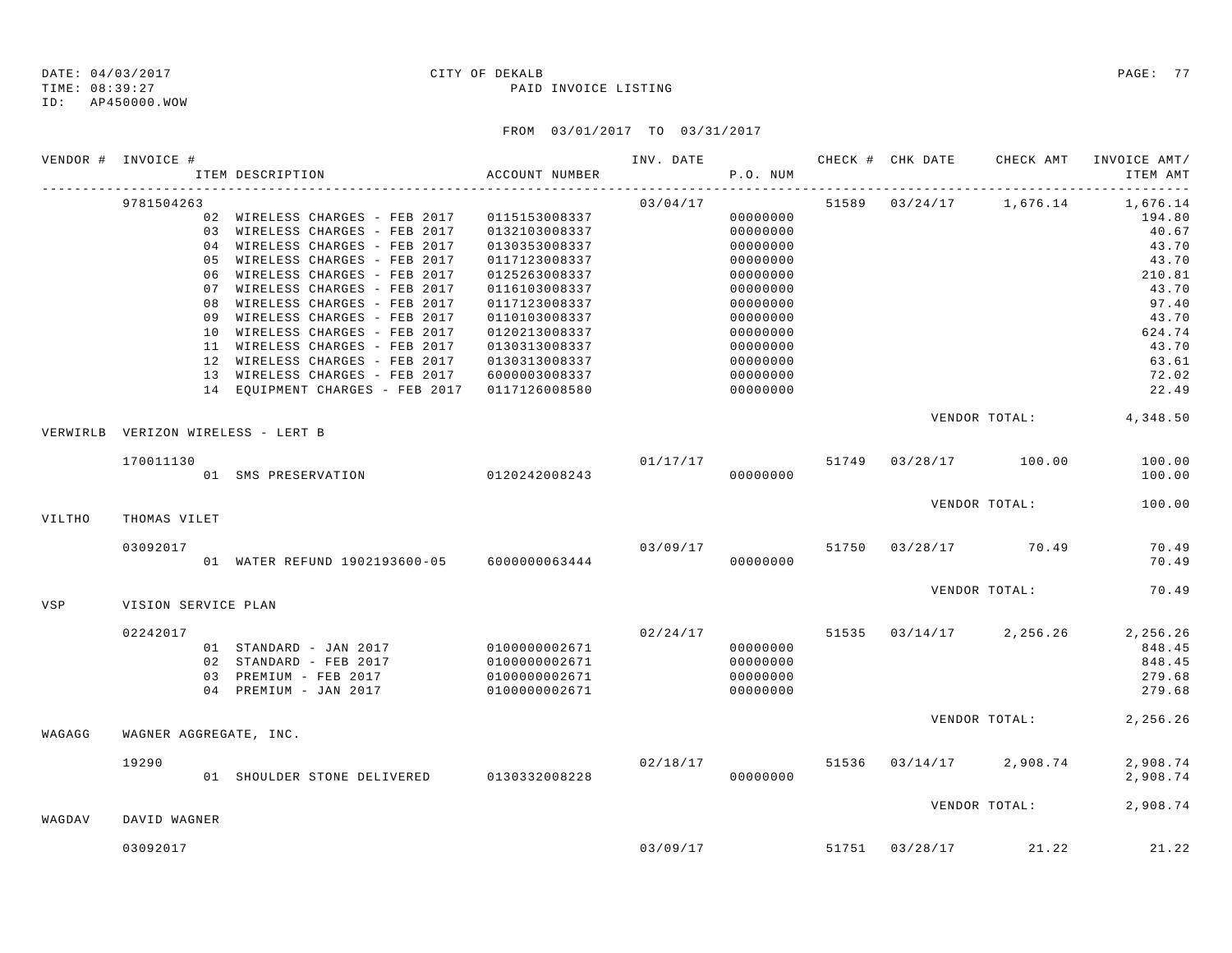TIME: 08:39:27 PAID INVOICE LISTING ID: AP450000.WOW

|        | VENDOR # INVOICE #     | ITEM DESCRIPTION                                                 | ACCOUNT NUMBER                 | INV. DATE 6 CHECK # CHK DATE CHECK AMT | P.O. NUM             |                |                                                                                                                                                                              | INVOICE AMT/<br>ITEM AMT |
|--------|------------------------|------------------------------------------------------------------|--------------------------------|----------------------------------------|----------------------|----------------|------------------------------------------------------------------------------------------------------------------------------------------------------------------------------|--------------------------|
|        | 9781504263             |                                                                  |                                | 03/04/17                               |                      |                | 51589 03/24/17 1,676.14                                                                                                                                                      | 1,676.14                 |
|        |                        | 02 WIRELESS CHARGES - FEB 2017                                   | 0115153008337                  |                                        | 00000000             |                |                                                                                                                                                                              | 194.80                   |
|        |                        | 03 WIRELESS CHARGES - FEB 2017                                   | 0132103008337                  |                                        | 00000000             |                |                                                                                                                                                                              | 40.67                    |
|        |                        | 04 WIRELESS CHARGES - FEB 2017                                   | 0130353008337                  |                                        | 00000000             |                |                                                                                                                                                                              | 43.70                    |
|        |                        | 05 WIRELESS CHARGES - FEB 2017                                   | 0117123008337                  |                                        | 00000000             |                |                                                                                                                                                                              | 43.70                    |
|        |                        | 06 WIRELESS CHARGES - FEB 2017                                   | 0125263008337                  |                                        | 00000000             |                |                                                                                                                                                                              | 210.81                   |
|        |                        | 07 WIRELESS CHARGES - FEB 2017                                   | 0116103008337                  |                                        | 00000000             |                |                                                                                                                                                                              | 43.70                    |
|        | 08                     | WIRELESS CHARGES - FEB 2017                                      | 0117123008337                  |                                        | 00000000             |                |                                                                                                                                                                              | 97.40                    |
|        | 09                     | WIRELESS CHARGES - FEB 2017                                      | 0110103008337                  |                                        | 00000000             |                |                                                                                                                                                                              | 43.70                    |
|        |                        | 10 WIRELESS CHARGES - FEB 2017                                   | 0120213008337                  |                                        | 00000000             |                |                                                                                                                                                                              | 624.74                   |
|        |                        | 11 WIRELESS CHARGES - FEB 2017                                   | 0130313008337                  |                                        | 00000000<br>00000000 |                |                                                                                                                                                                              | 43.70<br>63.61           |
|        |                        | 12 WIRELESS CHARGES - FEB 2017<br>13 WIRELESS CHARGES - FEB 2017 | 0130313008337<br>6000003008337 |                                        | 00000000             |                |                                                                                                                                                                              | 72.02                    |
|        |                        | 14 EQUIPMENT CHARGES - FEB 2017                                  | 0117126008580                  |                                        | 00000000             |                |                                                                                                                                                                              | 22.49                    |
|        |                        | VERWIRLB VERIZON WIRELESS - LERT B                               |                                |                                        |                      |                |                                                                                                                                                                              |                          |
|        |                        |                                                                  |                                |                                        |                      |                |                                                                                                                                                                              |                          |
|        | 170011130              | 01 SMS PRESERVATION 0120242008243                                |                                |                                        | 00000000             |                |                                                                                                                                                                              | 100.00<br>100.00         |
|        |                        |                                                                  |                                |                                        |                      |                |                                                                                                                                                                              | 100.00                   |
| VILTHO | THOMAS VILET           |                                                                  |                                |                                        |                      |                |                                                                                                                                                                              |                          |
|        | 03092017               | 01 WATER REFUND 1902193600-05 6000000063444                      |                                | 03/09/17                               | 00000000             |                |                                                                                                                                                                              | 70.49<br>70.49           |
|        |                        |                                                                  |                                |                                        |                      |                |                                                                                                                                                                              | 70.49                    |
| VSP    | VISION SERVICE PLAN    |                                                                  |                                |                                        |                      |                |                                                                                                                                                                              |                          |
|        | 02242017               |                                                                  |                                | 02/24/17                               |                      |                |                                                                                                                                                                              | 2,256.26                 |
|        |                        | 01 STANDARD - JAN 2017 0100000002671                             |                                |                                        | 00000000             |                | VENDOR TOTAL: 4,348.50<br>$01/17/17$ 51749 03/28/17 100.00<br>VENDOR TOTAL:<br>51750 03/28/17 70.49<br>VENDOR TOTAL:<br>51535 03/14/17 2,256.26<br>VENDOR TOTAL:<br>2,908.74 | 848.45                   |
|        |                        | 02 STANDARD - FEB 2017                                           | 0100000002671                  |                                        | 00000000             |                |                                                                                                                                                                              | 848.45                   |
|        |                        | 03 PREMIUM - FEB 2017                                            | 0100000002671                  |                                        | 00000000             |                |                                                                                                                                                                              | 279.68                   |
|        |                        | 04 PREMIUM - JAN 2017                                            | 0100000002671                  |                                        | 00000000             |                |                                                                                                                                                                              | 279.68                   |
| WAGAGG | WAGNER AGGREGATE, INC. |                                                                  |                                |                                        |                      |                |                                                                                                                                                                              | 2,256.26                 |
|        |                        |                                                                  |                                |                                        |                      |                |                                                                                                                                                                              |                          |
|        | 19290                  | 01 SHOULDER STONE DELIVERED 0130332008228                        |                                | 02/18/17                               | 00000000             | 51536 03/14/17 |                                                                                                                                                                              | 2,908.74<br>2,908.74     |
|        |                        |                                                                  |                                |                                        |                      |                |                                                                                                                                                                              |                          |
| WAGDAV | DAVID WAGNER           |                                                                  |                                |                                        |                      |                | VENDOR TOTAL:                                                                                                                                                                | 2,908.74                 |
|        | 03092017               |                                                                  |                                |                                        |                      |                | $03/09/17$ 51751 03/28/17 21.22                                                                                                                                              | 21.22                    |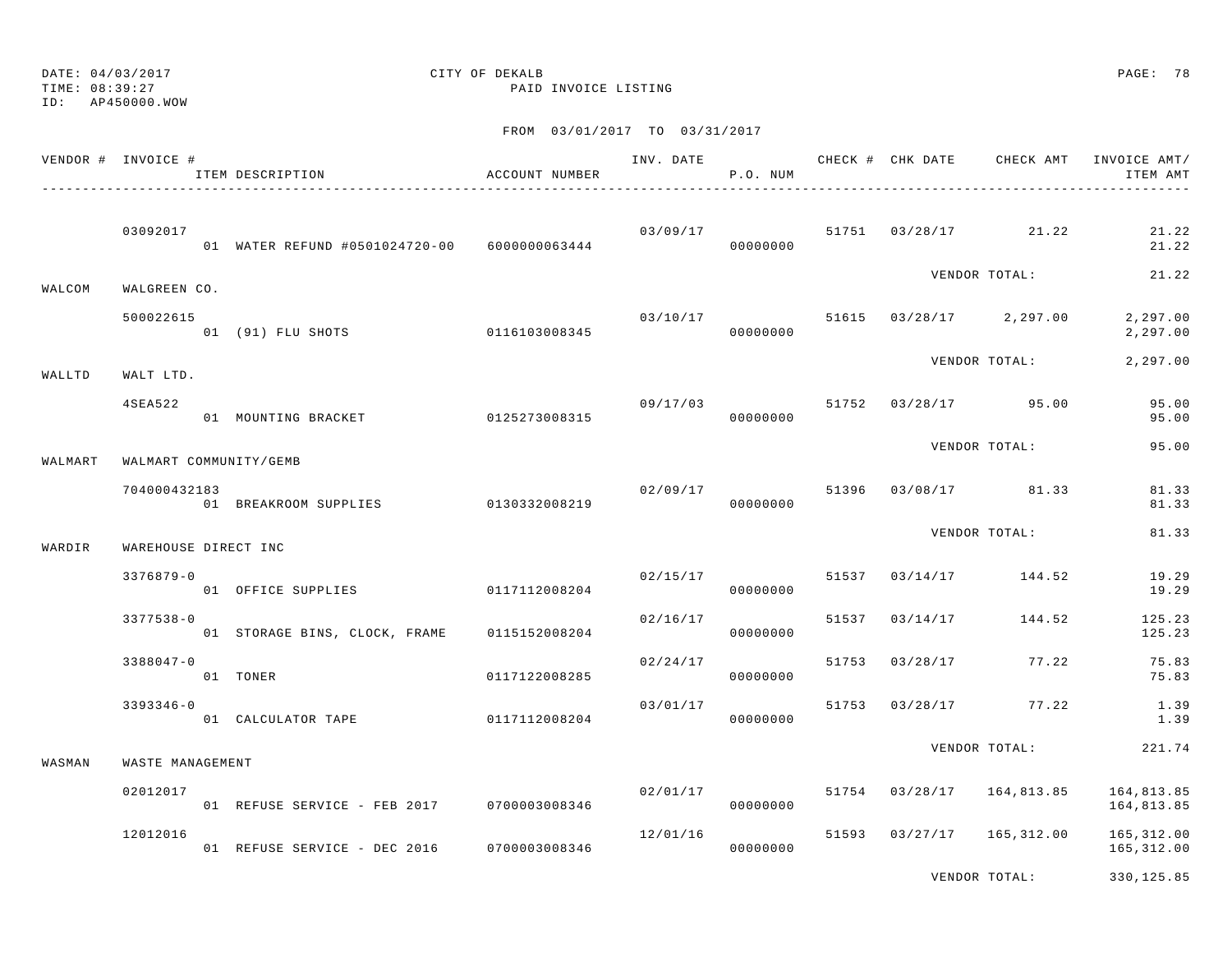TIME: 08:39:27 PAID INVOICE LISTING

# DATE: 04/03/2017 CITY OF DEKALB PAGE: 78

ID: AP450000.WOW

|         | VENDOR # INVOICE #   | ITEM DESCRIPTION                             | ACCOUNT NUMBER | INV. DATE | P.O. NUM             |       | CHECK # CHK DATE | CHECK AMT                          | INVOICE AMT/<br>ITEM AMT |  |
|---------|----------------------|----------------------------------------------|----------------|-----------|----------------------|-------|------------------|------------------------------------|--------------------------|--|
|         | 03092017             | 01 WATER REFUND #0501024720-00 6000000063444 |                |           | 03/09/17<br>00000000 |       |                  | 51751 03/28/17 21.22               | 21.22<br>21.22           |  |
| WALCOM  | WALGREEN CO.         |                                              |                |           |                      |       |                  | VENDOR TOTAL:                      | 21.22                    |  |
|         | 500022615            | 01 (91) FLU SHOTS                            | 0116103008345  |           | 00000000             |       |                  | $03/10/17$ 51615 03/28/17 2,297.00 | 2,297.00<br>2,297.00     |  |
| WALLTD  | WALT LTD.            |                                              |                |           |                      |       |                  | VENDOR TOTAL:                      | 2,297.00                 |  |
|         | 4SEA522              | 01 MOUNTING BRACKET                          | 0125273008315  | 09/17/03  | 00000000             |       |                  | 51752 03/28/17 95.00               | 95.00<br>95.00           |  |
| WALMART |                      | WALMART COMMUNITY/GEMB                       |                |           |                      |       |                  | VENDOR TOTAL:                      | 95.00                    |  |
|         | 704000432183         | 01 BREAKROOM SUPPLIES                        | 0130332008219  |           | 02/09/17<br>00000000 | 51396 |                  | 03/08/17 81.33                     | 81.33<br>81.33           |  |
| WARDIR  | WAREHOUSE DIRECT INC |                                              |                |           |                      |       |                  | VENDOR TOTAL:                      | 81.33                    |  |
|         | $3376879 - 0$        | 01 OFFICE SUPPLIES 0117112008204             |                | 02/15/17  | 00000000             |       | 51537 03/14/17   | 144.52                             | 19.29<br>19.29           |  |
|         | $3377538 - 0$        | 01 STORAGE BINS, CLOCK, FRAME                | 0115152008204  | 02/16/17  | 00000000             | 51537 | 03/14/17         | 144.52                             | 125.23<br>125.23         |  |
|         | $3388047 - 0$        | 01 TONER                                     | 0117122008285  | 02/24/17  | 00000000             | 51753 | 03/28/17         | 77.22                              | 75.83<br>75.83           |  |
|         | $3393346 - 0$        | 01 CALCULATOR TAPE                           | 0117112008204  | 03/01/17  | 00000000             | 51753 | 03/28/17         | 77.22                              | 1.39<br>1.39             |  |
| WASMAN  | WASTE MANAGEMENT     |                                              |                |           |                      |       |                  | VENDOR TOTAL:                      | 221.74                   |  |
|         | 02012017             | 01 REFUSE SERVICE - FEB 2017 0700003008346   |                | 02/01/17  | 00000000             | 51754 | 03/28/17         | 164,813.85                         | 164,813.85<br>164,813.85 |  |
|         | 12012016             | 01 REFUSE SERVICE - DEC 2016 0700003008346   |                | 12/01/16  | 00000000             | 51593 |                  | $03/27/17$ 165,312.00              | 165,312.00<br>165,312.00 |  |
|         |                      |                                              |                |           |                      |       |                  | VENDOR TOTAL:                      | 330,125.85               |  |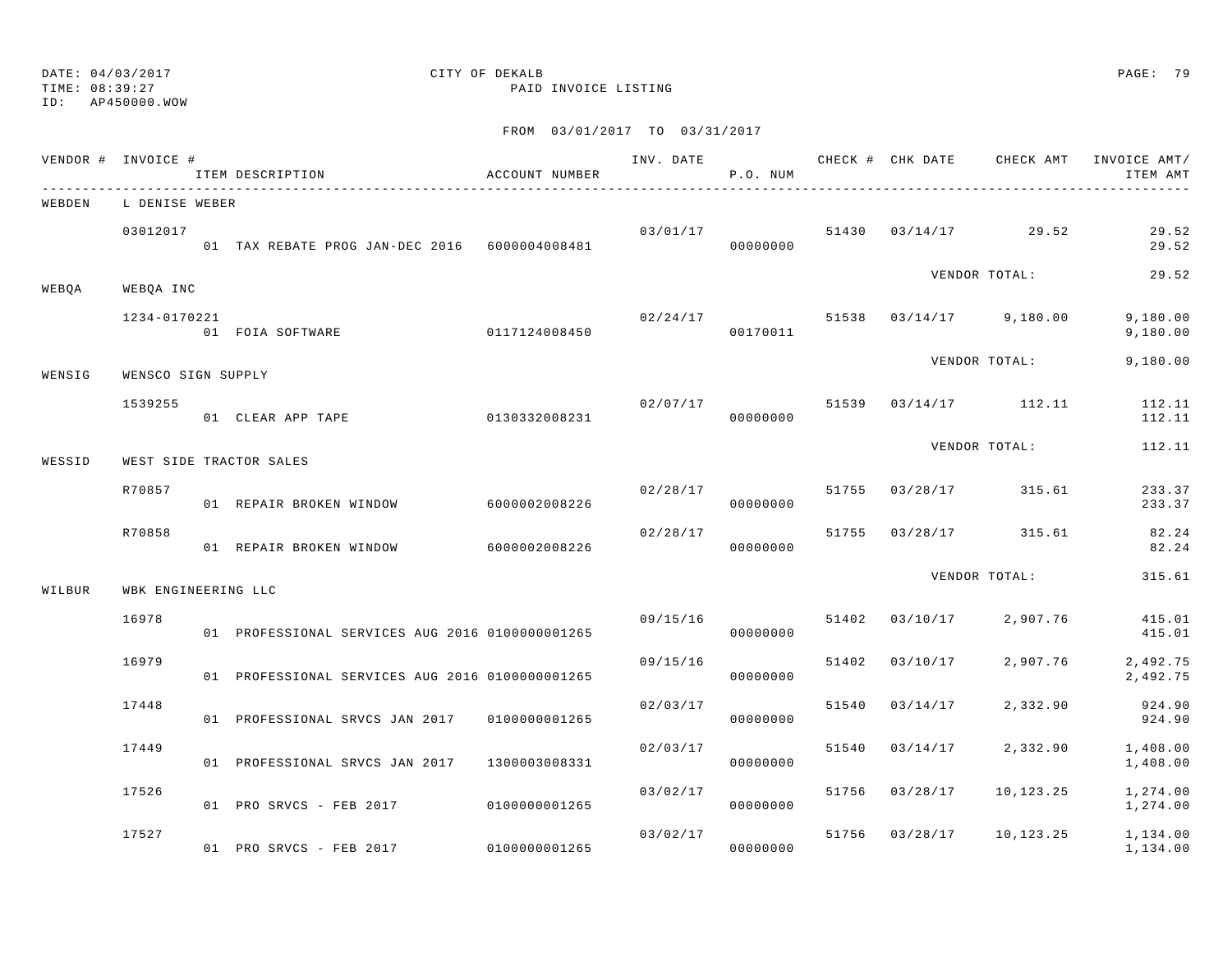### ID: AP450000.WOW

## DATE: 04/03/2017 CITY OF DEKALB PAGE: 79

TIME: 08:39:27 PAID INVOICE LISTING

|        | VENDOR # INVOICE #  | ITEM DESCRIPTION                                 | ACCOUNT NUMBER | INV. DATE | P.O. NUM                   |       | CHECK # CHK DATE CHECK AMT        |                         | INVOICE AMT/<br>ITEM AMT |
|--------|---------------------|--------------------------------------------------|----------------|-----------|----------------------------|-------|-----------------------------------|-------------------------|--------------------------|
| WEBDEN | L DENISE WEBER      |                                                  |                |           |                            |       |                                   |                         |                          |
|        | 03012017            | 01 TAX REBATE PROG JAN-DEC 2016 6000004008481    |                |           | 00000000                   |       | $03/01/17$ 51430 $03/14/17$ 29.52 |                         | 29.52<br>29.52           |
| WEBQA  | WEBQA INC           |                                                  |                |           |                            |       |                                   | VENDOR TOTAL:           | 29.52                    |
|        | 1234-0170221        | 01 FOIA SOFTWARE 0117124008450                   |                | 02/24/17  | 00170011                   |       |                                   | 51538 03/14/17 9,180.00 | 9,180.00<br>9,180.00     |
| WENSIG | WENSCO SIGN SUPPLY  |                                                  |                |           |                            |       |                                   | VENDOR TOTAL:           | 9,180.00                 |
|        | 1539255             | 01 CLEAR APP TAPE                                | 0130332008231  |           | 02/07/17 51539<br>00000000 |       |                                   | 03/14/17 112.11         | 112.11<br>112.11         |
| WESSID |                     | WEST SIDE TRACTOR SALES                          |                |           |                            |       |                                   | VENDOR TOTAL:           | 112.11                   |
|        | R70857              | 01 REPAIR BROKEN WINDOW                          | 6000002008226  | 02/28/17  | 00000000                   |       |                                   | 51755 03/28/17 315.61   | 233.37<br>233.37         |
|        | R70858              | 01 REPAIR BROKEN WINDOW                          | 6000002008226  | 02/28/17  | 00000000                   | 51755 |                                   | 03/28/17 315.61         | 82.24<br>82.24           |
| WILBUR | WBK ENGINEERING LLC |                                                  |                |           |                            |       |                                   | VENDOR TOTAL:           | 315.61                   |
|        | 16978               | 01 PROFESSIONAL SERVICES AUG 2016 01000000001265 |                | 09/15/16  | 00000000                   | 51402 | 03/10/17                          | 2,907.76                | 415.01<br>415.01         |
|        | 16979               | 01 PROFESSIONAL SERVICES AUG 2016 01000000001265 |                | 09/15/16  | 00000000                   | 51402 | 03/10/17                          | 2,907.76                | 2,492.75<br>2,492.75     |
|        | 17448               | 01 PROFESSIONAL SRVCS JAN 2017                   | 0100000001265  | 02/03/17  | 00000000                   | 51540 | 03/14/17                          | 2,332.90                | 924.90<br>924.90         |
|        | 17449               | 01 PROFESSIONAL SRVCS JAN 2017                   | 1300003008331  | 02/03/17  | 00000000                   | 51540 | 03/14/17                          | 2,332.90                | 1,408.00<br>1,408.00     |
|        | 17526               | 01 PRO SRVCS - FEB 2017 0100000001265            |                | 03/02/17  | 00000000                   | 51756 | 03/28/17                          | 10,123.25               | 1,274.00<br>1,274.00     |
|        | 17527               | 01 PRO SRVCS - FEB 2017 0100000001265            |                |           | 03/02/17<br>00000000       |       | 51756 03/28/17                    | 10,123.25               | 1,134.00<br>1,134.00     |